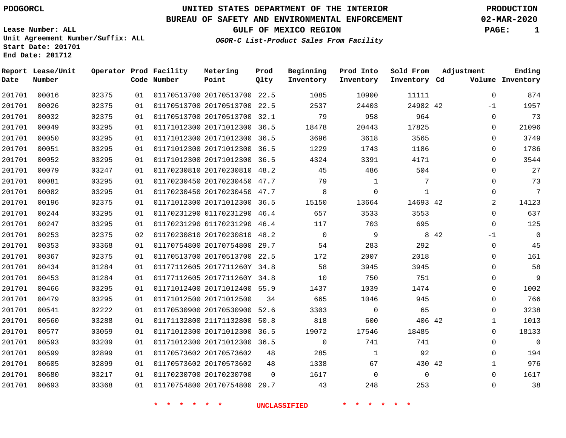# **UNITED STATES DEPARTMENT OF THE INTERIOR PDOGORCL PRODUCTION**

## **BUREAU OF SAFETY AND ENVIRONMENTAL ENFORCEMENT 02-MAR-2020**

**Lease Number: ALL Unit Agreement Number/Suffix: ALL Start Date: 201701**

**GULF OF MEXICO REGION PAGE: 1**

**OGOR-C List-Product Sales From Facility**

| Date   | Report Lease/Unit<br>Number |       |    | Operator Prod Facility<br>Code Number | Metering<br>Point            | Prod<br>Qlty | Beginning<br>Inventory | Prod Into<br>Inventory | Sold From<br>Inventory Cd | Adjustment     | Ending<br>Volume Inventory |
|--------|-----------------------------|-------|----|---------------------------------------|------------------------------|--------------|------------------------|------------------------|---------------------------|----------------|----------------------------|
| 201701 | 00016                       | 02375 | 01 |                                       | 01170513700 20170513700 22.5 |              | 1085                   | 10900                  | 11111                     | $\mathbf 0$    | 874                        |
| 201701 | 00026                       | 02375 | 01 |                                       | 01170513700 20170513700 22.5 |              | 2537                   | 24403                  | 24982 42                  | $-1$           | 1957                       |
| 201701 | 00032                       | 02375 | 01 |                                       | 01170513700 20170513700 32.1 |              | 79                     | 958                    | 964                       | $\Omega$       | 73                         |
| 201701 | 00049                       | 03295 | 01 |                                       | 01171012300 20171012300 36.5 |              | 18478                  | 20443                  | 17825                     | 0              | 21096                      |
| 201701 | 00050                       | 03295 | 01 |                                       | 01171012300 20171012300 36.5 |              | 3696                   | 3618                   | 3565                      | $\mathbf 0$    | 3749                       |
| 201701 | 00051                       | 03295 | 01 |                                       | 01171012300 20171012300 36.5 |              | 1229                   | 1743                   | 1186                      | $\mathbf 0$    | 1786                       |
| 201701 | 00052                       | 03295 | 01 |                                       | 01171012300 20171012300 36.5 |              | 4324                   | 3391                   | 4171                      | $\Omega$       | 3544                       |
| 201701 | 00079                       | 03247 | 01 |                                       | 01170230810 20170230810 48.2 |              | 45                     | 486                    | 504                       | $\mathbf 0$    | 27                         |
| 201701 | 00081                       | 03295 | 01 |                                       | 01170230450 20170230450 47.7 |              | 79                     | $\mathbf{1}$           | 7                         | $\Omega$       | 73                         |
| 201701 | 00082                       | 03295 | 01 |                                       | 01170230450 20170230450 47.7 |              | 8                      | $\mathbf 0$            | $\mathbf{1}$              | $\mathbf 0$    | 7                          |
| 201701 | 00196                       | 02375 | 01 |                                       | 01171012300 20171012300 36.5 |              | 15150                  | 13664                  | 14693 42                  | $\overline{2}$ | 14123                      |
| 201701 | 00244                       | 03295 | 01 |                                       | 01170231290 01170231290 46.4 |              | 657                    | 3533                   | 3553                      | $\Omega$       | 637                        |
| 201701 | 00247                       | 03295 | 01 |                                       | 01170231290 01170231290 46.4 |              | 117                    | 703                    | 695                       | $\Omega$       | 125                        |
| 201701 | 00253                       | 02375 | 02 |                                       | 01170230810 20170230810 48.2 |              | $\mathbf 0$            | 9                      |                           | 8 4 2<br>$-1$  | $\mathbf 0$                |
| 201701 | 00353                       | 03368 | 01 |                                       | 01170754800 20170754800 29.7 |              | 54                     | 283                    | 292                       | $\mathbf 0$    | 45                         |
| 201701 | 00367                       | 02375 | 01 |                                       | 01170513700 20170513700 22.5 |              | 172                    | 2007                   | 2018                      | $\Omega$       | 161                        |
| 201701 | 00434                       | 01284 | 01 |                                       | 01177112605 2017711260Y 34.8 |              | 58                     | 3945                   | 3945                      | $\mathbf 0$    | 58                         |
| 201701 | 00453                       | 01284 | 01 |                                       | 01177112605 2017711260Y 34.8 |              | 10                     | 750                    | 751                       | 0              | 9                          |
| 201701 | 00466                       | 03295 | 01 |                                       | 01171012400 20171012400 55.9 |              | 1437                   | 1039                   | 1474                      | $\Omega$       | 1002                       |
| 201701 | 00479                       | 03295 | 01 |                                       | 01171012500 20171012500      | 34           | 665                    | 1046                   | 945                       | 0              | 766                        |
| 201701 | 00541                       | 02222 | 01 |                                       | 01170530900 20170530900      | 52.6         | 3303                   | $\mathbf 0$            | 65                        | 0              | 3238                       |
| 201701 | 00560                       | 03288 | 01 |                                       | 01171132800 21171132800      | 50.8         | 818                    | 600                    | 406 42                    | $\mathbf 1$    | 1013                       |
| 201701 | 00577                       | 03059 | 01 |                                       | 01171012300 20171012300      | 36.5         | 19072                  | 17546                  | 18485                     | $\Omega$       | 18133                      |
| 201701 | 00593                       | 03209 | 01 |                                       | 01171012300 20171012300 36.5 |              | $\overline{0}$         | 741                    | 741                       | $\Omega$       | $\mathbf 0$                |
| 201701 | 00599                       | 02899 | 01 |                                       | 01170573602 20170573602      | 48           | 285                    | $\mathbf{1}$           | 92                        | $\Omega$       | 194                        |
| 201701 | 00605                       | 02899 | 01 |                                       | 01170573602 20170573602      | 48           | 1338                   | 67                     | 430 42                    | 1              | 976                        |
| 201701 | 00680                       | 03217 | 01 |                                       | 01170230700 20170230700      | $\Omega$     | 1617                   | $\mathbf 0$            | $\mathbf 0$               | $\Omega$       | 1617                       |
| 201701 | 00693                       | 03368 | 01 |                                       | 01170754800 20170754800 29.7 |              | 43                     | 248                    | 253                       | $\mathbf 0$    | 38                         |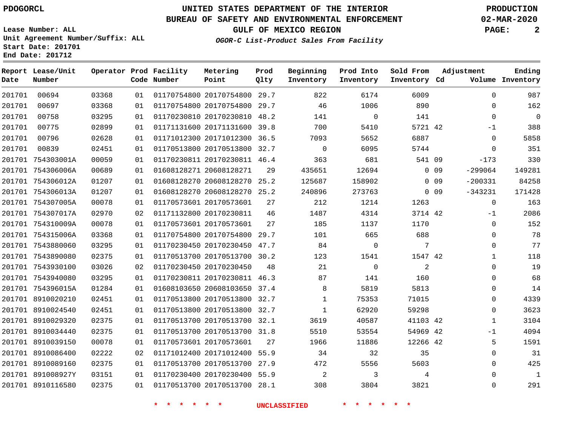# **UNITED STATES DEPARTMENT OF THE INTERIOR PDOGORCL PRODUCTION**

## **BUREAU OF SAFETY AND ENVIRONMENTAL ENFORCEMENT 02-MAR-2020**

**Lease Number: ALL Unit Agreement Number/Suffix: ALL Start Date: 201701**

**OGOR-C List-Product Sales From Facility**

**GULF OF MEXICO REGION PAGE: 2**

| Date   | Report Lease/Unit<br>Number |       |    | Operator Prod Facility<br>Code Number | Metering<br>Point            | Prod<br>Olty | Beginning<br>Inventory | Prod Into<br>Inventory | Sold From<br>Inventory Cd | Adjustment                   | Ending<br>Volume Inventory |
|--------|-----------------------------|-------|----|---------------------------------------|------------------------------|--------------|------------------------|------------------------|---------------------------|------------------------------|----------------------------|
| 201701 | 00694                       | 03368 | 01 |                                       | 01170754800 20170754800 29.7 |              | 822                    | 6174                   | 6009                      |                              | 987<br>$\mathbf 0$         |
| 201701 | 00697                       | 03368 | 01 |                                       | 01170754800 20170754800 29.7 |              | 46                     | 1006                   | 890                       |                              | 162<br>$\mathbf 0$         |
| 201701 | 00758                       | 03295 | 01 |                                       | 01170230810 20170230810      | 48.2         | 141                    | $\mathsf{O}$           | 141                       |                              | $\mathsf 0$<br>$\mathbf 0$ |
| 201701 | 00775                       | 02899 | 01 |                                       | 01171131600 20171131600 39.8 |              | 700                    | 5410                   | 5721 42                   |                              | 388<br>$-1$                |
| 201701 | 00796                       | 02628 | 01 |                                       | 01171012300 20171012300      | 36.5         | 7093                   | 5652                   | 6887                      |                              | 5858<br>$\Omega$           |
| 201701 | 00839                       | 02451 | 01 |                                       | 01170513800 20170513800      | 32.7         | $\Omega$               | 6095                   | 5744                      |                              | 351<br>$\Omega$            |
| 201701 | 754303001A                  | 00059 | 01 |                                       | 01170230811 20170230811 46.4 |              | 363                    | 681                    | 541 09                    | $-173$                       | 330                        |
|        | 201701 754306006A           | 00689 | 01 |                                       | 01608128271 20608128271      | 29           | 435651                 | 12694                  |                           | $-299064$<br>0 <sub>09</sub> | 149281                     |
|        | 201701 754306012A           | 01207 | 01 |                                       | 01608128270 20608128270 25.2 |              | 125687                 | 158902                 |                           | $-200331$<br>0 <sub>09</sub> | 84258                      |
|        | 201701 754306013A           | 01207 | 01 |                                       | 01608128270 20608128270 25.2 |              | 240896                 | 273763                 |                           | $-343231$<br>0 <sub>09</sub> | 171428                     |
|        | 201701 754307005A           | 00078 | 01 |                                       | 01170573601 20170573601      | 27           | 212                    | 1214                   | 1263                      |                              | 163<br>$\mathbf 0$         |
|        | 201701 754307017A           | 02970 | 02 |                                       | 01171132800 20170230811      | 46           | 1487                   | 4314                   | 3714 42                   |                              | 2086<br>$-1$               |
|        | 201701 754310009A           | 00078 | 01 |                                       | 01170573601 20170573601      | 27           | 185                    | 1137                   | 1170                      |                              | 152<br>$\mathbf 0$         |
|        | 201701 754315006A           | 03368 | 01 |                                       | 01170754800 20170754800      | 29.7         | 101                    | 665                    | 688                       |                              | 78<br>$\mathbf 0$          |
|        | 201701 7543880060           | 03295 | 01 |                                       | 01170230450 20170230450      | 47.7         | 84                     | $\Omega$               | 7                         |                              | 77<br>$\Omega$             |
|        | 201701 7543890080           | 02375 | 01 |                                       | 01170513700 20170513700 30.2 |              | 123                    | 1541                   | 1547 42                   |                              | 118<br>$\mathbf{1}$        |
|        | 201701 7543930100           | 03026 | 02 |                                       | 01170230450 20170230450      | 48           | 21                     | $\Omega$               | 2                         |                              | 19<br>$\Omega$             |
|        | 201701 7543940080           | 03295 | 01 |                                       | 01170230811 20170230811 46.3 |              | 87                     | 141                    | 160                       |                              | 68<br>$\mathbf 0$          |
|        | 201701 754396015A           | 01284 | 01 |                                       | 01608103650 20608103650      | 37.4         | 8                      | 5819                   | 5813                      |                              | 14<br>$\mathbf 0$          |
|        | 201701 8910020210           | 02451 | 01 |                                       | 01170513800 20170513800 32.7 |              | $\mathbf{1}$           | 75353                  | 71015                     |                              | 4339<br>$\Omega$           |
|        | 201701 8910024540           | 02451 | 01 |                                       | 01170513800 20170513800 32.7 |              | $\mathbf{1}$           | 62920                  | 59298                     |                              | $\mathbf 0$<br>3623        |
|        | 201701 8910029320           | 02375 | 01 |                                       | 01170513700 20170513700 32.1 |              | 3619                   | 40587                  | 41103 42                  |                              | 3104<br>$\mathbf{1}$       |
|        | 201701 8910034440           | 02375 | 01 |                                       | 01170513700 20170513700 31.8 |              | 5510                   | 53554                  | 54969 42                  |                              | 4094<br>$-1$               |
|        | 201701 8910039150           | 00078 | 01 |                                       | 01170573601 20170573601      | 27           | 1966                   | 11886                  | 12266 42                  |                              | 5<br>1591                  |
|        | 201701 8910086400           | 02222 | 02 |                                       | 01171012400 20171012400 55.9 |              | 34                     | 32                     | 35                        |                              | $\mathbf 0$<br>31          |
|        | 201701 8910089160           | 02375 | 01 |                                       | 01170513700 20170513700      | 27.9         | 472                    | 5556                   | 5603                      |                              | 425<br>0                   |
|        | 201701 891008927Y           | 03151 | 01 |                                       | 01170230400 20170230400 55.9 |              | 2                      | 3                      | 4                         |                              | $\mathbf{1}$<br>$\Omega$   |
|        | 201701 8910116580           | 02375 | 01 |                                       | 01170513700 20170513700 28.1 |              | 308                    | 3804                   | 3821                      |                              | 291<br>$\Omega$            |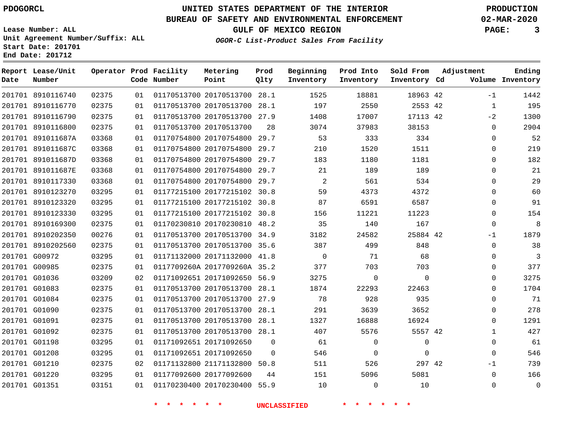# **UNITED STATES DEPARTMENT OF THE INTERIOR PDOGORCL PRODUCTION**

## **BUREAU OF SAFETY AND ENVIRONMENTAL ENFORCEMENT 02-MAR-2020**

**Lease Number: ALL Unit Agreement Number/Suffix: ALL Start Date: 201701**

**GULF OF MEXICO REGION PAGE: 3**

**OGOR-C List-Product Sales From Facility**

| Date | Report Lease/Unit<br>Number |       |    | Operator Prod Facility<br>Code Number | Metering<br>Point            | Prod<br>Qlty   | Beginning<br>Inventory | Prod Into<br>Inventory | Sold From<br>Inventory Cd | Adjustment |              | Ending<br>Volume Inventory |
|------|-----------------------------|-------|----|---------------------------------------|------------------------------|----------------|------------------------|------------------------|---------------------------|------------|--------------|----------------------------|
|      | 201701 8910116740           | 02375 | 01 |                                       | 01170513700 20170513700 28.1 |                | 1525                   | 18881                  | 18963 42                  |            | $-1$         | 1442                       |
|      | 201701 8910116770           | 02375 | 01 |                                       | 01170513700 20170513700 28.1 |                | 197                    | 2550                   | 2553 42                   |            | $\mathbf{1}$ | 195                        |
|      | 201701 8910116790           | 02375 | 01 |                                       | 01170513700 20170513700 27.9 |                | 1408                   | 17007                  | 17113 42                  |            | $-2$         | 1300                       |
|      | 201701 8910116800           | 02375 | 01 |                                       | 01170513700 20170513700      | 28             | 3074                   | 37983                  | 38153                     |            | $\Omega$     | 2904                       |
|      | 201701 891011687A           | 03368 | 01 |                                       | 01170754800 20170754800 29.7 |                | 53                     | 333                    | 334                       |            | $\Omega$     | 52                         |
|      | 201701 891011687C           | 03368 | 01 |                                       | 01170754800 20170754800 29.7 |                | 210                    | 1520                   | 1511                      |            | $\mathbf 0$  | 219                        |
|      | 201701 891011687D           | 03368 | 01 |                                       | 01170754800 20170754800 29.7 |                | 183                    | 1180                   | 1181                      |            | 0            | 182                        |
|      | 201701 891011687E           | 03368 | 01 |                                       | 01170754800 20170754800 29.7 |                | 21                     | 189                    | 189                       |            | $\mathbf 0$  | 21                         |
|      | 201701 8910117330           | 03368 | 01 |                                       | 01170754800 20170754800 29.7 |                | 2                      | 561                    | 534                       |            | $\Omega$     | 29                         |
|      | 201701 8910123270           | 03295 | 01 |                                       | 01177215100 20177215102 30.8 |                | 59                     | 4373                   | 4372                      |            | 0            | 60                         |
|      | 201701 8910123320           | 03295 | 01 |                                       | 01177215100 20177215102 30.8 |                | 87                     | 6591                   | 6587                      |            | $\Omega$     | 91                         |
|      | 201701 8910123330           | 03295 | 01 |                                       | 01177215100 20177215102 30.8 |                | 156                    | 11221                  | 11223                     |            | $\Omega$     | 154                        |
|      | 201701 8910169300           | 02375 | 01 |                                       | 01170230810 20170230810 48.2 |                | 35                     | 140                    | 167                       |            | $\Omega$     | 8                          |
|      | 201701 8910202350           | 00276 | 01 |                                       | 01170513700 20170513700 34.9 |                | 3182                   | 24582                  | 25884 42                  |            | $-1$         | 1879                       |
|      | 201701 8910202560           | 02375 | 01 |                                       | 01170513700 20170513700 35.6 |                | 387                    | 499                    | 848                       |            | $\Omega$     | 38                         |
|      | 201701 G00972               | 03295 | 01 |                                       | 01171132000 20171132000 41.8 |                | $\mathbf 0$            | 71                     | 68                        |            | $\Omega$     | 3                          |
|      | 201701 G00985               | 02375 | 01 |                                       | 0117709260A 2017709260A 35.2 |                | 377                    | 703                    | 703                       |            | 0            | 377                        |
|      | 201701 G01036               | 03209 | 02 |                                       | 01171092651 20171092650 56.9 |                | 3275                   | $\mathbf 0$            | $\Omega$                  |            | 0            | 3275                       |
|      | 201701 G01083               | 02375 | 01 |                                       | 01170513700 20170513700 28.1 |                | 1874                   | 22293                  | 22463                     |            | $\Omega$     | 1704                       |
|      | 201701 G01084               | 02375 | 01 |                                       | 01170513700 20170513700 27.9 |                | 78                     | 928                    | 935                       |            | $\Omega$     | 71                         |
|      | 201701 G01090               | 02375 | 01 |                                       | 01170513700 20170513700 28.1 |                | 291                    | 3639                   | 3652                      |            | 0            | 278                        |
|      | 201701 G01091               | 02375 | 01 |                                       | 01170513700 20170513700 28.1 |                | 1327                   | 16888                  | 16924                     |            | $\Omega$     | 1291                       |
|      | 201701 G01092               | 02375 | 01 |                                       | 01170513700 20170513700 28.1 |                | 407                    | 5576                   | 5557 42                   |            | $\mathbf{1}$ | 427                        |
|      | 201701 G01198               | 03295 | 01 |                                       | 01171092651 20171092650      | $\Omega$       | 61                     | $\mathbf 0$            | $\mathbf 0$               |            | $\Omega$     | 61                         |
|      | 201701 G01208               | 03295 | 01 |                                       | 01171092651 20171092650      | $\overline{0}$ | 546                    | 0                      | 0                         |            | 0            | 546                        |
|      | 201701 G01210               | 02375 | 02 |                                       | 01171132800 21171132800      | 50.8           | 511                    | 526                    | 297 42                    |            | -1           | 739                        |
|      | 201701 G01220               | 03295 | 01 |                                       | 01177092600 20177092600      | 44             | 151                    | 5096                   | 5081                      |            | $\mathbf 0$  | 166                        |
|      | 201701 G01351               | 03151 | 01 |                                       | 01170230400 20170230400 55.9 |                | 10                     | $\mathbf 0$            | 10                        |            | $\Omega$     | $\mathbf 0$                |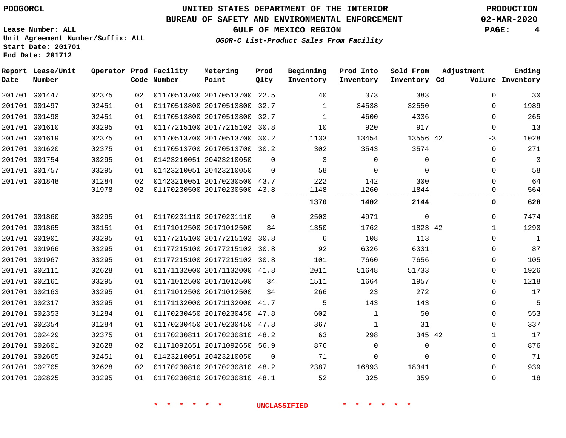## **BUREAU OF SAFETY AND ENVIRONMENTAL ENFORCEMENT 02-MAR-2020**

**OGOR-C List-Product Sales From Facility**

**GULF OF MEXICO REGION PAGE: 4**

**Lease Number: ALL Unit Agreement Number/Suffix: ALL Start Date: 201701 End Date: 201712**

| Date | Report Lease/Unit<br>Number |       |    | Operator Prod Facility<br>Code Number | Metering<br>Point            | Prod<br>Qlty | Beginning<br>Inventory | Prod Into<br>Inventory | Sold From<br>Inventory Cd | Adjustment |              | Ending<br>Volume Inventory |
|------|-----------------------------|-------|----|---------------------------------------|------------------------------|--------------|------------------------|------------------------|---------------------------|------------|--------------|----------------------------|
|      | 201701 G01447               | 02375 | 02 |                                       | 01170513700 20170513700 22.5 |              | 40                     | 373                    | 383                       |            | $\Omega$     | 30                         |
|      | 201701 G01497               | 02451 | 01 |                                       | 01170513800 20170513800 32.7 |              | 1                      | 34538                  | 32550                     |            | $\Omega$     | 1989                       |
|      | 201701 G01498               | 02451 | 01 |                                       | 01170513800 20170513800 32.7 |              | 1                      | 4600                   | 4336                      |            | $\Omega$     | 265                        |
|      | 201701 G01610               | 03295 | 01 |                                       | 01177215100 20177215102 30.8 |              | 10                     | 920                    | 917                       |            | $\Omega$     | 13                         |
|      | 201701 G01619               | 02375 | 01 |                                       | 01170513700 20170513700 30.2 |              | 1133                   | 13454                  | 13556 42                  |            | $-3$         | 1028                       |
|      | 201701 G01620               | 02375 | 01 |                                       | 01170513700 20170513700 30.2 |              | 302                    | 3543                   | 3574                      |            | $\Omega$     | 271                        |
|      | 201701 G01754               | 03295 | 01 |                                       | 01423210051 20423210050      | $\Omega$     | 3                      | $\mathbf 0$            | $\mathbf 0$               |            | $\mathbf 0$  | 3                          |
|      | 201701 G01757               | 03295 | 01 |                                       | 01423210051 20423210050      | $\Omega$     | 58                     | $\Omega$               | $\Omega$                  |            | $\Omega$     | 58                         |
|      | 201701 G01848               | 01284 | 02 |                                       | 01423210051 20170230500 43.7 |              | 222                    | 142                    | 300                       |            | $\mathbf 0$  | 64                         |
|      |                             | 01978 | 02 |                                       | 01170230500 20170230500 43.8 |              | 1148                   | 1260                   | 1844                      |            | 0            | 564                        |
|      |                             |       |    |                                       |                              |              | 1370                   | 1402                   | 2144                      |            | 0            | 628                        |
|      | 201701 G01860               | 03295 | 01 |                                       | 01170231110 20170231110      | $\Omega$     | 2503                   | 4971                   | $\mathbf 0$               |            | $\Omega$     | 7474                       |
|      | 201701 G01865               | 03151 | 01 |                                       | 01171012500 20171012500      | 34           | 1350                   | 1762                   | 1823 42                   |            | $\mathbf{1}$ | 1290                       |
|      | 201701 G01901               | 03295 | 01 |                                       | 01177215100 20177215102 30.8 |              | 6                      | 108                    | 113                       |            | $\Omega$     | 1                          |
|      | 201701 G01966               | 03295 | 01 |                                       | 01177215100 20177215102 30.8 |              | 92                     | 6326                   | 6331                      |            | $\mathbf 0$  | 87                         |
|      | 201701 G01967               | 03295 | 01 |                                       | 01177215100 20177215102 30.8 |              | 101                    | 7660                   | 7656                      |            | 0            | 105                        |
|      | 201701 G02111               | 02628 | 01 |                                       | 01171132000 20171132000 41.8 |              | 2011                   | 51648                  | 51733                     |            | 0            | 1926                       |
|      | 201701 G02161               | 03295 | 01 |                                       | 01171012500 20171012500      | 34           | 1511                   | 1664                   | 1957                      |            | $\mathbf 0$  | 1218                       |
|      | 201701 G02163               | 03295 | 01 |                                       | 01171012500 20171012500      | 34           | 266                    | 23                     | 272                       |            | $\mathbf 0$  | 17                         |
|      | 201701 G02317               | 03295 | 01 |                                       | 01171132000 20171132000 41.7 |              | 5                      | 143                    | 143                       |            | $\Omega$     | 5                          |
|      | 201701 G02353               | 01284 | 01 |                                       | 01170230450 20170230450 47.8 |              | 602                    | $\mathbf{1}$           | 50                        |            | $\Omega$     | 553                        |
|      | 201701 G02354               | 01284 | 01 |                                       | 01170230450 20170230450 47.8 |              | 367                    | 1                      | 31                        |            | $\Omega$     | 337                        |
|      | 201701 G02429               | 02375 | 01 |                                       | 01170230811 20170230810 48.2 |              | 63                     | 298                    | 345 42                    |            | $\mathbf{1}$ | 17                         |
|      | 201701 G02601               | 02628 | 02 |                                       | 01171092651 20171092650 56.9 |              | 876                    | $\Omega$               | $\Omega$                  |            | $\Omega$     | 876                        |
|      | 201701 G02665               | 02451 | 01 |                                       | 01423210051 20423210050      | $\Omega$     | 71                     | $\Omega$               | $\Omega$                  |            | $\Omega$     | 71                         |
|      | 201701 G02705               | 02628 | 02 |                                       | 01170230810 20170230810 48.2 |              | 2387                   | 16893                  | 18341                     |            | $\Omega$     | 939                        |
|      | 201701 G02825               | 03295 | 01 |                                       | 01170230810 20170230810 48.1 |              | 52                     | 325                    | 359                       |            | $\mathbf 0$  | 18                         |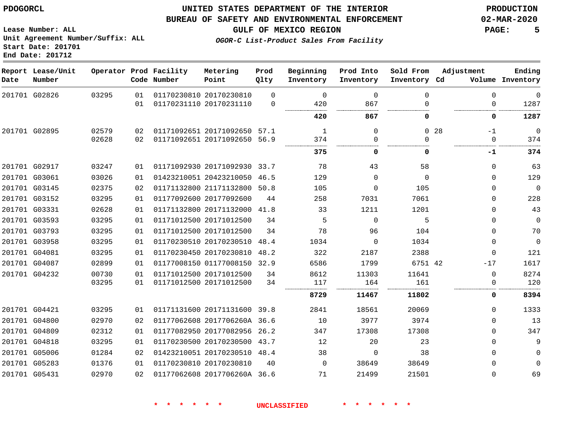**Start Date: 201701 End Date: 201712**

## **UNITED STATES DEPARTMENT OF THE INTERIOR PDOGORCL PRODUCTION**

#### **BUREAU OF SAFETY AND ENVIRONMENTAL ENFORCEMENT 02-MAR-2020**

**Lease Number: ALL Unit Agreement Number/Suffix: ALL**

**GULF OF MEXICO REGION PAGE: 5**

**OGOR-C List-Product Sales From Facility**

| Date | Report Lease/Unit<br>Number |       |    | Operator Prod Facility<br>Code Number | Metering<br>Point            | Prod<br>Qlty | Beginning<br>Inventory | Prod Into<br>Inventory | Sold From<br>Inventory Cd | Adjustment              | Ending<br>Volume Inventory |
|------|-----------------------------|-------|----|---------------------------------------|------------------------------|--------------|------------------------|------------------------|---------------------------|-------------------------|----------------------------|
|      | 201701 G02826               | 03295 | 01 |                                       | 01170230810 20170230810      | $\Omega$     | $\Omega$               | $\Omega$               | $\Omega$                  | $\Omega$                | $\mathbf 0$                |
|      |                             |       | 01 |                                       | 01170231110 20170231110      | $\mathbf 0$  | 420                    | 867                    |                           | 0                       | 1287                       |
|      |                             |       |    |                                       |                              |              | 420                    | 867                    | 0                         | 0                       | 1287                       |
|      | 201701 G02895               | 02579 | 02 |                                       | 01171092651 20171092650 57.1 |              | 1                      | $\Omega$               |                           | 0 <sub>28</sub><br>$-1$ | $\mathbf 0$                |
|      |                             | 02628 | 02 |                                       | 01171092651 20171092650 56.9 |              | 374                    | 0                      | 0                         | 0                       | 374                        |
|      |                             |       |    |                                       |                              |              | 375                    | 0                      | 0                         | -1                      | 374                        |
|      | 201701 G02917               | 03247 | 01 |                                       | 01171092930 20171092930 33.7 |              | 78                     | 43                     | 58                        | $\Omega$                | 63                         |
|      | 201701 G03061               | 03026 | 01 |                                       | 01423210051 20423210050      | 46.5         | 129                    | $\Omega$               | $\Omega$                  | $\Omega$                | 129                        |
|      | 201701 G03145               | 02375 | 02 |                                       | 01171132800 21171132800 50.8 |              | 105                    | $\Omega$               | 105                       | $\Omega$                | $\mathbf 0$                |
|      | 201701 G03152               | 03295 | 01 |                                       | 01177092600 20177092600      | 44           | 258                    | 7031                   | 7061                      | $\Omega$                | 228                        |
|      | 201701 G03331               | 02628 | 01 |                                       | 01171132800 20171132000      | 41.8         | 33                     | 1211                   | 1201                      | $\Omega$                | 43                         |
|      | 201701 G03593               | 03295 | 01 |                                       | 01171012500 20171012500      | 34           | 5                      | $\Omega$               | 5                         | $\Omega$                | $\mathbf 0$                |
|      | 201701 G03793               | 03295 | 01 |                                       | 01171012500 20171012500      | 34           | 78                     | 96                     | 104                       | $\Omega$                | 70                         |
|      | 201701 G03958               | 03295 | 01 |                                       | 01170230510 20170230510      | 48.4         | 1034                   | $\Omega$               | 1034                      | $\Omega$                | $\mathbf 0$                |
|      | 201701 G04081               | 03295 | 01 |                                       | 01170230450 20170230810      | 48.2         | 322                    | 2187                   | 2388                      | $\Omega$                | 121                        |
|      | 201701 G04087               | 02899 | 01 |                                       | 01177008150 01177008150 32.9 |              | 6586                   | 1799                   | 6751 42                   | $-17$                   | 1617                       |
|      | 201701 G04232               | 00730 | 01 |                                       | 01171012500 20171012500      | 34           | 8612                   | 11303                  | 11641                     | $\mathbf 0$             | 8274                       |
|      |                             | 03295 | 01 |                                       | 01171012500 20171012500      | 34           | 117                    | 164                    | 161                       | 0                       | 120                        |
|      |                             |       |    |                                       |                              |              | 8729                   | 11467                  | 11802                     | 0                       | 8394                       |
|      | 201701 G04421               | 03295 | 01 |                                       | 01171131600 20171131600 39.8 |              | 2841                   | 18561                  | 20069                     | $\Omega$                | 1333                       |
|      | 201701 G04800               | 02970 | 02 |                                       | 01177062608 2017706260A 36.6 |              | 10                     | 3977                   | 3974                      | $\Omega$                | 13                         |
|      | 201701 G04809               | 02312 | 01 |                                       | 01177082950 20177082956      | 26.2         | 347                    | 17308                  | 17308                     | $\Omega$                | 347                        |
|      | 201701 G04818               | 03295 | 01 |                                       | 01170230500 20170230500 43.7 |              | 12                     | 20                     | 23                        | $\Omega$                | 9                          |
|      | 201701 G05006               | 01284 | 02 |                                       | 01423210051 20170230510 48.4 |              | 38                     | 0                      | 38                        | $\Omega$                | $\mathbf 0$                |
|      | 201701 G05283               | 01376 | 01 |                                       | 01170230810 20170230810      | 40           | $\Omega$               | 38649                  | 38649                     | $\Omega$                | $\mathbf 0$                |
|      | 201701 G05431               | 02970 | 02 |                                       | 01177062608 2017706260A 36.6 |              | 71                     | 21499                  | 21501                     | $\Omega$                | 69                         |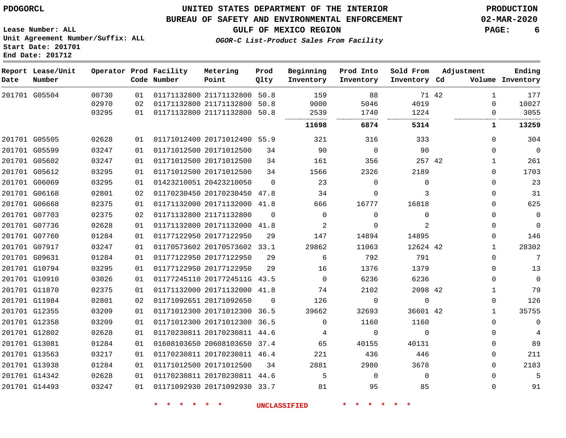#### **BUREAU OF SAFETY AND ENVIRONMENTAL ENFORCEMENT 02-MAR-2020**

**Lease Number: ALL Unit Agreement Number/Suffix: ALL Start Date: 201701 End Date: 201712**

**OGOR-C List-Product Sales From Facility**

**GULF OF MEXICO REGION PAGE: 6**

| Date | Report Lease/Unit<br>Number |       |    | Operator Prod Facility<br>Code Number | Metering<br>Point            | Prod<br>Qlty | Beginning<br>Inventory | Prod Into<br>Inventory | Sold From<br>Inventory Cd |       | Adjustment   | Ending<br>Volume Inventory |
|------|-----------------------------|-------|----|---------------------------------------|------------------------------|--------------|------------------------|------------------------|---------------------------|-------|--------------|----------------------------|
|      | 201701 G05504               | 00730 | 01 |                                       | 01171132800 21171132800 50.8 |              | 159                    | 88                     |                           | 71 42 | $\mathbf{1}$ | 177                        |
|      |                             | 02970 | 02 |                                       | 01171132800 21171132800      | 50.8         | 9000                   | 5046                   | 4019                      |       | $\Omega$     | 10027                      |
|      |                             | 03295 | 01 |                                       | 01171132800 21171132800      | 50.8         | 2539                   | 1740                   | 1224                      |       | $\Omega$     | 3055                       |
|      |                             |       |    |                                       |                              |              | 11698                  | 6874                   | 5314                      |       | 1            | 13259                      |
|      | 201701 G05505               | 02628 | 01 |                                       | 01171012400 20171012400 55.9 |              | 321                    | 316                    | 333                       |       | $\Omega$     | 304                        |
|      | 201701 G05599               | 03247 | 01 |                                       | 01171012500 20171012500      | 34           | 90                     | $\mathbf 0$            | 90                        |       | $\Omega$     | $\overline{0}$             |
|      | 201701 G05602               | 03247 | 01 |                                       | 01171012500 20171012500      | 34           | 161                    | 356                    | 257 42                    |       | 1            | 261                        |
|      | 201701 G05612               | 03295 | 01 |                                       | 01171012500 20171012500      | 34           | 1566                   | 2326                   | 2189                      |       | $\mathbf 0$  | 1703                       |
|      | 201701 G06069               | 03295 | 01 |                                       | 01423210051 20423210050      | $\Omega$     | 23                     | $\mathbf 0$            | $\Omega$                  |       | $\mathbf 0$  | 23                         |
|      | 201701 G06168               | 02801 | 02 |                                       | 01170230450 20170230450 47.8 |              | 34                     | $\mathbf 0$            | 3                         |       | $\mathbf 0$  | 31                         |
|      | 201701 G06668               | 02375 | 01 |                                       | 01171132000 20171132000      | 41.8         | 666                    | 16777                  | 16818                     |       | $\mathbf 0$  | 625                        |
|      | 201701 G07703               | 02375 | 02 |                                       | 01171132800 21171132800      | $\Omega$     | $\Omega$               | $\mathbf 0$            | $\mathbf 0$               |       | $\mathbf 0$  | $\mathbf 0$                |
|      | 201701 G07736               | 02628 | 01 |                                       | 01171132800 20171132000      | 41.8         | 2                      | 0                      | 2                         |       | $\mathbf 0$  | $\overline{0}$             |
|      | 201701 G07760               | 01284 | 01 |                                       | 01177122950 20177122950      | 29           | 147                    | 14894                  | 14895                     |       | $\mathbf 0$  | 146                        |
|      | 201701 G07917               | 03247 | 01 |                                       | 01170573602 20170573602 33.1 |              | 29862                  | 11063                  | 12624 42                  |       | $\mathbf{1}$ | 28302                      |
|      | 201701 G09631               | 01284 | 01 |                                       | 01177122950 20177122950      | 29           | 6                      | 792                    | 791                       |       | $\Omega$     | 7                          |
|      | 201701 G10794               | 03295 | 01 |                                       | 01177122950 20177122950      | 29           | 16                     | 1376                   | 1379                      |       | $\Omega$     | 13                         |
|      | 201701 G10910               | 03026 | 01 |                                       | 01177245110 2017724511G 43.5 |              | $\Omega$               | 6236                   | 6236                      |       | $\Omega$     | $\Omega$                   |
|      | 201701 G11870               | 02375 | 01 |                                       | 01171132000 20171132000      | 41.8         | 74                     | 2102                   | 2098 42                   |       | $\mathbf{1}$ | 79                         |
|      | 201701 G11984               | 02801 | 02 |                                       | 01171092651 20171092650      | $\Omega$     | 126                    | $\Omega$               | $\mathbf 0$               |       | $\Omega$     | 126                        |
|      | 201701 G12355               | 03209 | 01 |                                       | 01171012300 20171012300      | 36.5         | 39662                  | 32693                  | 36601 42                  |       | 1            | 35755                      |
|      | 201701 G12358               | 03209 | 01 |                                       | 01171012300 20171012300      | 36.5         | $\Omega$               | 1160                   | 1160                      |       | $\Omega$     | $\Omega$                   |
|      | 201701 G12802               | 02628 | 01 |                                       | 01170230811 20170230811 44.6 |              | 4                      | $\mathbf 0$            | $\Omega$                  |       | $\Omega$     | 4                          |
|      | 201701 G13081               | 01284 | 01 |                                       | 01608103650 20608103650      | 37.4         | 65                     | 40155                  | 40131                     |       | $\Omega$     | 89                         |
|      | 201701 G13563               | 03217 | 01 |                                       | 01170230811 20170230811 46.4 |              | 221                    | 436                    | 446                       |       | $\Omega$     | 211                        |
|      | 201701 G13938               | 01284 | 01 |                                       | 01171012500 20171012500      | 34           | 2881                   | 2980                   | 3678                      |       | $\Omega$     | 2183                       |
|      | 201701 G14342               | 02628 | 01 |                                       | 01170230811 20170230811 44.6 |              | 5                      | $\Omega$               | $\Omega$                  |       | 0            | 5                          |
|      | 201701 G14493               | 03247 | 01 |                                       | 01171092930 20171092930      | 33.7         | 81                     | 95                     | 85                        |       | $\Omega$     | 91                         |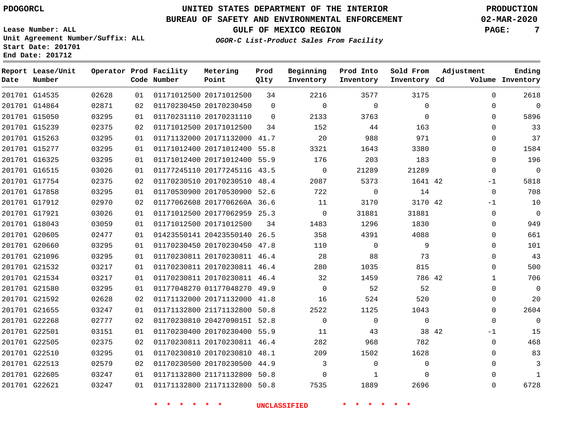**Prod**

#### **BUREAU OF SAFETY AND ENVIRONMENTAL ENFORCEMENT 02-MAR-2020**

**OGOR-C List-Product Sales From Facility**

**GULF OF MEXICO REGION PAGE: 7**

**Ending**

**Lease Number: ALL Unit Agreement Number/Suffix: ALL Start Date: 201701 End Date: 201712 Report Lease/Unit Date Number Operator Prod Facility Code Number Metering Point**

| Date | Number        |       |    | Code Number | Point                        | Qlty     | Inventory   | Inventory   | Inventory Cd |       |              | Volume Inventory |
|------|---------------|-------|----|-------------|------------------------------|----------|-------------|-------------|--------------|-------|--------------|------------------|
|      | 201701 G14535 | 02628 | 01 |             | 01171012500 20171012500      | 34       | 2216        | 3577        | 3175         |       | 0            | 2618             |
|      | 201701 G14864 | 02871 | 02 |             | 01170230450 20170230450      | $\Omega$ | $\mathbf 0$ | $\mathbf 0$ | $\Omega$     |       | 0            | $\overline{0}$   |
|      | 201701 G15050 | 03295 | 01 |             | 01170231110 20170231110      | $\Omega$ | 2133        | 3763        | $\Omega$     |       | $\Omega$     | 5896             |
|      | 201701 G15239 | 02375 | 02 |             | 01171012500 20171012500      | 34       | 152         | 44          | 163          |       | $\Omega$     | 33               |
|      | 201701 G15263 | 03295 | 01 |             | 01171132000 20171132000 41.7 |          | 20          | 988         | 971          |       | $\Omega$     | 37               |
|      | 201701 G15277 | 03295 | 01 |             | 01171012400 20171012400 55.8 |          | 3321        | 1643        | 3380         |       | $\Omega$     | 1584             |
|      | 201701 G16325 | 03295 | 01 |             | 01171012400 20171012400 55.9 |          | 176         | 203         | 183          |       | $\Omega$     | 196              |
|      | 201701 G16515 | 03026 | 01 |             | 01177245110 2017724511G 43.5 |          | 0           | 21289       | 21289        |       | 0            | $\mathsf 0$      |
|      | 201701 G17754 | 02375 | 02 |             | 01170230510 20170230510 48.4 |          | 2087        | 5373        | 1641 42      |       | $-1$         | 5818             |
|      | 201701 G17858 | 03295 | 01 |             | 01170530900 20170530900 52.6 |          | 722         | $\mathbf 0$ | 14           |       | $\mathbf 0$  | 708              |
|      | 201701 G17912 | 02970 | 02 |             | 01177062608 2017706260A 36.6 |          | 11          | 3170        | 3170 42      |       | $-1$         | 10               |
|      | 201701 G17921 | 03026 | 01 |             | 01171012500 20177062959 25.3 |          | $\mathbf 0$ | 31881       | 31881        |       | 0            | $\mathbf 0$      |
|      | 201701 G18043 | 03059 | 01 |             | 01171012500 20171012500      | 34       | 1483        | 1296        | 1830         |       | $\Omega$     | 949              |
|      | 201701 G20605 | 02477 | 01 |             | 01423550141 20423550140 26.5 |          | 358         | 4391        | 4088         |       | $\Omega$     | 661              |
|      | 201701 G20660 | 03295 | 01 |             | 01170230450 20170230450 47.8 |          | 110         | $\Omega$    | 9            |       | $\Omega$     | 101              |
|      | 201701 G21096 | 03295 | 01 |             | 01170230811 20170230811 46.4 |          | 28          | 88          | 73           |       | 0            | 43               |
|      | 201701 G21532 | 03217 | 01 |             | 01170230811 20170230811 46.4 |          | 280         | 1035        | 815          |       | 0            | 500              |
|      | 201701 G21534 | 03217 | 01 |             | 01170230811 20170230811 46.4 |          | 32          | 1459        | 786 42       |       | $\mathbf{1}$ | 706              |
|      | 201701 G21580 | 03295 | 01 |             | 01177048270 01177048270 49.9 |          | $\mathbf 0$ | 52          | 52           |       | 0            | $\mathbf 0$      |
|      | 201701 G21592 | 02628 | 02 |             | 01171132000 20171132000 41.8 |          | 16          | 524         | 520          |       | 0            | 20               |
|      | 201701 G21655 | 03247 | 01 |             | 01171132800 21171132800 50.8 |          | 2522        | 1125        | 1043         |       | 0            | 2604             |
|      | 201701 G22268 | 02777 | 02 |             | 01170230810 2042709015I 52.8 |          | $\mathbf 0$ | $\mathbf 0$ | $\mathbf{0}$ |       | $\Omega$     | $\overline{0}$   |
|      | 201701 G22501 | 03151 | 01 |             | 01170230400 20170230400 55.9 |          | 11          | 43          |              | 38 42 | $-1$         | 15               |
|      | 201701 G22505 | 02375 | 02 |             | 01170230811 20170230811 46.4 |          | 282         | 968         | 782          |       | 0            | 468              |
|      | 201701 G22510 | 03295 | 01 |             | 01170230810 20170230810 48.1 |          | 209         | 1502        | 1628         |       | $\Omega$     | 83               |
|      | 201701 G22513 | 02579 | 02 |             | 01170230500 20170230500 44.9 |          | 3           | $\Omega$    | $\Omega$     |       | $\Omega$     | 3                |
|      | 201701 G22605 | 03247 | 01 |             | 01171132800 21171132800 50.8 |          | 0           | 1           | $\mathbf{0}$ |       | 0            | $\mathbf{1}$     |
|      | 201701 G22621 | 03247 | 01 |             | 01171132800 21171132800 50.8 |          | 7535        | 1889        | 2696         |       | 0            | 6728             |

**\* \* \* \* \* \* UNCLASSIFIED \* \* \* \* \* \***

**Beginning Prod Into Sold From Adjustment**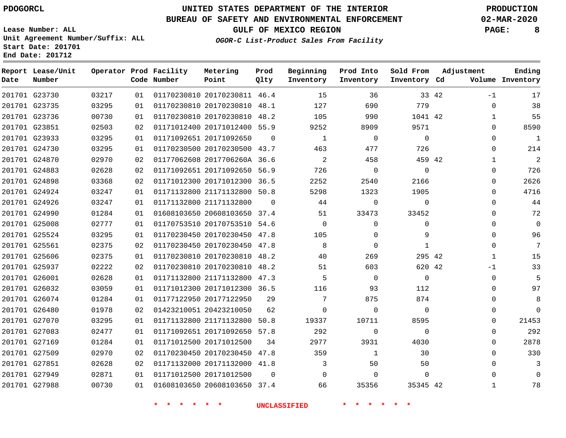## **BUREAU OF SAFETY AND ENVIRONMENTAL ENFORCEMENT 02-MAR-2020**

**Lease Number: ALL Unit Agreement Number/Suffix: ALL Start Date: 201701**

**End Date: 201712**

**GULF OF MEXICO REGION PAGE: 8**

**OGOR-C List-Product Sales From Facility**

| Date | Report Lease/Unit<br>Number |       |    | Operator Prod Facility<br>Code Number | Metering<br>Point            | Prod<br>Qlty | Beginning<br>Inventory | Prod Into<br>Inventory | Sold From<br>Inventory Cd | Adjustment |              | Ending<br>Volume Inventory |
|------|-----------------------------|-------|----|---------------------------------------|------------------------------|--------------|------------------------|------------------------|---------------------------|------------|--------------|----------------------------|
|      | 201701 G23730               | 03217 | 01 |                                       | 01170230810 20170230811 46.4 |              | 15                     | 36                     |                           | 33 42      | $-1$         | 17                         |
|      | 201701 G23735               | 03295 | 01 |                                       | 01170230810 20170230810 48.1 |              | 127                    | 690                    | 779                       |            | $\mathbf 0$  | 38                         |
|      | 201701 G23736               | 00730 | 01 |                                       | 01170230810 20170230810 48.2 |              | 105                    | 990                    | 1041 42                   |            | $\mathbf{1}$ | 55                         |
|      | 201701 G23851               | 02503 | 02 |                                       | 01171012400 20171012400 55.9 |              | 9252                   | 8909                   | 9571                      |            | $\Omega$     | 8590                       |
|      | 201701 G23933               | 03295 | 01 |                                       | 01171092651 20171092650      | $\Omega$     | $\mathbf{1}$           | $\mathbf 0$            | $\Omega$                  |            | $\Omega$     | $\mathbf{1}$               |
|      | 201701 G24730               | 03295 | 01 |                                       | 01170230500 20170230500 43.7 |              | 463                    | 477                    | 726                       |            | $\mathbf{0}$ | 214                        |
|      | 201701 G24870               | 02970 | 02 |                                       | 01177062608 2017706260A 36.6 |              | 2                      | 458                    | 459 42                    |            | $\mathbf{1}$ | $\overline{2}$             |
|      | 201701 G24883               | 02628 | 02 |                                       | 01171092651 20171092650 56.9 |              | 726                    | $\mathbf 0$            | $\mathbf 0$               |            | $\mathbf 0$  | 726                        |
|      | 201701 G24898               | 03368 | 02 |                                       | 01171012300 20171012300 36.5 |              | 2252                   | 2540                   | 2166                      |            | 0            | 2626                       |
|      | 201701 G24924               | 03247 | 01 |                                       | 01171132800 21171132800 50.8 |              | 5298                   | 1323                   | 1905                      |            | $\Omega$     | 4716                       |
|      | 201701 G24926               | 03247 | 01 |                                       | 01171132800 21171132800      | $\Omega$     | 44                     | $\mathbf 0$            | $\mathbf 0$               |            | $\mathbf 0$  | 44                         |
|      | 201701 G24990               | 01284 | 01 |                                       | 01608103650 20608103650 37.4 |              | 51                     | 33473                  | 33452                     |            | 0            | 72                         |
|      | 201701 G25008               | 02777 | 01 |                                       | 01170753510 20170753510 54.6 |              | $\Omega$               | $\mathbf 0$            | $\Omega$                  |            | $\Omega$     | $\Omega$                   |
|      | 201701 G25524               | 03295 | 01 |                                       | 01170230450 20170230450 47.8 |              | 105                    | 0                      | 9                         |            | $\Omega$     | 96                         |
|      | 201701 G25561               | 02375 | 02 |                                       | 01170230450 20170230450 47.8 |              | 8                      | $\mathbf 0$            | 1                         |            | $\mathbf 0$  | 7                          |
|      | 201701 G25606               | 02375 | 01 |                                       | 01170230810 20170230810 48.2 |              | 40                     | 269                    | 295 42                    |            | $\mathbf{1}$ | 15                         |
|      | 201701 G25937               | 02222 | 02 |                                       | 01170230810 20170230810 48.2 |              | 51                     | 603                    | 620 42                    |            | $-1$         | 33                         |
|      | 201701 G26001               | 02628 | 01 |                                       | 01171132800 21171132800 47.3 |              | 5                      | $\Omega$               | $\Omega$                  |            | $\Omega$     | 5                          |
|      | 201701 G26032               | 03059 | 01 |                                       | 01171012300 20171012300 36.5 |              | 116                    | 93                     | 112                       |            | 0            | 97                         |
|      | 201701 G26074               | 01284 | 01 |                                       | 01177122950 20177122950      | 29           | 7                      | 875                    | 874                       |            | $\Omega$     | 8                          |
|      | 201701 G26480               | 01978 | 02 |                                       | 01423210051 20423210050      | 62           | $\mathbf 0$            | 0                      | $\mathbf 0$               |            | $\mathbf 0$  | $\Omega$                   |
|      | 201701 G27070               | 03295 | 01 |                                       | 01171132800 21171132800 50.8 |              | 19337                  | 10711                  | 8595                      |            | 0            | 21453                      |
|      | 201701 G27083               | 02477 | 01 |                                       | 01171092651 20171092650 57.8 |              | 292                    | $\mathbf 0$            | $\Omega$                  |            | $\mathbf 0$  | 292                        |
|      | 201701 G27169               | 01284 | 01 |                                       | 01171012500 20171012500      | 34           | 2977                   | 3931                   | 4030                      |            | 0            | 2878                       |
|      | 201701 G27509               | 02970 | 02 |                                       | 01170230450 20170230450 47.8 |              | 359                    | $\mathbf{1}$           | 30                        |            | $\Omega$     | 330                        |
|      | 201701 G27851               | 02628 | 02 |                                       | 01171132000 20171132000 41.8 |              | 3                      | 50                     | 50                        |            | $\Omega$     | 3                          |
|      | 201701 G27949               | 02871 | 01 |                                       | 01171012500 20171012500      | $\Omega$     | $\Omega$               | $\Omega$               | $\Omega$                  |            | 0            | $\Omega$                   |
|      | 201701 G27988               | 00730 | 01 |                                       | 01608103650 20608103650 37.4 |              | 66                     | 35356                  | 35345 42                  |            | $\mathbf{1}$ | 78                         |
|      |                             |       |    |                                       |                              |              |                        |                        |                           |            |              |                            |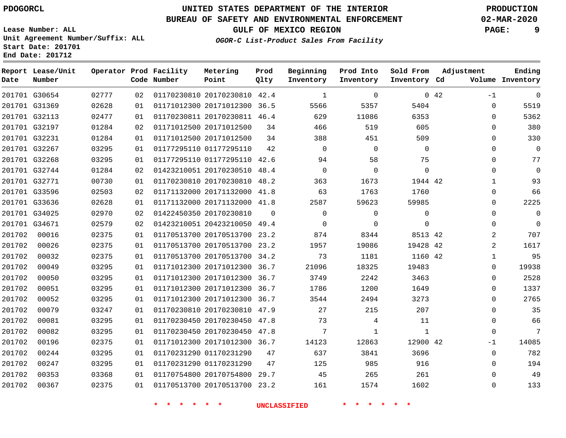**End Date: 201712**

# **UNITED STATES DEPARTMENT OF THE INTERIOR PDOGORCL PRODUCTION**

#### **BUREAU OF SAFETY AND ENVIRONMENTAL ENFORCEMENT 02-MAR-2020**

**Lease Number: ALL Unit Agreement Number/Suffix: ALL Start Date: 201701**

**OGOR-C List-Product Sales From Facility**

**GULF OF MEXICO REGION PAGE: 9**

**Ending Inventory**

| Date          | Report Lease/Unit<br>Number |       |    | Operator Prod Facility<br>Code Number | Metering<br>Point            | Prod<br>Qlty | Beginning<br>Inventory | Prod Into<br>Inventory | Sold From<br>Inventory Cd |     | Adjustment<br>Volume |
|---------------|-----------------------------|-------|----|---------------------------------------|------------------------------|--------------|------------------------|------------------------|---------------------------|-----|----------------------|
|               | 201701 G30654               | 02777 | 02 |                                       | 01170230810 20170230810      | 42.4         | $\mathbf{1}$           | $\Omega$               |                           | 042 | $-1$                 |
| 201701 G31369 |                             | 02628 | 01 |                                       | 01171012300 20171012300      | 36.5         | 5566                   | 5357                   | 5404                      |     | $\mathbf 0$          |
| 201701 G32113 |                             | 02477 | 01 |                                       | 01170230811 20170230811 46.4 |              | 629                    | 11086                  | 6353                      |     | $\mathbf 0$          |
| 201701 G32197 |                             | 01284 | 02 |                                       | 01171012500 20171012500      | 34           | 466                    | 519                    | 605                       |     | $\mathbf 0$          |
| 201701 G32231 |                             | 01284 | 01 |                                       | 01171012500 20171012500      | 34           | 388                    | 451                    | 509                       |     | $\mathbf 0$          |
| 201701 G32267 |                             | 03295 | 01 |                                       | 01177295110 01177295110      | 42           | $\Omega$               | $\Omega$               | $\Omega$                  |     | $\Omega$             |
| 201701 G32268 |                             | 03295 | 01 |                                       | 01177295110 01177295110      | 42.6         | 94                     | 58                     | 75                        |     | $\mathbf 0$          |
|               | 201701 G32744               | 01284 | 02 |                                       | 01423210051 20170230510      | 48.4         | $\mathbf 0$            | $\mathbf 0$            | $\mathbf 0$               |     | $\Omega$             |
| 201701 G32771 |                             | 00730 | 01 |                                       | 01170230810 20170230810      | 48.2         | 363                    | 1673                   | 1944 42                   |     | $\mathbf{1}$         |
|               | 201701 G33596               | 02503 | 02 |                                       | 01171132000 20171132000      | 41.8         | 63                     | 1763                   | 1760                      |     | $\Omega$             |
|               | 201701 G33636               | 02628 | 01 |                                       | 01171132000 20171132000      | 41.8         | 2587                   | 59623                  | 59985                     |     | $\mathbf 0$          |
| 201701 G34025 |                             | 02970 | 02 |                                       | 01422450350 20170230810      | $\Omega$     | $\mathbf 0$            | $\mathbf 0$            | $\mathbf 0$               |     | $\mathbf 0$          |
| 201701 G34671 |                             | 02579 | 02 |                                       | 01423210051 20423210050      | 49.4         | 0                      | $\mathbf 0$            | $\mathbf 0$               |     | $\mathbf 0$          |
| 201702        | 00016                       | 02375 | 01 |                                       | 01170513700 20170513700      | 23.2         | 874                    | 8344                   | 8513 42                   |     | $\overline{a}$       |
| 201702        | 00026                       | 02375 | 01 |                                       | 01170513700 20170513700      | 23.2         | 1957                   | 19086                  | 19428 42                  |     | $\overline{a}$       |
| 201702        | 00032                       | 02375 | 01 |                                       | 01170513700 20170513700      | 34.2         | 73                     | 1181                   | 1160 42                   |     | $\mathbf 1$          |
| 201702        | 00049                       | 03295 | 01 |                                       | 01171012300 20171012300      | 36.7         | 21096                  | 18325                  | 19483                     |     | $\Omega$             |
| 201702        | 00050                       | 03295 | 01 |                                       | 01171012300 20171012300      | 36.7         | 3749                   | 2242                   | 3463                      |     | $\mathbf 0$          |
| 201702        | 00051                       | 03295 | 01 |                                       | 01171012300 20171012300      | 36.7         | 1786                   | 1200                   | 1649                      |     | $\Omega$             |
| 201702        | 00052                       | 03295 | 01 |                                       | 01171012300 20171012300      | 36.7         | 3544                   | 2494                   | 3273                      |     | $\mathbf 0$          |
| 201702        | 00079                       | 03247 | 01 |                                       | 01170230810 20170230810      | 47.9         | 27                     | 215                    | 207                       |     | $\mathbf 0$          |
| 201702        | 00081                       | 03295 | 01 |                                       | 01170230450 20170230450      | 47.8         | 73                     | 4                      | 11                        |     | $\mathbf 0$          |
| 201702        | 00082                       | 03295 | 01 |                                       | 01170230450 20170230450      | 47.8         | 7                      | $\mathbf{1}$           | $\mathbf 1$               |     | $\Omega$             |
| 201702        | 00196                       | 02375 | 01 |                                       | 01171012300 20171012300      | 36.7         | 14123                  | 12863                  | 12900 42                  |     | $-1$                 |
| 201702        | 00244                       | 03295 | 01 |                                       | 01170231290 01170231290      | 47           | 637                    | 3841                   | 3696                      |     | $\mathbf 0$          |
| 201702        | 00247                       | 03295 | 01 |                                       | 01170231290 01170231290      | 47           | 125                    | 985                    | 916                       |     | $\mathbf 0$          |
| 201702        | 00353                       | 03368 | 01 |                                       | 01170754800 20170754800      | 29.7         | 45                     | 265                    | 261                       |     | $\Omega$             |
| 201702        | 00367                       | 02375 | 01 |                                       | 01170513700 20170513700      | 23.2         | 161                    | 1574                   | 1602                      |     | $\Omega$             |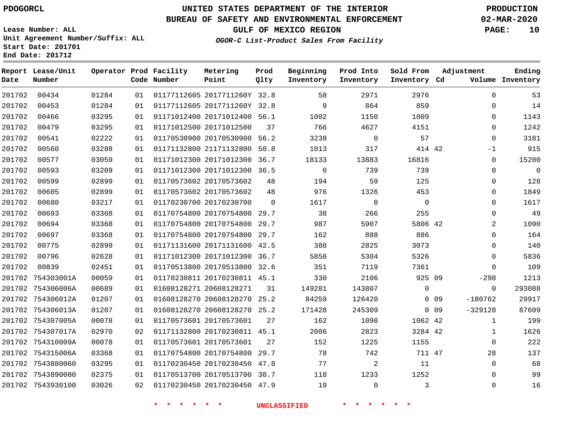**Start Date: 201701 End Date: 201712**

# **UNITED STATES DEPARTMENT OF THE INTERIOR PDOGORCL PRODUCTION**

## **BUREAU OF SAFETY AND ENVIRONMENTAL ENFORCEMENT 02-MAR-2020**

**Lease Number: ALL Unit Agreement Number/Suffix: ALL**

**GULF OF MEXICO REGION PAGE: 10**

**OGOR-C List-Product Sales From Facility**

| Date   | Report Lease/Unit<br>Number |       |    | Operator Prod Facility<br>Code Number | Metering<br>Point            | Prod<br>Qlty | Beginning<br>Inventory | Prod Into<br>Inventory | Sold From<br>Inventory Cd | Adjustment      |                     | Ending<br>Volume Inventory |
|--------|-----------------------------|-------|----|---------------------------------------|------------------------------|--------------|------------------------|------------------------|---------------------------|-----------------|---------------------|----------------------------|
| 201702 | 00434                       | 01284 | 01 |                                       | 01177112605 2017711260Y 32.8 |              | 58                     | 2971                   | 2976                      |                 | $\mathbf 0$         | 53                         |
| 201702 | 00453                       | 01284 | 01 |                                       | 01177112605 2017711260Y 32.8 |              | 9                      | 864                    | 859                       |                 | $\Omega$            | 14                         |
| 201702 | 00466                       | 03295 | 01 |                                       | 01171012400 20171012400 56.1 |              | 1002                   | 1150                   | 1009                      |                 | 0                   | 1143                       |
| 201702 | 00479                       | 03295 | 01 |                                       | 01171012500 20171012500      | 37           | 766                    | 4627                   | 4151                      |                 | $\Omega$            | 1242                       |
| 201702 | 00541                       | 02222 | 01 |                                       | 01170530900 20170530900 56.2 |              | 3238                   | $\overline{0}$         | 57                        |                 | 0                   | 3181                       |
| 201702 | 00560                       | 03288 | 01 |                                       | 01171132800 21171132800 50.8 |              | 1013                   | 317                    | 414 42                    |                 | $-1$                | 915                        |
| 201702 | 00577                       | 03059 | 01 |                                       | 01171012300 20171012300      | 36.7         | 18133                  | 13883                  | 16816                     |                 | 0                   | 15200                      |
| 201702 | 00593                       | 03209 | 01 |                                       | 01171012300 20171012300 36.5 |              | $\mathbf 0$            | 739                    | 739                       |                 | 0                   | $\mathbf 0$                |
| 201702 | 00599                       | 02899 | 01 |                                       | 01170573602 20170573602      | 48           | 194                    | 59                     | 125                       |                 | 0                   | 128                        |
| 201702 | 00605                       | 02899 | 01 |                                       | 01170573602 20170573602      | 48           | 976                    | 1326                   | 453                       |                 | 0                   | 1849                       |
| 201702 | 00680                       | 03217 | 01 |                                       | 01170230700 20170230700      | $\Omega$     | 1617                   | $\overline{0}$         | $\mathbf 0$               |                 | 0                   | 1617                       |
| 201702 | 00693                       | 03368 | 01 |                                       | 01170754800 20170754800      | 29.7         | 38                     | 266                    | 255                       |                 | 0                   | 49                         |
| 201702 | 00694                       | 03368 | 01 |                                       | 01170754800 20170754800      | 29.7         | 987                    | 5907                   | 5806 42                   |                 | 2                   | 1090                       |
| 201702 | 00697                       | 03368 | 01 |                                       | 01170754800 20170754800      | 29.7         | 162                    | 888                    | 886                       |                 | $\Omega$            | 164                        |
| 201702 | 00775                       | 02899 | 01 |                                       | 01171131600 20171131600 42.5 |              | 388                    | 2825                   | 3073                      |                 | 0                   | 140                        |
| 201702 | 00796                       | 02628 | 01 |                                       | 01171012300 20171012300      | 36.7         | 5858                   | 5304                   | 5326                      |                 | 0                   | 5836                       |
| 201702 | 00839                       | 02451 | 01 |                                       | 01170513800 20170513800 32.6 |              | 351                    | 7119                   | 7361                      |                 | 0                   | 109                        |
|        | 201702 754303001A           | 00059 | 01 |                                       | 01170230811 20170230811 45.1 |              | 330                    | 2106                   | 925 09                    |                 | $-298$              | 1213                       |
|        | 201702 754306006A           | 00689 | 01 |                                       | 01608128271 20608128271      | 31           | 149281                 | 143807                 | $\mathbf 0$               |                 | $\mathbf 0$         | 293088                     |
|        | 201702 754306012A           | 01207 | 01 |                                       | 01608128270 20608128270 25.2 |              | 84259                  | 126420                 |                           | $0$ 09          | $-180762$           | 29917                      |
|        | 201702 754306013A           | 01207 | 01 |                                       | 01608128270 20608128270 25.2 |              | 171428                 | 245309                 |                           | 0 <sub>09</sub> | $-329128$           | 87609                      |
|        | 201702 754307005A           | 00078 | 01 |                                       | 01170573601 20170573601      | 27           | 162                    | 1098                   | 1062 42                   |                 | $\mathbf{1}$        | 199                        |
|        | 201702 754307017A           | 02970 | 02 |                                       | 01171132800 20170230811 45.1 |              | 2086                   | 2823                   | 3284 42                   |                 | 1                   | 1626                       |
|        | 201702 754310009A           | 00078 | 01 |                                       | 01170573601 20170573601      | 27           | 152                    | 1225                   | 1155                      |                 | $\mathsf{O}\xspace$ | 222                        |
|        | 201702 754315006A           | 03368 | 01 |                                       | 01170754800 20170754800 29.7 |              | 78                     | 742                    | 711 47                    |                 | 28                  | 137                        |
|        | 201702 7543880060           | 03295 | 01 |                                       | 01170230450 20170230450 47.8 |              | 77                     | $\overline{a}$         | 11                        |                 | 0                   | 68                         |
|        | 201702 7543890080           | 02375 | 01 |                                       | 01170513700 20170513700 30.7 |              | 118                    | 1233                   | 1252                      |                 | $\mathbf 0$         | 99                         |
|        | 201702 7543930100           | 03026 | 02 |                                       | 01170230450 20170230450 47.9 |              | 19                     | $\Omega$               | 3                         |                 | $\Omega$            | 16                         |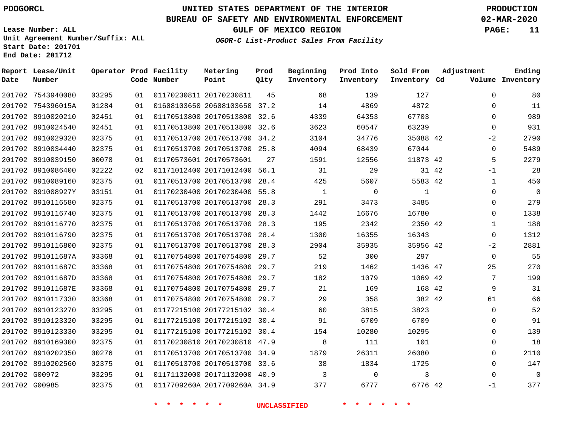**Report Lease/Unit**

# **UNITED STATES DEPARTMENT OF THE INTERIOR PDOGORCL PRODUCTION**

**Prod**

#### **BUREAU OF SAFETY AND ENVIRONMENTAL ENFORCEMENT 02-MAR-2020**

**Lease Number: ALL Unit Agreement Number/Suffix: ALL Start Date: 201701 End Date: 201712**

**OGOR-C List-Product Sales From Facility**

**Beginning Prod Into Sold From**

**GULF OF MEXICO REGION PAGE: 11**

**Adjustment**

**Ending Inventory**

| Date | Number            |       |    | Code Number | Point                        | Qlty | Inventory | Inventory   | Inventory Cd |       | Volume         |
|------|-------------------|-------|----|-------------|------------------------------|------|-----------|-------------|--------------|-------|----------------|
|      | 201702 7543940080 | 03295 | 01 |             | 01170230811 20170230811      | 45   | 68        | 139         | 127          |       | 0              |
|      | 201702 754396015A | 01284 | 01 |             | 01608103650 20608103650 37.2 |      | 14        | 4869        | 4872         |       | 0              |
|      | 201702 8910020210 | 02451 | 01 |             | 01170513800 20170513800 32.6 |      | 4339      | 64353       | 67703        |       | $\mathbf 0$    |
|      | 201702 8910024540 | 02451 | 01 |             | 01170513800 20170513800      | 32.6 | 3623      | 60547       | 63239        |       | $\mathbf 0$    |
|      | 201702 8910029320 | 02375 | 01 |             | 01170513700 20170513700      | 34.2 | 3104      | 34776       | 35088 42     |       | $-2$           |
|      | 201702 8910034440 | 02375 | 01 |             | 01170513700 20170513700 25.8 |      | 4094      | 68439       | 67044        |       | $\mathbf 0$    |
|      | 201702 8910039150 | 00078 | 01 |             | 01170573601 20170573601      | 27   | 1591      | 12556       | 11873 42     |       | 5              |
|      | 201702 8910086400 | 02222 | 02 |             | 01171012400 20171012400 56.1 |      | 31        | 29          |              | 31 42 | $-1$           |
|      | 201702 8910089160 | 02375 | 01 |             | 01170513700 20170513700      | 28.4 | 425       | 5607        | 5583 42      |       | $\mathbf{1}$   |
|      | 201702 891008927Y | 03151 | 01 |             | 01170230400 20170230400 55.8 |      | 1         | $\mathbf 0$ | 1            |       | 0              |
|      | 201702 8910116580 | 02375 | 01 |             | 01170513700 20170513700 28.3 |      | 291       | 3473        | 3485         |       | $\mathbf 0$    |
|      | 201702 8910116740 | 02375 | 01 |             | 01170513700 20170513700      | 28.3 | 1442      | 16676       | 16780        |       | 0              |
|      | 201702 8910116770 | 02375 | 01 |             | 01170513700 20170513700 28.3 |      | 195       | 2342        | 2350 42      |       | $\mathbf{1}$   |
|      | 201702 8910116790 | 02375 | 01 |             | 01170513700 20170513700      | 28.4 | 1300      | 16355       | 16343        |       | $\mathbf 0$    |
|      | 201702 8910116800 | 02375 | 01 |             | 01170513700 20170513700      | 28.3 | 2904      | 35935       | 35956 42     |       | $-2$           |
|      | 201702 891011687A | 03368 | 01 |             | 01170754800 20170754800      | 29.7 | 52        | 300         | 297          |       | $\mathbf 0$    |
|      | 201702 891011687C | 03368 | 01 |             | 01170754800 20170754800 29.7 |      | 219       | 1462        | 1436 47      |       | 25             |
|      | 201702 891011687D | 03368 | 01 |             | 01170754800 20170754800      | 29.7 | 182       | 1079        | 1069 42      |       | $\overline{7}$ |
|      | 201702 891011687E | 03368 | 01 |             | 01170754800 20170754800      | 29.7 | 21        | 169         | 168 42       |       | 9              |
|      | 201702 8910117330 | 03368 | 01 |             | 01170754800 20170754800 29.7 |      | 29        | 358         | 382 42       |       | 61             |
|      | 201702 8910123270 | 03295 | 01 |             | 01177215100 20177215102 30.4 |      | 60        | 3815        | 3823         |       | 0              |
|      | 201702 8910123320 | 03295 | 01 |             | 01177215100 20177215102 30.4 |      | 91        | 6709        | 6709         |       | $\mathbf 0$    |
|      | 201702 8910123330 | 03295 | 01 |             | 01177215100 20177215102 30.4 |      | 154       | 10280       | 10295        |       | $\mathbf 0$    |
|      | 201702 8910169300 | 02375 | 01 |             | 01170230810 20170230810 47.9 |      | 8         | 111         | 101          |       | $\mathbf 0$    |
|      | 201702 8910202350 | 00276 | 01 |             | 01170513700 20170513700 34.9 |      | 1879      | 26311       | 26080        |       | 0              |
|      | 201702 8910202560 | 02375 | 01 |             | 01170513700 20170513700 33.6 |      | 38        | 1834        | 1725         |       | 0              |
|      | 201702 G00972     | 03295 | 01 |             | 01171132000 20171132000 40.9 |      | 3         | 0           | 3            |       | $\mathbf 0$    |
|      | 201702 G00985     | 02375 | 01 |             | 0117709260A 2017709260A 34.9 |      | 377       | 6777        | 6776 42      |       | $-1$           |

**\* \* \* \* \* \* UNCLASSIFIED \* \* \* \* \* \***

**Operator Prod Facility Metering**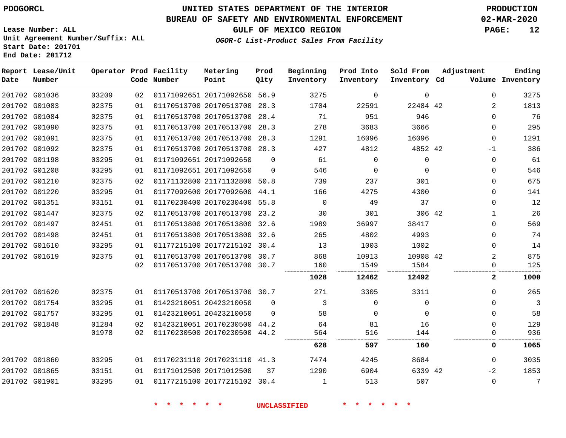**Lease Number: ALL**

**Start Date: 201701 End Date: 201712**

# **UNITED STATES DEPARTMENT OF THE INTERIOR PDOGORCL PRODUCTION**

### **BUREAU OF SAFETY AND ENVIRONMENTAL ENFORCEMENT 02-MAR-2020**

**Unit Agreement Number/Suffix: ALL**

**GULF OF MEXICO REGION PAGE: 12**

**OGOR-C List-Product Sales From Facility**

| Date | Report Lease/Unit<br>Number |       |    | Operator Prod Facility<br>Code Number | Metering<br>Point            | Prod<br>Qlty | Beginning<br>Inventory | Prod Into<br>Inventory | Sold From<br>Inventory Cd | Adjustment | Ending<br>Volume Inventory |
|------|-----------------------------|-------|----|---------------------------------------|------------------------------|--------------|------------------------|------------------------|---------------------------|------------|----------------------------|
|      | 201702 G01036               | 03209 | 02 |                                       | 01171092651 20171092650 56.9 |              | 3275                   | 0                      | $\mathbf 0$               |            | $\mathbf 0$<br>3275        |
|      | 201702 G01083               | 02375 | 01 |                                       | 01170513700 20170513700 28.3 |              | 1704                   | 22591                  | 22484 42                  |            | 1813<br>2                  |
|      | 201702 G01084               | 02375 | 01 |                                       | 01170513700 20170513700 28.4 |              | 71                     | 951                    | 946                       |            | 76<br>$\Omega$             |
|      | 201702 G01090               | 02375 | 01 |                                       | 01170513700 20170513700 28.3 |              | 278                    | 3683                   | 3666                      |            | 295<br>$\mathbf 0$         |
|      | 201702 G01091               | 02375 | 01 |                                       | 01170513700 20170513700 28.3 |              | 1291                   | 16096                  | 16096                     |            | 1291<br>$\mathbf 0$        |
|      | 201702 G01092               | 02375 | 01 |                                       | 01170513700 20170513700 28.3 |              | 427                    | 4812                   | 4852 42                   | $-1$       | 386                        |
|      | 201702 G01198               | 03295 | 01 |                                       | 01171092651 20171092650      | $\Omega$     | 61                     | $\Omega$               | $\mathbf 0$               |            | 61<br>$\mathbf 0$          |
|      | 201702 G01208               | 03295 | 01 |                                       | 01171092651 20171092650      | $\Omega$     | 546                    | $\Omega$               | $\Omega$                  |            | 546<br>$\Omega$            |
|      | 201702 G01210               | 02375 | 02 |                                       | 01171132800 21171132800 50.8 |              | 739                    | 237                    | 301                       |            | 675<br>$\Omega$            |
|      | 201702 G01220               | 03295 | 01 |                                       | 01177092600 20177092600 44.1 |              | 166                    | 4275                   | 4300                      |            | 141<br>$\Omega$            |
|      | 201702 G01351               | 03151 | 01 |                                       | 01170230400 20170230400      | 55.8         | $\Omega$               | 49                     | 37                        |            | 12<br>$\Omega$             |
|      | 201702 G01447               | 02375 | 02 |                                       | 01170513700 20170513700 23.2 |              | 30                     | 301                    | 306 42                    |            | 26<br>$\mathbf{1}$         |
|      | 201702 G01497               | 02451 | 01 |                                       | 01170513800 20170513800 32.6 |              | 1989                   | 36997                  | 38417                     |            | 569<br>$\mathbf 0$         |
|      | 201702 G01498               | 02451 | 01 |                                       | 01170513800 20170513800 32.6 |              | 265                    | 4802                   | 4993                      |            | 74<br>$\mathbf 0$          |
|      | 201702 G01610               | 03295 | 01 |                                       | 01177215100 20177215102 30.4 |              | 13                     | 1003                   | 1002                      |            | 14<br>$\mathbf 0$          |
|      | 201702 G01619               | 02375 | 01 |                                       | 01170513700 20170513700 30.7 |              | 868                    | 10913                  | 10908 42                  |            | 875<br>2                   |
|      |                             |       | 02 |                                       | 01170513700 20170513700 30.7 |              | 160                    | 1549                   | 1584                      |            | 125<br>0                   |
|      |                             |       |    |                                       |                              |              | 1028                   | 12462                  | 12492                     |            | 1000<br>$\mathbf{2}$       |
|      | 201702 G01620               | 02375 | 01 |                                       | 01170513700 20170513700 30.7 |              | 271                    | 3305                   | 3311                      |            | 265<br>$\Omega$            |
|      | 201702 G01754               | 03295 | 01 |                                       | 01423210051 20423210050      | $\Omega$     | 3                      | $\Omega$               | $\Omega$                  |            | 3<br>$\Omega$              |
|      | 201702 G01757               | 03295 | 01 |                                       | 01423210051 20423210050      | $\Omega$     | 58                     | $\Omega$               | $\Omega$                  |            | $\Omega$<br>58             |
|      | 201702 G01848               | 01284 | 02 |                                       | 01423210051 20170230500 44.2 |              | 64                     | 81                     | 16                        |            | 129<br>$\Omega$            |
|      |                             | 01978 | 02 |                                       | 01170230500 20170230500 44.2 |              | 564                    | 516                    | 144                       |            | 936<br>$\Omega$            |
|      |                             |       |    |                                       |                              |              | 628                    | 597                    | 160                       |            | 0<br>1065                  |
|      | 201702 G01860               | 03295 | 01 |                                       | 01170231110 20170231110 41.3 |              | 7474                   | 4245                   | 8684                      |            | 3035<br>$\Omega$           |
|      | 201702 G01865               | 03151 | 01 |                                       | 01171012500 20171012500      | 37           | 1290                   | 6904                   | 6339 42                   | $-2$       | 1853                       |
|      | 201702 G01901               | 03295 | 01 |                                       | 01177215100 20177215102 30.4 |              | 1                      | 513                    | 507                       |            | 7<br>$\Omega$              |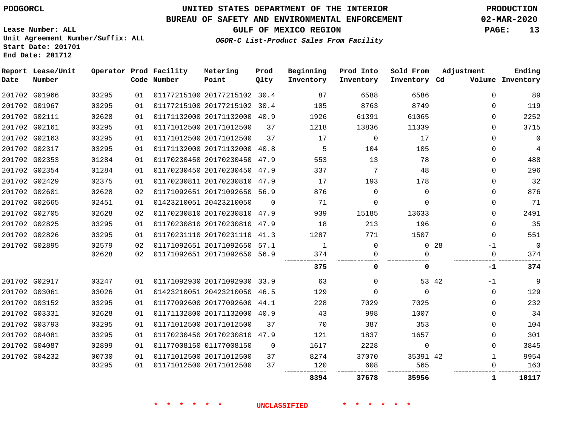#### **BUREAU OF SAFETY AND ENVIRONMENTAL ENFORCEMENT 02-MAR-2020**

**Lease Number: ALL Unit Agreement Number/Suffix: ALL Start Date: 201701 End Date: 201712**

**OGOR-C List-Product Sales From Facility**

**GULF OF MEXICO REGION PAGE: 13**

| Date | Report Lease/Unit<br>Number |       |    | Operator Prod Facility<br>Code Number | Metering<br>Point            | Prod<br>Qlty | Beginning<br>Inventory | Prod Into<br>Inventory | Sold From<br>Inventory Cd |       | Adjustment  | Ending<br>Volume Inventory |
|------|-----------------------------|-------|----|---------------------------------------|------------------------------|--------------|------------------------|------------------------|---------------------------|-------|-------------|----------------------------|
|      | 201702 G01966               | 03295 | 01 |                                       | 01177215100 20177215102 30.4 |              | 87                     | 6588                   | 6586                      |       | $\Omega$    | 89                         |
|      | 201702 G01967               | 03295 | 01 |                                       | 01177215100 20177215102 30.4 |              | 105                    | 8763                   | 8749                      |       | $\Omega$    | 119                        |
|      | 201702 G02111               | 02628 | 01 |                                       | 01171132000 20171132000 40.9 |              | 1926                   | 61391                  | 61065                     |       | $\Omega$    | 2252                       |
|      | 201702 G02161               | 03295 | 01 |                                       | 01171012500 20171012500      | 37           | 1218                   | 13836                  | 11339                     |       | $\Omega$    | 3715                       |
|      | 201702 G02163               | 03295 | 01 |                                       | 01171012500 20171012500      | 37           | 17                     | $\mathbf 0$            | 17                        |       | $\Omega$    | $\Omega$                   |
|      | 201702 G02317               | 03295 | 01 |                                       | 01171132000 20171132000 40.8 |              | 5                      | 104                    | 105                       |       | 0           | 4                          |
|      | 201702 G02353               | 01284 | 01 |                                       | 01170230450 20170230450 47.9 |              | 553                    | 13                     | 78                        |       | 0           | 488                        |
|      | 201702 G02354               | 01284 | 01 |                                       | 01170230450 20170230450 47.9 |              | 337                    | 7                      | 48                        |       | $\Omega$    | 296                        |
|      | 201702 G02429               | 02375 | 01 |                                       | 01170230811 20170230810 47.9 |              | 17                     | 193                    | 178                       |       | 0           | 32                         |
|      | 201702 G02601               | 02628 | 02 |                                       | 01171092651 20171092650 56.9 |              | 876                    | $\Omega$               | $\Omega$                  |       | 0           | 876                        |
|      | 201702 G02665               | 02451 | 01 |                                       | 01423210051 20423210050      | $\Omega$     | 71                     | $\Omega$               | $\Omega$                  |       | 0           | 71                         |
|      | 201702 G02705               | 02628 | 02 |                                       | 01170230810 20170230810 47.9 |              | 939                    | 15185                  | 13633                     |       | $\Omega$    | 2491                       |
|      | 201702 G02825               | 03295 | 01 |                                       | 01170230810 20170230810 47.9 |              | 18                     | 213                    | 196                       |       | $\Omega$    | 35                         |
|      | 201702 G02826               | 03295 | 01 |                                       | 01170231110 20170231110 41.3 |              | 1287                   | 771                    | 1507                      |       | $\Omega$    | 551                        |
|      | 201702 G02895               | 02579 | 02 |                                       | 01171092651 20171092650 57.1 |              | 1                      | 0                      | $\mathbf 0$               | 28    | $-1$        | $\overline{0}$             |
|      |                             | 02628 | 02 |                                       | 01171092651 20171092650 56.9 |              | 374                    | $\Omega$               | ∩                         |       | $\Omega$    | 374                        |
|      |                             |       |    |                                       |                              |              | 375                    | 0                      | 0                         |       | -1          | 374                        |
|      | 201702 G02917               | 03247 | 01 |                                       | 01171092930 20171092930 33.9 |              | 63                     | $\Omega$               |                           | 53 42 | $-1$        | 9                          |
|      | 201702 G03061               | 03026 | 01 |                                       | 01423210051 20423210050 46.5 |              | 129                    | $\Omega$               | $\Omega$                  |       | 0           | 129                        |
|      | 201702 G03152               | 03295 | 01 |                                       | 01177092600 20177092600 44.1 |              | 228                    | 7029                   | 7025                      |       | $\Omega$    | 232                        |
|      | 201702 G03331               | 02628 | 01 |                                       | 01171132800 20171132000 40.9 |              | 43                     | 998                    | 1007                      |       | $\Omega$    | 34                         |
|      | 201702 G03793               | 03295 | 01 |                                       | 01171012500 20171012500      | 37           | 70                     | 387                    | 353                       |       | $\mathbf 0$ | 104                        |
|      | 201702 G04081               | 03295 | 01 |                                       | 01170230450 20170230810      | 47.9         | 121                    | 1837                   | 1657                      |       | 0           | 301                        |
|      | 201702 G04087               | 02899 | 01 |                                       | 01177008150 01177008150      | $\Omega$     | 1617                   | 2228                   | $\mathbf 0$               |       | $\Omega$    | 3845                       |
|      | 201702 G04232               | 00730 | 01 |                                       | 01171012500 20171012500      | 37           | 8274                   | 37070                  | 35391 42                  |       | $\mathbf 1$ | 9954                       |
|      |                             | 03295 | 01 |                                       | 01171012500 20171012500      | 37           | 120                    | 608                    | 565                       |       | 0           | 163                        |
|      |                             |       |    |                                       |                              |              | 8394                   | 37678                  | 35956                     |       | 1           | 10117                      |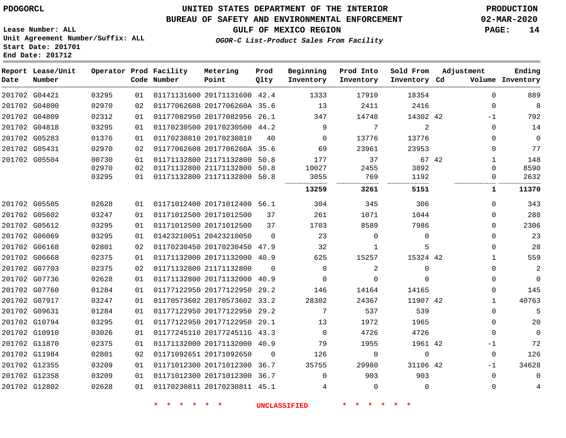#### **BUREAU OF SAFETY AND ENVIRONMENTAL ENFORCEMENT 02-MAR-2020**

**OGOR-C List-Product Sales From Facility**

**GULF OF MEXICO REGION PAGE: 14**

**Lease Number: ALL Unit Agreement Number/Suffix: ALL Start Date: 201701 End Date: 201712**

| Date | Report Lease/Unit<br>Number |       |    | Operator Prod Facility<br>Code Number | Metering<br>Point            | Prod<br>Qlty | Beginning<br>Inventory | Prod Into<br>Inventory | Sold From<br>Inventory Cd | Adjustment   | Ending<br>Volume Inventory |
|------|-----------------------------|-------|----|---------------------------------------|------------------------------|--------------|------------------------|------------------------|---------------------------|--------------|----------------------------|
|      | 201702 G04421               | 03295 | 01 |                                       | 01171131600 20171131600 42.4 |              | 1333                   | 17910                  | 18354                     | $\Omega$     | 889                        |
|      | 201702 G04800               | 02970 | 02 |                                       | 01177062608 2017706260A 35.6 |              | 13                     | 2411                   | 2416                      | $\Omega$     | 8                          |
|      | 201702 G04809               | 02312 | 01 |                                       | 01177082950 20177082956 26.1 |              | 347                    | 14748                  | 14302 42                  | $-1$         | 792                        |
|      | 201702 G04818               | 03295 | 01 |                                       | 01170230500 20170230500 44.2 |              | 9                      | 7                      | 2                         | $\Omega$     | 14                         |
|      | 201702 G05283               | 01376 | 01 |                                       | 01170230810 20170230810      | 40           | $\Omega$               | 13776                  | 13776                     | $\Omega$     | $\mathbf 0$                |
|      | 201702 G05431               | 02970 | 02 |                                       | 01177062608 2017706260A 35.6 |              | 69                     | 23961                  | 23953                     | $\Omega$     | 77                         |
|      | 201702 G05504               | 00730 | 01 |                                       | 01171132800 21171132800 50.8 |              | 177                    | 37                     | 67 42                     | 1            | 148                        |
|      |                             | 02970 | 02 |                                       | 01171132800 21171132800 50.8 |              | 10027                  | 2455                   | 3892                      | $\Omega$     | 8590                       |
|      |                             | 03295 | 01 |                                       | 01171132800 21171132800 50.8 |              | 3055<br>               | 769<br>                | 1192<br>                  | $\Omega$     | 2632                       |
|      |                             |       |    |                                       |                              |              | 13259                  | 3261                   | 5151                      | 1            | 11370                      |
|      | 201702 G05505               | 02628 | 01 |                                       | 01171012400 20171012400 56.1 |              | 304                    | 345                    | 306                       | $\Omega$     | 343                        |
|      | 201702 G05602               | 03247 | 01 | 01171012500 20171012500               |                              | 37           | 261                    | 1071                   | 1044                      | $\Omega$     | 288                        |
|      | 201702 G05612               | 03295 | 01 |                                       | 01171012500 20171012500      | 37           | 1703                   | 8589                   | 7986                      | $\Omega$     | 2306                       |
|      | 201702 G06069               | 03295 | 01 | 01423210051 20423210050               |                              | $\Omega$     | 23                     | $\mathbf 0$            | $\mathbf 0$               | 0            | 23                         |
|      | 201702 G06168               | 02801 | 02 |                                       | 01170230450 20170230450 47.9 |              | 32                     | 1                      | 5                         | $\Omega$     | 28                         |
|      | 201702 G06668               | 02375 | 01 |                                       | 01171132000 20171132000 40.9 |              | 625                    | 15257                  | 15324 42                  | $\mathbf{1}$ | 559                        |
|      | 201702 G07703               | 02375 | 02 |                                       | 01171132800 21171132800      | $\Omega$     | $\Omega$               | 2                      | $\mathbf 0$               | $\Omega$     | 2                          |
|      | 201702 G07736               | 02628 | 01 |                                       | 01171132800 20171132000 40.9 |              | $\Omega$               | $\Omega$               | $\Omega$                  | 0            | $\mathbf{0}$               |
|      | 201702 G07760               | 01284 | 01 |                                       | 01177122950 20177122950 29.2 |              | 146                    | 14164                  | 14165                     | $\Omega$     | 145                        |
|      | 201702 G07917               | 03247 | 01 |                                       | 01170573602 20170573602 33.2 |              | 28302                  | 24367                  | 11907 42                  | $\mathbf{1}$ | 40763                      |
|      | 201702 G09631               | 01284 | 01 |                                       | 01177122950 20177122950 29.2 |              | 7                      | 537                    | 539                       | $\Omega$     | 5                          |
|      | 201702 G10794               | 03295 | 01 |                                       | 01177122950 20177122950 29.1 |              | 13                     | 1972                   | 1965                      | $\Omega$     | 20                         |
|      | 201702 G10910               | 03026 | 01 |                                       | 01177245110 2017724511G 43.3 |              | $\Omega$               | 4726                   | 4726                      | 0            | $\Omega$                   |
|      | 201702 G11870               | 02375 | 01 |                                       | 01171132000 20171132000 40.9 |              | 79                     | 1955                   | 1961 42                   | $-1$         | 72                         |
|      | 201702 G11984               | 02801 | 02 | 01171092651 20171092650               |                              | 0            | 126                    | $\mathbf 0$            | $\mathbf 0$               | 0            | 126                        |
|      | 201702 G12355               | 03209 | 01 |                                       | 01171012300 20171012300 36.7 |              | 35755                  | 29980                  | 31106 42                  | $-1$         | 34628                      |
|      | 201702 G12358               | 03209 | 01 |                                       | 01171012300 20171012300 36.7 |              | $\Omega$               | 903                    | 903                       | $\Omega$     | $\Omega$                   |
|      | 201702 G12802               | 02628 | 01 |                                       | 01170230811 20170230811 45.1 |              | 4                      | $\overline{0}$         | $\Omega$                  | $\mathbf 0$  | 4                          |
|      |                             |       |    |                                       |                              |              |                        |                        |                           |              |                            |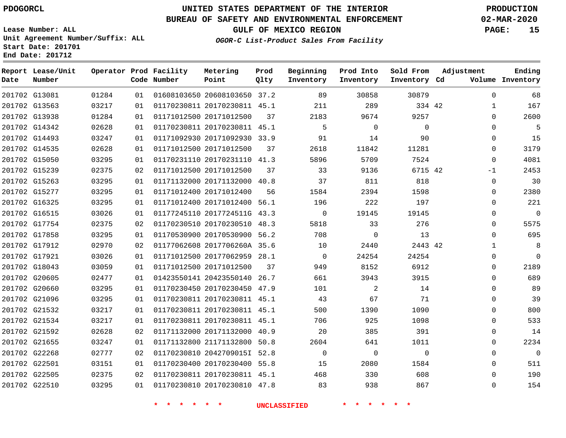# **UNITED STATES DEPARTMENT OF THE INTERIOR PDOGORCL PRODUCTION**

#### **BUREAU OF SAFETY AND ENVIRONMENTAL ENFORCEMENT 02-MAR-2020**

**Lease Number: ALL Unit Agreement Number/Suffix: ALL Start Date: 201701**

**GULF OF MEXICO REGION PAGE: 15**

**OGOR-C List-Product Sales From Facility**

| Date          | Report Lease/Unit<br>Number |       |    | Operator Prod Facility<br>Code Number | Metering<br>Point            | Prod<br>Qlty | Beginning<br>Inventory | Prod Into<br>Inventory | Sold From<br>Inventory Cd | Adjustment   | Ending<br>Volume Inventory |
|---------------|-----------------------------|-------|----|---------------------------------------|------------------------------|--------------|------------------------|------------------------|---------------------------|--------------|----------------------------|
| 201702 G13081 |                             | 01284 | 01 |                                       | 01608103650 20608103650 37.2 |              | 89                     | 30858                  | 30879                     | 0            | 68                         |
| 201702 G13563 |                             | 03217 | 01 |                                       | 01170230811 20170230811 45.1 |              | 211                    | 289                    | 334 42                    | $\mathbf{1}$ | 167                        |
| 201702 G13938 |                             | 01284 | 01 |                                       | 01171012500 20171012500      | 37           | 2183                   | 9674                   | 9257                      | 0            | 2600                       |
| 201702 G14342 |                             | 02628 | 01 |                                       | 01170230811 20170230811 45.1 |              | 5                      | $\mathbf 0$            | $\mathbf 0$               | 0            | 5                          |
| 201702 G14493 |                             | 03247 | 01 |                                       | 01171092930 20171092930 33.9 |              | 91                     | 14                     | 90                        | $\Omega$     | 15                         |
| 201702 G14535 |                             | 02628 | 01 |                                       | 01171012500 20171012500      | 37           | 2618                   | 11842                  | 11281                     | 0            | 3179                       |
| 201702 G15050 |                             | 03295 | 01 |                                       | 01170231110 20170231110 41.3 |              | 5896                   | 5709                   | 7524                      | $\Omega$     | 4081                       |
| 201702 G15239 |                             | 02375 | 02 |                                       | 01171012500 20171012500      | 37           | 33                     | 9136                   | 6715 42                   | $-1$         | 2453                       |
| 201702 G15263 |                             | 03295 | 01 |                                       | 01171132000 20171132000 40.8 |              | 37                     | 811                    | 818                       | 0            | 30                         |
| 201702 G15277 |                             | 03295 | 01 |                                       | 01171012400 20171012400      | 56           | 1584                   | 2394                   | 1598                      | $\Omega$     | 2380                       |
| 201702 G16325 |                             | 03295 | 01 |                                       | 01171012400 20171012400 56.1 |              | 196                    | 222                    | 197                       | 0            | 221                        |
| 201702 G16515 |                             | 03026 | 01 |                                       | 01177245110 2017724511G 43.3 |              | $\mathbf 0$            | 19145                  | 19145                     | 0            | $\mathbf 0$                |
| 201702 G17754 |                             | 02375 | 02 |                                       | 01170230510 20170230510 48.3 |              | 5818                   | 33                     | 276                       | $\Omega$     | 5575                       |
| 201702 G17858 |                             | 03295 | 01 |                                       | 01170530900 20170530900 56.2 |              | 708                    | $\mathbf 0$            | 13                        | 0            | 695                        |
| 201702 G17912 |                             | 02970 | 02 |                                       | 01177062608 2017706260A 35.6 |              | 10                     | 2440                   | 2443 42                   | $\mathbf{1}$ | 8                          |
| 201702 G17921 |                             | 03026 | 01 |                                       | 01171012500 20177062959 28.1 |              | $\mathbf 0$            | 24254                  | 24254                     | 0            | $\mathbf 0$                |
| 201702 G18043 |                             | 03059 | 01 |                                       | 01171012500 20171012500      | 37           | 949                    | 8152                   | 6912                      | $\Omega$     | 2189                       |
| 201702 G20605 |                             | 02477 | 01 |                                       | 01423550141 20423550140 26.7 |              | 661                    | 3943                   | 3915                      | 0            | 689                        |
| 201702 G20660 |                             | 03295 | 01 |                                       | 01170230450 20170230450 47.9 |              | 101                    | 2                      | 14                        | $\Omega$     | 89                         |
| 201702 G21096 |                             | 03295 | 01 |                                       | 01170230811 20170230811 45.1 |              | 43                     | 67                     | 71                        | 0            | 39                         |
| 201702 G21532 |                             | 03217 | 01 |                                       | 01170230811 20170230811 45.1 |              | 500                    | 1390                   | 1090                      | 0            | 800                        |
| 201702 G21534 |                             | 03217 | 01 |                                       | 01170230811 20170230811 45.1 |              | 706                    | 925                    | 1098                      | $\Omega$     | 533                        |
| 201702 G21592 |                             | 02628 | 02 |                                       | 01171132000 20171132000 40.9 |              | 20                     | 385                    | 391                       | 0            | 14                         |
| 201702 G21655 |                             | 03247 | 01 |                                       | 01171132800 21171132800      | 50.8         | 2604                   | 641                    | 1011                      | 0            | 2234                       |
| 201702 G22268 |                             | 02777 | 02 |                                       | 01170230810 2042709015I 52.8 |              | $\mathbf 0$            | $\overline{0}$         | $\mathbf 0$               | $\Omega$     | $\mathbf 0$                |
| 201702 G22501 |                             | 03151 | 01 |                                       | 01170230400 20170230400 55.8 |              | 15                     | 2080                   | 1584                      | $\Omega$     | 511                        |
| 201702 G22505 |                             | 02375 | 02 |                                       | 01170230811 20170230811 45.1 |              | 468                    | 330                    | 608                       | 0            | 190                        |
|               | 201702 G22510               | 03295 | 01 |                                       | 01170230810 20170230810 47.8 |              | 83                     | 938                    | 867                       | $\Omega$     | 154                        |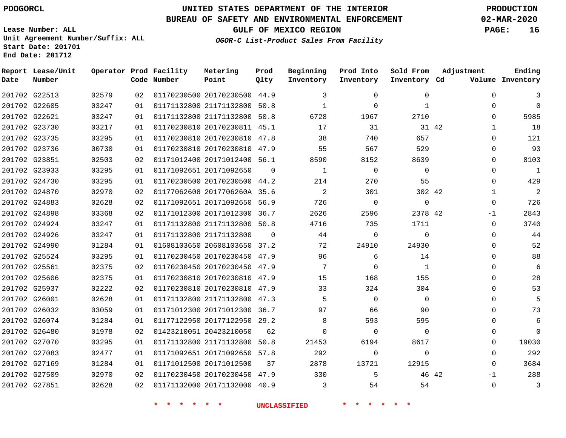## **BUREAU OF SAFETY AND ENVIRONMENTAL ENFORCEMENT 02-MAR-2020**

**Lease Number: ALL Unit Agreement Number/Suffix: ALL Start Date: 201701**

#### **OGOR-C List-Product Sales From Facility**

**GULF OF MEXICO REGION PAGE: 16**

**End Date: 201712**

| Date | Report Lease/Unit<br>Number |       |    | Operator Prod Facility<br>Code Number | Metering<br>Point            | Prod<br>Qlty | Beginning<br>Inventory | Prod Into<br>Inventory | Sold From<br>Inventory Cd | Adjustment            | Ending<br>Volume Inventory |
|------|-----------------------------|-------|----|---------------------------------------|------------------------------|--------------|------------------------|------------------------|---------------------------|-----------------------|----------------------------|
|      | 201702 G22513               | 02579 | 02 |                                       | 01170230500 20170230500 44.9 |              | 3                      | $\Omega$               | $\Omega$                  | $\Omega$              | 3                          |
|      | 201702 G22605               | 03247 | 01 |                                       | 01171132800 21171132800 50.8 |              | 1                      | $\Omega$               | $\mathbf{1}$              | $\Omega$              | $\Omega$                   |
|      | 201702 G22621               | 03247 | 01 |                                       | 01171132800 21171132800 50.8 |              | 6728                   | 1967                   | 2710                      | 0                     | 5985                       |
|      | 201702 G23730               | 03217 | 01 |                                       | 01170230810 20170230811 45.1 |              | 17                     | 31                     |                           | 31 42<br>$\mathbf{1}$ | 18                         |
|      | 201702 G23735               | 03295 | 01 |                                       | 01170230810 20170230810 47.8 |              | 38                     | 740                    | 657                       | $\Omega$              | 121                        |
|      | 201702 G23736               | 00730 | 01 |                                       | 01170230810 20170230810 47.9 |              | 55                     | 567                    | 529                       | $\Omega$              | 93                         |
|      | 201702 G23851               | 02503 | 02 |                                       | 01171012400 20171012400 56.1 |              | 8590                   | 8152                   | 8639                      | $\Omega$              | 8103                       |
|      | 201702 G23933               | 03295 | 01 |                                       | 01171092651 20171092650      | $\Omega$     | 1                      | $\mathbf 0$            | $\Omega$                  | $\Omega$              | $\mathbf{1}$               |
|      | 201702 G24730               | 03295 | 01 |                                       | 01170230500 20170230500 44.2 |              | 214                    | 270                    | 55                        | $\Omega$              | 429                        |
|      | 201702 G24870               | 02970 | 02 |                                       | 01177062608 2017706260A 35.6 |              | 2                      | 301                    | 302 42                    | $\mathbf{1}$          | 2                          |
|      | 201702 G24883               | 02628 | 02 |                                       | 01171092651 20171092650 56.9 |              | 726                    | $\Omega$               | $\Omega$                  | $\Omega$              | 726                        |
|      | 201702 G24898               | 03368 | 02 |                                       | 01171012300 20171012300 36.7 |              | 2626                   | 2596                   | 2378 42                   | -1                    | 2843                       |
|      | 201702 G24924               | 03247 | 01 |                                       | 01171132800 21171132800 50.8 |              | 4716                   | 735                    | 1711                      | $\Omega$              | 3740                       |
|      | 201702 G24926               | 03247 | 01 |                                       | 01171132800 21171132800      | $\Omega$     | 44                     | $\Omega$               | $\Omega$                  | $\Omega$              | 44                         |
|      | 201702 G24990               | 01284 | 01 |                                       | 01608103650 20608103650 37.2 |              | 72                     | 24910                  | 24930                     | $\Omega$              | 52                         |
|      | 201702 G25524               | 03295 | 01 |                                       | 01170230450 20170230450 47.9 |              | 96                     | 6                      | 14                        | $\Omega$              | 88                         |
|      | 201702 G25561               | 02375 | 02 |                                       | 01170230450 20170230450 47.9 |              | 7                      | $\Omega$               | 1                         | $\Omega$              | 6                          |
|      | 201702 G25606               | 02375 | 01 |                                       | 01170230810 20170230810 47.9 |              | 15                     | 168                    | 155                       | $\Omega$              | 28                         |
|      | 201702 G25937               | 02222 | 02 |                                       | 01170230810 20170230810 47.9 |              | 33                     | 324                    | 304                       | $\Omega$              | 53                         |
|      | 201702 G26001               | 02628 | 01 |                                       | 01171132800 21171132800 47.3 |              | 5                      | $\Omega$               | $\Omega$                  | $\Omega$              | 5                          |
|      | 201702 G26032               | 03059 | 01 |                                       | 01171012300 20171012300 36.7 |              | 97                     | 66                     | 90                        | $\Omega$              | 73                         |
|      | 201702 G26074               | 01284 | 01 |                                       | 01177122950 20177122950 29.2 |              | 8                      | 593                    | 595                       | $\Omega$              | 6                          |
|      | 201702 G26480               | 01978 | 02 |                                       | 01423210051 20423210050      | 62           | $\Omega$               | 0                      | $\Omega$                  | 0                     | $\Omega$                   |
|      | 201702 G27070               | 03295 | 01 |                                       | 01171132800 21171132800 50.8 |              | 21453                  | 6194                   | 8617                      | $\Omega$              | 19030                      |
|      | 201702 G27083               | 02477 | 01 |                                       | 01171092651 20171092650 57.8 |              | 292                    | $\mathbf 0$            | $\Omega$                  | $\Omega$              | 292                        |
|      | 201702 G27169               | 01284 | 01 |                                       | 01171012500 20171012500      | 37           | 2878                   | 13721                  | 12915                     | $\Omega$              | 3684                       |
|      | 201702 G27509               | 02970 | 02 |                                       | 01170230450 20170230450 47.9 |              | 330                    | 5                      |                           | 46 42<br>-1           | 288                        |
|      | 201702 G27851               | 02628 | 02 |                                       | 01171132000 20171132000 40.9 |              | 3                      | 54                     | 54                        | $\Omega$              | 3                          |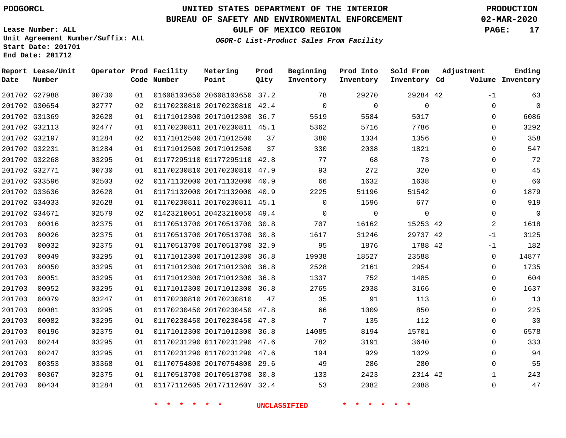## **BUREAU OF SAFETY AND ENVIRONMENTAL ENFORCEMENT 02-MAR-2020**

**Lease Number: ALL Unit Agreement Number/Suffix: ALL Start Date: 201701**

## **OGOR-C List-Product Sales From Facility**

**GULF OF MEXICO REGION PAGE: 17**

**End Date: 201712**

| Date   | Report Lease/Unit<br>Number |       |    | Operator Prod Facility<br>Code Number | Metering<br>Point            | Prod<br>Qlty | Beginning<br>Inventory | Prod Into<br>Inventory | Sold From<br>Inventory Cd | Adjustment |                | Ending<br>Volume Inventory |
|--------|-----------------------------|-------|----|---------------------------------------|------------------------------|--------------|------------------------|------------------------|---------------------------|------------|----------------|----------------------------|
|        | 201702 G27988               | 00730 | 01 |                                       | 01608103650 20608103650 37.2 |              | 78                     | 29270                  | 29284 42                  |            | $-1$           | 63                         |
|        | 201702 G30654               | 02777 | 02 |                                       | 01170230810 20170230810 42.4 |              | $\Omega$               | $\Omega$               | $\mathbf{0}$              |            | 0              | $\mathbf 0$                |
|        | 201702 G31369               | 02628 | 01 |                                       | 01171012300 20171012300 36.7 |              | 5519                   | 5584                   | 5017                      |            | $\mathbf 0$    | 6086                       |
|        | 201702 G32113               | 02477 | 01 |                                       | 01170230811 20170230811 45.1 |              | 5362                   | 5716                   | 7786                      |            | $\Omega$       | 3292                       |
|        | 201702 G32197               | 01284 | 02 |                                       | 01171012500 20171012500      | 37           | 380                    | 1334                   | 1356                      |            | $\Omega$       | 358                        |
|        | 201702 G32231               | 01284 | 01 |                                       | 01171012500 20171012500      | 37           | 330                    | 2038                   | 1821                      |            | $\Omega$       | 547                        |
|        | 201702 G32268               | 03295 | 01 |                                       | 01177295110 01177295110 42.8 |              | 77                     | 68                     | 73                        |            | $\Omega$       | 72                         |
|        | 201702 G32771               | 00730 | 01 |                                       | 01170230810 20170230810 47.9 |              | 93                     | 272                    | 320                       |            | $\Omega$       | 45                         |
|        | 201702 G33596               | 02503 | 02 |                                       | 01171132000 20171132000 40.9 |              | 66                     | 1632                   | 1638                      |            | $\Omega$       | 60                         |
|        | 201702 G33636               | 02628 | 01 |                                       | 01171132000 20171132000 40.9 |              | 2225                   | 51196                  | 51542                     |            | $\Omega$       | 1879                       |
|        | 201702 G34033               | 02628 | 01 |                                       | 01170230811 20170230811 45.1 |              | $\mathbf 0$            | 1596                   | 677                       |            | 0              | 919                        |
|        | 201702 G34671               | 02579 | 02 |                                       | 01423210051 20423210050 49.4 |              | 0                      | $\mathbf 0$            | $\mathbf 0$               |            | 0              | $\mathbf 0$                |
| 201703 | 00016                       | 02375 | 01 |                                       | 01170513700 20170513700      | 30.8         | 707                    | 16162                  | 15253 42                  |            | $\overline{2}$ | 1618                       |
| 201703 | 00026                       | 02375 | 01 |                                       | 01170513700 20170513700 30.8 |              | 1617                   | 31246                  | 29737 42                  |            | $-1$           | 3125                       |
| 201703 | 00032                       | 02375 | 01 |                                       | 01170513700 20170513700 32.9 |              | 95                     | 1876                   | 1788 42                   |            | -1             | 182                        |
| 201703 | 00049                       | 03295 | 01 |                                       | 01171012300 20171012300 36.8 |              | 19938                  | 18527                  | 23588                     |            | 0              | 14877                      |
| 201703 | 00050                       | 03295 | 01 |                                       | 01171012300 20171012300 36.8 |              | 2528                   | 2161                   | 2954                      |            | $\Omega$       | 1735                       |
| 201703 | 00051                       | 03295 | 01 |                                       | 01171012300 20171012300 36.8 |              | 1337                   | 752                    | 1485                      |            | $\Omega$       | 604                        |
| 201703 | 00052                       | 03295 | 01 |                                       | 01171012300 20171012300 36.8 |              | 2765                   | 2038                   | 3166                      |            | $\Omega$       | 1637                       |
| 201703 | 00079                       | 03247 | 01 |                                       | 01170230810 20170230810      | 47           | 35                     | 91                     | 113                       |            | $\Omega$       | 13                         |
| 201703 | 00081                       | 03295 | 01 |                                       | 01170230450 20170230450 47.8 |              | 66                     | 1009                   | 850                       |            | 0              | 225                        |
| 201703 | 00082                       | 03295 | 01 |                                       | 01170230450 20170230450 47.8 |              | $7\phantom{.0}$        | 135                    | 112                       |            | 0              | 30                         |
| 201703 | 00196                       | 02375 | 01 |                                       | 01171012300 20171012300 36.8 |              | 14085                  | 8194                   | 15701                     |            | $\Omega$       | 6578                       |
| 201703 | 00244                       | 03295 | 01 |                                       | 01170231290 01170231290 47.6 |              | 782                    | 3191                   | 3640                      |            | 0              | 333                        |
| 201703 | 00247                       | 03295 | 01 |                                       | 01170231290 01170231290 47.6 |              | 194                    | 929                    | 1029                      |            | $\Omega$       | 94                         |
| 201703 | 00353                       | 03368 | 01 |                                       | 01170754800 20170754800 29.6 |              | 49                     | 286                    | 280                       |            | $\mathbf 0$    | 55                         |
| 201703 | 00367                       | 02375 | 01 |                                       | 01170513700 20170513700 30.8 |              | 133                    | 2423                   | 2314 42                   |            | $\mathbf{1}$   | 243                        |
| 201703 | 00434                       | 01284 | 01 |                                       | 01177112605 2017711260Y 32.4 |              | 53                     | 2082                   | 2088                      |            | $\Omega$       | 47                         |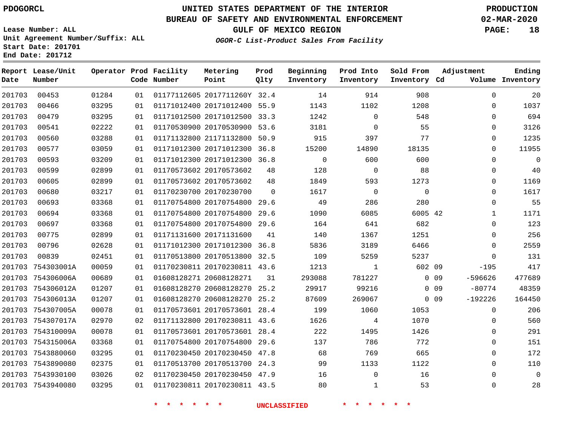**Start Date: 201701 End Date: 201712**

# **UNITED STATES DEPARTMENT OF THE INTERIOR PDOGORCL PRODUCTION**

## **BUREAU OF SAFETY AND ENVIRONMENTAL ENFORCEMENT 02-MAR-2020**

**Lease Number: ALL Unit Agreement Number/Suffix: ALL**

**GULF OF MEXICO REGION PAGE: 18**

**OGOR-C List-Product Sales From Facility**

| Date   | Report Lease/Unit<br>Number |       |    | Operator Prod Facility<br>Code Number | Metering<br>Point            | Prod<br>Qlty | Beginning<br>Inventory | Prod Into<br>Inventory | Sold From<br>Inventory Cd | Adjustment |              | Ending<br>Volume Inventory |
|--------|-----------------------------|-------|----|---------------------------------------|------------------------------|--------------|------------------------|------------------------|---------------------------|------------|--------------|----------------------------|
| 201703 | 00453                       | 01284 | 01 |                                       | 01177112605 2017711260Y 32.4 |              | 14                     | 914                    | 908                       |            | $\mathbf 0$  | 20                         |
| 201703 | 00466                       | 03295 | 01 |                                       | 01171012400 20171012400 55.9 |              | 1143                   | 1102                   | 1208                      |            | $\mathbf 0$  | 1037                       |
| 201703 | 00479                       | 03295 | 01 |                                       | 01171012500 20171012500      | 33.3         | 1242                   | $\mathbf 0$            | 548                       |            | $\mathbf 0$  | 694                        |
| 201703 | 00541                       | 02222 | 01 |                                       | 01170530900 20170530900 53.6 |              | 3181                   | $\Omega$               | 55                        |            | $\Omega$     | 3126                       |
| 201703 | 00560                       | 03288 | 01 |                                       | 01171132800 21171132800      | 50.9         | 915                    | 397                    | 77                        |            | $\mathbf 0$  | 1235                       |
| 201703 | 00577                       | 03059 | 01 |                                       | 01171012300 20171012300      | 36.8         | 15200                  | 14890                  | 18135                     |            | $\mathbf 0$  | 11955                      |
| 201703 | 00593                       | 03209 | 01 |                                       | 01171012300 20171012300      | 36.8         | $\overline{0}$         | 600                    | 600                       |            | $\mathbf 0$  | $\mathsf 0$                |
| 201703 | 00599                       | 02899 | 01 |                                       | 01170573602 20170573602      | 48           | 128                    | $\overline{0}$         | 88                        |            | $\Omega$     | 40                         |
| 201703 | 00605                       | 02899 | 01 |                                       | 01170573602 20170573602      | 48           | 1849                   | 593                    | 1273                      |            | $\Omega$     | 1169                       |
| 201703 | 00680                       | 03217 | 01 |                                       | 01170230700 20170230700      | $\Omega$     | 1617                   | $\overline{0}$         | $\Omega$                  |            | 0            | 1617                       |
| 201703 | 00693                       | 03368 | 01 |                                       | 01170754800 20170754800      | 29.6         | 49                     | 286                    | 280                       |            | $\mathbf 0$  | 55                         |
| 201703 | 00694                       | 03368 | 01 |                                       | 01170754800 20170754800      | 29.6         | 1090                   | 6085                   | 6005 42                   |            | $\mathbf{1}$ | 1171                       |
| 201703 | 00697                       | 03368 | 01 |                                       | 01170754800 20170754800 29.6 |              | 164                    | 641                    | 682                       |            | $\Omega$     | 123                        |
| 201703 | 00775                       | 02899 | 01 |                                       | 01171131600 20171131600      | 41           | 140                    | 1367                   | 1251                      |            | $\mathbf 0$  | 256                        |
| 201703 | 00796                       | 02628 | 01 |                                       | 01171012300 20171012300 36.8 |              | 5836                   | 3189                   | 6466                      |            | $\Omega$     | 2559                       |
| 201703 | 00839                       | 02451 | 01 |                                       | 01170513800 20170513800      | 32.5         | 109                    | 5259                   | 5237                      |            | $\mathbf 0$  | 131                        |
| 201703 | 754303001A                  | 00059 | 01 |                                       | 01170230811 20170230811 43.6 |              | 1213                   | 1                      | 602 09                    |            | $-195$       | 417                        |
|        | 201703 754306006A           | 00689 | 01 |                                       | 01608128271 20608128271      | 31           | 293088                 | 781227                 |                           | 0.09       | -596626      | 477689                     |
|        | 201703 754306012A           | 01207 | 01 |                                       | 01608128270 20608128270      | 25.2         | 29917                  | 99216                  |                           | $0\quad09$ | $-80774$     | 48359                      |
|        | 201703 754306013A           | 01207 | 01 |                                       | 01608128270 20608128270      | 25.2         | 87609                  | 269067                 |                           | $0\quad09$ | $-192226$    | 164450                     |
|        | 201703 754307005A           | 00078 | 01 |                                       | 01170573601 20170573601 28.4 |              | 199                    | 1060                   | 1053                      |            | 0            | 206                        |
|        | 201703 754307017A           | 02970 | 02 |                                       | 01171132800 20170230811 43.6 |              | 1626                   | 4                      | 1070                      |            | $\Omega$     | 560                        |
|        | 201703 754310009A           | 00078 | 01 |                                       | 01170573601 20170573601 28.4 |              | 222                    | 1495                   | 1426                      |            | $\mathbf 0$  | 291                        |
|        | 201703 754315006A           | 03368 | 01 |                                       | 01170754800 20170754800      | 29.6         | 137                    | 786                    | 772                       |            | $\mathbf 0$  | 151                        |
|        | 201703 7543880060           | 03295 | 01 |                                       | 01170230450 20170230450      | 47.8         | 68                     | 769                    | 665                       |            | $\mathbf 0$  | 172                        |
|        | 201703 7543890080           | 02375 | 01 |                                       | 01170513700 20170513700 24.3 |              | 99                     | 1133                   | 1122                      |            | $\mathbf 0$  | 110                        |
|        | 201703 7543930100           | 03026 | 02 |                                       | 01170230450 20170230450 47.9 |              | 16                     | $\Omega$               | 16                        |            | $\Omega$     | $\Omega$                   |
|        | 201703 7543940080           | 03295 | 01 |                                       | 01170230811 20170230811 43.5 |              | 80                     | $\mathbf{1}$           | 53                        |            | $\mathbf 0$  | 28                         |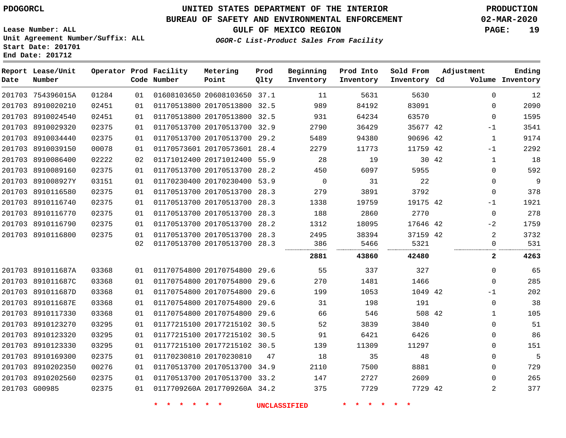# **UNITED STATES DEPARTMENT OF THE INTERIOR PDOGORCL PRODUCTION**

### **BUREAU OF SAFETY AND ENVIRONMENTAL ENFORCEMENT 02-MAR-2020**

**Lease Number: ALL Unit Agreement Number/Suffix: ALL Start Date: 201701**

**GULF OF MEXICO REGION PAGE: 19**

**OGOR-C List-Product Sales From Facility**

| Date | Report Lease/Unit<br>Number |       |    | Operator Prod Facility<br>Code Number | Metering<br>Point            | Prod<br>Qlty | Beginning<br>Inventory | Prod Into<br>Inventory | Sold From<br>Inventory Cd | Adjustment |                | Ending<br>Volume Inventory |
|------|-----------------------------|-------|----|---------------------------------------|------------------------------|--------------|------------------------|------------------------|---------------------------|------------|----------------|----------------------------|
|      | 201703 754396015A           | 01284 | 01 |                                       | 01608103650 20608103650 37.1 |              | 11                     | 5631                   | 5630                      |            | $\Omega$       | 12                         |
|      | 201703 8910020210           | 02451 | 01 |                                       | 01170513800 20170513800 32.5 |              | 989                    | 84192                  | 83091                     |            | 0              | 2090                       |
|      | 201703 8910024540           | 02451 | 01 |                                       | 01170513800 20170513800 32.5 |              | 931                    | 64234                  | 63570                     |            | 0              | 1595                       |
|      | 201703 8910029320           | 02375 | 01 |                                       | 01170513700 20170513700 32.9 |              | 2790                   | 36429                  | 35677 42                  |            | $-1$           | 3541                       |
|      | 201703 8910034440           | 02375 | 01 |                                       | 01170513700 20170513700 29.2 |              | 5489                   | 94380                  | 90696 42                  |            | $\mathbf{1}$   | 9174                       |
|      | 201703 8910039150           | 00078 | 01 |                                       | 01170573601 20170573601 28.4 |              | 2279                   | 11773                  | 11759 42                  |            | $-1$           | 2292                       |
|      | 201703 8910086400           | 02222 | 02 |                                       | 01171012400 20171012400 55.9 |              | 28                     | 19                     | 30 42                     |            | $\mathbf{1}$   | 18                         |
|      | 201703 8910089160           | 02375 | 01 |                                       | 01170513700 20170513700 28.2 |              | 450                    | 6097                   | 5955                      |            | $\mathbf 0$    | 592                        |
|      | 201703 891008927Y           | 03151 | 01 |                                       | 01170230400 20170230400 53.9 |              | $\mathbf 0$            | 31                     | 22                        |            | 0              | 9                          |
|      | 201703 8910116580           | 02375 | 01 |                                       | 01170513700 20170513700 28.3 |              | 279                    | 3891                   | 3792                      |            | $\mathbf{0}$   | 378                        |
|      | 201703 8910116740           | 02375 | 01 |                                       | 01170513700 20170513700 28.3 |              | 1338                   | 19759                  | 19175 42                  |            | -1             | 1921                       |
|      | 201703 8910116770           | 02375 | 01 |                                       | 01170513700 20170513700 28.3 |              | 188                    | 2860                   | 2770                      |            | 0              | 278                        |
|      | 201703 8910116790           | 02375 | 01 |                                       | 01170513700 20170513700 28.2 |              | 1312                   | 18095                  | 17646 42                  |            | $-2$           | 1759                       |
|      | 201703 8910116800           | 02375 | 01 |                                       | 01170513700 20170513700 28.3 |              | 2495                   | 38394                  | 37159 42                  |            | 2              | 3732                       |
|      |                             |       | 02 |                                       | 01170513700 20170513700 28.3 |              | 386                    | 5466                   | 5321                      |            | $\mathbf{0}$   | 531                        |
|      |                             |       |    |                                       |                              |              | 2881                   | 43860                  | 42480                     |            | $\mathbf{2}$   | 4263                       |
|      | 201703 891011687A           | 03368 | 01 |                                       | 01170754800 20170754800 29.6 |              | 55                     | 337                    | 327                       |            | 0              | 65                         |
|      | 201703 891011687C           | 03368 | 01 |                                       | 01170754800 20170754800 29.6 |              | 270                    | 1481                   | 1466                      |            | $\Omega$       | 285                        |
|      | 201703 891011687D           | 03368 | 01 |                                       | 01170754800 20170754800 29.6 |              | 199                    | 1053                   | 1049 42                   |            | $-1$           | 202                        |
|      | 201703 891011687E           | 03368 | 01 |                                       | 01170754800 20170754800 29.6 |              | 31                     | 198                    | 191                       |            | $\mathbf 0$    | 38                         |
|      | 201703 8910117330           | 03368 | 01 |                                       | 01170754800 20170754800      | 29.6         | 66                     | 546                    | 508 42                    |            | $\mathbf{1}$   | 105                        |
|      | 201703 8910123270           | 03295 | 01 |                                       | 01177215100 20177215102 30.5 |              | 52                     | 3839                   | 3840                      |            | 0              | 51                         |
|      | 201703 8910123320           | 03295 | 01 |                                       | 01177215100 20177215102 30.5 |              | 91                     | 6421                   | 6426                      |            | 0              | 86                         |
|      | 201703 8910123330           | 03295 | 01 |                                       | 01177215100 20177215102 30.5 |              | 139                    | 11309                  | 11297                     |            | 0              | 151                        |
|      | 201703 8910169300           | 02375 | 01 |                                       | 01170230810 20170230810      | 47           | 18                     | 35                     | 48                        |            | 0              | 5                          |
|      | 201703 8910202350           | 00276 | 01 |                                       | 01170513700 20170513700 34.9 |              | 2110                   | 7500                   | 8881                      |            | 0              | 729                        |
|      | 201703 8910202560           | 02375 | 01 |                                       | 01170513700 20170513700 33.2 |              | 147                    | 2727                   | 2609                      |            | 0              | 265                        |
|      | 201703 G00985               | 02375 | 01 |                                       | 0117709260A 2017709260A 34.2 |              | 375                    | 7729                   | 7729 42                   |            | $\overline{2}$ | 377                        |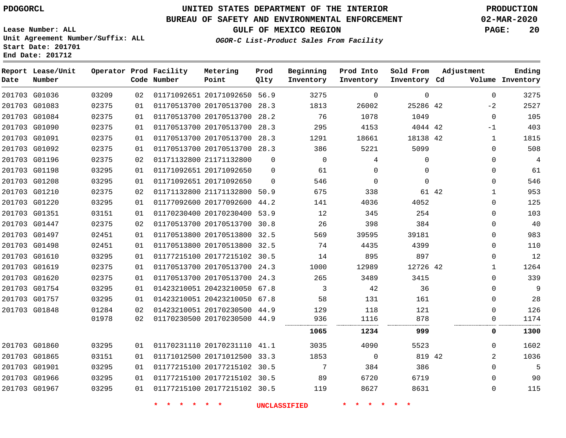# **UNITED STATES DEPARTMENT OF THE INTERIOR PDOGORCL PRODUCTION**

### **BUREAU OF SAFETY AND ENVIRONMENTAL ENFORCEMENT 02-MAR-2020**

**Lease Number: ALL Unit Agreement Number/Suffix: ALL Start Date: 201701**

**GULF OF MEXICO REGION PAGE: 20**

**OGOR-C List-Product Sales From Facility**

| Date          | Report Lease/Unit<br>Number |       |    | Operator Prod Facility<br>Code Number | Metering<br>Point            | Prod<br>Qlty | Beginning<br>Inventory | Prod Into<br>Inventory | Sold From<br>Inventory Cd | Adjustment  | Ending<br>Volume Inventory |
|---------------|-----------------------------|-------|----|---------------------------------------|------------------------------|--------------|------------------------|------------------------|---------------------------|-------------|----------------------------|
|               | 201703 G01036               | 03209 | 02 |                                       | 01171092651 20171092650 56.9 |              | 3275                   | 0                      | $\mathbf 0$               | $\mathbf 0$ | 3275                       |
| 201703 G01083 |                             | 02375 | 01 |                                       | 01170513700 20170513700      | 28.3         | 1813                   | 26002                  | 25286 42                  | $-2$        | 2527                       |
|               | 201703 G01084               | 02375 | 01 |                                       | 01170513700 20170513700      | 28.2         | 76                     | 1078                   | 1049                      | $\Omega$    | 105                        |
| 201703 G01090 |                             | 02375 | 01 |                                       | 01170513700 20170513700      | 28.3         | 295                    | 4153                   | 4044 42                   | -1          | 403                        |
| 201703 G01091 |                             | 02375 | 01 |                                       | 01170513700 20170513700 28.3 |              | 1291                   | 18661                  | 18138 42                  | 1           | 1815                       |
|               | 201703 G01092               | 02375 | 01 |                                       | 01170513700 20170513700 28.3 |              | 386                    | 5221                   | 5099                      | $\Omega$    | 508                        |
|               | 201703 G01196               | 02375 | 02 |                                       | 01171132800 21171132800      | $\Omega$     | $\mathbf 0$            | 4                      | $\Omega$                  | $\mathbf 0$ | 4                          |
| 201703 G01198 |                             | 03295 | 01 |                                       | 01171092651 20171092650      | $\Omega$     | 61                     | $\Omega$               | $\Omega$                  | 0           | 61                         |
| 201703 G01208 |                             | 03295 | 01 |                                       | 01171092651 20171092650      | $\Omega$     | 546                    | $\Omega$               | $\Omega$                  | $\Omega$    | 546                        |
| 201703 G01210 |                             | 02375 | 02 |                                       | 01171132800 21171132800      | 50.9         | 675                    | 338                    |                           | 61 42<br>1  | 953                        |
|               | 201703 G01220               | 03295 | 01 |                                       | 01177092600 20177092600 44.2 |              | 141                    | 4036                   | 4052                      | 0           | 125                        |
|               | 201703 G01351               | 03151 | 01 |                                       | 01170230400 20170230400 53.9 |              | 12                     | 345                    | 254                       | 0           | 103                        |
|               | 201703 G01447               | 02375 | 02 |                                       | 01170513700 20170513700      | 30.8         | 26                     | 398                    | 384                       | 0           | 40                         |
|               | 201703 G01497               | 02451 | 01 |                                       | 01170513800 20170513800 32.5 |              | 569                    | 39595                  | 39181                     | $\Omega$    | 983                        |
| 201703 G01498 |                             | 02451 | 01 |                                       | 01170513800 20170513800      | 32.5         | 74                     | 4435                   | 4399                      | 0           | 110                        |
| 201703 G01610 |                             | 03295 | 01 |                                       | 01177215100 20177215102 30.5 |              | 14                     | 895                    | 897                       | 0           | 12                         |
| 201703 G01619 |                             | 02375 | 01 |                                       | 01170513700 20170513700 24.3 |              | 1000                   | 12989                  | 12726 42                  | 1           | 1264                       |
|               | 201703 G01620               | 02375 | 01 |                                       | 01170513700 20170513700      | 24.3         | 265                    | 3489                   | 3415                      | 0           | 339                        |
|               | 201703 G01754               | 03295 | 01 |                                       | 01423210051 20423210050 67.8 |              | 3                      | 42                     | 36                        | $\Omega$    | 9                          |
|               | 201703 G01757               | 03295 | 01 |                                       | 01423210051 20423210050 67.8 |              | 58                     | 131                    | 161                       | $\Omega$    | 28                         |
| 201703 G01848 |                             | 01284 | 02 |                                       | 01423210051 20170230500 44.9 |              | 129                    | 118                    | 121                       | 0           | 126                        |
|               |                             | 01978 | 02 |                                       | 01170230500 20170230500 44.9 |              | 936                    | 1116                   | 878                       | 0           | 1174                       |
|               |                             |       |    |                                       |                              |              | 1065                   | 1234                   | 999                       | 0           | 1300                       |
|               | 201703 G01860               | 03295 | 01 |                                       | 01170231110 20170231110 41.1 |              | 3035                   | 4090                   | 5523                      | $\Omega$    | 1602                       |
| 201703 G01865 |                             | 03151 | 01 |                                       | 01171012500 20171012500      | 33.3         | 1853                   | 0                      | 819 42                    | 2           | 1036                       |
| 201703 G01901 |                             | 03295 | 01 |                                       | 01177215100 20177215102 30.5 |              | 7                      | 384                    | 386                       | $\mathbf 0$ | 5                          |
|               | 201703 G01966               | 03295 | 01 |                                       | 01177215100 20177215102 30.5 |              | 89                     | 6720                   | 6719                      | $\Omega$    | 90                         |
| 201703 G01967 |                             | 03295 | 01 |                                       | 01177215100 20177215102 30.5 |              | 119                    | 8627                   | 8631                      | 0           | 115                        |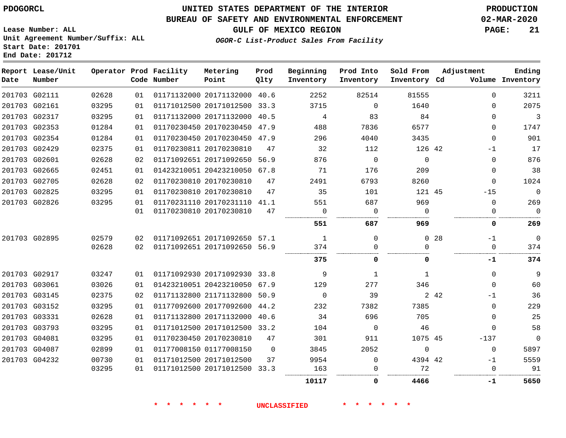**Report Lease/Unit**

# **UNITED STATES DEPARTMENT OF THE INTERIOR PDOGORCL PRODUCTION**

#### **BUREAU OF SAFETY AND ENVIRONMENTAL ENFORCEMENT 02-MAR-2020**

**Lease Number: ALL Unit Agreement Number/Suffix: ALL Start Date: 201701 End Date: 201712**

**Operator Prod Facility**

**GULF OF MEXICO REGION PAGE: 21**

**Prod**

**Metering**

**Ending**

**OGOR-C List-Product Sales From Facility**

**Beginning**

| Date | Number        |       |    | Code Number | Point                        | Qlty     | Inventory    | Inventory      | Inventory Cd |                 |             | Volume Inventory |
|------|---------------|-------|----|-------------|------------------------------|----------|--------------|----------------|--------------|-----------------|-------------|------------------|
|      | 201703 G02111 | 02628 | 01 |             | 01171132000 20171132000 40.6 |          | 2252         | 82514          | 81555        |                 | $\Omega$    | 3211             |
|      | 201703 G02161 | 03295 | 01 |             | 01171012500 20171012500 33.3 |          | 3715         | $\Omega$       | 1640         |                 | 0           | 2075             |
|      | 201703 G02317 | 03295 | 01 |             | 01171132000 20171132000 40.5 |          | 4            | 83             | 84           |                 | $\Omega$    | $\overline{3}$   |
|      | 201703 G02353 | 01284 | 01 |             | 01170230450 20170230450 47.9 |          | 488          | 7836           | 6577         |                 | $\Omega$    | 1747             |
|      | 201703 G02354 | 01284 | 01 |             | 01170230450 20170230450 47.9 |          | 296          | 4040           | 3435         |                 | $\Omega$    | 901              |
|      | 201703 G02429 | 02375 | 01 |             | 01170230811 20170230810      | 47       | 32           | 112            | 126 42       |                 | $-1$        | 17               |
|      | 201703 G02601 | 02628 | 02 |             | 01171092651 20171092650 56.9 |          | 876          | $\Omega$       | $\Omega$     |                 | $\Omega$    | 876              |
|      | 201703 G02665 | 02451 | 01 |             | 01423210051 20423210050 67.8 |          | 71           | 176            | 209          |                 | 0           | 38               |
|      | 201703 G02705 | 02628 | 02 |             | 01170230810 20170230810      | 47       | 2491         | 6793           | 8260         |                 | $\Omega$    | 1024             |
|      | 201703 G02825 | 03295 | 01 |             | 01170230810 20170230810      | 47       | 35           | 101            | 121 45       |                 | $-15$       | $\mathbf 0$      |
|      | 201703 G02826 | 03295 | 01 |             | 01170231110 20170231110 41.1 |          | 551          | 687            | 969          |                 | $\Omega$    | 269              |
|      |               |       | 01 |             | 01170230810 20170230810      | 47       | $\mathbf 0$  | $\overline{0}$ | $\Omega$     |                 | 0           | $\mathbf 0$      |
|      |               |       |    |             |                              |          | 551          | 687            | 969          |                 | 0           | 269              |
|      | 201703 G02895 | 02579 | 02 |             | 01171092651 20171092650 57.1 |          | 1            | $\Omega$       |              | 0 <sub>28</sub> | $-1$        | $\mathbf 0$      |
|      |               | 02628 | 02 |             | 01171092651 20171092650 56.9 |          | 374          |                | <sup>n</sup> |                 | $\Omega$    | 374              |
|      |               |       |    |             |                              |          | 375          | 0              | 0            |                 | -1          | 374              |
|      | 201703 G02917 | 03247 | 01 |             | 01171092930 20171092930 33.8 |          | 9            | 1              | $\mathbf{1}$ |                 | $\Omega$    | 9                |
|      | 201703 G03061 | 03026 | 01 |             | 01423210051 20423210050 67.9 |          | 129          | 277            | 346          |                 | $\Omega$    | 60               |
|      | 201703 G03145 | 02375 | 02 |             | 01171132800 21171132800 50.9 |          | $\mathbf{0}$ | 39             |              | 2 4 2           | $-1$        | 36               |
|      | 201703 G03152 | 03295 | 01 |             | 01177092600 20177092600 44.2 |          | 232          | 7382           | 7385         |                 | $\Omega$    | 229              |
|      | 201703 G03331 | 02628 | 01 |             | 01171132800 20171132000 40.6 |          | 34           | 696            | 705          |                 | $\Omega$    | 25               |
|      | 201703 G03793 | 03295 | 01 |             | 01171012500 20171012500 33.2 |          | 104          | $\overline{0}$ | 46           |                 | $\Omega$    | 58               |
|      | 201703 G04081 | 03295 | 01 |             | 01170230450 20170230810      | 47       | 301          | 911            | 1075 45      |                 | $-137$      | $\mathbf 0$      |
|      | 201703 G04087 | 02899 | 01 |             | 01177008150 01177008150      | $\Omega$ | 3845         | 2052           | $\mathbf 0$  |                 | $\mathbf 0$ | 5897             |
|      | 201703 G04232 | 00730 | 01 |             | 01171012500 20171012500      | 37       | 9954         | $\Omega$       | 4394 42      |                 | $-1$        | 5559             |
|      |               | 03295 | 01 |             | 01171012500 20171012500 33.3 |          | 163          |                | 72           |                 | $\Omega$    | 91               |
|      |               |       |    |             |                              |          | 10117        | 0              | 4466         |                 | -1          | 5650             |

**\* \* \* \* \* \* UNCLASSIFIED \* \* \* \* \* \***

**Prod Into Sold From Adjustment**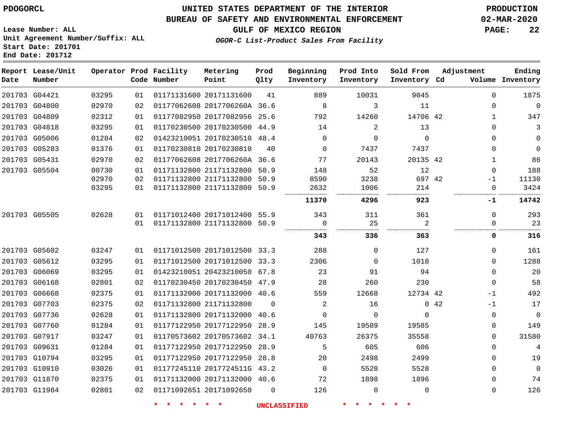#### **BUREAU OF SAFETY AND ENVIRONMENTAL ENFORCEMENT 02-MAR-2020**

**OGOR-C List-Product Sales From Facility**

**GULF OF MEXICO REGION PAGE: 22**

**Lease Number: ALL Unit Agreement Number/Suffix: ALL Start Date: 201701 End Date: 201712**

| Date | Report Lease/Unit<br>Number |       |    | Operator Prod Facility<br>Code Number | Metering<br>Point            | Prod<br>Qlty | Beginning<br>Inventory | Prod Into<br>Inventory | Sold From<br>Inventory Cd | Adjustment        | Ending<br>Volume Inventory |
|------|-----------------------------|-------|----|---------------------------------------|------------------------------|--------------|------------------------|------------------------|---------------------------|-------------------|----------------------------|
|      | 201703 G04421               | 03295 | 01 |                                       | 01171131600 20171131600      | 41           | 889                    | 10031                  | 9045                      | $\Omega$          | 1875                       |
|      | 201703 G04800               | 02970 | 02 |                                       | 01177062608 2017706260A 36.6 |              | 8                      | 3                      | 11                        | $\mathbf 0$       | $\mathbb O$                |
|      | 201703 G04809               | 02312 | 01 |                                       | 01177082950 20177082956      | 25.6         | 792                    | 14260                  | 14706 42                  | $\mathbf{1}$      | 347                        |
|      | 201703 G04818               | 03295 | 01 |                                       | 01170230500 20170230500 44.9 |              | 14                     | 2                      | 13                        | 0                 | 3                          |
|      | 201703 G05006               | 01284 | 02 |                                       | 01423210051 20170230510 48.4 |              | $\Omega$               | $\Omega$               | $\Omega$                  | $\Omega$          | $\mathbf{0}$               |
|      | 201703 G05283               | 01376 | 01 |                                       | 01170230810 20170230810      | 40           | $\Omega$               | 7437                   | 7437                      | $\Omega$          | $\mathbf{0}$               |
|      | 201703 G05431               | 02970 | 02 |                                       | 01177062608 2017706260A 36.6 |              | 77                     | 20143                  | 20135 42                  | $\mathbf{1}$      | 86                         |
|      | 201703 G05504               | 00730 | 01 |                                       | 01171132800 21171132800      | 50.9         | 148                    | 52                     | 12                        | $\Omega$          | 188                        |
|      |                             | 02970 | 02 |                                       | 01171132800 21171132800      | 50.9         | 8590                   | 3238                   | 697 42                    | -1                | 11130                      |
|      |                             | 03295 | 01 |                                       | 01171132800 21171132800      | 50.9         | 2632                   | 1006                   | 214                       | 0                 | 3424                       |
|      |                             |       |    |                                       |                              |              | 11370                  | 4296                   | 923                       | -1                | 14742                      |
|      | 201703 G05505               | 02628 | 01 |                                       | 01171012400 20171012400 55.9 |              | 343                    | 311                    | 361                       | $\Omega$          | 293                        |
|      |                             |       | 01 |                                       | 01171132800 21171132800 50.9 |              | $\Omega$               | 25<br>.                | 2                         | 0                 | 23                         |
|      |                             |       |    |                                       |                              |              | 343                    | 336                    | 363                       | 0                 | 316                        |
|      | 201703 G05602               | 03247 | 01 |                                       | 01171012500 20171012500 33.3 |              | 288                    | $\Omega$               | 127                       | $\Omega$          | 161                        |
|      | 201703 G05612               | 03295 | 01 |                                       | 01171012500 20171012500 33.3 |              | 2306                   | $\Omega$               | 1018                      | $\Omega$          | 1288                       |
|      | 201703 G06069               | 03295 | 01 |                                       | 01423210051 20423210050 67.8 |              | 23                     | 91                     | 94                        | $\Omega$          | 20                         |
|      | 201703 G06168               | 02801 | 02 |                                       | 01170230450 20170230450 47.9 |              | 28                     | 260                    | 230                       | $\mathbf 0$       | 58                         |
|      | 201703 G06668               | 02375 | 01 |                                       | 01171132000 20171132000 40.6 |              | 559                    | 12668                  | 12734 42                  | $-1$              | 492                        |
|      | 201703 G07703               | 02375 | 02 |                                       | 01171132800 21171132800      | $\Omega$     | 2                      | 16                     |                           | $0 \t 42$<br>$-1$ | 17                         |
|      | 201703 G07736               | 02628 | 01 |                                       | 01171132800 20171132000 40.6 |              | $\Omega$               | $\Omega$               | $\Omega$                  | $\Omega$          | $\overline{0}$             |
|      | 201703 G07760               | 01284 | 01 |                                       | 01177122950 20177122950 28.9 |              | 145                    | 19589                  | 19585                     | 0                 | 149                        |
|      | 201703 G07917               | 03247 | 01 |                                       | 01170573602 20170573602 34.1 |              | 40763                  | 26375                  | 35558                     | 0                 | 31580                      |
|      | 201703 G09631               | 01284 | 01 |                                       | 01177122950 20177122950 28.9 |              | 5                      | 605                    | 606                       | $\mathbf 0$       | 4                          |
|      | 201703 G10794               | 03295 | 01 |                                       | 01177122950 20177122950      | 28.8         | 20                     | 2498                   | 2499                      | $\Omega$          | 19                         |
|      | 201703 G10910               | 03026 | 01 |                                       | 01177245110 2017724511G 43.2 |              | $\overline{0}$         | 5528                   | 5528                      | $\mathbf 0$       | $\mathbf 0$                |
|      | 201703 G11870               | 02375 | 01 |                                       | 01171132000 20171132000 40.6 |              | 72                     | 1898                   | 1896                      | $\Omega$          | 74                         |
|      | 201703 G11984               | 02801 | 02 |                                       | 01171092651 20171092650      | $\mathbf 0$  | 126                    | $\mathbf 0$            | $\mathbf 0$               | 0                 | 126                        |
|      |                             |       |    |                                       |                              |              |                        |                        |                           |                   |                            |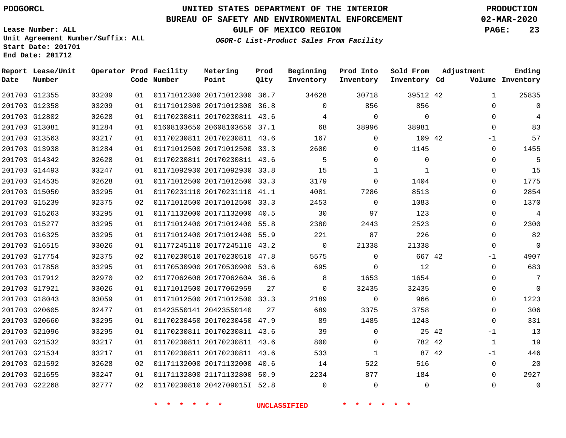**Date**

# **UNITED STATES DEPARTMENT OF THE INTERIOR PDOGORCL PRODUCTION**

**Prod Qlty**

#### **BUREAU OF SAFETY AND ENVIRONMENTAL ENFORCEMENT 02-MAR-2020**

**Lease Number: ALL Unit Agreement Number/Suffix: ALL Start Date: 201701**

**Operator Prod Facility**

**Code Number**

**Metering Point**

**End Date: 201712**

**Report Lease/Unit**

**Number**

**GULF OF MEXICO REGION PAGE: 23**

**Inventory Cd Volume**

**Adjustment**

**Ending**

**OGOR-C List-Product Sales From Facility**

**Beginning Inventory**

**Prod Into Inventory**

**Sold From Inventory**

| 201703 G12355 | 03209 | 01 | 01171012300 20171012300 36.7 |    | 34628          | 30718          | 39512 42     | 1            | 25835          |
|---------------|-------|----|------------------------------|----|----------------|----------------|--------------|--------------|----------------|
| 201703 G12358 | 03209 | 01 | 01171012300 20171012300 36.8 |    | $\Omega$       | 856            | 856          | $\Omega$     |                |
| 201703 G12802 | 02628 | 01 | 01170230811 20170230811 43.6 |    | 4              | $\overline{0}$ | $\Omega$     | $\Omega$     |                |
| 201703 G13081 | 01284 | 01 | 01608103650 20608103650 37.1 |    | 68             | 38996          | 38981        | $\Omega$     | 83             |
| 201703 G13563 | 03217 | 01 | 01170230811 20170230811 43.6 |    | 167            | $\Omega$       | 109 42       | $-1$         | 57             |
| 201703 G13938 | 01284 | 01 | 01171012500 20171012500 33.3 |    | 2600           | $\Omega$       | 1145         | $\Omega$     | 1455           |
| 201703 G14342 | 02628 | 01 | 01170230811 20170230811 43.6 |    | $5^{\circ}$    | $\Omega$       | $\Omega$     | $\Omega$     | 5              |
| 201703 G14493 | 03247 | 01 | 01171092930 20171092930 33.8 |    | 15             | 1              | $\mathbf{1}$ | 0            | 15             |
| 201703 G14535 | 02628 | 01 | 01171012500 20171012500 33.3 |    | 3179           | $\Omega$       | 1404         | $\Omega$     | 1775           |
| 201703 G15050 | 03295 | 01 | 01170231110 20170231110 41.1 |    | 4081           | 7286           | 8513         | $\Omega$     | 2854           |
| 201703 G15239 | 02375 | 02 | 01171012500 20171012500 33.3 |    | 2453           | $\overline{0}$ | 1083         | $\Omega$     | 1370           |
| 201703 G15263 | 03295 | 01 | 01171132000 20171132000 40.5 |    | 30             | 97             | 123          | $\Omega$     | $\overline{4}$ |
| 201703 G15277 | 03295 | 01 | 01171012400 20171012400 55.8 |    | 2380           | 2443           | 2523         | 0            | 2300           |
| 201703 G16325 | 03295 | 01 | 01171012400 20171012400 55.9 |    | 221            | 87             | 226          | $\Omega$     | 82             |
| 201703 G16515 | 03026 | 01 | 01177245110 2017724511G 43.2 |    | $\overline{0}$ | 21338          | 21338        | 0            | 0              |
| 201703 G17754 | 02375 | 02 | 01170230510 20170230510 47.8 |    | 5575           | $\Omega$       | 667 42       | $-1$         | 4907           |
| 201703 G17858 | 03295 | 01 | 01170530900 20170530900 53.6 |    | 695            | 0              | 12           | $\Omega$     | 683            |
| 201703 G17912 | 02970 | 02 | 01177062608 2017706260A 36.6 |    | 8              | 1653           | 1654         | $\Omega$     | 7              |
| 201703 G17921 | 03026 | 01 | 01171012500 20177062959      | 27 | $\Omega$       | 32435          | 32435        | $\Omega$     | 0              |
| 201703 G18043 | 03059 | 01 | 01171012500 20171012500 33.3 |    | 2189           | $\Omega$       | 966          | $\Omega$     | 1223           |
| 201703 G20605 | 02477 | 01 | 01423550141 20423550140      | 27 | 689            | 3375           | 3758         | $\Omega$     | 306            |
| 201703 G20660 | 03295 | 01 | 01170230450 20170230450 47.9 |    | 89             | 1485           | 1243         | 0            | 331            |
| 201703 G21096 | 03295 | 01 | 01170230811 20170230811 43.6 |    | 39             | $\Omega$       | 25 42        | $-1$         | 13             |
| 201703 G21532 | 03217 | 01 | 01170230811 20170230811 43.6 |    | 800            | $\Omega$       | 782 42       | 1            | 19             |
| 201703 G21534 | 03217 | 01 | 01170230811 20170230811 43.6 |    | 533            | 1              | 87 42        | $-1$         | 446            |
| 201703 G21592 | 02628 | 02 | 01171132000 20171132000 40.6 |    | 14             | 522            | 516          | $\mathbf{0}$ | 20             |
| 201703 G21655 | 03247 | 01 | 01171132800 21171132800 50.9 |    | 2234           | 877            | 184          | $\Omega$     | 2927           |
| 201703 G22268 | 02777 | 02 | 01170230810 2042709015I 52.8 |    | $\Omega$       | $\Omega$       | $\Omega$     | $\Omega$     | $\mathbf 0$    |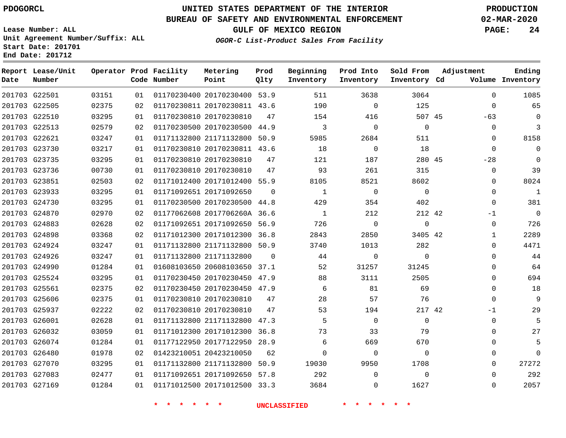G22501 G22505 G22510 G22513 G22621 G23730 G23735 G23736 G23851 G23933 G24730 G24870 G24883 G24898 G24924 G24926 G24990 G25524 G25561 G25606 G25937 G26001 G26032 G26074 G26480 G27070 G27083 G27169

**Date**

**Report Lease/Unit**

**Number**

## **UNITED STATES DEPARTMENT OF THE INTERIOR PDOGORCL PRODUCTION**

**Prod Qlty**

#### **BUREAU OF SAFETY AND ENVIRONMENTAL ENFORCEMENT 02-MAR-2020**

**Lease Number: ALL Unit Agreement Number/Suffix: ALL Start Date: 201701 End Date: 201712**

**Operator Prod Facility**

**Code Number**

 20170230400 53.9 20170230811 43.6

**Metering Point**

 20170230500 44.9 21171132800 50.9 20170230811 43.6

20170230810

**OGOR-C List-Product Sales From Facility**

**Prod Into Inventory**

**Beginning Inventory**

**GULF OF MEXICO REGION PAGE: 24**

**Inventory Cd Volume**

**Adjustment**

  $\Omega$ -63  $\Omega$  $\Omega$  $\Omega$  $-2.8$  $\Omega$  $\Omega$  $\Omega$  $\Omega$ -1  $\Omega$   $\Omega$  $\Omega$  $\Omega$  $\cap$  $\Omega$  $\Omega$ -1  $\Omega$   $\Omega$   $\Omega$  $\Omega$ 

**Ending**

| 03295 | 01 | 01170230810 20170230810      | 47          | 121          | 187      |  |
|-------|----|------------------------------|-------------|--------------|----------|--|
| 00730 | 01 | 01170230810 20170230810      | 47          | 93           | 261      |  |
| 02503 | 02 | 01171012400 20171012400      | 55.9        | 8105         | 8521     |  |
| 03295 | 01 | 01171092651 20171092650      | $\mathbf 0$ | $\mathbf{1}$ | 0        |  |
| 03295 | 01 | 01170230500 20170230500      | 44.8        | 429          | 354      |  |
| 02970 | 02 | 01177062608 2017706260A 36.6 |             | $\mathbf 1$  | 212      |  |
| 02628 | 02 | 01171092651 20171092650      | 56.9        | 726          | $\Omega$ |  |
| 03368 | 02 | 01171012300 20171012300 36.8 |             | 2843         | 2850     |  |
| 03247 | 01 | 01171132800 21171132800 50.9 |             | 3740         | 1013     |  |
| 03247 | 01 | 01171132800 21171132800      | $\Omega$    | 44           | $\Omega$ |  |
| 01284 | 01 | 01608103650 20608103650 37.1 |             | 52           | 31257    |  |
| 03295 | 01 | 01170230450 20170230450 47.9 |             | 88           | 3111     |  |
| 02375 | 02 | 01170230450 20170230450      | 47.9        | 6            | 81       |  |
| 02375 | 01 | 01170230810 20170230810      | 47          | 28           | 57       |  |
| 02222 | 02 | 01170230810 20170230810      | 47          | 53           | 194      |  |
| 02628 | 01 | 01171132800 21171132800      | 47.3        | 5            | 0        |  |
| 03059 | 01 | 01171012300 20171012300      | 36.8        | 73           | 33       |  |
| 01284 | 01 | 01177122950 20177122950      | 28.9        | 6            | 669      |  |
| 01978 | 02 | 01423210051 20423210050      | 62          | $\Omega$     | 0        |  |
| 03295 | 01 | 01171132800 21171132800      | 50.9        | 19030        | 9950     |  |
| 02477 | 01 | 01171092651 20171092650 57.8 |             | 292          | $\Omega$ |  |
| 01284 | 01 | 01171012500 20171012500 33.3 |             | 3684         | 0        |  |
|       |    |                              |             |              |          |  |

**\* \* \* \* \* \* UNCLASSIFIED \* \* \* \* \* \***

45

 

 

**Sold From Inventory**

45

42

42

 $\Omega$ 

42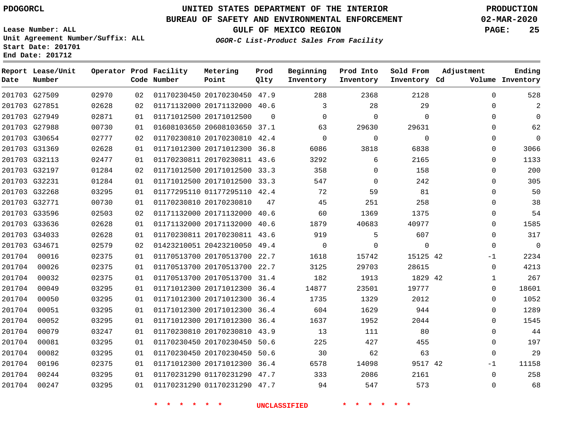**Date**

# **UNITED STATES DEPARTMENT OF THE INTERIOR PDOGORCL PRODUCTION**

**Prod Qlty**

#### **BUREAU OF SAFETY AND ENVIRONMENTAL ENFORCEMENT 02-MAR-2020**

**Lease Number: ALL Unit Agreement Number/Suffix: ALL Start Date: 201701**

**Operator Prod Facility**

**Code Number**

**Metering Point**

**End Date: 201712**

**Report Lease/Unit**

**Number**

**GULF OF MEXICO REGION PAGE: 25**

**Inventory Cd Volume**

**Adjustment**

**Ending**

**OGOR-C List-Product Sales From Facility**

**Beginning Inventory** **Prod Into Inventory** **Sold From Inventory**

|        | 201703 G27509 | 02970 | 02 | 01170230450 20170230450 47.9 |          | 288          | 2368        | 2128        | $\Omega$    | 528         |
|--------|---------------|-------|----|------------------------------|----------|--------------|-------------|-------------|-------------|-------------|
|        | 201703 G27851 | 02628 | 02 | 01171132000 20171132000 40.6 |          | 3            | 28          | 29          | $\Omega$    |             |
|        | 201703 G27949 | 02871 | 01 | 01171012500 20171012500      | $\Omega$ | $\mathbf 0$  | 0           | $\mathbf 0$ | 0           | 0           |
|        | 201703 G27988 | 00730 | 01 | 01608103650 20608103650 37.1 |          | 63           | 29630       | 29631       | $\Omega$    | 62          |
|        | 201703 G30654 | 02777 | 02 | 01170230810 20170230810 42.4 |          | $\Omega$     | $\Omega$    | $\Omega$    | $\Omega$    | 0           |
|        | 201703 G31369 | 02628 | 01 | 01171012300 20171012300 36.8 |          | 6086         | 3818        | 6838        | 0           | 3066        |
|        | 201703 G32113 | 02477 | 01 | 01170230811 20170230811 43.6 |          | 3292         | 6           | 2165        | $\Omega$    | 1133        |
|        | 201703 G32197 | 01284 | 02 | 01171012500 20171012500 33.3 |          | 358          | $\Omega$    | 158         | $\Omega$    | 200         |
|        | 201703 G32231 | 01284 | 01 | 01171012500 20171012500 33.3 |          | 547          | $\mathbf 0$ | 242         | 0           | 305         |
|        | 201703 G32268 | 03295 | 01 | 01177295110 01177295110 42.4 |          | 72           | 59          | 81          | $\Omega$    | 50          |
|        | 201703 G32771 | 00730 | 01 | 01170230810 20170230810      | 47       | 45           | 251         | 258         | $\Omega$    | 38          |
|        | 201703 G33596 | 02503 | 02 | 01171132000 20171132000 40.6 |          | 60           | 1369        | 1375        | 0           | 54          |
|        | 201703 G33636 | 02628 | 01 | 01171132000 20171132000 40.6 |          | 1879         | 40683       | 40977       | $\Omega$    | 1585        |
|        | 201703 G34033 | 02628 | 01 | 01170230811 20170230811 43.6 |          | 919          | 5           | 607         | $\Omega$    | 317         |
|        | 201703 G34671 | 02579 | 02 | 01423210051 20423210050 49.4 |          | $\mathbf{0}$ | 0           | $\mathbf 0$ | $\mathbf 0$ | $\mathbf 0$ |
| 201704 | 00016         | 02375 | 01 | 01170513700 20170513700 22.7 |          | 1618         | 15742       | 15125 42    | $-1$        | 2234        |
| 201704 | 00026         | 02375 | 01 | 01170513700 20170513700 22.7 |          | 3125         | 29703       | 28615       | $\Omega$    | 4213        |
| 201704 | 00032         | 02375 | 01 | 01170513700 20170513700 31.4 |          | 182          | 1913        | 1829 42     | 1           | 267         |
| 201704 | 00049         | 03295 | 01 | 01171012300 20171012300 36.4 |          | 14877        | 23501       | 19777       | 0           | 18601       |
| 201704 | 00050         | 03295 | 01 | 01171012300 20171012300 36.4 |          | 1735         | 1329        | 2012        | $\Omega$    | 1052        |
| 201704 | 00051         | 03295 | 01 | 01171012300 20171012300 36.4 |          | 604          | 1629        | 944         | $\Omega$    | 1289        |
| 201704 | 00052         | 03295 | 01 | 01171012300 20171012300 36.4 |          | 1637         | 1952        | 2044        | $\Omega$    | 1545        |
| 201704 | 00079         | 03247 | 01 | 01170230810 20170230810 43.9 |          | 13           | 111         | 80          | $\Omega$    | 44          |
| 201704 | 00081         | 03295 | 01 | 01170230450 20170230450 50.6 |          | 225          | 427         | 455         | $\Omega$    | 197         |
| 201704 | 00082         | 03295 | 01 | 01170230450 20170230450 50.6 |          | 30           | 62          | 63          | 0           | 29          |
| 201704 | 00196         | 02375 | 01 | 01171012300 20171012300 36.4 |          | 6578         | 14098       | 9517 42     | $-1$        | 11158       |
| 201704 | 00244         | 03295 | 01 | 01170231290 01170231290 47.7 |          | 333          | 2086        | 2161        | $\Omega$    | 258         |
| 201704 | 00247         | 03295 | 01 | 01170231290 01170231290 47.7 |          | 94           | 547         | 573         | $\Omega$    | 68          |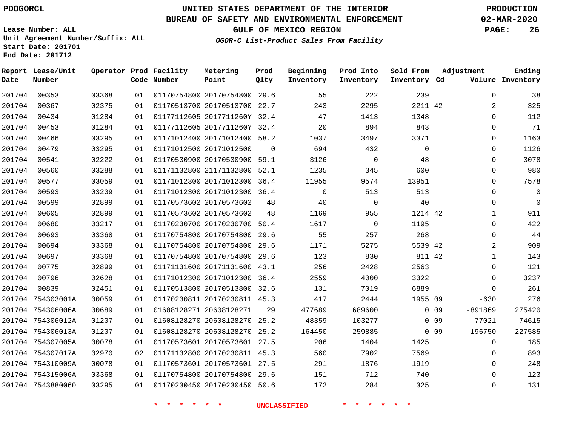**Report Lease/Unit**

**Number**

**Date**

 754306013A 754307005A 754307017A 754310009A 754315006A 7543880060

# **UNITED STATES DEPARTMENT OF THE INTERIOR PDOGORCL PRODUCTION**

**Prod Qlty**

#### **BUREAU OF SAFETY AND ENVIRONMENTAL ENFORCEMENT 02-MAR-2020**

**Lease Number: ALL Unit Agreement Number/Suffix: ALL Start Date: 201701 End Date: 201712**

**Operator Prod Facility**

**Number**

**OGOR-C List-Product Sales From Facility**

**Beginning**

**Prod Into**

**Sold From**

**GULF OF MEXICO REGION PAGE: 26**

**Adjustment**

  $\Omega$   $\Omega$  $\Omega$ 

**Ending**

| Date   | Number            |       |    | Code Number | Point                        | Qlty     | Inventory | Inventory   | Inventory Cd |                 |             | Volume Inventory |
|--------|-------------------|-------|----|-------------|------------------------------|----------|-----------|-------------|--------------|-----------------|-------------|------------------|
| 201704 | 00353             | 03368 | 01 |             | 01170754800 20170754800 29.6 |          | 55        | 222         | 239          |                 | $\Omega$    | 38               |
| 201704 | 00367             | 02375 | 01 |             | 01170513700 20170513700      | 22.7     | 243       | 2295        | 2211 42      |                 | $-2$        | 325              |
| 201704 | 00434             | 01284 | 01 |             | 01177112605 2017711260Y 32.4 |          | 47        | 1413        | 1348         |                 | $\mathbf 0$ | 112              |
| 201704 | 00453             | 01284 | 01 |             | 01177112605 2017711260Y 32.4 |          | 20        | 894         | 843          |                 | $\mathbf 0$ | 71               |
| 201704 | 00466             | 03295 | 01 |             | 01171012400 20171012400 58.2 |          | 1037      | 3497        | 3371         |                 | 0           | 1163             |
| 201704 | 00479             | 03295 | 01 |             | 01171012500 20171012500      | $\Omega$ | 694       | 432         | 0            |                 | 0           | 1126             |
| 201704 | 00541             | 02222 | 01 |             | 01170530900 20170530900 59.1 |          | 3126      | $\mathbf 0$ | 48           |                 | 0           | 3078             |
| 201704 | 00560             | 03288 | 01 |             | 01171132800 21171132800      | 52.1     | 1235      | 345         | 600          |                 | $\mathbf 0$ | 980              |
| 201704 | 00577             | 03059 | 01 |             | 01171012300 20171012300      | 36.4     | 11955     | 9574        | 13951        |                 | $\Omega$    | 7578             |
| 201704 | 00593             | 03209 | 01 |             | 01171012300 20171012300      | 36.4     | $\Omega$  | 513         | 513          |                 | $\Omega$    | 0                |
| 201704 | 00599             | 02899 | 01 |             | 01170573602 20170573602      | 48       | 40        | $\mathbf 0$ | 40           |                 | $\mathbf 0$ | $\mathbf 0$      |
| 201704 | 00605             | 02899 | 01 |             | 01170573602 20170573602      | 48       | 1169      | 955         | 1214 42      |                 | 1           | 911              |
| 201704 | 00680             | 03217 | 01 |             | 01170230700 20170230700      | 50.4     | 1617      | $\mathbf 0$ | 1195         |                 | $\Omega$    | 422              |
| 201704 | 00693             | 03368 | 01 |             | 01170754800 20170754800      | 29.6     | 55        | 257         | 268          |                 | $\Omega$    | 44               |
| 201704 | 00694             | 03368 | 01 |             | 01170754800 20170754800      | 29.6     | 1171      | 5275        | 5539 42      |                 | 2           | 909              |
| 201704 | 00697             | 03368 | 01 |             | 01170754800 20170754800      | 29.6     | 123       | 830         | 811 42       |                 | 1           | 143              |
| 201704 | 00775             | 02899 | 01 |             | 01171131600 20171131600 43.1 |          | 256       | 2428        | 2563         |                 | 0           | 121              |
| 201704 | 00796             | 02628 | 01 |             | 01171012300 20171012300      | 36.4     | 2559      | 4000        | 3322         |                 | $\mathbf 0$ | 3237             |
| 201704 | 00839             | 02451 | 01 |             | 01170513800 20170513800      | 32.6     | 131       | 7019        | 6889         |                 | $\mathbf 0$ | 261              |
|        | 201704 754303001A | 00059 | 01 |             | 01170230811 20170230811 45.3 |          | 417       | 2444        | 1955 09      |                 | $-630$      | 276              |
|        | 201704 754306006A | 00689 | 01 |             | 01608128271 20608128271      | 29       | 477689    | 689600      |              | 0 <sub>09</sub> | $-891869$   | 275420           |
|        | 201704 754306012A | 01207 | 01 |             | 01608128270 20608128270      | 25.2     | 48359     | 103277      |              | 0 <sub>09</sub> | $-77021$    | 74615            |

 20608128270 25.2 20170573601 27.5 20170230811 45.3 20170573601 27.5 20170754800 29.6 20170230450 50.6

**Metering Point**

**\* \* \* \* \* \* UNCLASSIFIED \* \* \* \* \* \***

0 0 9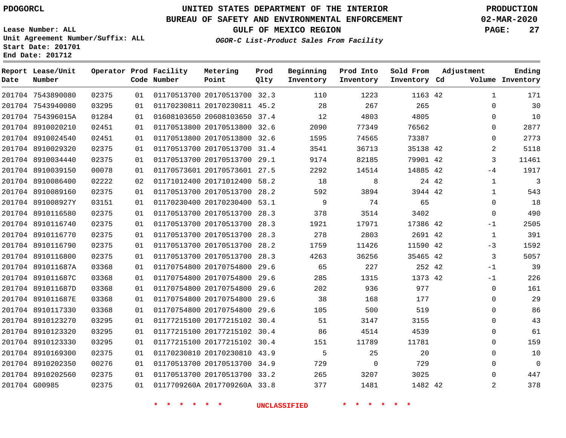**Date**

**Report Lease/Unit**

# **UNITED STATES DEPARTMENT OF THE INTERIOR PDOGORCL PRODUCTION**

**Prod**

#### **BUREAU OF SAFETY AND ENVIRONMENTAL ENFORCEMENT 02-MAR-2020**

**Lease Number: ALL Unit Agreement Number/Suffix: ALL Start Date: 201701 End Date: 201712**

**Operator Prod Facility Metering**

**OGOR-C List-Product Sales From Facility**

**Beginning Prod Into**

**Sold From**

**GULF OF MEXICO REGION PAGE: 27**

**Adjustment**

**Ending**

| Date | Number            |       |    | Code Number | Point                        | Qlty | Inventory           | Inventory   | Inventory Cd    |       |              | Volume Inventory |
|------|-------------------|-------|----|-------------|------------------------------|------|---------------------|-------------|-----------------|-------|--------------|------------------|
|      | 201704 7543890080 | 02375 | 01 |             | 01170513700 20170513700 32.3 |      | 110                 | 1223        | 1163 42         |       | $\mathbf{1}$ | 171              |
|      | 201704 7543940080 | 03295 | 01 |             | 01170230811 20170230811 45.2 |      | 28                  | 267         | 265             |       | $\Omega$     | 30               |
|      | 201704 754396015A | 01284 | 01 |             | 01608103650 20608103650 37.4 |      | 12                  | 4803        | 4805            |       | 0            | 10               |
|      | 201704 8910020210 | 02451 | 01 |             | 01170513800 20170513800 32.6 |      | 2090                | 77349       | 76562           |       | $\mathbf 0$  | 2877             |
|      | 201704 8910024540 | 02451 | 01 |             | 01170513800 20170513800 32.6 |      | 1595                | 74565       | 73387           |       | $\Omega$     | 2773             |
|      | 201704 8910029320 | 02375 | 01 |             | 01170513700 20170513700 31.4 |      | 3541                | 36713       | 35138 42        |       | 2            | 5118             |
|      | 201704 8910034440 | 02375 | 01 |             | 01170513700 20170513700 29.1 |      | 9174                | 82185       | 79901 42        |       | 3            | 11461            |
|      | 201704 8910039150 | 00078 | 01 |             | 01170573601 20170573601 27.5 |      | 2292                | 14514       | 14885 42        |       | $-4$         | 1917             |
|      | 201704 8910086400 | 02222 | 02 |             | 01171012400 20171012400 58.2 |      | 18                  | 8           |                 | 24 42 | $\mathbf 1$  | 3                |
|      | 201704 8910089160 | 02375 | 01 |             | 01170513700 20170513700 28.2 |      | 592                 | 3894        | 3944 42         |       | $\mathbf{1}$ | 543              |
|      | 201704 891008927Y | 03151 | 01 |             | 01170230400 20170230400 53.1 |      | 9                   | 74          | 65              |       | $\Omega$     | 18               |
|      | 201704 8910116580 | 02375 | 01 |             | 01170513700 20170513700 28.3 |      | 378                 | 3514        | 3402            |       | $\Omega$     | 490              |
|      | 201704 8910116740 | 02375 | 01 |             | 01170513700 20170513700 28.3 |      | 1921                | 17971       | 17386 42        |       | $-1$         | 2505             |
|      | 201704 8910116770 | 02375 | 01 |             | 01170513700 20170513700 28.3 |      | 278                 | 2803        | 2691 42         |       | $\mathbf{1}$ | 391              |
|      | 201704 8910116790 | 02375 | 01 |             | 01170513700 20170513700 28.2 |      | 1759                | 11426       | 11590 42        |       | $-3$         | 1592             |
|      | 201704 8910116800 | 02375 | 01 |             | 01170513700 20170513700 28.3 |      | 4263                | 36256       | 35465 42        |       | 3            | 5057             |
|      | 201704 891011687A | 03368 | 01 |             | 01170754800 20170754800 29.6 |      | 65                  | 227         | 252 42          |       | $-1$         | 39               |
|      | 201704 891011687C | 03368 | 01 |             | 01170754800 20170754800 29.6 |      | 285                 | 1315        | 1373 42         |       | $-1$         | 226              |
|      | 201704 891011687D | 03368 | 01 |             | 01170754800 20170754800 29.6 |      | 202                 | 936         | 977             |       | $\mathbf 0$  | 161              |
|      | 201704 891011687E | 03368 | 01 |             | 01170754800 20170754800 29.6 |      | 38                  | 168         | 177             |       | $\Omega$     | 29               |
|      | 201704 8910117330 | 03368 | 01 |             | 01170754800 20170754800 29.6 |      | 105                 | 500         | 519             |       | $\Omega$     | 86               |
|      | 201704 8910123270 | 03295 | 01 |             | 01177215100 20177215102 30.4 |      | 51                  | 3147        | 3155            |       | 0            | 43               |
|      | 201704 8910123320 | 03295 | 01 |             | 01177215100 20177215102 30.4 |      | 86                  | 4514        | 4539            |       | 0            | 61               |
|      | 201704 8910123330 | 03295 | 01 |             | 01177215100 20177215102 30.4 |      | 151                 | 11789       | 11781           |       | 0            | 159              |
|      | 201704 8910169300 | 02375 | 01 |             | 01170230810 20170230810 43.9 |      | 5                   | 25          | 20              |       | $\Omega$     | 10               |
|      | 201704 8910202350 | 00276 | 01 |             | 01170513700 20170513700 34.9 |      | 729                 | $\mathbf 0$ | 729             |       | $\mathbf 0$  | $\overline{0}$   |
|      | 201704 8910202560 | 02375 | 01 |             | 01170513700 20170513700 33.2 |      | 265                 | 3207        | 3025            |       | 0            | 447              |
|      | 201704 G00985     | 02375 | 01 |             | 0117709260A 2017709260A 33.8 |      | 377                 | 1481        | 1482 42         |       | 2            | 378              |
|      |                   |       |    | * * * * * * |                              |      | <b>UNCLASSIFIED</b> | * * * *     | $\star$ $\star$ |       |              |                  |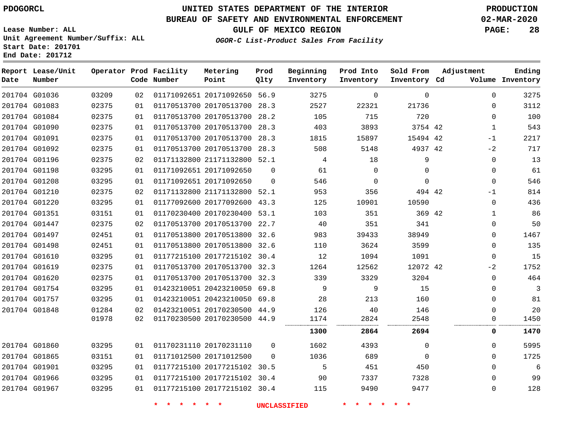# **UNITED STATES DEPARTMENT OF THE INTERIOR PDOGORCL PRODUCTION**

#### **BUREAU OF SAFETY AND ENVIRONMENTAL ENFORCEMENT 02-MAR-2020**

**Lease Number: ALL Unit Agreement Number/Suffix: ALL Start Date: 201701**

**OGOR-C List-Product Sales From Facility**

**GULF OF MEXICO REGION PAGE: 28**

| Date | Report Lease/Unit<br>Number |       |    | Operator Prod Facility<br>Code Number | Metering<br>Point            | Prod<br>Qlty | Beginning<br>Inventory | Prod Into<br>Inventory | Sold From<br>Inventory Cd | Adjustment   | Ending<br>Volume Inventory |
|------|-----------------------------|-------|----|---------------------------------------|------------------------------|--------------|------------------------|------------------------|---------------------------|--------------|----------------------------|
|      | 201704 G01036               | 03209 | 02 |                                       | 01171092651 20171092650 56.9 |              | 3275                   | 0                      | $\mathbf 0$               | 0            | 3275                       |
|      | 201704 G01083               | 02375 | 01 |                                       | 01170513700 20170513700 28.3 |              | 2527                   | 22321                  | 21736                     | $\Omega$     | 3112                       |
|      | 201704 G01084               | 02375 | 01 |                                       | 01170513700 20170513700 28.2 |              | 105                    | 715                    | 720                       | $\Omega$     | 100                        |
|      | 201704 G01090               | 02375 | 01 |                                       | 01170513700 20170513700 28.3 |              | 403                    | 3893                   | 3754 42                   | 1            | 543                        |
|      | 201704 G01091               | 02375 | 01 |                                       | 01170513700 20170513700 28.3 |              | 1815                   | 15897                  | 15494 42                  | $-1$         | 2217                       |
|      | 201704 G01092               | 02375 | 01 |                                       | 01170513700 20170513700 28.3 |              | 508                    | 5148                   | 4937 42                   | $-2$         | 717                        |
|      | 201704 G01196               | 02375 | 02 |                                       | 01171132800 21171132800 52.1 |              | 4                      | 18                     | 9                         | $\mathbf 0$  | 13                         |
|      | 201704 G01198               | 03295 | 01 |                                       | 01171092651 20171092650      | $\mathbf 0$  | 61                     | 0                      | $\mathbf 0$               | $\mathbf 0$  | 61                         |
|      | 201704 G01208               | 03295 | 01 |                                       | 01171092651 20171092650      | $\Omega$     | 546                    | $\mathbf 0$            | $\mathbf 0$               | $\mathbf 0$  | 546                        |
|      | 201704 G01210               | 02375 | 02 |                                       | 01171132800 21171132800 52.1 |              | 953                    | 356                    | 494 42                    | -1           | 814                        |
|      | 201704 G01220               | 03295 | 01 |                                       | 01177092600 20177092600 43.3 |              | 125                    | 10901                  | 10590                     | $\Omega$     | 436                        |
|      | 201704 G01351               | 03151 | 01 |                                       | 01170230400 20170230400 53.1 |              | 103                    | 351                    | 369 42                    | $\mathbf 1$  | 86                         |
|      | 201704 G01447               | 02375 | 02 |                                       | 01170513700 20170513700 22.7 |              | 40                     | 351                    | 341                       | $\mathbf{0}$ | 50                         |
|      | 201704 G01497               | 02451 | 01 |                                       | 01170513800 20170513800 32.6 |              | 983                    | 39433                  | 38949                     | $\Omega$     | 1467                       |
|      | 201704 G01498               | 02451 | 01 |                                       | 01170513800 20170513800 32.6 |              | 110                    | 3624                   | 3599                      | 0            | 135                        |
|      | 201704 G01610               | 03295 | 01 |                                       | 01177215100 20177215102 30.4 |              | 12                     | 1094                   | 1091                      | $\mathbf 0$  | 15                         |
|      | 201704 G01619               | 02375 | 01 |                                       | 01170513700 20170513700 32.3 |              | 1264                   | 12562                  | 12072 42                  | $-2$         | 1752                       |
|      | 201704 G01620               | 02375 | 01 |                                       | 01170513700 20170513700 32.3 |              | 339                    | 3329                   | 3204                      | $\Omega$     | 464                        |
|      | 201704 G01754               | 03295 | 01 |                                       | 01423210051 20423210050 69.8 |              | 9                      | 9                      | 15                        | $\Omega$     | 3                          |
|      | 201704 G01757               | 03295 | 01 |                                       | 01423210051 20423210050 69.8 |              | 28                     | 213                    | 160                       | $\Omega$     | 81                         |
|      | 201704 G01848               | 01284 | 02 |                                       | 01423210051 20170230500 44.9 |              | 126                    | 40                     | 146                       | $\Omega$     | 20                         |
|      |                             | 01978 | 02 |                                       | 01170230500 20170230500 44.9 |              | 1174<br>.              | 2824                   | 2548<br>                  | 0            | 1450                       |
|      |                             |       |    |                                       |                              |              | 1300                   | 2864                   | 2694                      | 0            | 1470                       |
|      | 201704 G01860               | 03295 | 01 |                                       | 01170231110 20170231110      | $\Omega$     | 1602                   | 4393                   | $\mathbf 0$               | $\Omega$     | 5995                       |
|      | 201704 G01865               | 03151 | 01 |                                       | 01171012500 20171012500      | $\Omega$     | 1036                   | 689                    | $\mathbf 0$               | $\Omega$     | 1725                       |
|      | 201704 G01901               | 03295 | 01 |                                       | 01177215100 20177215102 30.5 |              | 5                      | 451                    | 450                       | 0            | 6                          |
|      | 201704 G01966               | 03295 | 01 |                                       | 01177215100 20177215102 30.4 |              | 90                     | 7337                   | 7328                      | $\Omega$     | 99                         |
|      | 201704 G01967               | 03295 | 01 |                                       | 01177215100 20177215102 30.4 |              | 115                    | 9490                   | 9477                      | $\mathbf{0}$ | 128                        |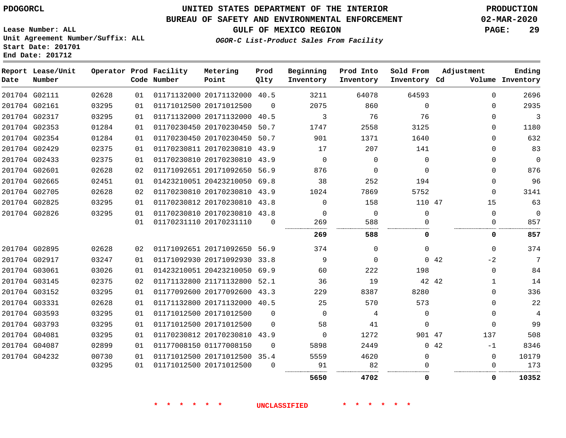## **UNITED STATES DEPARTMENT OF THE INTERIOR PDOGORCL PRODUCTION**

#### **BUREAU OF SAFETY AND ENVIRONMENTAL ENFORCEMENT 02-MAR-2020**

**Lease Number: ALL Unit Agreement Number/Suffix: ALL Start Date: 201701**

**GULF OF MEXICO REGION PAGE: 29**

**OGOR-C List-Product Sales From Facility**

| Date | Report Lease/Unit<br>Number |       |    | Operator Prod Facility<br>Code Number | Metering<br>Point            | Prod<br>Qlty | Beginning<br>Inventory | Prod Into<br>Inventory | Sold From<br>Inventory Cd | Adjustment   | Ending<br>Volume Inventory |
|------|-----------------------------|-------|----|---------------------------------------|------------------------------|--------------|------------------------|------------------------|---------------------------|--------------|----------------------------|
|      | 201704 G02111               | 02628 | 01 |                                       | 01171132000 20171132000 40.5 |              | 3211                   | 64078                  | 64593                     | $\Omega$     | 2696                       |
|      | 201704 G02161               | 03295 | 01 |                                       | 01171012500 20171012500      | $\Omega$     | 2075                   | 860                    | $\Omega$                  | $\Omega$     | 2935                       |
|      | 201704 G02317               | 03295 | 01 |                                       | 01171132000 20171132000      | 40.5         | 3                      | 76                     | 76                        | $\Omega$     | 3                          |
|      | 201704 G02353               | 01284 | 01 |                                       | 01170230450 20170230450      | 50.7         | 1747                   | 2558                   | 3125                      | $\Omega$     | 1180                       |
|      | 201704 G02354               | 01284 | 01 |                                       | 01170230450 20170230450 50.7 |              | 901                    | 1371                   | 1640                      | $\Omega$     | 632                        |
|      | 201704 G02429               | 02375 | 01 |                                       | 01170230811 20170230810 43.9 |              | 17                     | 207                    | 141                       | $\Omega$     | 83                         |
|      | 201704 G02433               | 02375 | 01 |                                       | 01170230810 20170230810 43.9 |              | $\mathbf 0$            | $\Omega$               | $\mathbf 0$               | 0            | $\mathbf 0$                |
|      | 201704 G02601               | 02628 | 02 |                                       | 01171092651 20171092650 56.9 |              | 876                    | $\Omega$               | $\Omega$                  | $\Omega$     | 876                        |
|      | 201704 G02665               | 02451 | 01 |                                       | 01423210051 20423210050 69.8 |              | 38                     | 252                    | 194                       | $\Omega$     | 96                         |
|      | 201704 G02705               | 02628 | 02 |                                       | 01170230810 20170230810 43.9 |              | 1024                   | 7869                   | 5752                      | $\Omega$     | 3141                       |
|      | 201704 G02825               | 03295 | 01 |                                       | 01170230812 20170230810 43.8 |              | $\Omega$               | 158                    | 110 47                    | 15           | 63                         |
|      | 201704 G02826               | 03295 | 01 |                                       | 01170230810 20170230810 43.8 |              | $\Omega$               | $\mathbf 0$            | $\Omega$                  | $\Omega$     | $\mathbf 0$                |
|      |                             |       | 01 |                                       | 01170231110 20170231110      | $\Omega$     | 269                    | 588                    | U                         | 0            | 857                        |
|      |                             |       |    |                                       |                              |              | 269                    | 588                    | 0                         | 0            | 857                        |
|      | 201704 G02895               | 02628 | 02 |                                       | 01171092651 20171092650 56.9 |              | 374                    | $\Omega$               | $\Omega$                  | $\Omega$     | 374                        |
|      | 201704 G02917               | 03247 | 01 |                                       | 01171092930 20171092930      | 33.8         | 9                      | 0                      |                           | $-2$<br>0.42 | 7                          |
|      | 201704 G03061               | 03026 | 01 |                                       | 01423210051 20423210050 69.9 |              | 60                     | 222                    | 198                       | $\Omega$     | 84                         |
|      | 201704 G03145               | 02375 | 02 |                                       | 01171132800 21171132800 52.1 |              | 36                     | 19                     |                           | 42 42<br>1   | 14                         |
|      | 201704 G03152               | 03295 | 01 |                                       | 01177092600 20177092600 43.3 |              | 229                    | 8387                   | 8280                      | $\Omega$     | 336                        |
|      | 201704 G03331               | 02628 | 01 |                                       | 01171132800 20171132000 40.5 |              | 25                     | 570                    | 573                       | $\Omega$     | 22                         |
|      | 201704 G03593               | 03295 | 01 |                                       | 01171012500 20171012500      | $\Omega$     | $\Omega$               | 4                      | $\Omega$                  | $\Omega$     | 4                          |
|      | 201704 G03793               | 03295 | 01 |                                       | 01171012500 20171012500      | $\Omega$     | 58                     | 41                     | $\Omega$                  | $\Omega$     | 99                         |
|      | 201704 G04081               | 03295 | 01 |                                       | 01170230812 20170230810      | 43.9         | $\Omega$               | 1272                   | 901 47                    | 137          | 508                        |
|      | 201704 G04087               | 02899 | 01 |                                       | 01177008150 01177008150      | $\Omega$     | 5898                   | 2449                   |                           | 0.42<br>$-1$ | 8346                       |
|      | 201704 G04232               | 00730 | 01 |                                       | 01171012500 20171012500 35.4 |              | 5559                   | 4620                   | 0                         | $\mathbf{0}$ | 10179                      |
|      |                             | 03295 | 01 |                                       | 01171012500 20171012500      | $\Omega$     | 91                     | 82                     |                           | 0            | 173                        |
|      |                             |       |    |                                       |                              |              | 5650                   | 4702                   | $\Omega$                  | 0            | 10352                      |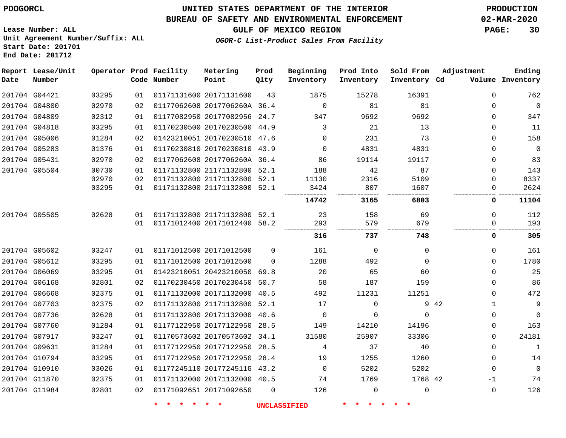## **UNITED STATES DEPARTMENT OF THE INTERIOR PDOGORCL PRODUCTION**

#### **BUREAU OF SAFETY AND ENVIRONMENTAL ENFORCEMENT 02-MAR-2020**

**Lease Number: ALL Unit Agreement Number/Suffix: ALL Start Date: 201701**

**GULF OF MEXICO REGION PAGE: 30**

**OGOR-C List-Product Sales From Facility**

| Date          | Report Lease/Unit<br>Number |       |    | Operator Prod Facility<br>Code Number | Metering<br>Point            | Prod<br>Qlty | Beginning<br>Inventory | Prod Into<br>Inventory | Sold From<br>Inventory Cd | Adjustment           | Ending<br>Volume Inventory |
|---------------|-----------------------------|-------|----|---------------------------------------|------------------------------|--------------|------------------------|------------------------|---------------------------|----------------------|----------------------------|
|               | 201704 G04421               | 03295 | 01 |                                       | 01171131600 20171131600      | 43           | 1875                   | 15278                  | 16391                     | $\Omega$             | 762                        |
| 201704 G04800 |                             | 02970 | 02 |                                       | 01177062608 2017706260A 36.4 |              | $\mathsf 0$            | 81                     | 81                        | 0                    | $\overline{0}$             |
|               | 201704 G04809               | 02312 | 01 |                                       | 01177082950 20177082956      | 24.7         | 347                    | 9692                   | 9692                      | $\Omega$             | 347                        |
| 201704 G04818 |                             | 03295 | 01 |                                       | 01170230500 20170230500 44.9 |              | 3                      | 21                     | 13                        | $\mathbf 0$          | 11                         |
|               | 201704 G05006               | 01284 | 02 |                                       | 01423210051 20170230510 47.6 |              | $\Omega$               | 231                    | 73                        | $\Omega$             | 158                        |
|               | 201704 G05283               | 01376 | 01 |                                       | 01170230810 20170230810 43.9 |              | 0                      | 4831                   | 4831                      | 0                    | $\mathbf 0$                |
| 201704 G05431 |                             | 02970 | 02 |                                       | 01177062608 2017706260A 36.4 |              | 86                     | 19114                  | 19117                     | $\Omega$             | 83                         |
|               | 201704 G05504               | 00730 | 01 |                                       | 01171132800 21171132800      | 52.1         | 188                    | 42                     | 87                        | $\Omega$             | 143                        |
|               |                             | 02970 | 02 |                                       | 01171132800 21171132800      | 52.1         | 11130                  | 2316                   | 5109                      | $\Omega$             | 8337                       |
|               |                             | 03295 | 01 |                                       | 01171132800 21171132800      | 52.1         | 3424                   | 807                    | 1607<br>.                 | $\Omega$             | 2624                       |
|               |                             |       |    |                                       |                              |              | 14742                  | 3165                   | 6803                      | 0                    | 11104                      |
|               | 201704 G05505               | 02628 | 01 |                                       | 01171132800 21171132800 52.1 |              | 23                     | 158                    | 69                        | $\Omega$             | 112                        |
|               |                             |       | 01 |                                       | 01171012400 20171012400      | 58.2         | 293                    | 579                    | 679                       | $\Omega$             | 193                        |
|               |                             |       |    |                                       |                              |              | 316                    | 737                    | .<br>748                  | 0                    | 305                        |
|               | 201704 G05602               | 03247 | 01 |                                       | 01171012500 20171012500      | $\Omega$     | 161                    | $\Omega$               | $\mathbf 0$               | $\Omega$             | 161                        |
|               | 201704 G05612               | 03295 | 01 |                                       | 01171012500 20171012500      | $\Omega$     | 1288                   | 492                    | $\mathbf 0$               | 0                    | 1780                       |
|               | 201704 G06069               | 03295 | 01 |                                       | 01423210051 20423210050      | 69.8         | 20                     | 65                     | 60                        | $\Omega$             | 25                         |
|               | 201704 G06168               | 02801 | 02 |                                       | 01170230450 20170230450      | 50.7         | 58                     | 187                    | 159                       | 0                    | 86                         |
| 201704 G06668 |                             | 02375 | 01 |                                       | 01171132000 20171132000      | 40.5         | 492                    | 11231                  | 11251                     | $\Omega$             | 472                        |
|               | 201704 G07703               | 02375 | 02 |                                       | 01171132800 21171132800      | 52.1         | 17                     | $\mathbf 0$            |                           | 9 42<br>$\mathbf{1}$ | 9                          |
|               | 201704 G07736               | 02628 | 01 |                                       | 01171132800 20171132000 40.6 |              | $\mathbf 0$            | $\Omega$               | $\Omega$                  | $\Omega$             | $\mathbf 0$                |
|               | 201704 G07760               | 01284 | 01 |                                       | 01177122950 20177122950      | 28.5         | 149                    | 14210                  | 14196                     | 0                    | 163                        |
|               | 201704 G07917               | 03247 | 01 |                                       | 01170573602 20170573602 34.1 |              | 31580                  | 25907                  | 33306                     | $\Omega$             | 24181                      |
| 201704 G09631 |                             | 01284 | 01 |                                       | 01177122950 20177122950      | 28.5         | 4                      | 37                     | 40                        | 0                    | $\mathbf 1$                |
|               | 201704 G10794               | 03295 | 01 |                                       | 01177122950 20177122950      | 28.4         | 19                     | 1255                   | 1260                      | 0                    | 14                         |
| 201704 G10910 |                             | 03026 | 01 |                                       | 01177245110 2017724511G      | 43.2         | 0                      | 5202                   | 5202                      | $\mathbf 0$          | $\mathbf 0$                |
|               | 201704 G11870               | 02375 | 01 |                                       | 01171132000 20171132000 40.5 |              | 74                     | 1769                   | 1768 42                   | -1                   | 74                         |
|               | 201704 G11984               | 02801 | 02 |                                       | 01171092651 20171092650      | $\mathbf 0$  | 126                    | $\mathbf 0$            | $\mathbf 0$               | $\mathbf 0$          | 126                        |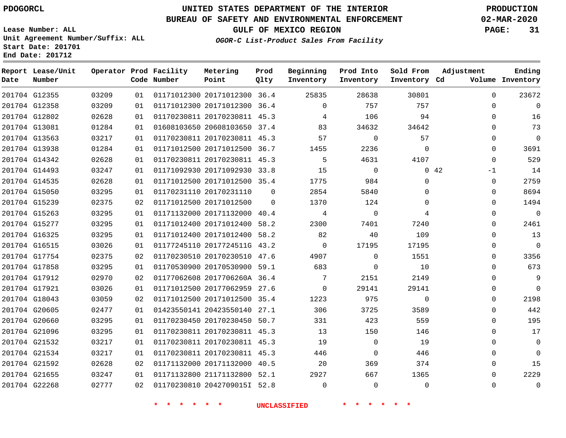**Lease Number: ALL**

**Start Date: 201701 End Date: 201712**

**Report Lease/Unit**

# **UNITED STATES DEPARTMENT OF THE INTERIOR PDOGORCL PRODUCTION**

**Prod**

#### **BUREAU OF SAFETY AND ENVIRONMENTAL ENFORCEMENT 02-MAR-2020**

**Unit Agreement Number/Suffix: ALL**

**Operator Prod Facility Metering**

**GULF OF MEXICO REGION PAGE: 31**

**Ending**

**OGOR-C List-Product Sales From Facility**

| Date | Number        |       |    | Code Number | Point                        | Qlty     | Inventory   | Inventory    | Inventory Cd |             |             | Volume Inventory |
|------|---------------|-------|----|-------------|------------------------------|----------|-------------|--------------|--------------|-------------|-------------|------------------|
|      | 201704 G12355 | 03209 | 01 |             | 01171012300 20171012300 36.4 |          | 25835       | 28638        | 30801        |             | $\Omega$    | 23672            |
|      | 201704 G12358 | 03209 | 01 |             | 01171012300 20171012300 36.4 |          | $\Omega$    | 757          | 757          |             | $\Omega$    | $\Omega$         |
|      | 201704 G12802 | 02628 | 01 |             | 01170230811 20170230811 45.3 |          | 4           | 106          | 94           |             | $\Omega$    | 16               |
|      | 201704 G13081 | 01284 | 01 |             | 01608103650 20608103650 37.4 |          | 83          | 34632        | 34642        |             | $\Omega$    | 73               |
|      | 201704 G13563 | 03217 | 01 |             | 01170230811 20170230811 45.3 |          | 57          | $\mathbf 0$  | 57           |             | $\Omega$    | $\mathbf 0$      |
|      | 201704 G13938 | 01284 | 01 |             | 01171012500 20171012500 36.7 |          | 1455        | 2236         | $\Omega$     |             | $\Omega$    | 3691             |
|      | 201704 G14342 | 02628 | 01 |             | 01170230811 20170230811 45.3 |          | 5           | 4631         | 4107         |             | $\Omega$    | 529              |
|      | 201704 G14493 | 03247 | 01 |             | 01171092930 20171092930 33.8 |          | 15          | $\Omega$     |              | $0\quad 42$ | -1          | 14               |
|      | 201704 G14535 | 02628 | 01 |             | 01171012500 20171012500 35.4 |          | 1775        | 984          | $\mathbf 0$  |             | $\mathbf 0$ | 2759             |
|      | 201704 G15050 | 03295 | 01 |             | 01170231110 20170231110      | $\Omega$ | 2854        | 5840         | $\Omega$     |             | $\Omega$    | 8694             |
|      | 201704 G15239 | 02375 | 02 |             | 01171012500 20171012500      | $\Omega$ | 1370        | 124          | $\Omega$     |             | $\Omega$    | 1494             |
|      | 201704 G15263 | 03295 | 01 |             | 01171132000 20171132000 40.4 |          | 4           | 0            | 4            |             | $\Omega$    | $\mathbf 0$      |
|      | 201704 G15277 | 03295 | 01 |             | 01171012400 20171012400 58.2 |          | 2300        | 7401         | 7240         |             | $\Omega$    | 2461             |
|      | 201704 G16325 | 03295 | 01 |             | 01171012400 20171012400 58.2 |          | 82          | 40           | 109          |             | $\Omega$    | 13               |
|      | 201704 G16515 | 03026 | 01 |             | 01177245110 2017724511G 43.2 |          | $\Omega$    | 17195        | 17195        |             | $\Omega$    | $\mathbf 0$      |
|      | 201704 G17754 | 02375 | 02 |             | 01170230510 20170230510 47.6 |          | 4907        | $\mathbf{0}$ | 1551         |             | $\Omega$    | 3356             |
|      | 201704 G17858 | 03295 | 01 |             | 01170530900 20170530900 59.1 |          | 683         | $\mathbf 0$  | 10           |             | $\Omega$    | 673              |
|      | 201704 G17912 | 02970 | 02 |             | 01177062608 2017706260A 36.4 |          | 7           | 2151         | 2149         |             | $\Omega$    | $\overline{9}$   |
|      | 201704 G17921 | 03026 | 01 |             | 01171012500 20177062959 27.6 |          | $\mathbf 0$ | 29141        | 29141        |             | $\mathbf 0$ | $\mathsf 0$      |
|      | 201704 G18043 | 03059 | 02 |             | 01171012500 20171012500 35.4 |          | 1223        | 975          | $\mathbf 0$  |             | $\mathbf 0$ | 2198             |
|      | 201704 G20605 | 02477 | 01 |             | 01423550141 20423550140 27.1 |          | 306         | 3725         | 3589         |             | $\Omega$    | 442              |
|      | 201704 G20660 | 03295 | 01 |             | 01170230450 20170230450 50.7 |          | 331         | 423          | 559          |             | $\Omega$    | 195              |
|      | 201704 G21096 | 03295 | 01 |             | 01170230811 20170230811 45.3 |          | 13          | 150          | 146          |             | $\mathbf 0$ | 17               |
|      | 201704 G21532 | 03217 | 01 |             | 01170230811 20170230811 45.3 |          | 19          | $\mathbf 0$  | 19           |             | $\Omega$    | $\mathbf 0$      |
|      | 201704 G21534 | 03217 | 01 |             | 01170230811 20170230811 45.3 |          | 446         | $\mathbf 0$  | 446          |             | $\Omega$    | $\mathbf 0$      |
|      | 201704 G21592 | 02628 | 02 |             | 01171132000 20171132000 40.5 |          | 20          | 369          | 374          |             | $\mathbf 0$ | 15               |
|      | 201704 G21655 | 03247 | 01 |             | 01171132800 21171132800 52.1 |          | 2927        | 667          | 1365         |             | $\Omega$    | 2229             |
|      | 201704 G22268 | 02777 | 02 |             | 01170230810 2042709015I 52.8 |          | $\Omega$    | $\Omega$     | $\mathbf 0$  |             | $\Omega$    | $\mathbf 0$      |

**\* \* \* \* \* \* UNCLASSIFIED \* \* \* \* \* \***

**Beginning Prod Into Sold From Adjustment**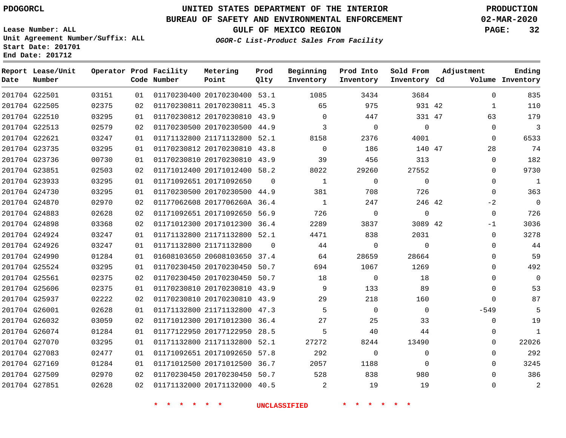**Prod Qlty**

#### **BUREAU OF SAFETY AND ENVIRONMENTAL ENFORCEMENT 02-MAR-2020**

**Lease Number: ALL Unit Agreement Number/Suffix: ALL Start Date: 201701**

**Operator Prod Facility**

**Code Number**

20170230400 53.1

**Metering Point**

  **End Date: 201712**

**Report Lease/Unit**

**Number**

G22501

**Date**

 G27169 G27509 G27851

**GULF OF MEXICO REGION PAGE: 32**

**Inventory Cd Volume**

**Adjustment**

**Ending**

 

  $\Omega$ 

**OGOR-C List-Product Sales From Facility**

**Sold From Inventory**

**Prod Into Inventory**

**Beginning Inventory**

| 201704 G22505 | 02375 | 02 | 01170230811 20170230811 45.3 |          | 65       | 975      | 931 42   |             | 110          |
|---------------|-------|----|------------------------------|----------|----------|----------|----------|-------------|--------------|
| 201704 G22510 | 03295 | 01 | 01170230812 20170230810 43.9 |          | $\Omega$ | 447      | 331 47   | 63          | 179          |
| 201704 G22513 | 02579 | 02 | 01170230500 20170230500 44.9 |          | 3        | $\Omega$ | $\Omega$ | $\Omega$    | 3            |
| 201704 G22621 | 03247 | 01 | 01171132800 21171132800      | 52.1     | 8158     | 2376     | 4001     | 0           | 6533         |
| 201704 G23735 | 03295 | 01 | 01170230812 20170230810      | 43.8     | $\Omega$ | 186      | 140 47   | 28          | 74           |
| 201704 G23736 | 00730 | 01 | 01170230810 20170230810 43.9 |          | 39       | 456      | 313      | 0           | 182          |
| 201704 G23851 | 02503 | 02 | 01171012400 20171012400 58.2 |          | 8022     | 29260    | 27552    | $\Omega$    | 9730         |
| 201704 G23933 | 03295 | 01 | 01171092651 20171092650      | $\Omega$ | 1        | $\Omega$ | $\Omega$ | $\Omega$    | 1            |
| 201704 G24730 | 03295 | 01 | 01170230500 20170230500 44.9 |          | 381      | 708      | 726      | $\Omega$    | 363          |
| 201704 G24870 | 02970 | 02 | 01177062608 2017706260A 36.4 |          |          | 247      | 246 42   | $-2$        | $\mathbf 0$  |
| 201704 G24883 | 02628 | 02 | 01171092651 20171092650 56.9 |          | 726      | $\Omega$ | 0        | 0           | 726          |
| 201704 G24898 | 03368 | 02 | 01171012300 20171012300 36.4 |          | 2289     | 3837     | 3089 42  | $-1$        | 3036         |
| 201704 G24924 | 03247 | 01 | 01171132800 21171132800 52.1 |          | 4471     | 838      | 2031     | 0           | 3278         |
| 201704 G24926 | 03247 | 01 | 01171132800 21171132800      | $\Omega$ | 44       | $\Omega$ | $\Omega$ | 0           | 44           |
| 201704 G24990 | 01284 | 01 | 01608103650 20608103650 37.4 |          | 64       | 28659    | 28664    | $\Omega$    | 59           |
| 201704 G25524 | 03295 | 01 | 01170230450 20170230450 50.7 |          | 694      | 1067     | 1269     | $\Omega$    | 492          |
| 201704 G25561 | 02375 | 02 | 01170230450 20170230450 50.7 |          | 18       | $\Omega$ | 18       | $\Omega$    | $\Omega$     |
| 201704 G25606 | 02375 | 01 | 01170230810 20170230810 43.9 |          | 9        | 133      | 89       | $\Omega$    | 53           |
| 201704 G25937 | 02222 | 02 | 01170230810 20170230810 43.9 |          | 29       | 218      | 160      | $\Omega$    | 87           |
| 201704 G26001 | 02628 | 01 | 01171132800 21171132800 47.3 |          | 5        | $\Omega$ | $\Omega$ | $-549$      | 5            |
| 201704 G26032 | 03059 | 02 | 01171012300 20171012300      | 36.4     | 27       | 25       | 33       | 0           | 19           |
| 201704 G26074 | 01284 | 01 | 01177122950 20177122950      | 28.5     | 5        | 40       | 44       | 0           | $\mathbf{1}$ |
| 201704 G27070 | 03295 | 01 | 01171132800 21171132800      | 52.1     | 27272    | 8244     | 13490    | $\Omega$    | 22026        |
| 201704 G27083 | 02477 | 01 | 01171092651 20171092650 57.8 |          | 292      | $\Omega$ | $\Omega$ | $\mathbf 0$ | 292          |
|               |       |    |                              |          |          |          |          |             |              |

 20170230450 50.7 20171132000 40.5 

20171012500 36.7

**\* \* \* \* \* \* UNCLASSIFIED \* \* \* \* \* \***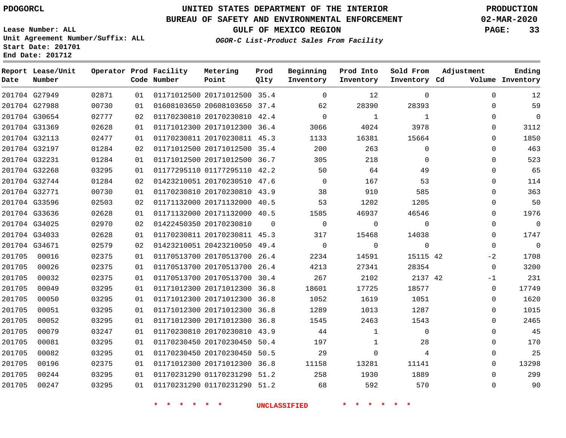**Date**

# **UNITED STATES DEPARTMENT OF THE INTERIOR PDOGORCL PRODUCTION**

**Prod Qlty**

#### **BUREAU OF SAFETY AND ENVIRONMENTAL ENFORCEMENT 02-MAR-2020**

**Lease Number: ALL Unit Agreement Number/Suffix: ALL Start Date: 201701**

**Operator Prod Facility**

**Code Number**

**Metering Point**

**End Date: 201712**

**Report Lease/Unit**

**Number**

**GULF OF MEXICO REGION PAGE: 33**

**OGOR-C List-Product Sales From Facility**

**Beginning Inventory** **Prod Into Inventory** **Sold From Inventory**

|               | 201704 G27949 | 02871 | 01 | 01171012500 20171012500 35.4 |          | $\mathbf 0$  | 12             | $\mathbf 0$    | 0        | 12             |
|---------------|---------------|-------|----|------------------------------|----------|--------------|----------------|----------------|----------|----------------|
|               | 201704 G27988 | 00730 | 01 | 01608103650 20608103650 37.4 |          | 62           | 28390          | 28393          | 0        | 59             |
|               | 201704 G30654 | 02777 | 02 | 01170230810 20170230810 42.4 |          | $\Omega$     | 1              | 1              | $\Omega$ | $\Omega$       |
|               | 201704 G31369 | 02628 | 01 | 01171012300 20171012300 36.4 |          | 3066         | 4024           | 3978           | 0        | 3112           |
| 201704 G32113 |               | 02477 | 01 | 01170230811 20170230811 45.3 |          | 1133         | 16381          | 15664          | 0        | 1850           |
|               | 201704 G32197 | 01284 | 02 | 01171012500 20171012500 35.4 |          | 200          | 263            | $\mathbf 0$    | 0        | 463            |
|               | 201704 G32231 | 01284 | 01 | 01171012500 20171012500 36.7 |          | 305          | 218            | $\Omega$       | $\Omega$ | 523            |
| 201704 G32268 |               | 03295 | 01 | 01177295110 01177295110 42.2 |          | 50           | 64             | 49             | $\Omega$ | 65             |
|               | 201704 G32744 | 01284 | 02 | 01423210051 20170230510 47.6 |          | $\Omega$     | 167            | 53             | 0        | 114            |
| 201704 G32771 |               | 00730 | 01 | 01170230810 20170230810 43.9 |          | 38           | 910            | 585            | 0        | 363            |
|               | 201704 G33596 | 02503 | 02 | 01171132000 20171132000 40.5 |          | 53           | 1202           | 1205           | 0        | 50             |
|               | 201704 G33636 | 02628 | 01 | 01171132000 20171132000 40.5 |          | 1585         | 46937          | 46546          | 0        | 1976           |
| 201704 G34025 |               | 02970 | 02 | 01422450350 20170230810      | $\Omega$ | $\mathbf{0}$ | $\overline{0}$ | $\overline{0}$ | $\Omega$ | $\overline{0}$ |
| 201704 G34033 |               | 02628 | 01 | 01170230811 20170230811 45.3 |          | 317          | 15468          | 14038          | 0        | 1747           |
| 201704 G34671 |               | 02579 | 02 | 01423210051 20423210050 49.4 |          | $\Omega$     | $\Omega$       | $\Omega$       | $\Omega$ | $\overline{0}$ |
| 201705        | 00016         | 02375 | 01 | 01170513700 20170513700 26.4 |          | 2234         | 14591          | 15115 42       | $-2$     | 1708           |
| 201705        | 00026         | 02375 | 01 | 01170513700 20170513700 26.4 |          | 4213         | 27341          | 28354          | $\Omega$ | 3200           |
| 201705        | 00032         | 02375 | 01 | 01170513700 20170513700 30.4 |          | 267          | 2102           | 2137 42        | $-1$     | 231            |
| 201705        | 00049         | 03295 | 01 | 01171012300 20171012300 36.8 |          | 18601        | 17725          | 18577          | $\Omega$ | 17749          |
| 201705        | 00050         | 03295 | 01 | 01171012300 20171012300 36.8 |          | 1052         | 1619           | 1051           | 0        | 1620           |
| 201705        | 00051         | 03295 | 01 | 01171012300 20171012300 36.8 |          | 1289         | 1013           | 1287           | 0        | 1015           |
| 201705        | 00052         | 03295 | 01 | 01171012300 20171012300 36.8 |          | 1545         | 2463           | 1543           | $\Omega$ | 2465           |
| 201705        | 00079         | 03247 | 01 | 01170230810 20170230810 43.9 |          | 44           | 1              | $\overline{0}$ | 0        | 45             |
| 201705        | 00081         | 03295 | 01 | 01170230450 20170230450 50.4 |          | 197          | 1              | 28             | $\Omega$ | 170            |
| 201705        | 00082         | 03295 | 01 | 01170230450 20170230450 50.5 |          | 29           | 0              | 4              | 0        | 25             |
| 201705        | 00196         | 02375 | 01 | 01171012300 20171012300 36.8 |          | 11158        | 13281          | 11141          | 0        | 13298          |
| 201705        | 00244         | 03295 | 01 | 01170231290 01170231290 51.2 |          | 258          | 1930           | 1889           | $\Omega$ | 299            |

**\* \* \* \* \* \* UNCLASSIFIED \* \* \* \* \* \***

01170231290 51.2

**Inventory Cd Volume**

**Adjustment**

**Ending**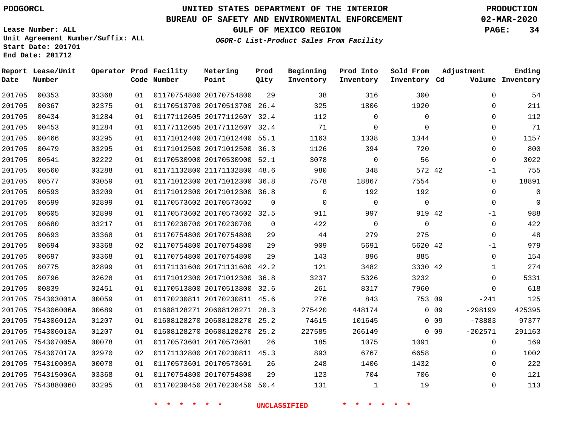**Date**

**End Date: 201712**

**Report Lease/Unit**

**Number**

# **UNITED STATES DEPARTMENT OF THE INTERIOR PDOGORCL PRODUCTION**

**Prod Qlty**

#### **BUREAU OF SAFETY AND ENVIRONMENTAL ENFORCEMENT 02-MAR-2020**

**Lease Number: ALL Unit Agreement Number/Suffix: ALL Start Date: 201701**

**Operator Prod Facility**

**Code Number**

**OGOR-C List-Product Sales From Facility**

**Sold From Inventory**

**Prod Into Inventory**

**Beginning Inventory**

**GULF OF MEXICO REGION PAGE: 34**

**Inventory Cd Volume**

**Adjustment**

  $\Omega$  $\Omega$   $\Omega$  $\Omega$  -1  $\Omega$   $-1$  $\overline{0}$  $\overline{0}$  $-1$  $\overline{0}$   $\Omega$  $\Omega$  $-241$ -298199 -78883 -202571

**Ending**

| 201705 | 00353             | 03368 | 01 | 01170754800 20170754800      | 29   | 38     | 316         | 300         |                 |
|--------|-------------------|-------|----|------------------------------|------|--------|-------------|-------------|-----------------|
| 201705 | 00367             | 02375 | 01 | 01170513700 20170513700 26.4 |      | 325    | 1806        | 1920        |                 |
| 201705 | 00434             | 01284 | 01 | 01177112605 2017711260Y 32.4 |      | 112    | $\mathbf 0$ | $\mathbf 0$ |                 |
| 201705 | 00453             | 01284 | 01 | 01177112605 2017711260Y 32.4 |      | 71     | $\mathbf 0$ | $\mathbf 0$ |                 |
| 201705 | 00466             | 03295 | 01 | 01171012400 20171012400 55.1 |      | 1163   | 1338        | 1344        |                 |
| 201705 | 00479             | 03295 | 01 | 01171012500 20171012500      | 36.3 | 1126   | 394         | 720         |                 |
| 201705 | 00541             | 02222 | 01 | 01170530900 20170530900 52.1 |      | 3078   | $\mathbf 0$ | 56          |                 |
| 201705 | 00560             | 03288 | 01 | 01171132800 21171132800 48.6 |      | 980    | 348         | 572 42      |                 |
| 201705 | 00577             | 03059 | 01 | 01171012300 20171012300      | 36.8 | 7578   | 18867       | 7554        |                 |
| 201705 | 00593             | 03209 | 01 | 01171012300 20171012300      | 36.8 | 0      | 192         | 192         |                 |
| 201705 | 00599             | 02899 | 01 | 01170573602 20170573602      | 0    | 0      | $\mathbf 0$ | 0           |                 |
| 201705 | 00605             | 02899 | 01 | 01170573602 20170573602 32.5 |      | 911    | 997         | 919 42      |                 |
| 201705 | 00680             | 03217 | 01 | 01170230700 20170230700      | 0    | 422    | $\mathbf 0$ | $\mathbf 0$ |                 |
| 201705 | 00693             | 03368 | 01 | 01170754800 20170754800      | 29   | 44     | 279         | 275         |                 |
| 201705 | 00694             | 03368 | 02 | 01170754800 20170754800      | 29   | 909    | 5691        | 5620 42     |                 |
| 201705 | 00697             | 03368 | 01 | 01170754800 20170754800      | 29   | 143    | 896         | 885         |                 |
| 201705 | 00775             | 02899 | 01 | 01171131600 20171131600 42.2 |      | 121    | 3482        | 3330 42     |                 |
| 201705 | 00796             | 02628 | 01 | 01171012300 20171012300 36.8 |      | 3237   | 5326        | 3232        |                 |
| 201705 | 00839             | 02451 | 01 | 01170513800 20170513800      | 32.6 | 261    | 8317        | 7960        |                 |
| 201705 | 754303001A        | 00059 | 01 | 01170230811 20170230811 45.6 |      | 276    | 843         | 753 09      |                 |
| 201705 | 754306006A        | 00689 | 01 | 01608128271 20608128271 28.3 |      | 275420 | 448174      |             | 0 <sub>09</sub> |
| 201705 | 754306012A        | 01207 | 01 | 01608128270 20608128270      | 25.2 | 74615  | 101645      |             | 0 <sub>09</sub> |
| 201705 | 754306013A        | 01207 | 01 | 01608128270 20608128270      | 25.2 | 227585 | 266149      |             | 0 <sub>09</sub> |
|        | 201705 754307005A | 00078 | 01 | 01170573601 20170573601      | 26   | 185    | 1075        | 1091        |                 |
|        | 201705 754307017A | 02970 | 02 | 01171132800 20170230811 45.3 |      | 893    | 6767        | 6658        |                 |
| 201705 | 754310009A        | 00078 | 01 | 01170573601 20170573601      | 26   | 248    | 1406        | 1432        |                 |
|        | 201705 754315006A | 03368 | 01 | 01170754800 20170754800      | 29   | 123    | 704         | 706         |                 |
|        | 201705 7543880060 | 03295 | 01 | 01170230450 20170230450 50.4 |      | 131    | 1           | 19          |                 |
|        |                   |       |    |                              |      |        |             |             |                 |

**Metering Point**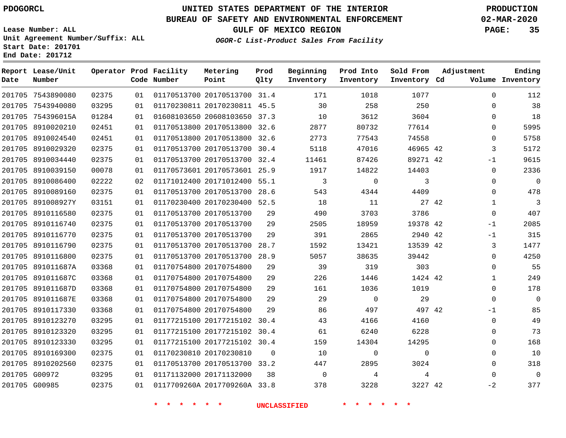**Prod**

#### **BUREAU OF SAFETY AND ENVIRONMENTAL ENFORCEMENT 02-MAR-2020**

**Lease Number: ALL Unit Agreement Number/Suffix: ALL Start Date: 201701**

**End Date: 201712**

**Report Lease/Unit**

**GULF OF MEXICO REGION PAGE: 35**

**Adjustment**

**Ending**

**OGOR-C List-Product Sales From Facility**

**Beginning Prod Into Sold From**

| Date | Number            |       |    | Code Number | Point                        | Qlty     | Inventory   | Inventory   | Inventory Cd |              | Volume Inventory |
|------|-------------------|-------|----|-------------|------------------------------|----------|-------------|-------------|--------------|--------------|------------------|
|      | 201705 7543890080 | 02375 | 01 |             | 01170513700 20170513700 31.4 |          | 171         | 1018        | 1077         | $\Omega$     | 112              |
|      | 201705 7543940080 | 03295 | 01 |             | 01170230811 20170230811 45.5 |          | 30          | 258         | 250          | $\mathbf 0$  | 38               |
|      | 201705 754396015A | 01284 | 01 |             | 01608103650 20608103650 37.3 |          | 10          | 3612        | 3604         | $\mathbf 0$  | 18               |
|      | 201705 8910020210 | 02451 | 01 |             | 01170513800 20170513800      | 32.6     | 2877        | 80732       | 77614        | $\Omega$     | 5995             |
|      | 201705 8910024540 | 02451 | 01 |             | 01170513800 20170513800      | 32.6     | 2773        | 77543       | 74558        | 0            | 5758             |
|      | 201705 8910029320 | 02375 | 01 |             | 01170513700 20170513700 30.4 |          | 5118        | 47016       | 46965 42     | 3            | 5172             |
|      | 201705 8910034440 | 02375 | 01 |             | 01170513700 20170513700      | 32.4     | 11461       | 87426       | 89271 42     | $-1$         | 9615             |
|      | 201705 8910039150 | 00078 | 01 |             | 01170573601 20170573601 25.9 |          | 1917        | 14822       | 14403        | $\mathbf 0$  | 2336             |
|      | 201705 8910086400 | 02222 | 02 |             | 01171012400 20171012400      | 55.1     | 3           | $\Omega$    | 3            | $\Omega$     | $\overline{0}$   |
|      | 201705 8910089160 | 02375 | 01 |             | 01170513700 20170513700 28.6 |          | 543         | 4344        | 4409         | $\Omega$     | 478              |
|      | 201705 891008927Y | 03151 | 01 |             | 01170230400 20170230400 52.5 |          | 18          | 11          | 27 42        | $\mathbf 1$  | $\mathbf{3}$     |
|      | 201705 8910116580 | 02375 | 01 |             | 01170513700 20170513700      | 29       | 490         | 3703        | 3786         | $\mathbf 0$  | 407              |
|      | 201705 8910116740 | 02375 | 01 |             | 01170513700 20170513700      | 29       | 2505        | 18959       | 19378 42     | $-1$         | 2085             |
|      | 201705 8910116770 | 02375 | 01 |             | 01170513700 20170513700      | 29       | 391         | 2865        | 2940 42      | $-1$         | 315              |
|      | 201705 8910116790 | 02375 | 01 |             | 01170513700 20170513700      | 28.7     | 1592        | 13421       | 13539 42     | 3            | 1477             |
|      | 201705 8910116800 | 02375 | 01 |             | 01170513700 20170513700      | 28.9     | 5057        | 38635       | 39442        | $\mathbf 0$  | 4250             |
|      | 201705 891011687A | 03368 | 01 |             | 01170754800 20170754800      | 29       | 39          | 319         | 303          | 0            | 55               |
|      | 201705 891011687C | 03368 | 01 |             | 01170754800 20170754800      | 29       | 226         | 1446        | 1424 42      | $\mathbf 1$  | 249              |
|      | 201705 891011687D | 03368 | 01 |             | 01170754800 20170754800      | 29       | 161         | 1036        | 1019         | $\Omega$     | 178              |
|      | 201705 891011687E | 03368 | 01 |             | 01170754800 20170754800      | 29       | 29          | $\mathbf 0$ | 29           | $\Omega$     | $\overline{0}$   |
|      | 201705 8910117330 | 03368 | 01 |             | 01170754800 20170754800      | 29       | 86          | 497         | 497 42       | $-1$         | 85               |
|      | 201705 8910123270 | 03295 | 01 |             | 01177215100 20177215102      | 30.4     | 43          | 4166        | 4160         | $\Omega$     | 49               |
|      | 201705 8910123320 | 03295 | 01 |             | 01177215100 20177215102 30.4 |          | 61          | 6240        | 6228         | $\mathbf 0$  | 73               |
|      | 201705 8910123330 | 03295 | 01 |             | 01177215100 20177215102 30.4 |          | 159         | 14304       | 14295        | 0            | 168              |
|      | 201705 8910169300 | 02375 | 01 |             | 01170230810 20170230810      | $\Omega$ | 10          | 0           | $\mathbf 0$  | $\mathbf 0$  | 10               |
|      | 201705 8910202560 | 02375 | 01 |             | 01170513700 20170513700 33.2 |          | 447         | 2895        | 3024         | $\mathbf{0}$ | 318              |
|      | 201705 G00972     | 03295 | 01 |             | 01171132000 20171132000      | 38       | $\mathbf 0$ | 4           | 4            | $\Omega$     | $\Omega$         |
|      | 201705 G00985     | 02375 | 01 |             | 0117709260A 2017709260A 33.8 |          | 378         | 3228        | 3227 42      | $-2$         | 377              |

**\* \* \* \* \* \* UNCLASSIFIED \* \* \* \* \* \***

**Operator Prod Facility Metering**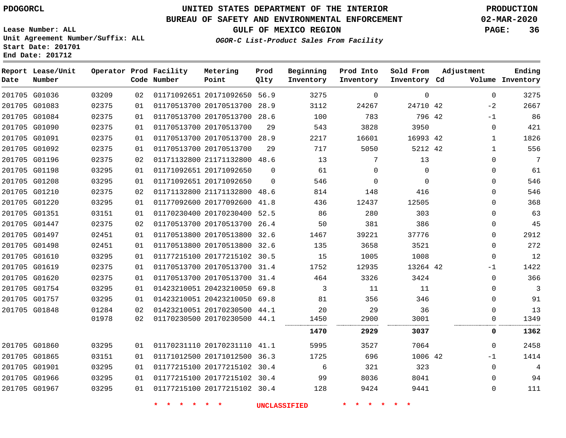# **UNITED STATES DEPARTMENT OF THE INTERIOR PDOGORCL PRODUCTION**

### **BUREAU OF SAFETY AND ENVIRONMENTAL ENFORCEMENT 02-MAR-2020**

**Lease Number: ALL Unit Agreement Number/Suffix: ALL Start Date: 201701**

## **GULF OF MEXICO REGION PAGE: 36**

**OGOR-C List-Product Sales From Facility**

| Date | Report Lease/Unit<br>Number |       |    | Operator Prod Facility<br>Code Number | Metering<br>Point            | Prod<br>Qlty | Beginning<br>Inventory | Prod Into<br>Inventory | Sold From<br>Inventory Cd | Adjustment |              | Ending<br>Volume Inventory |
|------|-----------------------------|-------|----|---------------------------------------|------------------------------|--------------|------------------------|------------------------|---------------------------|------------|--------------|----------------------------|
|      | 201705 G01036               | 03209 | 02 |                                       | 01171092651 20171092650      | 56.9         | 3275                   | $\Omega$               | $\mathbf 0$               |            | $\mathbf 0$  | 3275                       |
|      | 201705 G01083               | 02375 | 01 |                                       | 01170513700 20170513700 28.9 |              | 3112                   | 24267                  | 24710 42                  |            | $-2$         | 2667                       |
|      | 201705 G01084               | 02375 | 01 |                                       | 01170513700 20170513700      | 28.6         | 100                    | 783                    | 796 42                    |            | $-1$         | 86                         |
|      | 201705 G01090               | 02375 | 01 |                                       | 01170513700 20170513700      | 29           | 543                    | 3828                   | 3950                      |            | $\mathbf 0$  | 421                        |
|      | 201705 G01091               | 02375 | 01 |                                       | 01170513700 20170513700      | 28.9         | 2217                   | 16601                  | 16993 42                  |            | 1            | 1826                       |
|      | 201705 G01092               | 02375 | 01 |                                       | 01170513700 20170513700      | 29           | 717                    | 5050                   | 5212 42                   |            | $\mathbf{1}$ | 556                        |
|      | 201705 G01196               | 02375 | 02 |                                       | 01171132800 21171132800 48.6 |              | 13                     | 7                      | 13                        |            | $\mathbf 0$  | 7                          |
|      | 201705 G01198               | 03295 | 01 |                                       | 01171092651 20171092650      | $\Omega$     | 61                     | $\Omega$               | $\Omega$                  |            | $\mathbf 0$  | 61                         |
|      | 201705 G01208               | 03295 | 01 |                                       | 01171092651 20171092650      | $\Omega$     | 546                    | $\mathbf 0$            | $\Omega$                  |            | $\mathbf 0$  | 546                        |
|      | 201705 G01210               | 02375 | 02 |                                       | 01171132800 21171132800      | 48.6         | 814                    | 148                    | 416                       |            | $\Omega$     | 546                        |
|      | 201705 G01220               | 03295 | 01 |                                       | 01177092600 20177092600      | 41.8         | 436                    | 12437                  | 12505                     |            | $\mathbf 0$  | 368                        |
|      | 201705 G01351               | 03151 | 01 |                                       | 01170230400 20170230400 52.5 |              | 86                     | 280                    | 303                       |            | $\mathbf 0$  | 63                         |
|      | 201705 G01447               | 02375 | 02 |                                       | 01170513700 20170513700      | 26.4         | 50                     | 381                    | 386                       |            | $\mathbf 0$  | 45                         |
|      | 201705 G01497               | 02451 | 01 |                                       | 01170513800 20170513800 32.6 |              | 1467                   | 39221                  | 37776                     |            | $\Omega$     | 2912                       |
|      | 201705 G01498               | 02451 | 01 |                                       | 01170513800 20170513800      | 32.6         | 135                    | 3658                   | 3521                      |            | $\mathbf 0$  | 272                        |
|      | 201705 G01610               | 03295 | 01 |                                       | 01177215100 20177215102 30.5 |              | 15                     | 1005                   | 1008                      |            | 0            | 12                         |
|      | 201705 G01619               | 02375 | 01 |                                       | 01170513700 20170513700 31.4 |              | 1752                   | 12935                  | 13264 42                  |            | $-1$         | 1422                       |
|      | 201705 G01620               | 02375 | 01 |                                       | 01170513700 20170513700      | 31.4         | 464                    | 3326                   | 3424                      |            | 0            | 366                        |
|      | 201705 G01754               | 03295 | 01 |                                       | 01423210051 20423210050 69.8 |              | 3                      | 11                     | 11                        |            | $\Omega$     | 3                          |
|      | 201705 G01757               | 03295 | 01 |                                       | 01423210051 20423210050 69.8 |              | 81                     | 356                    | 346                       |            | $\mathbf 0$  | 91                         |
|      | 201705 G01848               | 01284 | 02 |                                       | 01423210051 20170230500      | 44.1         | 20                     | 29                     | 36                        |            | $\mathbf 0$  | 13                         |
|      |                             | 01978 | 02 |                                       | 01170230500 20170230500 44.1 |              | 1450                   | 2900                   | 3001                      |            | 0            | 1349                       |
|      |                             |       |    |                                       |                              |              | 1470                   | 2929                   | 3037                      |            | 0            | 1362                       |
|      | 201705 G01860               | 03295 | 01 |                                       | 01170231110 20170231110 41.1 |              | 5995                   | 3527                   | 7064                      |            | $\mathbf 0$  | 2458                       |
|      | 201705 G01865               | 03151 | 01 |                                       | 01171012500 20171012500 36.3 |              | 1725                   | 696                    | 1006 42                   |            | $-1$         | 1414                       |
|      | 201705 G01901               | 03295 | 01 |                                       | 01177215100 20177215102 30.4 |              | 6                      | 321                    | 323                       |            | $\mathbf 0$  | $\overline{4}$             |
|      | 201705 G01966               | 03295 | 01 |                                       | 01177215100 20177215102 30.4 |              | 99                     | 8036                   | 8041                      |            | $\Omega$     | 94                         |
|      | 201705 G01967               | 03295 | 01 |                                       | 01177215100 20177215102 30.4 |              | 128                    | 9424                   | 9441                      |            | $\Omega$     | 111                        |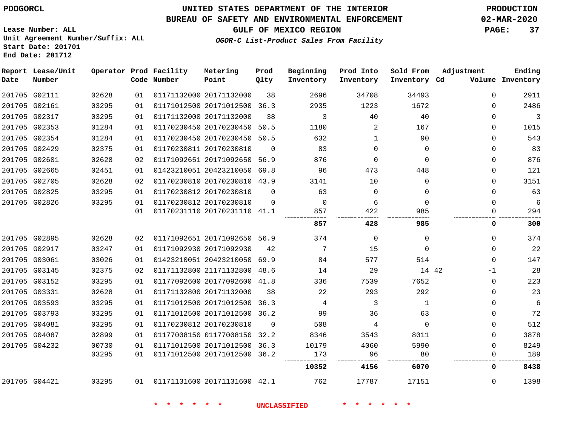### **UNITED STATES DEPARTMENT OF THE INTERIOR PDOGORCL PRODUCTION**

#### **BUREAU OF SAFETY AND ENVIRONMENTAL ENFORCEMENT 02-MAR-2020**

**Lease Number: ALL Unit Agreement Number/Suffix: ALL Start Date: 201701 End Date: 201712**

**GULF OF MEXICO REGION PAGE: 37**

**OGOR-C List-Product Sales From Facility**

| Date | Report Lease/Unit<br>Number |       |    | Operator Prod Facility<br>Code Number | Metering<br>Point            | Prod<br>Qlty | Beginning<br>Inventory | Prod Into<br>Inventory | Sold From<br>Inventory Cd | Adjustment   | Ending<br>Volume Inventory |
|------|-----------------------------|-------|----|---------------------------------------|------------------------------|--------------|------------------------|------------------------|---------------------------|--------------|----------------------------|
|      | 201705 G02111               | 02628 | 01 |                                       | 01171132000 20171132000      | 38           | 2696                   | 34708                  | 34493                     | $\Omega$     | 2911                       |
|      | 201705 G02161               | 03295 | 01 |                                       | 01171012500 20171012500 36.3 |              | 2935                   | 1223                   | 1672                      | $\Omega$     | 2486                       |
|      | 201705 G02317               | 03295 | 01 |                                       | 01171132000 20171132000      | 38           | 3                      | 40                     | 40                        | $\Omega$     | 3                          |
|      | 201705 G02353               | 01284 | 01 |                                       | 01170230450 20170230450      | 50.5         | 1180                   | 2                      | 167                       | 0            | 1015                       |
|      | 201705 G02354               | 01284 | 01 |                                       | 01170230450 20170230450      | 50.5         | 632                    | 1                      | 90                        | $\Omega$     | 543                        |
|      | 201705 G02429               | 02375 | 01 |                                       | 01170230811 20170230810      | $\Omega$     | 83                     | $\mathbf 0$            | $\mathbf 0$               | $\Omega$     | 83                         |
|      | 201705 G02601               | 02628 | 02 |                                       | 01171092651 20171092650      | 56.9         | 876                    | $\mathbf 0$            | $\Omega$                  | 0            | 876                        |
|      | 201705 G02665               | 02451 | 01 |                                       | 01423210051 20423210050 69.8 |              | 96                     | 473                    | 448                       | 0            | 121                        |
|      | 201705 G02705               | 02628 | 02 |                                       | 01170230810 20170230810 43.9 |              | 3141                   | 10                     | $\Omega$                  | 0            | 3151                       |
|      | 201705 G02825               | 03295 | 01 |                                       | 01170230812 20170230810      | $\Omega$     | 63                     | $\mathbf 0$            | $\Omega$                  | $\Omega$     | 63                         |
|      | 201705 G02826               | 03295 | 01 |                                       | 01170230812 20170230810      | $\Omega$     | $\Omega$               | 6                      | $\Omega$                  | $\Omega$     | 6                          |
|      |                             |       | 01 |                                       | 01170231110 20170231110 41.1 |              | 857                    | 422                    | 985                       | $\Omega$     | 294                        |
|      |                             |       |    |                                       |                              |              | 857                    | 428                    | 985                       | 0            | 300                        |
|      | 201705 G02895               | 02628 | 02 |                                       | 01171092651 20171092650 56.9 |              | 374                    | $\mathbf 0$            | 0                         | $\mathbf 0$  | 374                        |
|      | 201705 G02917               | 03247 | 01 |                                       | 01171092930 20171092930      | 42           | 7                      | 15                     | $\Omega$                  | $\Omega$     | 22                         |
|      | 201705 G03061               | 03026 | 01 |                                       | 01423210051 20423210050 69.9 |              | 84                     | 577                    | 514                       | $\Omega$     | 147                        |
|      | 201705 G03145               | 02375 | 02 |                                       | 01171132800 21171132800 48.6 |              | 14                     | 29                     | 14 42                     | $-1$         | 28                         |
|      | 201705 G03152               | 03295 | 01 |                                       | 01177092600 20177092600 41.8 |              | 336                    | 7539                   | 7652                      | $\mathbf 0$  | 223                        |
|      | 201705 G03331               | 02628 | 01 |                                       | 01171132800 20171132000      | 38           | 22                     | 293                    | 292                       | $\Omega$     | 23                         |
|      | 201705 G03593               | 03295 | 01 |                                       | 01171012500 20171012500 36.3 |              | 4                      | 3                      | 1                         | $\Omega$     | 6                          |
|      | 201705 G03793               | 03295 | 01 |                                       | 01171012500 20171012500 36.2 |              | 99                     | 36                     | 63                        | 0            | 72                         |
|      | 201705 G04081               | 03295 | 01 |                                       | 01170230812 20170230810      | $\Omega$     | 508                    | 4                      | $\Omega$                  | $\Omega$     | 512                        |
|      | 201705 G04087               | 02899 | 01 |                                       | 01177008150 01177008150      | 32.2         | 8346                   | 3543                   | 8011                      | $\mathbf{0}$ | 3878                       |
|      | 201705 G04232               | 00730 | 01 |                                       | 01171012500 20171012500 36.3 |              | 10179                  | 4060                   | 5990                      | $\Omega$     | 8249                       |
|      |                             | 03295 | 01 |                                       | 01171012500 20171012500 36.2 |              | 173                    | 96                     | 80                        | $\Omega$     | 189                        |
|      |                             |       |    |                                       |                              |              | 10352                  | 4156                   | 6070                      | 0            | 8438                       |
|      | 201705 G04421               | 03295 | 01 |                                       | 01171131600 20171131600 42.1 |              | 762                    | 17787                  | 17151                     | $\Omega$     | 1398                       |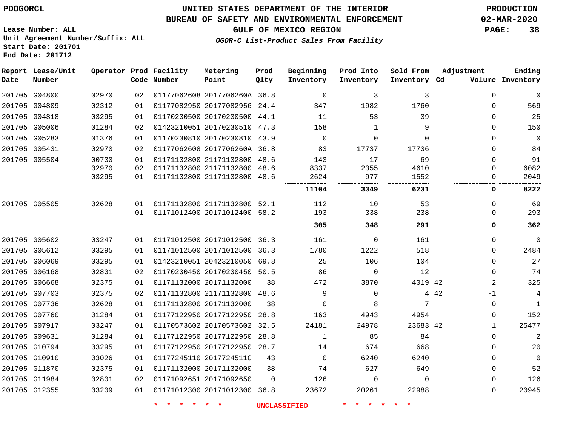**Date**

**End Date: 201712**

**Report Lease/Unit**

**Number**

### **UNITED STATES DEPARTMENT OF THE INTERIOR PDOGORCL PRODUCTION**

#### **BUREAU OF SAFETY AND ENVIRONMENTAL ENFORCEMENT 02-MAR-2020**

**Lease Number: ALL Unit Agreement Number/Suffix: ALL Start Date: 201701**

**Operator Prod Facility**

**Code Number**

**Metering Point**

**Prod Qlty**

**GULF OF MEXICO REGION PAGE: 38**

**Inventory Cd Volume**

**Adjustment**

**Ending**

**OGOR-C List-Product Sales From Facility**

**Beginning Inventory** **Prod Into Inventory** **Sold From Inventory**

|               | 201705 G04800 | 02970 | 02  | 01177062608 2017706260A 36.8 |          | $\Omega$ | 3            | 3        | 0           | $\mathbf 0$ |
|---------------|---------------|-------|-----|------------------------------|----------|----------|--------------|----------|-------------|-------------|
|               | 201705 G04809 | 02312 | 01  | 01177082950 20177082956      | 24.4     | 347      | 1982         | 1760     | 0           | 569         |
|               | 201705 G04818 | 03295 | 01  | 01170230500 20170230500 44.1 |          | 11       | 53           | 39       | 0           | 25          |
|               | 201705 G05006 | 01284 | 02  | 01423210051 20170230510 47.3 |          | 158      | $\mathbf{1}$ | 9        | 0           | 150         |
|               | 201705 G05283 | 01376 | 01  | 01170230810 20170230810      | 43.9     | 0        | $\Omega$     | $\Omega$ | $\Omega$    | $\mathbf 0$ |
|               | 201705 G05431 | 02970 | 02  | 01177062608 2017706260A 36.8 |          | 83       | 17737        | 17736    | $\Omega$    | 84          |
|               | 201705 G05504 | 00730 | 01  | 01171132800 21171132800      | 48.6     | 143      | 17           | 69       | $\Omega$    | 91          |
|               |               | 02970 | 02  | 01171132800 21171132800      | 48.6     | 8337     | 2355         | 4610     | 0           | 6082        |
|               |               | 03295 | 01  | 01171132800 21171132800 48.6 |          | 2624     | 977          | 1552     | 0           | 2049        |
|               |               |       |     |                              |          | 11104    | 3349         | 6231     | 0           | 8222        |
|               | 201705 G05505 | 02628 | O 1 | 01171132800 21171132800 52.1 |          | 112      | 10           | 53       | 0           | 69          |
|               |               |       | 01  | 01171012400 20171012400 58.2 |          | 193      | 338          | 238      | ∩           | 293         |
|               |               |       |     |                              |          | 305      | 348          | 291      | 0           | 362         |
|               | 201705 G05602 | 03247 | 01  | 01171012500 20171012500 36.3 |          | 161      | $\Omega$     | 161      | $\Omega$    | $\mathbf 0$ |
|               | 201705 G05612 | 03295 | 01  | 01171012500 20171012500      | 36.3     | 1780     | 1222         | 518      | 0           | 2484        |
|               | 201705 G06069 | 03295 | 01  | 01423210051 20423210050      | 69.8     | 25       | 106          | 104      | 0           | 27          |
|               | 201705 G06168 | 02801 | 02  | 01170230450 20170230450      | 50.5     | 86       | $\Omega$     | 12       | $\Omega$    | 74          |
| 201705 G06668 |               | 02375 | 01  | 01171132000 20171132000      | 38       | 472      | 3870         | 4019 42  | 2           | 325         |
|               | 201705 G07703 | 02375 | 02  | 01171132800 21171132800      | 48.6     | 9        | 0            |          | 4 4 2<br>-1 | 4           |
|               | 201705 G07736 | 02628 | 01  | 01171132800 20171132000      | 38       | $\Omega$ | 8            | 7        | $\Omega$    | 1           |
|               | 201705 G07760 | 01284 | 01  | 01177122950 20177122950      | 28.8     | 163      | 4943         | 4954     | 0           | 152         |
|               | 201705 G07917 | 03247 | 01  | 01170573602 20170573602      | 32.5     | 24181    | 24978        | 23683 42 | 1           | 25477       |
| 201705 G09631 |               | 01284 | 01  | 01177122950 20177122950      | 28.8     | 1        | 85           | 84       | $\Omega$    | 2           |
|               | 201705 G10794 | 03295 | 01  | 01177122950 20177122950      | 28.7     | 14       | 674          | 668      | 0           | 20          |
|               | 201705 G10910 | 03026 | 01  | 01177245110 2017724511G      | 43       | 0        | 6240         | 6240     | 0           | 0           |
|               | 201705 G11870 | 02375 | 01  | 01171132000 20171132000      | 38       | 74       | 627          | 649      | 0           | 52          |
|               | 201705 G11984 | 02801 | 02  | 01171092651 20171092650      | $\Omega$ | 126      | $\Omega$     | $\Omega$ | 0           | 126         |
|               | 201705 G12355 | 03209 | 01  | 01171012300 20171012300      | 36.8     | 23672    | 20261        | 22988    | $\Omega$    | 20945       |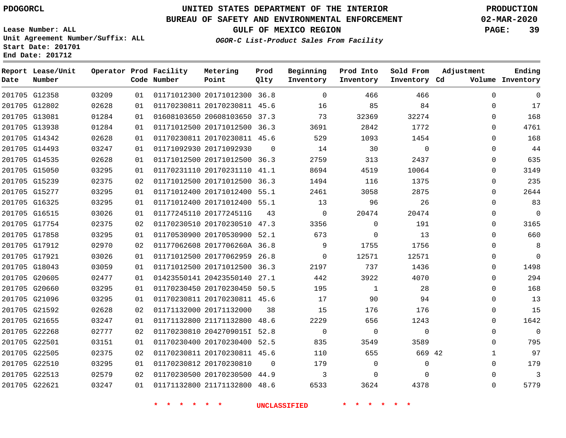**Date**

**Report Lease/Unit**

**Number**

### **UNITED STATES DEPARTMENT OF THE INTERIOR PDOGORCL PRODUCTION**

**Prod Qlty**

#### **BUREAU OF SAFETY AND ENVIRONMENTAL ENFORCEMENT 02-MAR-2020**

**Lease Number: ALL Unit Agreement Number/Suffix: ALL Start Date: 201701 End Date: 201712**

**Operator Prod Facility**

**Code Number**

**OGOR-C List-Product Sales From Facility**

**Beginning Inventory** **Prod Into Inventory** **Sold From Inventory**

**GULF OF MEXICO REGION PAGE: 39**

**Inventory Cd Volume**

**Adjustment**

  $\Omega$   $\Omega$  $\Omega$   $\Omega$  $\Omega$  $\overline{0}$  $\overline{0}$  $\overline{0}$  $\Omega$  $\overline{0}$  $\Omega$  $\Omega$  

**Ending**

| 201705 G12802 02628 |       |    |  | 01 01170230811 20170230811 45.6 16 35 84                                                                     |                |  |
|---------------------|-------|----|--|--------------------------------------------------------------------------------------------------------------|----------------|--|
| 201705 G13081       | 01284 |    |  | 01 01608103650 20608103650 37.3 73 32369                                                                     | 32274          |  |
| 201705 G13938       | 01284 |    |  | $01 \quad 01171012500 \quad 20171012500 \quad 36.3 \qquad \qquad 3691 \qquad \qquad 2842 \qquad \qquad 1772$ |                |  |
| 201705 G14342       | 02628 |    |  | 01 01170230811 20170230811 45.6 529 1093 1454                                                                |                |  |
| 201705 G14493       | 03247 |    |  | 01 01171092930 20171092930 0 14 30                                                                           | $\overline{0}$ |  |
| 201705 G14535       | 02628 |    |  | 01 01171012500 20171012500 36.3 2759 313 2437                                                                |                |  |
| 201705 G15050       | 03295 |    |  | 01 01170231110 20170231110 41.1 8694 4519                                                                    | 10064          |  |
| 201705 G15239       | 02375 |    |  | 02 01171012500 20171012500 36.3 1494 116 1375                                                                |                |  |
| 201705 G15277       | 03295 | 01 |  | 01171012400 20171012400 55.1 2461 3058 2875                                                                  |                |  |
| 201705 G16325       | 03295 |    |  | 01 01171012400 20171012400 55.1 13 96 26                                                                     |                |  |
| 201705 G16515       | 03026 |    |  | $01 \quad 01177245110 \quad 2017724511G \qquad 43 \qquad \qquad 0 \qquad \qquad 20474 \qquad \qquad 20474$   |                |  |
| 201705 G17754       | 02375 |    |  | 02 01170230510 20170230510 47.3 3356 0                                                                       | 191            |  |
| 201705 G17858       | 03295 | 01 |  | 01170530900 20170530900 52.1 673 0                                                                           | 13             |  |
| 201705 G17912       | 02970 |    |  | 02 01177062608 2017706260A 36.8 9 1755 1756                                                                  |                |  |
| 201705 G17921       | 03026 |    |  | 01 01171012500 20177062959 26.8 0 12571                                                                      | 12571          |  |
| 201705 G18043       | 03059 |    |  | $01 \quad 01171012500 \quad 20171012500 \quad 36.3 \qquad \qquad 2197 \qquad \qquad 737 \qquad \qquad 1436$  |                |  |
| 201705 G20605       | 02477 |    |  | $01 \quad 01423550141 \quad 20423550140 \quad 27.1 \qquad \qquad 442 \qquad \qquad 3922 \qquad \qquad 4070$  |                |  |
| 201705 G20660       | 03295 |    |  | 01 01170230450 20170230450 50.5 195 1                                                                        | 28             |  |
| 201705 G21096       | 03295 |    |  | 01 01170230811 20170230811 45.6 17 90 94                                                                     |                |  |
| 201705 G21592       | 02628 |    |  | $02 \quad 01171132000 \quad 20171132000 \qquad 38 \qquad \qquad 15 \qquad \qquad 176 \qquad \qquad 176$      |                |  |
| 201705 G21655       | 03247 |    |  | 01  01171132800  21171132800  48.6  2229  656  1243                                                          |                |  |
| 201705 G22268       | 02777 |    |  | 02 01170230810 20427090151 52.8 0                                                                            | $\overline{0}$ |  |
| 201705 G22501       | 03151 |    |  | 01 01170230400 20170230400 52.5 835 3549 3589                                                                |                |  |
| 201705 G22505       | 02375 |    |  | 02 01170230811 20170230811 45.6 110 655 669 42                                                               |                |  |
| 201705 G22510       | 03295 |    |  | 01 01170230812 20170230810 0 179 0 0                                                                         | $\overline{0}$ |  |
| 201705 G22513 02579 |       |    |  | 02 01170230500 20170230500 44.9 3 0                                                                          | $\overline{0}$ |  |
| 201705 G22621 03247 |       |    |  | 01 01171132800 21171132800 48.6 6533 3624 4378                                                               |                |  |
|                     |       |    |  | * * * * * * UNCLASSIFIED * * * * * *                                                                         |                |  |

**Metering Point**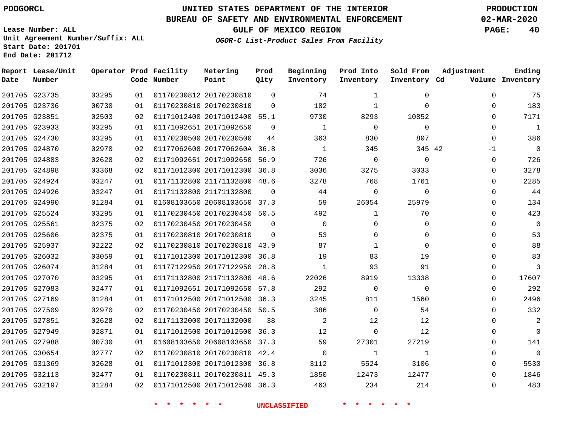### **UNITED STATES DEPARTMENT OF THE INTERIOR PDOGORCL PRODUCTION**

### **BUREAU OF SAFETY AND ENVIRONMENTAL ENFORCEMENT 02-MAR-2020**

**Lease Number: ALL Unit Agreement Number/Suffix: ALL Start Date: 201701**

**GULF OF MEXICO REGION PAGE: 40**

**OGOR-C List-Product Sales From Facility**

| Date          | Report Lease/Unit<br>Number |       |    | Operator Prod Facility<br>Code Number | Metering<br>Point            | Prod<br>Qlty | Beginning<br>Inventory | Prod Into<br>Inventory | Sold From<br>Inventory Cd | Adjustment  | Ending<br>Volume Inventory |
|---------------|-----------------------------|-------|----|---------------------------------------|------------------------------|--------------|------------------------|------------------------|---------------------------|-------------|----------------------------|
|               | 201705 G23735               | 03295 | 01 |                                       | 01170230812 20170230810      | $\Omega$     | 74                     | $\mathbf{1}$           | $\Omega$                  | $\Omega$    | 75                         |
| 201705 G23736 |                             | 00730 | 01 |                                       | 01170230810 20170230810      | $\Omega$     | 182                    | $\mathbf{1}$           | $\Omega$                  | $\Omega$    | 183                        |
|               | 201705 G23851               | 02503 | 02 |                                       | 01171012400 20171012400 55.1 |              | 9730                   | 8293                   | 10852                     | $\Omega$    | 7171                       |
| 201705 G23933 |                             | 03295 | 01 |                                       | 01171092651 20171092650      | $\Omega$     | 1                      | $\Omega$               | $\Omega$                  | $\Omega$    | $\mathbf{1}$               |
|               | 201705 G24730               | 03295 | 01 |                                       | 01170230500 20170230500      | 44           | 363                    | 830                    | 807                       | $\Omega$    | 386                        |
|               | 201705 G24870               | 02970 | 02 |                                       | 01177062608 2017706260A 36.8 |              | 1                      | 345                    | 345 42                    | $-1$        | $\Omega$                   |
| 201705 G24883 |                             | 02628 | 02 |                                       | 01171092651 20171092650 56.9 |              | 726                    | $\overline{0}$         | $\mathbf{0}$              | $\mathbf 0$ | 726                        |
|               | 201705 G24898               | 03368 | 02 |                                       | 01171012300 20171012300 36.8 |              | 3036                   | 3275                   | 3033                      | $\Omega$    | 3278                       |
| 201705 G24924 |                             | 03247 | 01 |                                       | 01171132800 21171132800 48.6 |              | 3278                   | 768                    | 1761                      | $\Omega$    | 2285                       |
| 201705 G24926 |                             | 03247 | 01 |                                       | 01171132800 21171132800      | $\Omega$     | 44                     | $\Omega$               | $\Omega$                  | $\Omega$    | 44                         |
|               | 201705 G24990               | 01284 | 01 |                                       | 01608103650 20608103650 37.3 |              | 59                     | 26054                  | 25979                     | $\Omega$    | 134                        |
| 201705 G25524 |                             | 03295 | 01 |                                       | 01170230450 20170230450 50.5 |              | 492                    | $\mathbf{1}$           | 70                        | $\Omega$    | 423                        |
|               | 201705 G25561               | 02375 | 02 |                                       | 01170230450 20170230450      | $\Omega$     | $\Omega$               | $\Omega$               | $\Omega$                  | $\Omega$    | $\mathbf 0$                |
|               | 201705 G25606               | 02375 | 01 |                                       | 01170230810 20170230810      | $\Omega$     | 53                     | $\Omega$               | $\Omega$                  | $\Omega$    | 53                         |
| 201705 G25937 |                             | 02222 | 02 |                                       | 01170230810 20170230810 43.9 |              | 87                     | 1                      | $\Omega$                  | $\Omega$    | 88                         |
|               | 201705 G26032               | 03059 | 01 |                                       | 01171012300 20171012300 36.8 |              | 19                     | 83                     | 19                        | $\Omega$    | 83                         |
| 201705 G26074 |                             | 01284 | 01 |                                       | 01177122950 20177122950      | 28.8         | 1                      | 93                     | 91                        | $\Omega$    | 3                          |
|               | 201705 G27070               | 03295 | 01 |                                       | 01171132800 21171132800 48.6 |              | 22026                  | 8919                   | 13338                     | $\Omega$    | 17607                      |
| 201705 G27083 |                             | 02477 | 01 |                                       | 01171092651 20171092650 57.8 |              | 292                    | $\Omega$               | $\Omega$                  | $\Omega$    | 292                        |
|               | 201705 G27169               | 01284 | 01 |                                       | 01171012500 20171012500 36.3 |              | 3245                   | 811                    | 1560                      | $\Omega$    | 2496                       |
|               | 201705 G27509               | 02970 | 02 |                                       | 01170230450 20170230450 50.5 |              | 386                    | $\Omega$               | 54                        | $\Omega$    | 332                        |
|               | 201705 G27851               | 02628 | 02 |                                       | 01171132000 20171132000      | 38           | 2                      | 12                     | 12                        | $\Omega$    | 2                          |
| 201705 G27949 |                             | 02871 | 01 |                                       | 01171012500 20171012500 36.3 |              | 12                     | $\Omega$               | 12                        | $\Omega$    | $\Omega$                   |
| 201705 G27988 |                             | 00730 | 01 |                                       | 01608103650 20608103650 37.3 |              | 59                     | 27301                  | 27219                     | $\Omega$    | 141                        |
| 201705 G30654 |                             | 02777 | 02 |                                       | 01170230810 20170230810 42.4 |              | $\overline{0}$         | 1                      | 1                         | $\Omega$    | $\mathbf 0$                |
| 201705 G31369 |                             | 02628 | 01 |                                       | 01171012300 20171012300 36.8 |              | 3112                   | 5524                   | 3106                      | $\Omega$    | 5530                       |
|               | 201705 G32113               | 02477 | 01 |                                       | 01170230811 20170230811 45.3 |              | 1850                   | 12473                  | 12477                     | $\Omega$    | 1846                       |
|               | 201705 G32197               | 01284 | 02 |                                       | 01171012500 20171012500 36.3 |              | 463                    | 234                    | 214                       | $\Omega$    | 483                        |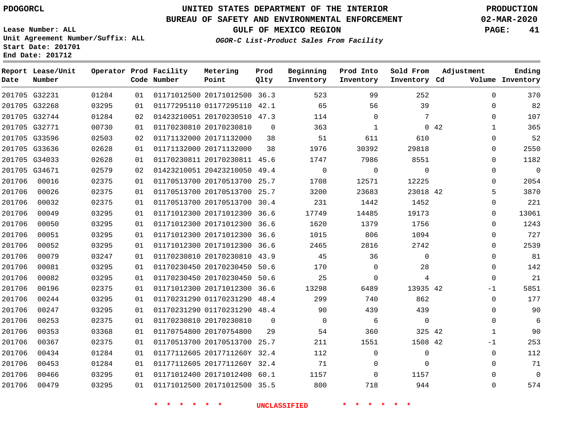**Lease Number: ALL**

**Start Date: 201701 End Date: 201712**

# **UNITED STATES DEPARTMENT OF THE INTERIOR PDOGORCL PRODUCTION**

### **BUREAU OF SAFETY AND ENVIRONMENTAL ENFORCEMENT 02-MAR-2020**

**Unit Agreement Number/Suffix: ALL**

**GULF OF MEXICO REGION PAGE: 41**

**OGOR-C List-Product Sales From Facility**

| Date   | Report Lease/Unit<br>Number |       |    | Operator Prod Facility<br>Code Number | Metering<br>Point            | Prod<br>Qlty | Beginning<br>Inventory | Prod Into<br>Inventory | Sold From<br>Inventory Cd | Adjustment           | Ending<br>Volume Inventory |
|--------|-----------------------------|-------|----|---------------------------------------|------------------------------|--------------|------------------------|------------------------|---------------------------|----------------------|----------------------------|
|        | 201705 G32231               | 01284 | 01 |                                       | 01171012500 20171012500 36.3 |              | 523                    | 99                     | 252                       | $\Omega$             | 370                        |
|        | 201705 G32268               | 03295 | 01 |                                       | 01177295110 01177295110 42.1 |              | 65                     | 56                     | 39                        | $\Omega$             | 82                         |
|        | 201705 G32744               | 01284 | 02 |                                       | 01423210051 20170230510 47.3 |              | 114                    | $\mathbf 0$            | 7                         | 0                    | 107                        |
|        | 201705 G32771               | 00730 | 01 |                                       | 01170230810 20170230810      | $\Omega$     | 363                    | 1                      |                           | 0.42<br>$\mathbf{1}$ | 365                        |
|        | 201705 G33596               | 02503 | 02 |                                       | 01171132000 20171132000      | 38           | 51                     | 611                    | 610                       | 0                    | 52                         |
|        | 201705 G33636               | 02628 | 01 |                                       | 01171132000 20171132000      | 38           | 1976                   | 30392                  | 29818                     | $\Omega$             | 2550                       |
|        | 201705 G34033               | 02628 | 01 |                                       | 01170230811 20170230811 45.6 |              | 1747                   | 7986                   | 8551                      | 0                    | 1182                       |
|        | 201705 G34671               | 02579 | 02 |                                       | 01423210051 20423210050 49.4 |              | $\mathbf 0$            | $\mathbf 0$            | $\Omega$                  | $\Omega$             | $\mathbf 0$                |
| 201706 | 00016                       | 02375 | 01 |                                       | 01170513700 20170513700 25.7 |              | 1708                   | 12571                  | 12225                     | $\Omega$             | 2054                       |
| 201706 | 00026                       | 02375 | 01 |                                       | 01170513700 20170513700 25.7 |              | 3200                   | 23683                  | 23018 42                  | 5                    | 3870                       |
| 201706 | 00032                       | 02375 | 01 |                                       | 01170513700 20170513700      | 30.4         | 231                    | 1442                   | 1452                      | $\mathbf{0}$         | 221                        |
| 201706 | 00049                       | 03295 | 01 |                                       | 01171012300 20171012300 36.6 |              | 17749                  | 14485                  | 19173                     | $\Omega$             | 13061                      |
| 201706 | 00050                       | 03295 | 01 |                                       | 01171012300 20171012300      | 36.6         | 1620                   | 1379                   | 1756                      | $\Omega$             | 1243                       |
| 201706 | 00051                       | 03295 | 01 |                                       | 01171012300 20171012300 36.6 |              | 1015                   | 806                    | 1094                      | 0                    | 727                        |
| 201706 | 00052                       | 03295 | 01 |                                       | 01171012300 20171012300      | 36.6         | 2465                   | 2816                   | 2742                      | $\Omega$             | 2539                       |
| 201706 | 00079                       | 03247 | 01 |                                       | 01170230810 20170230810      | 43.9         | 45                     | 36                     | $\mathbf 0$               | 0                    | 81                         |
| 201706 | 00081                       | 03295 | 01 |                                       | 01170230450 20170230450      | 50.6         | 170                    | $\Omega$               | 28                        | $\Omega$             | 142                        |
| 201706 | 00082                       | 03295 | 01 |                                       | 01170230450 20170230450      | 50.6         | 25                     | $\mathbf 0$            | 4                         | $\mathbf 0$          | 21                         |
| 201706 | 00196                       | 02375 | 01 |                                       | 01171012300 20171012300      | 36.6         | 13298                  | 6489                   | 13935 42                  | $-1$                 | 5851                       |
| 201706 | 00244                       | 03295 | 01 |                                       | 01170231290 01170231290      | 48.4         | 299                    | 740                    | 862                       | $\mathbf 0$          | 177                        |
| 201706 | 00247                       | 03295 | 01 |                                       | 01170231290 01170231290 48.4 |              | 90                     | 439                    | 439                       | $\Omega$             | 90                         |
| 201706 | 00253                       | 02375 | 01 |                                       | 01170230810 20170230810      | $\mathbf 0$  | $\mathbf 0$            | 6                      | $\overline{0}$            | 0                    | 6                          |
| 201706 | 00353                       | 03368 | 01 |                                       | 01170754800 20170754800      | 29           | 54                     | 360                    | 325 42                    | 1                    | 90                         |
| 201706 | 00367                       | 02375 | 01 |                                       | 01170513700 20170513700 25.7 |              | 211                    | 1551                   | 1508 42                   | $-1$                 | 253                        |
| 201706 | 00434                       | 01284 | 01 |                                       | 01177112605 2017711260Y 32.4 |              | 112                    | $\mathbf 0$            | $\mathbf 0$               | $\mathbf{0}$         | 112                        |
| 201706 | 00453                       | 01284 | 01 |                                       | 01177112605 2017711260Y 32.4 |              | 71                     | $\Omega$               | $\Omega$                  | $\Omega$             | 71                         |
| 201706 | 00466                       | 03295 | 01 |                                       | 01171012400 20171012400 60.1 |              | 1157                   | $\Omega$               | 1157                      | $\Omega$             | $\mathbf 0$                |
| 201706 | 00479                       | 03295 | 01 |                                       | 01171012500 20171012500 35.5 |              | 800                    | 718                    | 944                       | $\Omega$             | 574                        |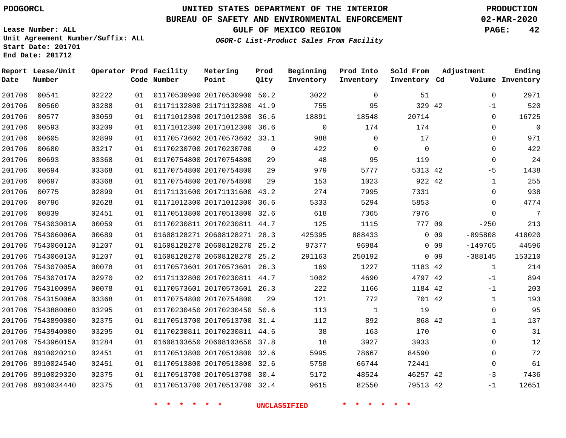**Report Lease/Unit**

**Number**

# **UNITED STATES DEPARTMENT OF THE INTERIOR PDOGORCL PRODUCTION**

**Prod Qlty**

#### **BUREAU OF SAFETY AND ENVIRONMENTAL ENFORCEMENT 02-MAR-2020**

**GULF OF MEXICO REGION PAGE: 42**

**Metering Point**

**Ending**

**Lease Number: ALL Unit Agreement Number/Suffix: ALL Start Date: 201701 End Date: 201712**

**Operator Prod Facility**

**OGOR-C List-Product Sales From Facility**

**Beginning Inventory** **Prod Into Inventory**

**Sold From Inventory**

**Adjustment**

| Date   | Number            |       |    | Code Number | Point                        | Qlty     | Inventory   | Inventory | Inventory Cd |                 |              | Volume Inventory |
|--------|-------------------|-------|----|-------------|------------------------------|----------|-------------|-----------|--------------|-----------------|--------------|------------------|
| 201706 | 00541             | 02222 | 01 |             | 01170530900 20170530900 50.2 |          | 3022        | $\Omega$  | 51           |                 | $\Omega$     | 2971             |
| 201706 | 00560             | 03288 | 01 |             | 01171132800 21171132800 41.9 |          | 755         | 95        | 329 42       |                 | $-1$         | 520              |
| 201706 | 00577             | 03059 | 01 |             | 01171012300 20171012300 36.6 |          | 18891       | 18548     | 20714        |                 | $\mathbf 0$  | 16725            |
| 201706 | 00593             | 03209 | 01 |             | 01171012300 20171012300 36.6 |          | $\mathbf 0$ | 174       | 174          |                 | $\mathbf 0$  | $\mathbf 0$      |
| 201706 | 00605             | 02899 | 01 |             | 01170573602 20170573602 33.1 |          | 988         | $\Omega$  | 17           |                 | $\Omega$     | 971              |
| 201706 | 00680             | 03217 | 01 |             | 01170230700 20170230700      | $\Omega$ | 422         | $\Omega$  | $\mathbf 0$  |                 | $\Omega$     | 422              |
| 201706 | 00693             | 03368 | 01 |             | 01170754800 20170754800      | 29       | 48          | 95        | 119          |                 | $\mathbf 0$  | 24               |
| 201706 | 00694             | 03368 | 01 |             | 01170754800 20170754800      | 29       | 979         | 5777      | 5313 42      |                 | $-5$         | 1438             |
| 201706 | 00697             | 03368 | 01 |             | 01170754800 20170754800      | 29       | 153         | 1023      | 922 42       |                 | 1            | 255              |
| 201706 | 00775             | 02899 | 01 |             | 01171131600 20171131600 43.2 |          | 274         | 7995      | 7331         |                 | $\mathbf 0$  | 938              |
| 201706 | 00796             | 02628 | 01 |             | 01171012300 20171012300 36.6 |          | 5333        | 5294      | 5853         |                 | $\mathbf 0$  | 4774             |
| 201706 | 00839             | 02451 | 01 |             | 01170513800 20170513800 32.6 |          | 618         | 7365      | 7976         |                 | $\mathbf{0}$ | 7                |
| 201706 | 754303001A        | 00059 | 01 |             | 01170230811 20170230811 44.7 |          | 125         | 1115      | 777 09       |                 | $-250$       | 213              |
| 201706 | 754306006A        | 00689 | 01 |             | 01608128271 20608128271      | 28.3     | 425395      | 888433    |              | 0 <sub>09</sub> | $-895808$    | 418020           |
| 201706 | 754306012A        | 01207 | 01 |             | 01608128270 20608128270      | 25.2     | 97377       | 96984     |              | 0 <sub>09</sub> | $-149765$    | 44596            |
| 201706 | 754306013A        | 01207 | 01 |             | 01608128270 20608128270      | 25.2     | 291163      | 250192    |              | 0.09            | $-388145$    | 153210           |
|        | 201706 754307005A | 00078 | 01 |             | 01170573601 20170573601 26.3 |          | 169         | 1227      | 1183 42      |                 | $\mathbf 1$  | 214              |
| 201706 | 754307017A        | 02970 | 02 |             | 01171132800 20170230811 44.7 |          | 1002        | 4690      | 4797 42      |                 | $-1$         | 894              |
| 201706 | 754310009A        | 00078 | 01 |             | 01170573601 20170573601 26.3 |          | 222         | 1166      | 1184 42      |                 | -1           | 203              |
|        | 201706 754315006A | 03368 | 01 |             | 01170754800 20170754800      | 29       | 121         | 772       | 701 42       |                 | $\mathbf{1}$ | 193              |
|        | 201706 7543880060 | 03295 | 01 |             | 01170230450 20170230450 50.6 |          | 113         | 1         | 19           |                 | $\mathbf 0$  | 95               |
| 201706 | 7543890080        | 02375 | 01 |             | 01170513700 20170513700      | 31.4     | 112         | 892       | 868 42       |                 | 1            | 137              |
| 201706 | 7543940080        | 03295 | 01 |             | 01170230811 20170230811 44.6 |          | 38          | 163       | 170          |                 | 0            | 31               |
| 201706 | 754396015A        | 01284 | 01 |             | 01608103650 20608103650 37.8 |          | 18          | 3927      | 3933         |                 | 0            | 12               |
| 201706 | 8910020210        | 02451 | 01 |             | 01170513800 20170513800      | 32.6     | 5995        | 78667     | 84590        |                 | $\Omega$     | 72               |
| 201706 | 8910024540        | 02451 | 01 |             | 01170513800 20170513800 32.6 |          | 5758        | 66744     | 72441        |                 | $\mathbf 0$  | 61               |
| 201706 | 8910029320        | 02375 | 01 |             | 01170513700 20170513700 30.4 |          | 5172        | 48524     | 46257 42     |                 | $-3$         | 7436             |
|        | 201706 8910034440 | 02375 | 01 |             | 01170513700 20170513700 32.4 |          | 9615        | 82550     | 79513 42     |                 | -1           | 12651            |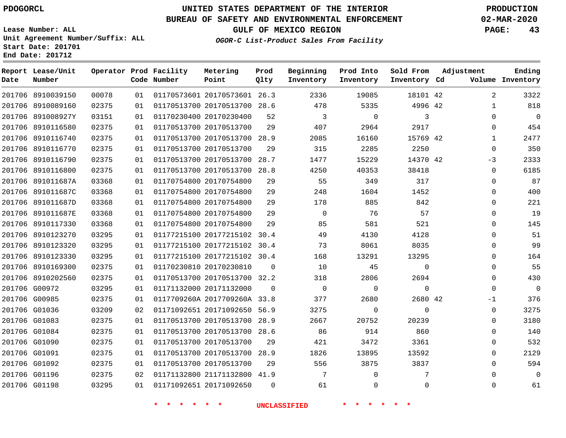# **UNITED STATES DEPARTMENT OF THE INTERIOR PDOGORCL PRODUCTION**

### **BUREAU OF SAFETY AND ENVIRONMENTAL ENFORCEMENT 02-MAR-2020**

**Lease Number: ALL Unit Agreement Number/Suffix: ALL Start Date: 201701**

**GULF OF MEXICO REGION PAGE: 43**

**OGOR-C List-Product Sales From Facility**

| Date   | Report Lease/Unit<br>Number |       |    | Operator Prod Facility<br>Code Number | Metering<br>Point            | Prod<br>Qlty | Beginning<br>Inventory | Prod Into<br>Inventory | Sold From<br>Inventory Cd | Adjustment | Ending<br>Volume Inventory |
|--------|-----------------------------|-------|----|---------------------------------------|------------------------------|--------------|------------------------|------------------------|---------------------------|------------|----------------------------|
|        | 201706 8910039150           | 00078 | 01 |                                       | 01170573601 20170573601 26.3 |              | 2336                   | 19085                  | 18101 42                  |            | 2<br>3322                  |
|        | 201706 8910089160           | 02375 | 01 |                                       | 01170513700 20170513700 28.6 |              | 478                    | 5335                   | 4996 42                   |            | 818<br>$\mathbf{1}$        |
|        | 201706 891008927Y           | 03151 | 01 |                                       | 01170230400 20170230400      | 52           | 3                      | $\mathbf 0$            | 3                         |            | $\mathbf 0$<br>$\Omega$    |
|        | 201706 8910116580           | 02375 | 01 |                                       | 01170513700 20170513700      | 29           | 407                    | 2964                   | 2917                      |            | 454<br>$\Omega$            |
|        | 201706 8910116740           | 02375 | 01 |                                       | 01170513700 20170513700 28.9 |              | 2085                   | 16160                  | 15769 42                  |            | 2477<br>$\mathbf 1$        |
|        | 201706 8910116770           | 02375 | 01 |                                       | 01170513700 20170513700      | 29           | 315                    | 2285                   | 2250                      |            | 350<br>$\Omega$            |
|        | 201706 8910116790           | 02375 | 01 |                                       | 01170513700 20170513700      | 28.7         | 1477                   | 15229                  | 14370 42                  | -3         | 2333                       |
|        | 201706 8910116800           | 02375 | 01 |                                       | 01170513700 20170513700      | 28.8         | 4250                   | 40353                  | 38418                     |            | 6185<br>$\Omega$           |
|        | 201706 891011687A           | 03368 | 01 |                                       | 01170754800 20170754800      | 29           | 55                     | 349                    | 317                       |            | 87<br>$\Omega$             |
|        | 201706 891011687C           | 03368 | 01 |                                       | 01170754800 20170754800      | 29           | 248                    | 1604                   | 1452                      |            | 400<br>0                   |
| 201706 | 891011687D                  | 03368 | 01 |                                       | 01170754800 20170754800      | 29           | 178                    | 885                    | 842                       |            | 221<br>$\Omega$            |
|        | 201706 891011687E           | 03368 | 01 |                                       | 01170754800 20170754800      | 29           | $\mathbf 0$            | 76                     | 57                        |            | 19<br>$\Omega$             |
|        | 201706 8910117330           | 03368 | 01 |                                       | 01170754800 20170754800      | 29           | 85                     | 581                    | 521                       |            | 145<br>$\Omega$            |
|        | 201706 8910123270           | 03295 | 01 |                                       | 01177215100 20177215102 30.4 |              | 49                     | 4130                   | 4128                      |            | 51<br>$\Omega$             |
|        | 201706 8910123320           | 03295 | 01 |                                       | 01177215100 20177215102 30.4 |              | 73                     | 8061                   | 8035                      |            | 99<br>$\Omega$             |
|        | 201706 8910123330           | 03295 | 01 |                                       | 01177215100 20177215102 30.4 |              | 168                    | 13291                  | 13295                     |            | 164<br>$\Omega$            |
|        | 201706 8910169300           | 02375 | 01 |                                       | 01170230810 20170230810      | 0            | 10                     | 45                     | 0                         |            | 55<br>$\Omega$             |
|        | 201706 8910202560           | 02375 | 01 |                                       | 01170513700 20170513700 32.2 |              | 318                    | 2806                   | 2694                      |            | 430<br>$\Omega$            |
|        | 201706 G00972               | 03295 | 01 |                                       | 01171132000 20171132000      | $\Omega$     | $\overline{0}$         | $\mathbf 0$            | $\mathbf 0$               |            | $\mathbf 0$<br>$\mathbf 0$ |
|        | 201706 G00985               | 02375 | 01 |                                       | 0117709260A 2017709260A 33.8 |              | 377                    | 2680                   | 2680 42                   | -1         | 376                        |
|        | 201706 G01036               | 03209 | 02 |                                       | 01171092651 20171092650 56.9 |              | 3275                   | $\Omega$               | $\Omega$                  |            | 3275<br>$\Omega$           |
|        | 201706 G01083               | 02375 | 01 |                                       | 01170513700 20170513700 28.9 |              | 2667                   | 20752                  | 20239                     |            | 3180<br>0                  |
|        | 201706 G01084               | 02375 | 01 |                                       | 01170513700 20170513700 28.6 |              | 86                     | 914                    | 860                       |            | 140<br>$\Omega$            |
|        | 201706 G01090               | 02375 | 01 |                                       | 01170513700 20170513700      | 29           | 421                    | 3472                   | 3361                      |            | 532<br>$\mathbf{0}$        |
|        | 201706 G01091               | 02375 | 01 |                                       | 01170513700 20170513700 28.9 |              | 1826                   | 13895                  | 13592                     |            | 2129<br>$\Omega$           |
|        | 201706 G01092               | 02375 | 01 |                                       | 01170513700 20170513700      | 29           | 556                    | 3875                   | 3837                      |            | $\mathbf 0$<br>594         |
|        | 201706 G01196               | 02375 | 02 |                                       | 01171132800 21171132800 41.9 |              | 7                      | $\Omega$               | 7                         |            | $\Omega$<br>$\mathbf 0$    |
|        | 201706 G01198               | 03295 | 01 |                                       | 01171092651 20171092650      | $\Omega$     | 61                     | $\Omega$               | $\Omega$                  |            | $\Omega$<br>61             |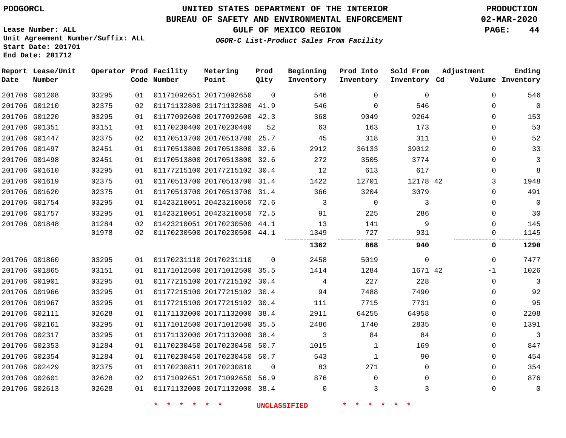**Lease Number: ALL**

# **UNITED STATES DEPARTMENT OF THE INTERIOR PDOGORCL PRODUCTION**

### **BUREAU OF SAFETY AND ENVIRONMENTAL ENFORCEMENT 02-MAR-2020**

**GULF OF MEXICO REGION PAGE: 44**

**Unit Agreement Number/Suffix: ALL Start Date: 201701 End Date: 201712**

| OGOR-C List-Product Sales From Facility |  |
|-----------------------------------------|--|
|-----------------------------------------|--|

| Date | Report Lease/Unit<br>Number |       |    | Operator Prod Facility<br>Code Number | Metering<br>Point            | Prod<br>Qlty | Beginning<br>Inventory | Prod Into<br>Inventory | Sold From<br>Inventory Cd | Adjustment   | Ending<br>Volume Inventory |
|------|-----------------------------|-------|----|---------------------------------------|------------------------------|--------------|------------------------|------------------------|---------------------------|--------------|----------------------------|
|      | 201706 G01208               | 03295 | 01 |                                       | 01171092651 20171092650      | $\Omega$     | 546                    | $\Omega$               | $\Omega$                  | $\Omega$     | 546                        |
|      | 201706 G01210               | 02375 | 02 |                                       | 01171132800 21171132800 41.9 |              | 546                    | $\Omega$               | 546                       | $\Omega$     | $\Omega$                   |
|      | 201706 G01220               | 03295 | 01 |                                       | 01177092600 20177092600      | 42.3         | 368                    | 9049                   | 9264                      | 0            | 153                        |
|      | 201706 G01351               | 03151 | 01 |                                       | 01170230400 20170230400      | 52           | 63                     | 163                    | 173                       | $\mathbf{0}$ | 53                         |
|      | 201706 G01447               | 02375 | 02 |                                       | 01170513700 20170513700 25.7 |              | 45                     | 318                    | 311                       | $\Omega$     | 52                         |
|      | 201706 G01497               | 02451 | 01 |                                       | 01170513800 20170513800 32.6 |              | 2912                   | 36133                  | 39012                     | 0            | 33                         |
|      | 201706 G01498               | 02451 | 01 |                                       | 01170513800 20170513800 32.6 |              | 272                    | 3505                   | 3774                      | $\Omega$     | 3                          |
|      | 201706 G01610               | 03295 | 01 |                                       | 01177215100 20177215102 30.4 |              | 12                     | 613                    | 617                       | 0            | 8                          |
|      | 201706 G01619               | 02375 | 01 |                                       | 01170513700 20170513700 31.4 |              | 1422                   | 12701                  | 12178 42                  | 3            | 1948                       |
|      | 201706 G01620               | 02375 | 01 |                                       | 01170513700 20170513700      | 31.4         | 366                    | 3204                   | 3079                      | $\mathbf{0}$ | 491                        |
|      | 201706 G01754               | 03295 | 01 |                                       | 01423210051 20423210050 72.6 |              | 3                      | $\mathbf 0$            | 3                         | 0            | $\Omega$                   |
|      | 201706 G01757               | 03295 | 01 |                                       | 01423210051 20423210050 72.5 |              | 91                     | 225                    | 286                       | 0            | 30                         |
|      | 201706 G01848               | 01284 | 02 |                                       | 01423210051 20170230500 44.1 |              | 13                     | 141                    | 9                         | $\mathbf{0}$ | 145                        |
|      |                             | 01978 | 02 |                                       | 01170230500 20170230500 44.1 |              | 1349                   | 727                    | 931                       | 0            | 1145                       |
|      |                             |       |    |                                       |                              |              | 1362                   | 868                    | 940                       | 0            | 1290                       |
|      | 201706 G01860               | 03295 | 01 |                                       | 01170231110 20170231110      | $\Omega$     | 2458                   | 5019                   | $\mathbf 0$               | 0            | 7477                       |
|      | 201706 G01865               | 03151 | 01 |                                       | 01171012500 20171012500 35.5 |              | 1414                   | 1284                   | 1671 42                   | -1           | 1026                       |
|      | 201706 G01901               | 03295 | 01 |                                       | 01177215100 20177215102 30.4 |              | 4                      | 227                    | 228                       | $\mathbf{0}$ | 3                          |
|      | 201706 G01966               | 03295 | 01 |                                       | 01177215100 20177215102 30.4 |              | 94                     | 7488                   | 7490                      | 0            | 92                         |
|      | 201706 G01967               | 03295 | 01 |                                       | 01177215100 20177215102      | 30.4         | 111                    | 7715                   | 7731                      | 0            | 95                         |
|      | 201706 G02111               | 02628 | 01 |                                       | 01171132000 20171132000 38.4 |              | 2911                   | 64255                  | 64958                     | 0            | 2208                       |
|      | 201706 G02161               | 03295 | 01 |                                       | 01171012500 20171012500 35.5 |              | 2486                   | 1740                   | 2835                      | 0            | 1391                       |
|      | 201706 G02317               | 03295 | 01 |                                       | 01171132000 20171132000      | 38.4         | 3                      | 84                     | 84                        | $\mathbf{0}$ | 3                          |
|      | 201706 G02353               | 01284 | 01 |                                       | 01170230450 20170230450 50.7 |              | 1015                   | 1                      | 169                       | 0            | 847                        |
|      | 201706 G02354               | 01284 | 01 |                                       | 01170230450 20170230450 50.7 |              | 543                    | 1                      | 90                        | $\mathbf{0}$ | 454                        |
|      | 201706 G02429               | 02375 | 01 |                                       | 01170230811 20170230810      | $\mathbf 0$  | 83                     | 271                    | $\mathbf 0$               | $\mathbf{0}$ | 354                        |
|      | 201706 G02601               | 02628 | 02 |                                       | 01171092651 20171092650 56.9 |              | 876                    | $\mathbf 0$            | $\Omega$                  | $\mathbf{0}$ | 876                        |
|      | 201706 G02613               | 02628 | 01 |                                       | 01171132000 20171132000 38.4 |              | $\mathbf 0$            | 3                      | 3                         | $\mathbf{0}$ | $\mathbf 0$                |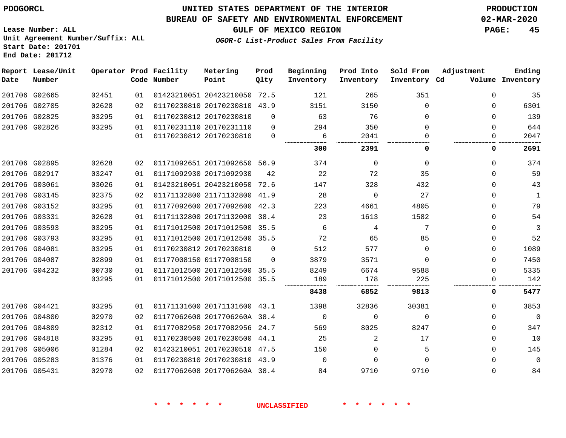#### **BUREAU OF SAFETY AND ENVIRONMENTAL ENFORCEMENT 02-MAR-2020**

**OGOR-C List-Product Sales From Facility**

**GULF OF MEXICO REGION PAGE: 45**

**Lease Number: ALL Unit Agreement Number/Suffix: ALL Start Date: 201701 End Date: 201712**

| Date | Report Lease/Unit<br>Number |       |    | Operator Prod Facility<br>Code Number | Metering<br>Point            | Prod<br>Qlty | Beginning<br>Inventory | Prod Into<br>Inventory | Sold From<br>Inventory Cd | Adjustment | Ending<br>Volume Inventory |
|------|-----------------------------|-------|----|---------------------------------------|------------------------------|--------------|------------------------|------------------------|---------------------------|------------|----------------------------|
|      | 201706 G02665               | 02451 | 01 |                                       | 01423210051 20423210050 72.5 |              | 121                    | 265                    | 351                       | $\Omega$   | 35                         |
|      | 201706 G02705               | 02628 | 02 |                                       | 01170230810 20170230810 43.9 |              | 3151                   | 3150                   | $\Omega$                  | $\Omega$   | 6301                       |
|      | 201706 G02825               | 03295 | 01 |                                       | 01170230812 20170230810      | $\Omega$     | 63                     | 76                     | $\Omega$                  | $\Omega$   | 139                        |
|      | 201706 G02826               | 03295 | 01 |                                       | 01170231110 20170231110      | 0            | 294                    | 350                    | $\Omega$                  | $\Omega$   | 644                        |
|      |                             |       | 01 |                                       | 01170230812 20170230810      | $\mathbf 0$  | 6                      | 2041                   | $\Omega$                  | 0          | 2047                       |
|      |                             |       |    |                                       |                              |              | 300                    | 2391                   | 0                         | 0          | 2691                       |
|      | 201706 G02895               | 02628 | 02 |                                       | 01171092651 20171092650 56.9 |              | 374                    | 0                      | $\Omega$                  | $\Omega$   | 374                        |
|      | 201706 G02917               | 03247 | 01 |                                       | 01171092930 20171092930      | 42           | 22                     | 72                     | 35                        | $\Omega$   | 59                         |
|      | 201706 G03061               | 03026 | 01 |                                       | 01423210051 20423210050 72.6 |              | 147                    | 328                    | 432                       | $\Omega$   | 43                         |
|      | 201706 G03145               | 02375 | 02 |                                       | 01171132800 21171132800 41.9 |              | 28                     | $\Omega$               | 27                        | 0          | 1                          |
|      | 201706 G03152               | 03295 | 01 |                                       | 01177092600 20177092600 42.3 |              | 223                    | 4661                   | 4805                      | $\Omega$   | 79                         |
|      | 201706 G03331               | 02628 | 01 |                                       | 01171132800 20171132000      | 38.4         | 23                     | 1613                   | 1582                      | $\Omega$   | 54                         |
|      | 201706 G03593               | 03295 | 01 |                                       | 01171012500 20171012500 35.5 |              | 6                      | 4                      | 7                         | $\Omega$   | 3                          |
|      | 201706 G03793               | 03295 | 01 |                                       | 01171012500 20171012500 35.5 |              | 72                     | 65                     | 85                        | 0          | 52                         |
|      | 201706 G04081               | 03295 | 01 |                                       | 01170230812 20170230810      | $\Omega$     | 512                    | 577                    | $\Omega$                  | $\Omega$   | 1089                       |
|      | 201706 G04087               | 02899 | 01 |                                       | 01177008150 01177008150      | $\Omega$     | 3879                   | 3571                   | $\Omega$                  | $\Omega$   | 7450                       |
|      | 201706 G04232               | 00730 | 01 |                                       | 01171012500 20171012500      | 35.5         | 8249                   | 6674                   | 9588                      | $\Omega$   | 5335                       |
|      |                             | 03295 | 01 |                                       | 01171012500 20171012500 35.5 |              | 189                    | 178                    | 225                       | $\Omega$   | 142                        |
|      |                             |       |    |                                       |                              |              | 8438                   | 6852                   | 9813                      | 0          | 5477                       |
|      | 201706 G04421               | 03295 | 01 |                                       | 01171131600 20171131600 43.1 |              | 1398                   | 32836                  | 30381                     | 0          | 3853                       |
|      | 201706 G04800               | 02970 | 02 |                                       | 01177062608 2017706260A 38.4 |              | $\overline{0}$         | $\mathbf 0$            | $\mathbf 0$               | 0          | 0                          |
|      | 201706 G04809               | 02312 | 01 |                                       | 01177082950 20177082956 24.7 |              | 569                    | 8025                   | 8247                      | $\Omega$   | 347                        |
|      | 201706 G04818               | 03295 | 01 |                                       | 01170230500 20170230500 44.1 |              | 25                     | $\overline{2}$         | 17                        | $\Omega$   | 10                         |
|      | 201706 G05006               | 01284 | 02 |                                       | 01423210051 20170230510 47.5 |              | 150                    | 0                      | 5                         | $\Omega$   | 145                        |
|      | 201706 G05283               | 01376 | 01 |                                       | 01170230810 20170230810 43.9 |              | $\Omega$               | $\Omega$               | $\Omega$                  | $\Omega$   | 0                          |
|      | 201706 G05431               | 02970 | 02 |                                       | 01177062608 2017706260A 38.4 |              | 84                     | 9710                   | 9710                      | $\Omega$   | 84                         |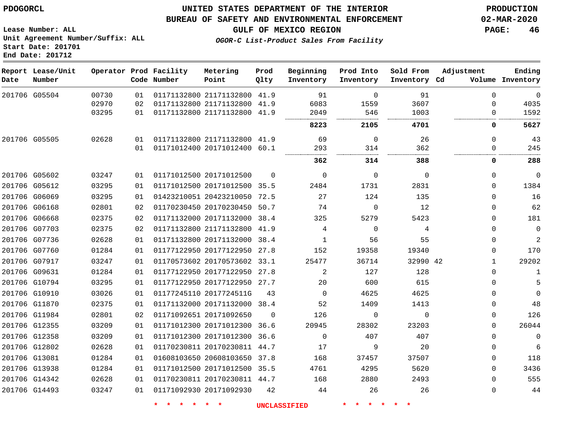**Report Lease/Unit**

**Number**

G05504

**Date**

### **UNITED STATES DEPARTMENT OF THE INTERIOR PDOGORCL PRODUCTION**

**Prod Qlty**

#### **BUREAU OF SAFETY AND ENVIRONMENTAL ENFORCEMENT 02-MAR-2020**

**Lease Number: ALL Unit Agreement Number/Suffix: ALL Start Date: 201701**

> 

**Operator Prod Facility**

**Code Number**

  **OGOR-C List-Product Sales From Facility**

 

 

 

**Sold From Inventory**

**Prod Into Inventory**

**Beginning Inventory**

**Inventory Cd Volume**

**Adjustment**

. . . . . . . . . . . . . .

  $\Omega$  $\Omega$ 

 

  $\Omega$  $\Omega$  $\Omega$  $\Omega$  $\overline{0}$  $\Omega$  $\overline{0}$   $\Omega$  $\overline{0}$  $\Omega$  $\Omega$  $\Omega$   $\Omega$  $\Omega$   $\Omega$ 

**GULF OF MEXICO REGION PAGE: 46**

 

**Ending**

 

|   | 3607     | 1559     | 6083     |          | 01171132800 21171132800 41.9 | 02 | 02970 |               |  |
|---|----------|----------|----------|----------|------------------------------|----|-------|---------------|--|
|   | 1003     | 546      | 2049     |          | 01171132800 21171132800 41.9 | 01 | 03295 |               |  |
|   | 4701     | 2105     | 8223     |          |                              |    |       |               |  |
|   | 26       | 0        | 69       |          | 01171132800 21171132800 41.9 | 01 | 02628 | 201706 G05505 |  |
|   | 362      | 314      | 293      |          | 01171012400 20171012400 60.1 | 01 |       |               |  |
|   | 388      | 314      | 362      |          |                              |    |       |               |  |
| 0 |          | 0        | 0        | $\Omega$ | 01171012500 20171012500      | 01 | 03247 | 201706 G05602 |  |
|   | 2831     | 1731     | 2484     |          | 01171012500 20171012500 35.5 | 01 | 03295 | 201706 G05612 |  |
|   | 135      | 124      | 27       | 72.5     | 01423210051 20423210050      | 01 | 03295 | 201706 G06069 |  |
|   | 12       | 0        | 74       |          | 01170230450 20170230450 50.7 | 02 | 02801 | 201706 G06168 |  |
|   | 5423     | 5279     | 325      | 38.4     | 01171132000 20171132000      | 02 | 02375 | 201706 G06668 |  |
| 4 |          | $\Omega$ | 4        |          | 01171132800 21171132800 41.9 | 02 | 02375 | 201706 G07703 |  |
|   | 55       | 56       | 1        |          | 01171132800 20171132000 38.4 | 01 | 02628 | 201706 G07736 |  |
|   | 19340    | 19358    | 152      | 27.8     | 01177122950 20177122950      | 01 | 01284 | 201706 G07760 |  |
|   | 32990 42 | 36714    | 25477    |          | 01170573602 20170573602 33.1 | 01 | 03247 | 201706 G07917 |  |
|   | 128      | 127      | 2        |          | 01177122950 20177122950 27.8 | 01 | 01284 | 201706 G09631 |  |
|   | 615      | 600      | 20       | 27.7     | 01177122950 20177122950      | 01 | 03295 | 201706 G10794 |  |
|   | 4625     | 4625     | $\Omega$ | 43       | 01177245110 2017724511G      | 01 | 03026 | 201706 G10910 |  |
|   | 1413     | 1409     | 52       |          | 01171132000 20171132000 38.4 | 01 | 02375 | 201706 G11870 |  |
| 0 |          | 0        | 126      | $\Omega$ | 01171092651 20171092650      | 02 | 02801 | 201706 G11984 |  |
|   | 23203    | 28302    | 20945    |          | 01171012300 20171012300 36.6 | 01 | 03209 | 201706 G12355 |  |
|   | 407      | 407      | $\Omega$ | 36.6     | 01171012300 20171012300      | 01 | 03209 | 201706 G12358 |  |
|   | 20       | 9        | 17       |          | 01170230811 20170230811 44.7 | 01 | 02628 | 201706 G12802 |  |
|   | 37507    | 37457    | 168      |          | 01608103650 20608103650 37.8 | 01 | 01284 | 201706 G13081 |  |
|   | 5620     | 4295     | 4761     |          | 01171012500 20171012500 35.5 | 01 | 01284 | 201706 G13938 |  |
|   | 2493     | 2880     | 168      |          | 01170230811 20170230811 44.7 | 01 | 02628 | 201706 G14342 |  |
|   | 26       | 26       | 44       | 42       | 01171092930 20171092930      | 01 | 03247 | 201706 G14493 |  |
|   |          |          |          |          |                              |    |       |               |  |

21171132800 41.9

**Metering Point**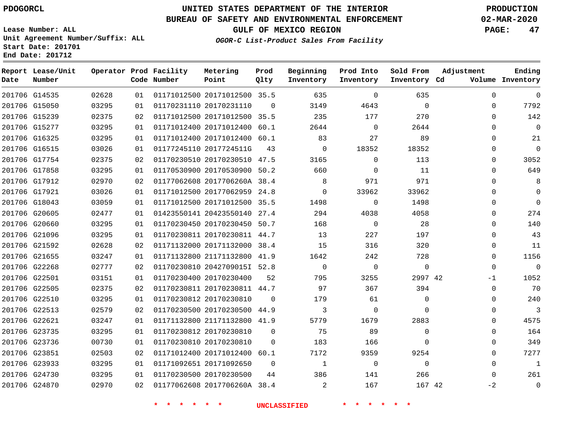**Report Lease/Unit**

# **UNITED STATES DEPARTMENT OF THE INTERIOR PDOGORCL PRODUCTION**

### **BUREAU OF SAFETY AND ENVIRONMENTAL ENFORCEMENT 02-MAR-2020**

**Lease Number: ALL Unit Agreement Number/Suffix: ALL Start Date: 201701**

**OGOR-C List-Product Sales From Facility**

**GULF OF MEXICO REGION PAGE: 47**

**Adjustment**

**Ending**

|  | Operator Prod Facility | Metering | Prod | Beginning |
|--|------------------------|----------|------|-----------|
|  | Code Number            | Point    | Oltv | Inventory |

| Date | Number        |       |    | Code Number | Point                        | Qlty        | Inventory      | Inventory   | Inventory Cd        |             | Volume Inventory |
|------|---------------|-------|----|-------------|------------------------------|-------------|----------------|-------------|---------------------|-------------|------------------|
|      | 201706 G14535 | 02628 | 01 |             | 01171012500 20171012500 35.5 |             | 635            | $\mathbf 0$ | 635                 | $\Omega$    | $\Omega$         |
|      | 201706 G15050 | 03295 | 01 |             | 01170231110 20170231110      | $\Omega$    | 3149           | 4643        | $\mathbf 0$         | $\Omega$    | 7792             |
|      | 201706 G15239 | 02375 | 02 |             | 01171012500 20171012500      | 35.5        | 235            | 177         | 270                 | $\Omega$    | 142              |
|      | 201706 G15277 | 03295 | 01 |             | 01171012400 20171012400      | 60.1        | 2644           | $\Omega$    | 2644                | $\Omega$    | $\overline{0}$   |
|      | 201706 G16325 | 03295 | 01 |             | 01171012400 20171012400 60.1 |             | 83             | 27          | 89                  | $\Omega$    | 21               |
|      | 201706 G16515 | 03026 | 01 |             | 01177245110 2017724511G      | 43          | $\mathbf 0$    | 18352       | 18352               | $\Omega$    | $\Omega$         |
|      | 201706 G17754 | 02375 | 02 |             | 01170230510 20170230510 47.5 |             | 3165           | $\Omega$    | 113                 | $\Omega$    | 3052             |
|      | 201706 G17858 | 03295 | 01 |             | 01170530900 20170530900      | 50.2        | 660            | $\Omega$    | 11                  | $\Omega$    | 649              |
|      | 201706 G17912 | 02970 | 02 |             | 01177062608 2017706260A 38.4 |             | 8              | 971         | 971                 | $\Omega$    | 8                |
|      | 201706 G17921 | 03026 | 01 |             | 01171012500 20177062959      | 24.8        | $\mathbf{0}$   | 33962       | 33962               | $\Omega$    | $\overline{0}$   |
|      | 201706 G18043 | 03059 | 01 |             | 01171012500 20171012500 35.5 |             | 1498           | $\Omega$    | 1498                | $\Omega$    | $\Omega$         |
|      | 201706 G20605 | 02477 | 01 |             | 01423550141 20423550140 27.4 |             | 294            | 4038        | 4058                | $\Omega$    | 274              |
|      | 201706 G20660 | 03295 | 01 |             | 01170230450 20170230450 50.7 |             | 168            | $\mathbf 0$ | 28                  | $\Omega$    | 140              |
|      | 201706 G21096 | 03295 | 01 |             | 01170230811 20170230811 44.7 |             | 13             | 227         | 197                 | $\Omega$    | 43               |
|      | 201706 G21592 | 02628 | 02 |             | 01171132000 20171132000      | 38.4        | 15             | 316         | 320                 | $\Omega$    | 11               |
|      | 201706 G21655 | 03247 | 01 |             | 01171132800 21171132800      | 41.9        | 1642           | 242         | 728                 | $\Omega$    | 1156             |
|      | 201706 G22268 | 02777 | 02 |             | 01170230810 2042709015I 52.8 |             | $\mathbf 0$    | $\mathbf 0$ | $\mathsf{O}\xspace$ | $\Omega$    | $\overline{0}$   |
|      | 201706 G22501 | 03151 | 01 |             | 01170230400 20170230400      | 52          | 795            | 3255        | 2997 42             | $-1$        | 1052             |
|      | 201706 G22505 | 02375 | 02 |             | 01170230811 20170230811 44.7 |             | 97             | 367         | 394                 | $\mathbf 0$ | 70               |
|      | 201706 G22510 | 03295 | 01 |             | 01170230812 20170230810      | $\Omega$    | 179            | 61          | $\mathbf 0$         | $\Omega$    | 240              |
|      | 201706 G22513 | 02579 | 02 |             | 01170230500 20170230500      | 44.9        | 3              | $\mathbf 0$ | $\mathbf 0$         | $\mathbf 0$ | $\overline{3}$   |
|      | 201706 G22621 | 03247 | 01 |             | 01171132800 21171132800 41.9 |             | 5779           | 1679        | 2883                | $\Omega$    | 4575             |
|      | 201706 G23735 | 03295 | 01 |             | 01170230812 20170230810      | $\mathbf 0$ | 75             | 89          | $\mathbf 0$         | $\Omega$    | 164              |
|      | 201706 G23736 | 00730 | 01 |             | 01170230810 20170230810      | $\mathbf 0$ | 183            | 166         | $\mathbf 0$         | $\Omega$    | 349              |
|      | 201706 G23851 | 02503 | 02 |             | 01171012400 20171012400      | 60.1        | 7172           | 9359        | 9254                | $\Omega$    | 7277             |
|      | 201706 G23933 | 03295 | 01 |             | 01171092651 20171092650      | $\mathbf 0$ | $\mathbf{1}$   | $\mathbf 0$ | 0                   | $\mathbf 0$ | $\overline{1}$   |
|      | 201706 G24730 | 03295 | 01 |             | 01170230500 20170230500      | 44          | 386            | 141         | 266                 | $\Omega$    | 261              |
|      | 201706 G24870 | 02970 | 02 |             | 01177062608 2017706260A 38.4 |             | $\overline{a}$ | 167         | 167 42              | $-2$        | $\overline{0}$   |

**\* \* \* \* \* \* UNCLASSIFIED \* \* \* \* \* \***

**Prod Into Sold From**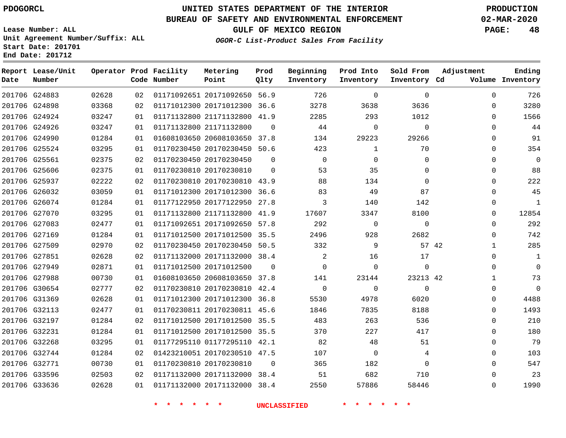### **UNITED STATES DEPARTMENT OF THE INTERIOR PDOGORCL PRODUCTION**

### **BUREAU OF SAFETY AND ENVIRONMENTAL ENFORCEMENT 02-MAR-2020**

**Lease Number: ALL Unit Agreement Number/Suffix: ALL Start Date: 201701**

**GULF OF MEXICO REGION PAGE: 48**

**OGOR-C List-Product Sales From Facility**

| Date          | Report Lease/Unit<br>Number |       |    | Operator Prod Facility<br>Code Number | Metering<br>Point            | Prod<br>Qlty | Beginning<br>Inventory | Prod Into<br>Inventory | Sold From<br>Inventory Cd | Adjustment   | Ending<br>Volume Inventory |
|---------------|-----------------------------|-------|----|---------------------------------------|------------------------------|--------------|------------------------|------------------------|---------------------------|--------------|----------------------------|
| 201706 G24883 |                             | 02628 | 02 |                                       | 01171092651 20171092650 56.9 |              | 726                    | $\Omega$               | $\mathbf 0$               | $\Omega$     | 726                        |
| 201706 G24898 |                             | 03368 | 02 |                                       | 01171012300 20171012300 36.6 |              | 3278                   | 3638                   | 3636                      | $\Omega$     | 3280                       |
| 201706 G24924 |                             | 03247 | 01 |                                       | 01171132800 21171132800      | 41.9         | 2285                   | 293                    | 1012                      | 0            | 1566                       |
| 201706 G24926 |                             | 03247 | 01 |                                       | 01171132800 21171132800      | $\Omega$     | 44                     | $\Omega$               | $\mathbf 0$               | $\Omega$     | 44                         |
| 201706 G24990 |                             | 01284 | 01 |                                       | 01608103650 20608103650      | 37.8         | 134                    | 29223                  | 29266                     | 0            | 91                         |
| 201706 G25524 |                             | 03295 | 01 |                                       | 01170230450 20170230450 50.6 |              | 423                    | 1                      | 70                        | 0            | 354                        |
| 201706 G25561 |                             | 02375 | 02 |                                       | 01170230450 20170230450      | $\mathbf 0$  | $\mathbf 0$            | $\Omega$               | $\Omega$                  | 0            | $\mathbf 0$                |
| 201706 G25606 |                             | 02375 | 01 |                                       | 01170230810 20170230810      | $\Omega$     | 53                     | 35                     | 0                         | 0            | 88                         |
| 201706 G25937 |                             | 02222 | 02 |                                       | 01170230810 20170230810 43.9 |              | 88                     | 134                    | $\Omega$                  | 0            | 222                        |
|               | 201706 G26032               | 03059 | 01 |                                       | 01171012300 20171012300 36.6 |              | 83                     | 49                     | 87                        | 0            | 45                         |
| 201706 G26074 |                             | 01284 | 01 |                                       | 01177122950 20177122950 27.8 |              | 3                      | 140                    | 142                       | $\Omega$     | 1                          |
|               | 201706 G27070               | 03295 | 01 |                                       | 01171132800 21171132800      | 41.9         | 17607                  | 3347                   | 8100                      | 0            | 12854                      |
| 201706 G27083 |                             | 02477 | 01 |                                       | 01171092651 20171092650 57.8 |              | 292                    | $\Omega$               | $\Omega$                  | $\Omega$     | 292                        |
|               | 201706 G27169               | 01284 | 01 |                                       | 01171012500 20171012500 35.5 |              | 2496                   | 928                    | 2682                      | 0            | 742                        |
| 201706 G27509 |                             | 02970 | 02 |                                       | 01170230450 20170230450 50.5 |              | 332                    | 9                      | 57 42                     | $\mathbf{1}$ | 285                        |
| 201706 G27851 |                             | 02628 | 02 |                                       | 01171132000 20171132000 38.4 |              | 2                      | 16                     | 17                        | 0            | 1                          |
| 201706 G27949 |                             | 02871 | 01 |                                       | 01171012500 20171012500      | $\Omega$     | $\Omega$               | $\Omega$               | 0                         | $\Omega$     | $\mathbf 0$                |
| 201706 G27988 |                             | 00730 | 01 |                                       | 01608103650 20608103650 37.8 |              | 141                    | 23144                  | 23213 42                  | 1            | 73                         |
| 201706 G30654 |                             | 02777 | 02 |                                       | 01170230810 20170230810 42.4 |              | $\mathbf 0$            | $\Omega$               | $\Omega$                  | 0            | $\Omega$                   |
| 201706 G31369 |                             | 02628 | 01 |                                       | 01171012300 20171012300      | 36.8         | 5530                   | 4978                   | 6020                      | 0            | 4488                       |
| 201706 G32113 |                             | 02477 | 01 |                                       | 01170230811 20170230811 45.6 |              | 1846                   | 7835                   | 8188                      | $\Omega$     | 1493                       |
| 201706 G32197 |                             | 01284 | 02 |                                       | 01171012500 20171012500 35.5 |              | 483                    | 263                    | 536                       | 0            | 210                        |
| 201706 G32231 |                             | 01284 | 01 |                                       | 01171012500 20171012500 35.5 |              | 370                    | 227                    | 417                       | 0            | 180                        |
| 201706 G32268 |                             | 03295 | 01 |                                       | 01177295110 01177295110 42.1 |              | 82                     | 48                     | 51                        | 0            | 79                         |
| 201706 G32744 |                             | 01284 | 02 |                                       | 01423210051 20170230510 47.5 |              | 107                    | $\mathbf 0$            | 4                         | 0            | 103                        |
| 201706 G32771 |                             | 00730 | 01 |                                       | 01170230810 20170230810      | $\Omega$     | 365                    | 182                    | $\Omega$                  | $\Omega$     | 547                        |
| 201706 G33596 |                             | 02503 | 02 |                                       | 01171132000 20171132000      | 38.4         | 51                     | 682                    | 710                       | 0            | 23                         |
|               | 201706 G33636               | 02628 | 01 |                                       | 01171132000 20171132000 38.4 |              | 2550                   | 57886                  | 58446                     | $\Omega$     | 1990                       |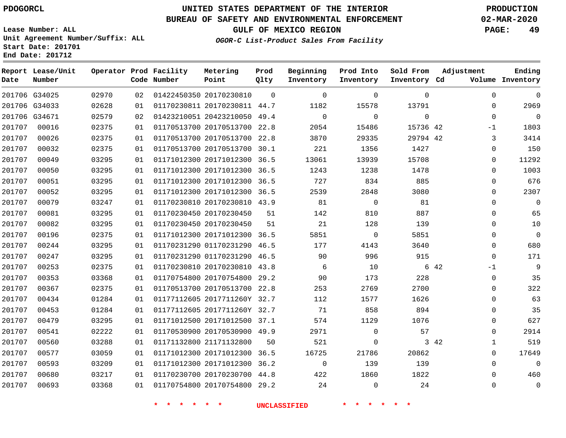**Lease Number: ALL**

# **UNITED STATES DEPARTMENT OF THE INTERIOR PDOGORCL PRODUCTION**

### **BUREAU OF SAFETY AND ENVIRONMENTAL ENFORCEMENT 02-MAR-2020**

**GULF OF MEXICO REGION PAGE: 49**

**OGOR-C List-Product Sales From Facility**

**Unit Agreement Number/Suffix: ALL Start Date: 201701 End Date: 201712**

| Date          | Report Lease/Unit<br>Number |       |    | Operator Prod Facility<br>Code Number | Metering<br>Point            | Prod<br>Qlty | Beginning<br>Inventory | Prod Into<br>Inventory | Sold From<br>Inventory Cd | Adjustment           | Ending<br>Volume Inventory |
|---------------|-----------------------------|-------|----|---------------------------------------|------------------------------|--------------|------------------------|------------------------|---------------------------|----------------------|----------------------------|
|               | 201706 G34025               | 02970 | 02 |                                       | 01422450350 20170230810      | $\Omega$     | $\mathbf 0$            | $\Omega$               | $\Omega$                  | $\Omega$             | $\mathbf 0$                |
|               | 201706 G34033               | 02628 | 01 |                                       | 01170230811 20170230811 44.7 |              | 1182                   | 15578                  | 13791                     | 0                    | 2969                       |
| 201706 G34671 |                             | 02579 | 02 |                                       | 01423210051 20423210050 49.4 |              | $\mathbf 0$            | $\Omega$               | $\Omega$                  | 0                    | $\mathbf 0$                |
| 201707        | 00016                       | 02375 | 01 |                                       | 01170513700 20170513700 22.8 |              | 2054                   | 15486                  | 15736 42                  | $-1$                 | 1803                       |
| 201707        | 00026                       | 02375 | 01 |                                       | 01170513700 20170513700 22.8 |              | 3870                   | 29335                  | 29794 42                  | 3                    | 3414                       |
| 201707        | 00032                       | 02375 | 01 |                                       | 01170513700 20170513700 30.1 |              | 221                    | 1356                   | 1427                      | 0                    | 150                        |
| 201707        | 00049                       | 03295 | 01 |                                       | 01171012300 20171012300 36.5 |              | 13061                  | 13939                  | 15708                     | 0                    | 11292                      |
| 201707        | 00050                       | 03295 | 01 |                                       | 01171012300 20171012300 36.5 |              | 1243                   | 1238                   | 1478                      | 0                    | 1003                       |
| 201707        | 00051                       | 03295 | 01 |                                       | 01171012300 20171012300 36.5 |              | 727                    | 834                    | 885                       | 0                    | 676                        |
| 201707        | 00052                       | 03295 | 01 |                                       | 01171012300 20171012300 36.5 |              | 2539                   | 2848                   | 3080                      | 0                    | 2307                       |
| 201707        | 00079                       | 03247 | 01 |                                       | 01170230810 20170230810 43.9 |              | 81                     | $\mathbf 0$            | 81                        | 0                    | $\mathbf 0$                |
| 201707        | 00081                       | 03295 | 01 |                                       | 01170230450 20170230450      | 51           | 142                    | 810                    | 887                       | 0                    | 65                         |
| 201707        | 00082                       | 03295 | 01 |                                       | 01170230450 20170230450      | 51           | 21                     | 128                    | 139                       | $\Omega$             | 10                         |
| 201707        | 00196                       | 02375 | 01 |                                       | 01171012300 20171012300 36.5 |              | 5851                   | $\mathbf 0$            | 5851                      | 0                    | $\mathbf 0$                |
| 201707        | 00244                       | 03295 | 01 |                                       | 01170231290 01170231290 46.5 |              | 177                    | 4143                   | 3640                      | 0                    | 680                        |
| 201707        | 00247                       | 03295 | 01 |                                       | 01170231290 01170231290 46.5 |              | 90                     | 996                    | 915                       | 0                    | 171                        |
| 201707        | 00253                       | 02375 | 01 |                                       | 01170230810 20170230810 43.8 |              | 6                      | 10                     |                           | 6 42<br>$-1$         | $\mathsf 9$                |
| 201707        | 00353                       | 03368 | 01 |                                       | 01170754800 20170754800 29.2 |              | 90                     | 173                    | 228                       | 0                    | 35                         |
| 201707        | 00367                       | 02375 | 01 |                                       | 01170513700 20170513700 22.8 |              | 253                    | 2769                   | 2700                      | 0                    | 322                        |
| 201707        | 00434                       | 01284 | 01 |                                       | 01177112605 2017711260Y 32.7 |              | 112                    | 1577                   | 1626                      | 0                    | 63                         |
| 201707        | 00453                       | 01284 | 01 |                                       | 01177112605 2017711260Y 32.7 |              | 71                     | 858                    | 894                       | 0                    | 35                         |
| 201707        | 00479                       | 03295 | 01 |                                       | 01171012500 20171012500 37.1 |              | 574                    | 1129                   | 1076                      | 0                    | 627                        |
| 201707        | 00541                       | 02222 | 01 |                                       | 01170530900 20170530900 49.9 |              | 2971                   | $\mathbf 0$            | 57                        | 0                    | 2914                       |
| 201707        | 00560                       | 03288 | 01 |                                       | 01171132800 21171132800      | 50           | 521                    | 0                      |                           | 3 42<br>$\mathbf{1}$ | 519                        |
| 201707        | 00577                       | 03059 | 01 |                                       | 01171012300 20171012300 36.5 |              | 16725                  | 21786                  | 20862                     | $\Omega$             | 17649                      |
| 201707        | 00593                       | 03209 | 01 |                                       | 01171012300 20171012300 36.2 |              | $\overline{0}$         | 139                    | 139                       | 0                    | $\mathbf 0$                |
| 201707        | 00680                       | 03217 | 01 |                                       | 01170230700 20170230700 44.8 |              | 422                    | 1860                   | 1822                      | 0                    | 460                        |
| 201707        | 00693                       | 03368 | 01 |                                       | 01170754800 20170754800 29.2 |              | 24                     | $\overline{0}$         | 24                        | 0                    | $\mathbf 0$                |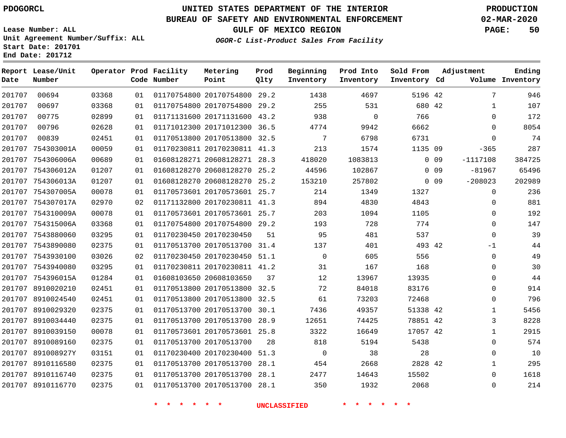**Date**

**Report Lease/Unit**

**Number**

# **UNITED STATES DEPARTMENT OF THE INTERIOR PDOGORCL PRODUCTION**

**Prod Qlty**

#### **BUREAU OF SAFETY AND ENVIRONMENTAL ENFORCEMENT 02-MAR-2020**

**Lease Number: ALL Unit Agreement Number/Suffix: ALL Start Date: 201701 End Date: 201712**

**Operator Prod Facility**

**Code Number**

**OGOR-C List-Product Sales From Facility**

**Beginning Inventory** **Prod Into Inventory** **Sold From Inventory**

**GULF OF MEXICO REGION PAGE: 50**

**Inventory Cd Volume**

**Adjustment**

**Ending**

| 00694  | 03368                                                                                                                                                                                                                                                                                                                                                                                                                                                                                          |                   |         |                 |                                                                                                                                                                                                                                                                                                                                                                                                                                                                                                                                                                                          |                                                                                                                                                                                                                   |                                                                                                                                                                                                                                                                  |                                                                                                                                                                           | 7                                                                                                                                                                                                                                                     |
|--------|------------------------------------------------------------------------------------------------------------------------------------------------------------------------------------------------------------------------------------------------------------------------------------------------------------------------------------------------------------------------------------------------------------------------------------------------------------------------------------------------|-------------------|---------|-----------------|------------------------------------------------------------------------------------------------------------------------------------------------------------------------------------------------------------------------------------------------------------------------------------------------------------------------------------------------------------------------------------------------------------------------------------------------------------------------------------------------------------------------------------------------------------------------------------------|-------------------------------------------------------------------------------------------------------------------------------------------------------------------------------------------------------------------|------------------------------------------------------------------------------------------------------------------------------------------------------------------------------------------------------------------------------------------------------------------|---------------------------------------------------------------------------------------------------------------------------------------------------------------------------|-------------------------------------------------------------------------------------------------------------------------------------------------------------------------------------------------------------------------------------------------------|
| 00697  | 03368                                                                                                                                                                                                                                                                                                                                                                                                                                                                                          |                   |         |                 |                                                                                                                                                                                                                                                                                                                                                                                                                                                                                                                                                                                          |                                                                                                                                                                                                                   |                                                                                                                                                                                                                                                                  |                                                                                                                                                                           | $\mathbf{1}$                                                                                                                                                                                                                                          |
| 00775  | 02899                                                                                                                                                                                                                                                                                                                                                                                                                                                                                          | 01                |         |                 |                                                                                                                                                                                                                                                                                                                                                                                                                                                                                                                                                                                          |                                                                                                                                                                                                                   |                                                                                                                                                                                                                                                                  |                                                                                                                                                                           | $\overline{0}$                                                                                                                                                                                                                                        |
| 00796  | 02628                                                                                                                                                                                                                                                                                                                                                                                                                                                                                          | 01                |         |                 |                                                                                                                                                                                                                                                                                                                                                                                                                                                                                                                                                                                          | 9942                                                                                                                                                                                                              |                                                                                                                                                                                                                                                                  |                                                                                                                                                                           | $\overline{0}$                                                                                                                                                                                                                                        |
| 00839  | 02451                                                                                                                                                                                                                                                                                                                                                                                                                                                                                          | 01                |         |                 |                                                                                                                                                                                                                                                                                                                                                                                                                                                                                                                                                                                          | 6798                                                                                                                                                                                                              |                                                                                                                                                                                                                                                                  |                                                                                                                                                                           | $\overline{0}$                                                                                                                                                                                                                                        |
|        | 00059                                                                                                                                                                                                                                                                                                                                                                                                                                                                                          | 01                |         |                 |                                                                                                                                                                                                                                                                                                                                                                                                                                                                                                                                                                                          |                                                                                                                                                                                                                   |                                                                                                                                                                                                                                                                  |                                                                                                                                                                           | $-365$                                                                                                                                                                                                                                                |
|        | 00689                                                                                                                                                                                                                                                                                                                                                                                                                                                                                          | 01                |         |                 |                                                                                                                                                                                                                                                                                                                                                                                                                                                                                                                                                                                          |                                                                                                                                                                                                                   |                                                                                                                                                                                                                                                                  |                                                                                                                                                                           | $-1117108$                                                                                                                                                                                                                                            |
|        | 01207                                                                                                                                                                                                                                                                                                                                                                                                                                                                                          | 01                |         |                 |                                                                                                                                                                                                                                                                                                                                                                                                                                                                                                                                                                                          |                                                                                                                                                                                                                   |                                                                                                                                                                                                                                                                  |                                                                                                                                                                           | $-81967$                                                                                                                                                                                                                                              |
|        | 01207                                                                                                                                                                                                                                                                                                                                                                                                                                                                                          | 01                |         |                 |                                                                                                                                                                                                                                                                                                                                                                                                                                                                                                                                                                                          | 257802                                                                                                                                                                                                            |                                                                                                                                                                                                                                                                  |                                                                                                                                                                           | $-208023$                                                                                                                                                                                                                                             |
|        | 00078                                                                                                                                                                                                                                                                                                                                                                                                                                                                                          | 01                |         |                 |                                                                                                                                                                                                                                                                                                                                                                                                                                                                                                                                                                                          | 1349                                                                                                                                                                                                              |                                                                                                                                                                                                                                                                  |                                                                                                                                                                           | $\overline{0}$                                                                                                                                                                                                                                        |
|        | 02970                                                                                                                                                                                                                                                                                                                                                                                                                                                                                          | 02                |         |                 |                                                                                                                                                                                                                                                                                                                                                                                                                                                                                                                                                                                          | 4830                                                                                                                                                                                                              |                                                                                                                                                                                                                                                                  |                                                                                                                                                                           | $\mathbf 0$                                                                                                                                                                                                                                           |
|        | 00078                                                                                                                                                                                                                                                                                                                                                                                                                                                                                          | 01                |         |                 |                                                                                                                                                                                                                                                                                                                                                                                                                                                                                                                                                                                          | 1094                                                                                                                                                                                                              |                                                                                                                                                                                                                                                                  |                                                                                                                                                                           | $\mathbf 0$                                                                                                                                                                                                                                           |
|        | 03368                                                                                                                                                                                                                                                                                                                                                                                                                                                                                          | 01                |         |                 |                                                                                                                                                                                                                                                                                                                                                                                                                                                                                                                                                                                          |                                                                                                                                                                                                                   |                                                                                                                                                                                                                                                                  |                                                                                                                                                                           | $\mathbb O$                                                                                                                                                                                                                                           |
|        | 03295                                                                                                                                                                                                                                                                                                                                                                                                                                                                                          | 01                |         |                 |                                                                                                                                                                                                                                                                                                                                                                                                                                                                                                                                                                                          | 481                                                                                                                                                                                                               |                                                                                                                                                                                                                                                                  |                                                                                                                                                                           | $\mathbf 0$                                                                                                                                                                                                                                           |
|        | 02375                                                                                                                                                                                                                                                                                                                                                                                                                                                                                          | 01                |         |                 |                                                                                                                                                                                                                                                                                                                                                                                                                                                                                                                                                                                          | 401                                                                                                                                                                                                               |                                                                                                                                                                                                                                                                  |                                                                                                                                                                           | $-1$                                                                                                                                                                                                                                                  |
|        | 03026                                                                                                                                                                                                                                                                                                                                                                                                                                                                                          | 02                |         |                 |                                                                                                                                                                                                                                                                                                                                                                                                                                                                                                                                                                                          | 605                                                                                                                                                                                                               |                                                                                                                                                                                                                                                                  |                                                                                                                                                                           | $\mathbf 0$                                                                                                                                                                                                                                           |
|        | 03295                                                                                                                                                                                                                                                                                                                                                                                                                                                                                          | 01                |         |                 |                                                                                                                                                                                                                                                                                                                                                                                                                                                                                                                                                                                          |                                                                                                                                                                                                                   |                                                                                                                                                                                                                                                                  |                                                                                                                                                                           | $\mathbf 0$                                                                                                                                                                                                                                           |
|        | 01284                                                                                                                                                                                                                                                                                                                                                                                                                                                                                          | 01                |         |                 |                                                                                                                                                                                                                                                                                                                                                                                                                                                                                                                                                                                          |                                                                                                                                                                                                                   |                                                                                                                                                                                                                                                                  |                                                                                                                                                                           | $\mathbf 0$                                                                                                                                                                                                                                           |
|        | 02451                                                                                                                                                                                                                                                                                                                                                                                                                                                                                          | 01                |         |                 |                                                                                                                                                                                                                                                                                                                                                                                                                                                                                                                                                                                          | 84018                                                                                                                                                                                                             | 83176                                                                                                                                                                                                                                                            |                                                                                                                                                                           | $\mathbf 0$                                                                                                                                                                                                                                           |
|        | 02451                                                                                                                                                                                                                                                                                                                                                                                                                                                                                          | 01                |         |                 |                                                                                                                                                                                                                                                                                                                                                                                                                                                                                                                                                                                          |                                                                                                                                                                                                                   | 72468                                                                                                                                                                                                                                                            |                                                                                                                                                                           | $\mathbf 0$                                                                                                                                                                                                                                           |
|        | 02375                                                                                                                                                                                                                                                                                                                                                                                                                                                                                          | 01                |         |                 |                                                                                                                                                                                                                                                                                                                                                                                                                                                                                                                                                                                          |                                                                                                                                                                                                                   |                                                                                                                                                                                                                                                                  |                                                                                                                                                                           | $\mathbf 1$                                                                                                                                                                                                                                           |
|        | 02375                                                                                                                                                                                                                                                                                                                                                                                                                                                                                          | 01                |         |                 |                                                                                                                                                                                                                                                                                                                                                                                                                                                                                                                                                                                          | 74425                                                                                                                                                                                                             |                                                                                                                                                                                                                                                                  |                                                                                                                                                                           | $\mathbf{3}$                                                                                                                                                                                                                                          |
|        | 00078                                                                                                                                                                                                                                                                                                                                                                                                                                                                                          | 01                |         |                 |                                                                                                                                                                                                                                                                                                                                                                                                                                                                                                                                                                                          | 16649                                                                                                                                                                                                             |                                                                                                                                                                                                                                                                  |                                                                                                                                                                           | $1\,$                                                                                                                                                                                                                                                 |
|        | 02375                                                                                                                                                                                                                                                                                                                                                                                                                                                                                          | 01                |         |                 |                                                                                                                                                                                                                                                                                                                                                                                                                                                                                                                                                                                          |                                                                                                                                                                                                                   |                                                                                                                                                                                                                                                                  |                                                                                                                                                                           | $\mathbf 0$                                                                                                                                                                                                                                           |
|        | 03151                                                                                                                                                                                                                                                                                                                                                                                                                                                                                          | 01                |         |                 |                                                                                                                                                                                                                                                                                                                                                                                                                                                                                                                                                                                          |                                                                                                                                                                                                                   |                                                                                                                                                                                                                                                                  |                                                                                                                                                                           | $\mathbf 0$                                                                                                                                                                                                                                           |
|        | 02375                                                                                                                                                                                                                                                                                                                                                                                                                                                                                          | 01                |         |                 |                                                                                                                                                                                                                                                                                                                                                                                                                                                                                                                                                                                          |                                                                                                                                                                                                                   |                                                                                                                                                                                                                                                                  |                                                                                                                                                                           | $\mathbf{1}$                                                                                                                                                                                                                                          |
|        | 02375                                                                                                                                                                                                                                                                                                                                                                                                                                                                                          |                   |         |                 |                                                                                                                                                                                                                                                                                                                                                                                                                                                                                                                                                                                          |                                                                                                                                                                                                                   |                                                                                                                                                                                                                                                                  |                                                                                                                                                                           | $\mathbf 0$                                                                                                                                                                                                                                           |
|        | 02375                                                                                                                                                                                                                                                                                                                                                                                                                                                                                          |                   |         |                 |                                                                                                                                                                                                                                                                                                                                                                                                                                                                                                                                                                                          |                                                                                                                                                                                                                   |                                                                                                                                                                                                                                                                  |                                                                                                                                                                           | $\mathbf 0$                                                                                                                                                                                                                                           |
|        |                                                                                                                                                                                                                                                                                                                                                                                                                                                                                                |                   | * * * * |                 |                                                                                                                                                                                                                                                                                                                                                                                                                                                                                                                                                                                          |                                                                                                                                                                                                                   |                                                                                                                                                                                                                                                                  |                                                                                                                                                                           |                                                                                                                                                                                                                                                       |
| 201707 | 201707<br>201707<br>201707 754303001A<br>201707 754306006A<br>201707 754306012A<br>201707 754306013A<br>201707 754307005A<br>201707 754307017A<br>201707 754310009A<br>201707 754315006A<br>201707 7543880060<br>201707 7543890080<br>201707 7543930100<br>201707 7543940080<br>201707 754396015A<br>201707 8910020210<br>201707 8910024540<br>201707 8910029320<br>201707 8910034440<br>201707 8910039150<br>201707 8910089160<br>201707 891008927Y<br>201707 8910116580<br>201707 8910116740 | 201707 8910116770 |         | $\star$ $\star$ | 01171131600 20171131600 43.2<br>01171012300 20171012300 36.5<br>01170513800 20170513800 32.5<br>01170230811 20170230811 41.3<br>01608128270 20608128270 25.2<br>01170573601 20170573601 25.7<br>01171132800 20170230811 41.3<br>01170754800 20170754800 29.2<br>01170513700 20170513700 31.4<br>01170230450 20170230450 51.1<br>01170230811 20170230811 41.2<br>01608103650 20608103650 37<br>01170513800 20170513800 32.5<br>01170513800 20170513800 32.5<br>01170513700 20170513700 30.1<br>01170573601 20170573601 25.8<br>01170513700 20170513700 28<br>01170513700 20170513700 28.1 | 01608128271 20608128271 28.3<br>01608128270 20608128270 25.2<br>01170573601 20170573601 25.7<br>01170230450 20170230450 51<br>01170513700 20170513700 28.9<br>01170230400 20170230400 51.3<br><b>UNCLASSIFIED</b> | 255<br>938<br>4774<br>$\overline{7}$<br>213<br>418020<br>44596<br>153210<br>214<br>894<br>203<br>193<br>95<br>137<br>$\overline{0}$<br>31<br>12<br>72<br>61<br>7436<br>12651<br>3322<br>818<br>$\overline{0}$<br>454<br>01  01170513700  20170513700  28.1  2477 | 531<br>$\overline{0}$<br>1574<br>1083813<br>102867<br>728<br>167<br>13967<br>73203<br>49357<br>5194<br>38<br>14643<br>01 01170513700 20170513700 28.1 350 1932<br>* * * * | 5196 42<br>680 42<br>766<br>6662<br>6731<br>1135 09<br>$0\quad 09$<br>$0$ 09<br>$0\quad 09$<br>1327<br>4843<br>1105<br>774<br>537<br>493 42<br>556<br>168<br>13935<br>51338 42<br>78851 42<br>17057 42<br>5438<br>28<br>2668 2828 42<br>15502<br>2068 |

**Metering Point**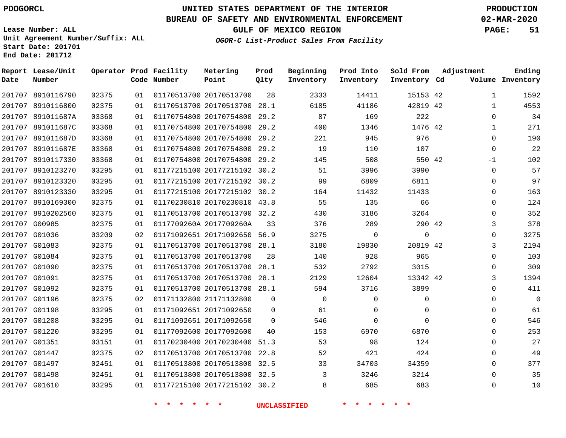**Date**

**End Date: 201712**

**Report Lease/Unit**

**Number**

# **UNITED STATES DEPARTMENT OF THE INTERIOR PDOGORCL PRODUCTION**

**Prod Qlty**

#### **BUREAU OF SAFETY AND ENVIRONMENTAL ENFORCEMENT 02-MAR-2020**

**Lease Number: ALL Unit Agreement Number/Suffix: ALL Start Date: 201701**

**Operator Prod Facility**

**Code Number**

**OGOR-C List-Product Sales From Facility**

**Beginning Inventory** **Prod Into Inventory** **Sold From Inventory**

**GULF OF MEXICO REGION PAGE: 51**

**Inventory Cd Volume**

**Adjustment**

**Ending**

| 8910116790 | 02375 | 01 |                               | 01170513700 20170513700      | 28                  | 2333           | 14411        | 15153 42 |  |
|------------|-------|----|-------------------------------|------------------------------|---------------------|----------------|--------------|----------|--|
| 8910116800 | 02375 | 01 |                               | 01170513700 20170513700 28.1 |                     | 6185           | 41186        | 42819 42 |  |
| 891011687A | 03368 | 01 |                               | 01170754800 20170754800 29.2 |                     | 87             | 169          | 222      |  |
| 891011687C | 03368 | 01 |                               | 01170754800 20170754800 29.2 |                     | 400            | 1346         | 1476 42  |  |
| 891011687D | 03368 | 01 |                               | 01170754800 20170754800 29.2 |                     | 221            | 945          | 976      |  |
| 891011687E | 03368 | 01 |                               | 01170754800 20170754800 29.2 |                     | 19             | 110          | 107      |  |
| 8910117330 | 03368 | 01 |                               | 01170754800 20170754800 29.2 |                     | 145            | 508          | 550 42   |  |
| 8910123270 | 03295 | 01 |                               | 01177215100 20177215102 30.2 |                     | 51             | 3996         | 3990     |  |
| 8910123320 | 03295 | 01 |                               | 01177215100 20177215102 30.2 |                     | 99             | 6809         | 6811     |  |
| 8910123330 | 03295 | 01 |                               | 01177215100 20177215102 30.2 |                     | 164            | 11432        | 11433    |  |
| 8910169300 | 02375 | 01 |                               | 01170230810 20170230810 43.8 |                     | 55             | 135          | 66       |  |
| 8910202560 | 02375 | 01 |                               | 01170513700 20170513700 32.2 |                     | 430            | 3186         | 3264     |  |
| G00985     | 02375 | 01 |                               | 0117709260A 2017709260A      | 33                  | 376            | 289          | 290 42   |  |
| G01036     | 03209 | 02 |                               | 01171092651 20171092650 56.9 |                     | 3275           | $\mathsf{O}$ | 0        |  |
| G01083     | 02375 | 01 |                               | 01170513700 20170513700 28.1 |                     | 3180           | 19830        | 20819 42 |  |
| G01084     | 02375 | 01 |                               | 01170513700 20170513700      | 28                  | 140            | 928          | 965      |  |
| G01090     | 02375 | 01 |                               | 01170513700 20170513700 28.1 |                     | 532            | 2792         | 3015     |  |
| G01091     | 02375 | 01 |                               | 01170513700 20170513700 28.1 |                     | 2129           | 12604        | 13342 42 |  |
| G01092     | 02375 | 01 |                               | 01170513700 20170513700 28.1 |                     | 594            | 3716         | 3899     |  |
| G01196     | 02375 | 02 |                               | 01171132800 21171132800      | $\mathbf{0}$        | $\overline{0}$ | 0            | 0        |  |
| G01198     | 03295 | 01 |                               | 01171092651 20171092650      | 0                   | 61             | $\mathbf 0$  | 0        |  |
| G01208     | 03295 | 01 |                               | 01171092651 20171092650      | $\mathbf{0}$        | 546            | 0            | 0        |  |
| G01220     | 03295 | 01 |                               | 01177092600 20177092600      | 40                  | 153            | 6970         | 6870     |  |
| G01351     | 03151 | 01 |                               | 01170230400 20170230400 51.3 |                     | 53             | 98           | 124      |  |
| G01447     | 02375 | 02 |                               | 01170513700 20170513700 22.8 |                     | 52             | 421          | 424      |  |
| G01497     | 02451 | 01 |                               | 01170513800 20170513800 32.5 |                     | 33             | 34703        | 34359    |  |
| G01498     | 02451 | 01 |                               | 01170513800 20170513800 32.5 |                     | $\overline{3}$ | 3246         | 3214     |  |
| G01610     | 03295 | 01 |                               | 01177215100 20177215102 30.2 |                     | 8              | 685          | 683      |  |
|            |       |    | *<br>$\star$<br>$\star$<br>一米 | $\star$ $\star$              | <b>UNCLASSIFIED</b> |                |              |          |  |

**Metering Point**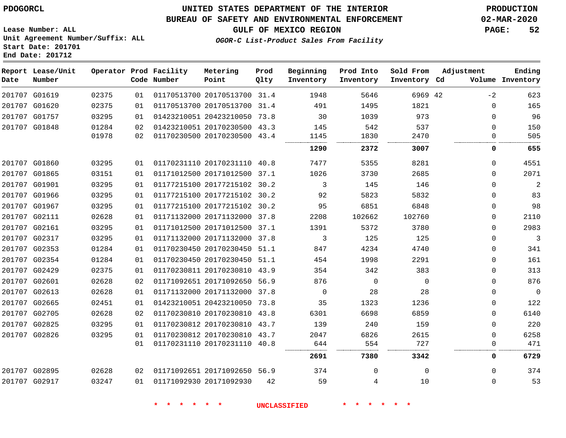#### **BUREAU OF SAFETY AND ENVIRONMENTAL ENFORCEMENT 02-MAR-2020**

**OGOR-C List-Product Sales From Facility**

**GULF OF MEXICO REGION PAGE: 52**

**Lease Number: ALL Unit Agreement Number/Suffix: ALL Start Date: 201701 End Date: 201712**

| Date | Report Lease/Unit<br>Number |       |    | Operator Prod Facility<br>Code Number | Metering<br>Point            | Prod<br>Qlty | Beginning<br>Inventory | Prod Into<br>Inventory | Sold From<br>Inventory Cd | Adjustment  | Ending<br>Volume Inventory |
|------|-----------------------------|-------|----|---------------------------------------|------------------------------|--------------|------------------------|------------------------|---------------------------|-------------|----------------------------|
|      | 201707 G01619               | 02375 | 01 |                                       | 01170513700 20170513700 31.4 |              | 1948                   | 5646                   | 6969 42                   | $-2$        | 623                        |
|      | 201707 G01620               | 02375 | 01 |                                       | 01170513700 20170513700 31.4 |              | 491                    | 1495                   | 1821                      | 0           | 165                        |
|      | 201707 G01757               | 03295 | 01 |                                       | 01423210051 20423210050 73.8 |              | 30                     | 1039                   | 973                       | $\Omega$    | 96                         |
|      | 201707 G01848               | 01284 | 02 |                                       | 01423210051 20170230500 43.3 |              | 145                    | 542                    | 537                       | 0           | 150                        |
|      |                             | 01978 | 02 |                                       | 01170230500 20170230500 43.4 |              | 1145                   | 1830                   | 2470                      | $\mathbf 0$ | 505                        |
|      |                             |       |    |                                       |                              |              | 1290                   | 2372                   | 3007                      | 0           | 655                        |
|      | 201707 G01860               | 03295 | 01 |                                       | 01170231110 20170231110 40.8 |              | 7477                   | 5355                   | 8281                      | $\Omega$    | 4551                       |
|      | 201707 G01865               | 03151 | 01 |                                       | 01171012500 20171012500 37.1 |              | 1026                   | 3730                   | 2685                      | 0           | 2071                       |
|      | 201707 G01901               | 03295 | 01 |                                       | 01177215100 20177215102 30.2 |              | 3                      | 145                    | 146                       | 0           | 2                          |
|      | 201707 G01966               | 03295 | 01 |                                       | 01177215100 20177215102 30.2 |              | 92                     | 5823                   | 5832                      | 0           | 83                         |
|      | 201707 G01967               | 03295 | 01 |                                       | 01177215100 20177215102 30.2 |              | 95                     | 6851                   | 6848                      | 0           | 98                         |
|      | 201707 G02111               | 02628 | 01 |                                       | 01171132000 20171132000 37.8 |              | 2208                   | 102662                 | 102760                    | 0           | 2110                       |
|      | 201707 G02161               | 03295 | 01 |                                       | 01171012500 20171012500 37.1 |              | 1391                   | 5372                   | 3780                      | 0           | 2983                       |
|      | 201707 G02317               | 03295 | 01 |                                       | 01171132000 20171132000 37.8 |              | 3                      | 125                    | 125                       | $\mathbf 0$ | 3                          |
|      | 201707 G02353               | 01284 | 01 |                                       | 01170230450 20170230450 51.1 |              | 847                    | 4234                   | 4740                      | 0           | 341                        |
|      | 201707 G02354               | 01284 | 01 |                                       | 01170230450 20170230450 51.1 |              | 454                    | 1998                   | 2291                      | 0           | 161                        |
|      | 201707 G02429               | 02375 | 01 |                                       | 01170230811 20170230810 43.9 |              | 354                    | 342                    | 383                       | 0           | 313                        |
|      | 201707 G02601               | 02628 | 02 |                                       | 01171092651 20171092650 56.9 |              | 876                    | $\mathbf 0$            | $\Omega$                  | $\mathbf 0$ | 876                        |
|      | 201707 G02613               | 02628 | 01 |                                       | 01171132000 20171132000 37.8 |              | 0                      | 28                     | 28                        | 0           | $\overline{0}$             |
|      | 201707 G02665               | 02451 | 01 |                                       | 01423210051 20423210050 73.8 |              | 35                     | 1323                   | 1236                      | 0           | 122                        |
|      | 201707 G02705               | 02628 | 02 |                                       | 01170230810 20170230810 43.8 |              | 6301                   | 6698                   | 6859                      | 0           | 6140                       |
|      | 201707 G02825               | 03295 | 01 |                                       | 01170230812 20170230810 43.7 |              | 139                    | 240                    | 159                       | 0           | 220                        |
|      | 201707 G02826               | 03295 | 01 |                                       | 01170230812 20170230810 43.7 |              | 2047                   | 6826                   | 2615                      | 0           | 6258                       |
|      |                             |       | 01 |                                       | 01170231110 20170231110 40.8 |              | 644                    | 554                    | 727                       | 0           | 471                        |
|      |                             |       |    |                                       |                              |              | 2691                   | 7380                   | 3342                      | 0           | 6729                       |
|      | 201707 G02895               | 02628 | 02 |                                       | 01171092651 20171092650 56.9 |              | 374                    | $\Omega$               | $\Omega$                  | $\Omega$    | 374                        |
|      | 201707 G02917               | 03247 | 01 |                                       | 01171092930 20171092930      | 42           | 59                     | 4                      | 10                        | $\Omega$    | 53                         |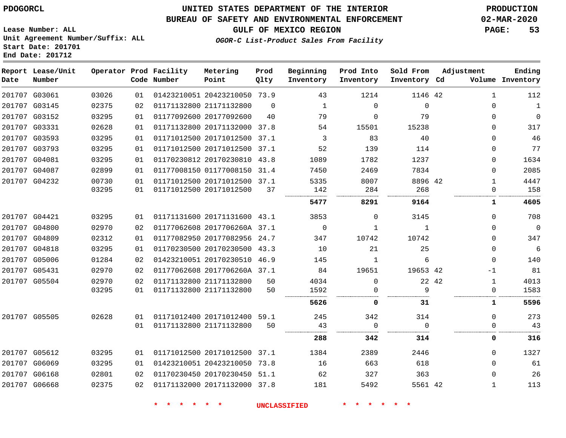**Report Lease/Unit**

# **UNITED STATES DEPARTMENT OF THE INTERIOR PDOGORCL PRODUCTION**

**Prod**

#### **BUREAU OF SAFETY AND ENVIRONMENTAL ENFORCEMENT 02-MAR-2020**

**GULF OF MEXICO REGION PAGE: 53**

**Ending**

**Lease Number: ALL Unit Agreement Number/Suffix: ALL Start Date: 201701 End Date: 201712**

**Operator Prod Facility Metering**

#### **OGOR-C List-Product Sales From Facility**

| Date | Number        |       |    | Code Number | Point                        | Qlty     | Inventory | Inventory   | Inventory Cd |       |              | Volume Inventory |
|------|---------------|-------|----|-------------|------------------------------|----------|-----------|-------------|--------------|-------|--------------|------------------|
|      | 201707 G03061 | 03026 | 01 |             | 01423210051 20423210050 73.9 |          | 43        | 1214        | 1146 42      |       | 1            | 112              |
|      | 201707 G03145 | 02375 | 02 |             | 01171132800 21171132800      | $\Omega$ | 1         | $\Omega$    | $\Omega$     |       | $\Omega$     | $\mathbf{1}$     |
|      | 201707 G03152 | 03295 | 01 |             | 01177092600 20177092600      | 40       | 79        | $\Omega$    | 79           |       | $\Omega$     | $\mathbf 0$      |
|      | 201707 G03331 | 02628 | 01 |             | 01171132800 20171132000 37.8 |          | 54        | 15501       | 15238        |       | 0            | 317              |
|      | 201707 G03593 | 03295 | 01 |             | 01171012500 20171012500 37.1 |          | 3         | 83          | 40           |       | $\Omega$     | 46               |
|      | 201707 G03793 | 03295 | 01 |             | 01171012500 20171012500 37.1 |          | 52        | 139         | 114          |       | $\Omega$     | 77               |
|      | 201707 G04081 | 03295 | 01 |             | 01170230812 20170230810 43.8 |          | 1089      | 1782        | 1237         |       | $\Omega$     | 1634             |
|      | 201707 G04087 | 02899 | 01 |             | 01177008150 01177008150 31.4 |          | 7450      | 2469        | 7834         |       | $\Omega$     | 2085             |
|      | 201707 G04232 | 00730 | 01 |             | 01171012500 20171012500 37.1 |          | 5335      | 8007        | 8896 42      |       | 1            | 4447             |
|      |               | 03295 | 01 |             | 01171012500 20171012500      | 37       | 142       | 284         | 268          |       | $\Omega$     | 158              |
|      |               |       |    |             |                              |          | 5477      | 8291        | 9164         |       | 1            | 4605             |
|      | 201707 G04421 | 03295 | 01 |             | 01171131600 20171131600 43.1 |          | 3853      | 0           | 3145         |       | $\Omega$     | 708              |
|      | 201707 G04800 | 02970 | 02 |             | 01177062608 2017706260A 37.1 |          | $\Omega$  | 1           | 1            |       | $\Omega$     | $\mathbf 0$      |
|      | 201707 G04809 | 02312 | 01 |             | 01177082950 20177082956 24.7 |          | 347       | 10742       | 10742        |       | $\Omega$     | 347              |
|      | 201707 G04818 | 03295 | 01 |             | 01170230500 20170230500 43.3 |          | 10        | 21          | 25           |       | $\Omega$     | 6                |
|      | 201707 G05006 | 01284 | 02 |             | 01423210051 20170230510 46.9 |          | 145       | 1           | 6            |       | $\Omega$     | 140              |
|      | 201707 G05431 | 02970 | 02 |             | 01177062608 2017706260A 37.1 |          | 84        | 19651       | 19653 42     |       | -1           | 81               |
|      | 201707 G05504 | 02970 | 02 |             | 01171132800 21171132800      | 50       | 4034      | $\Omega$    |              | 22 42 | 1            | 4013             |
|      |               | 03295 | 01 |             | 01171132800 21171132800      | 50       | 1592      |             | 9<br>        |       | $\Omega$     | 1583             |
|      |               |       |    |             |                              |          | 5626      | 0           | 31           |       | ı            | 5596             |
|      | 201707 G05505 | 02628 | 01 |             | 01171012400 20171012400 59.1 |          | 245       | 342         | 314          |       | $\Omega$     | 273              |
|      |               |       | 01 |             | 01171132800 21171132800      | 50       | 43<br>    | $\mathbf 0$ | $\Omega$     |       | $\Omega$     | 43               |
|      |               |       |    |             |                              |          | 288       | 342         | 314          |       | 0            | 316              |
|      | 201707 G05612 | 03295 | 01 |             | 01171012500 20171012500 37.1 |          | 1384      | 2389        | 2446         |       | 0            | 1327             |
|      | 201707 G06069 | 03295 | 01 |             | 01423210051 20423210050 73.8 |          | 16        | 663         | 618          |       | $\Omega$     | 61               |
|      | 201707 G06168 | 02801 | 02 |             | 01170230450 20170230450 51.1 |          | 62        | 327         | 363          |       | $\Omega$     | 26               |
|      | 201707 G06668 | 02375 | 02 |             | 01171132000 20171132000 37.8 |          | 181       | 5492        | 5561 42      |       | $\mathbf{1}$ | 113              |

**\* \* \* \* \* \* UNCLASSIFIED \* \* \* \* \* \***

**Beginning Prod Into Sold From Adjustment**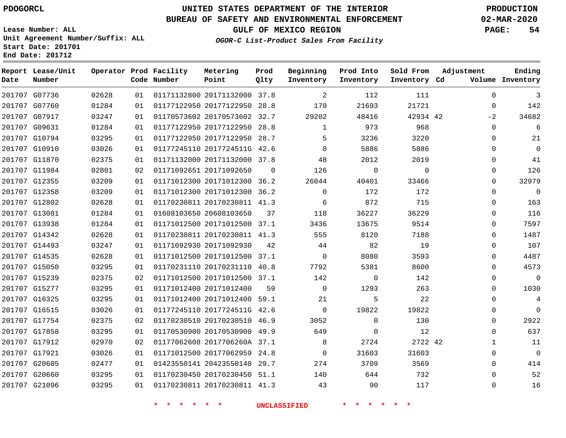**Date**

# **UNITED STATES DEPARTMENT OF THE INTERIOR PDOGORCL PRODUCTION**

**Prod Qlty**

#### **BUREAU OF SAFETY AND ENVIRONMENTAL ENFORCEMENT 02-MAR-2020**

**Lease Number: ALL Unit Agreement Number/Suffix: ALL Start Date: 201701**

**Operator Prod Facility**

**Code Number**

**Metering Point**

**End Date: 201712**

**Report Lease/Unit**

**Number**

**GULF OF MEXICO REGION PAGE: 54**

**Inventory Cd Volume**

**Adjustment**

**Ending**

**OGOR-C List-Product Sales From Facility**

**Beginning Inventory** **Prod Into Inventory** **Sold From Inventory**

| 3              | $\mathbf 0$  | 111      | 112         | 2              |    | 01171132800 20171132000 37.8 | 01 | 02628 | 201707 G07736 |  |
|----------------|--------------|----------|-------------|----------------|----|------------------------------|----|-------|---------------|--|
| 142            | $\Omega$     | 21721    | 21693       | 170            |    | 01177122950 20177122950 28.8 | 01 | 01284 | 201707 G07760 |  |
| 34682          | $-2$         | 42934 42 | 48416       | 29202          |    | 01170573602 20170573602 32.7 | 01 | 03247 | 201707 G07917 |  |
| 6              | $\Omega$     | 968      | 973         | 1              |    | 01177122950 20177122950 28.8 | 01 | 01284 | 201707 G09631 |  |
| 21             | $\Omega$     | 3220     | 3236        | 5              |    | 01177122950 20177122950 28.7 | 01 | 03295 | 201707 G10794 |  |
| $\mathbf 0$    | $\Omega$     | 5886     | 5886        | $\Omega$       |    | 01177245110 2017724511G 42.6 | 01 | 03026 | 201707 G10910 |  |
| 41             | $\Omega$     | 2019     | 2012        | 48             |    | 01171132000 20171132000 37.8 | 01 | 02375 | 201707 G11870 |  |
| 126            | $\Omega$     | $\Omega$ | 0           | 126            | 0  | 01171092651 20171092650      | 02 | 02801 | 201707 G11984 |  |
| 32979          | $\Omega$     | 33466    | 40401       | 26044          |    | 01171012300 20171012300 36.2 | 01 | 03209 | 201707 G12355 |  |
| $\overline{0}$ | $\Omega$     | 172      | 172         | $\Omega$       |    | 01171012300 20171012300 36.2 | 01 | 03209 | 201707 G12358 |  |
| 163            | $\Omega$     | 715      | 872         | 6              |    | 01170230811 20170230811 41.3 | 01 | 02628 | 201707 G12802 |  |
| 116            | $\Omega$     | 36229    | 36227       | 118            | 37 | 01608103650 20608103650      | 01 | 01284 | 201707 G13081 |  |
| 7597           | $\Omega$     | 9514     | 13675       | 3436           |    | 01171012500 20171012500 37.1 | 01 | 01284 | 201707 G13938 |  |
| 1487           | $\Omega$     | 7188     | 8120        | 555            |    | 01170230811 20170230811 41.3 | 01 | 02628 | 201707 G14342 |  |
| 107            | $\Omega$     | 19       | 82          | 44             | 42 | 01171092930 20171092930      | 01 | 03247 | 201707 G14493 |  |
| 4487           | $\Omega$     | 3593     | 8080        | $\overline{0}$ |    | 01171012500 20171012500 37.1 | 01 | 02628 | 201707 G14535 |  |
| 4573           | $\Omega$     | 8600     | 5381        | 7792           |    | 01170231110 20170231110 40.8 | 01 | 03295 | 201707 G15050 |  |
| $\overline{0}$ | $\Omega$     | 142      | $\Omega$    | 142            |    | 01171012500 20171012500 37.1 | 02 | 02375 | 201707 G15239 |  |
| 1030           | $\Omega$     | 263      | 1293        | $\overline{0}$ | 59 | 01171012400 20171012400      | 01 | 03295 | 201707 G15277 |  |
| 4              | $\Omega$     | 22       | 5           | 21             |    | 01171012400 20171012400 59.1 | 01 | 03295 | 201707 G16325 |  |
| $\mathbf 0$    | $\Omega$     | 19822    | 19822       | $\Omega$       |    | 01177245110 2017724511G 42.6 | 01 | 03026 | 201707 G16515 |  |
| 2922           | 0            | 130      | $\mathbf 0$ | 3052           |    | 01170230510 20170230510 46.9 | 02 | 02375 | 201707 G17754 |  |
| 637            | $\Omega$     | 12       | $\Omega$    | 649            |    | 01170530900 20170530900 49.9 | 01 | 03295 | 201707 G17858 |  |
| 11             | $\mathbf{1}$ | 2722 42  | 2724        | - 8            |    | 01177062608 2017706260A 37.1 | 02 | 02970 | 201707 G17912 |  |
| $\mathbf 0$    | $\mathbf 0$  | 31603    | 31603       | $\overline{0}$ |    | 01171012500 20177062959 24.8 | 01 | 03026 | 201707 G17921 |  |
| 414            | $\Omega$     | 3569     | 3709        | 274            |    | 01423550141 20423550140 29.7 | 01 | 02477 | 201707 G20605 |  |
| 52             | $\Omega$     | 732      | 644         | 140            |    | 01170230450 20170230450 51.1 | 01 | 03295 | 201707 G20660 |  |
| 16             | $\Omega$     | 117      | 90          | 43             |    | 01170230811 20170230811 41.3 | 01 | 03295 | 201707 G21096 |  |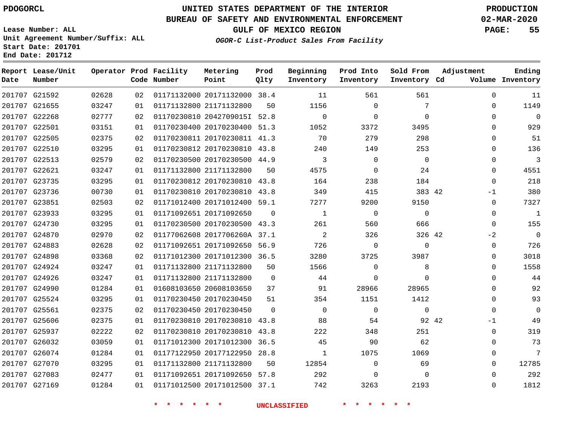G21592

**Date**

**Report Lease/Unit**

**Number**

# **UNITED STATES DEPARTMENT OF THE INTERIOR PDOGORCL PRODUCTION**

**Prod Qlty**

#### **BUREAU OF SAFETY AND ENVIRONMENTAL ENFORCEMENT 02-MAR-2020**

**Lease Number: ALL Unit Agreement Number/Suffix: ALL Start Date: 201701 End Date: 201712**

> 

**Operator Prod Facility**

**Code Number**

20171132000 38.4

**Metering Point**

  **OGOR-C List-Product Sales From Facility**

 

  $\Omega$   

**Sold From Inventory**

**Prod Into Inventory**

**Beginning Inventory**

**GULF OF MEXICO REGION PAGE: 55**

**Inventory Cd Volume**

**Adjustment**

  $\Omega$  $\Omega$   $\Omega$  $\Omega$  $\Omega$  -1  $\Omega$  $\overline{0}$  $-2$  $\overline{0}$  $\overline{0}$  $\Omega$  $\Omega$  $\Omega$  $\Omega$  -1  $\Omega$ 

**Ending**

| 201707 G21655 | 03247 | 01 |             | 01171132800 21171132800      | 50                  | 1156                       | $\mathbf 0$    | 7              |  |
|---------------|-------|----|-------------|------------------------------|---------------------|----------------------------|----------------|----------------|--|
| 201707 G22268 | 02777 | 02 |             | 01170230810 2042709015I 52.8 |                     | $\Omega$                   | $\Omega$       | $\mathbf 0$    |  |
| 201707 G22501 | 03151 | 01 |             | 01170230400 20170230400 51.3 |                     | 1052                       | 3372           | 3495           |  |
| 201707 G22505 | 02375 | 02 |             | 01170230811 20170230811 41.3 |                     | 70                         | 279            | 298            |  |
| 201707 G22510 | 03295 | 01 |             | 01170230812 20170230810 43.8 |                     | 240                        | 149            | 253            |  |
| 201707 G22513 | 02579 | 02 |             | 01170230500 20170230500 44.9 |                     | $\overline{3}$             | $\Omega$       | $\overline{0}$ |  |
| 201707 G22621 | 03247 | 01 |             | 01171132800 21171132800      | 50                  | 4575                       | $\overline{0}$ | 24             |  |
| 201707 G23735 | 03295 | 01 |             | 01170230812 20170230810 43.8 |                     | 164                        | 238            | 184            |  |
| 201707 G23736 | 00730 | 01 |             | 01170230810 20170230810 43.8 |                     | 349                        | 415            | 383 42         |  |
| 201707 G23851 | 02503 | 02 |             | 01171012400 20171012400 59.1 |                     | 7277                       | 9200           | 9150           |  |
| 201707 G23933 | 03295 | 01 |             | 01171092651 20171092650      | $\Omega$            | 1                          | $\Omega$       | $\mathbf{0}$   |  |
| 201707 G24730 | 03295 | 01 |             | 01170230500 20170230500 43.3 |                     | 261                        | 560            | 666            |  |
| 201707 G24870 | 02970 | 02 |             | 01177062608 2017706260A 37.1 |                     | $\overline{\phantom{0}}^2$ | 326            | 326 42         |  |
| 201707 G24883 | 02628 | 02 |             | 01171092651 20171092650 56.9 |                     | 726                        | $\mathbf 0$    | $\Omega$       |  |
| 201707 G24898 | 03368 | 02 |             | 01171012300 20171012300 36.5 |                     | 3280                       | 3725           | 3987           |  |
| 201707 G24924 | 03247 | 01 |             | 01171132800 21171132800      | 50                  | 1566                       | $\Omega$       | 8              |  |
| 201707 G24926 | 03247 | 01 |             | 01171132800 21171132800      | $\mathbf 0$         | 44                         | $\mathbf 0$    | $\mathbf 0$    |  |
| 201707 G24990 | 01284 | 01 |             | 01608103650 20608103650      | 37                  | 91                         | 28966          | 28965          |  |
| 201707 G25524 | 03295 | 01 |             | 01170230450 20170230450      | 51                  | 354                        | 1151           | 1412           |  |
| 201707 G25561 | 02375 | 02 |             | 01170230450 20170230450      | $\mathbf{0}$        | $\overline{0}$             | $\mathbf 0$    | $\mathbf 0$    |  |
| 201707 G25606 | 02375 | 01 |             | 01170230810 20170230810 43.8 |                     | 88                         | 54             | 92 42          |  |
| 201707 G25937 | 02222 | 02 |             | 01170230810 20170230810 43.8 |                     | 222                        | 348            | 251            |  |
| 201707 G26032 | 03059 | 01 |             | 01171012300 20171012300 36.5 |                     | 45                         | 90             | 62             |  |
| 201707 G26074 | 01284 | 01 |             | 01177122950 20177122950 28.8 |                     | $\mathbf{1}$               | 1075           | 1069           |  |
| 201707 G27070 | 03295 | 01 |             | 01171132800 21171132800      | 50                  | 12854                      | $\mathbf 0$    | 69             |  |
| 201707 G27083 | 02477 | 01 |             | 01171092651 20171092650 57.8 |                     | 292                        | $\Omega$       | $\Omega$       |  |
| 201707 G27169 | 01284 | 01 |             | 01171012500 20171012500 37.1 |                     | 742                        | 3263           | 2193           |  |
|               |       |    | * * * * * * |                              | <b>UNCLASSIFIED</b> |                            | * * * *        |                |  |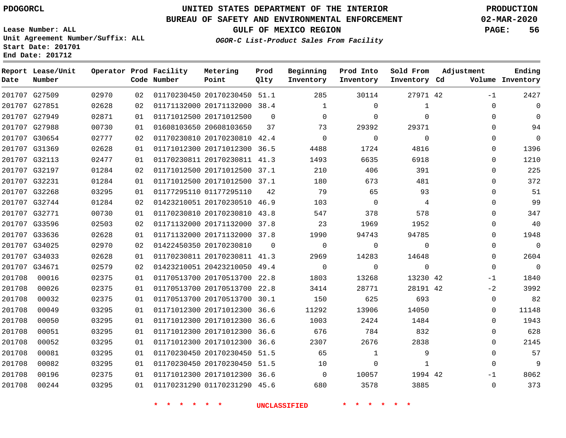### **BUREAU OF SAFETY AND ENVIRONMENTAL ENFORCEMENT 02-MAR-2020**

**Lease Number: ALL Unit Agreement Number/Suffix: ALL Start Date: 201701 End Date: 201712**

**GULF OF MEXICO REGION PAGE: 56**

**OGOR-C List-Product Sales From Facility**

| Date          | Report Lease/Unit<br>Number |       |    | Operator Prod Facility<br>Code Number | Metering<br>Point            | Prod<br>Qlty | Beginning<br>Inventory | Prod Into<br>Inventory | Sold From<br>Inventory Cd | Adjustment  | Ending<br>Volume Inventory |
|---------------|-----------------------------|-------|----|---------------------------------------|------------------------------|--------------|------------------------|------------------------|---------------------------|-------------|----------------------------|
|               | 201707 G27509               | 02970 | 02 |                                       | 01170230450 20170230450 51.1 |              | 285                    | 30114                  | 27971 42                  | $-1$        | 2427                       |
|               | 201707 G27851               | 02628 | 02 |                                       | 01171132000 20171132000 38.4 |              | 1                      | $\Omega$               | $\mathbf{1}$              | $\Omega$    | $\Omega$                   |
|               | 201707 G27949               | 02871 | 01 |                                       | 01171012500 20171012500      | $\Omega$     | $\mathbf 0$            | $\mathbf 0$            | $\Omega$                  | $\Omega$    | $\Omega$                   |
|               | 201707 G27988               | 00730 | 01 |                                       | 01608103650 20608103650      | 37           | 73                     | 29392                  | 29371                     | $\Omega$    | 94                         |
|               | 201707 G30654               | 02777 | 02 |                                       | 01170230810 20170230810 42.4 |              | $\mathbf{0}$           | 0                      | $\mathbf{0}$              | $\Omega$    | $\mathbf 0$                |
|               | 201707 G31369               | 02628 | 01 |                                       | 01171012300 20171012300 36.5 |              | 4488                   | 1724                   | 4816                      | $\Omega$    | 1396                       |
|               | 201707 G32113               | 02477 | 01 |                                       | 01170230811 20170230811 41.3 |              | 1493                   | 6635                   | 6918                      | 0           | 1210                       |
|               | 201707 G32197               | 01284 | 02 |                                       | 01171012500 20171012500 37.1 |              | 210                    | 406                    | 391                       | $\Omega$    | 225                        |
|               | 201707 G32231               | 01284 | 01 |                                       | 01171012500 20171012500 37.1 |              | 180                    | 673                    | 481                       | $\Omega$    | 372                        |
|               | 201707 G32268               | 03295 | 01 |                                       | 01177295110 01177295110      | 42           | 79                     | 65                     | 93                        | $\Omega$    | 51                         |
|               | 201707 G32744               | 01284 | 02 |                                       | 01423210051 20170230510 46.9 |              | 103                    | $\overline{0}$         | $\overline{4}$            | $\Omega$    | 99                         |
|               | 201707 G32771               | 00730 | 01 |                                       | 01170230810 20170230810 43.8 |              | 547                    | 378                    | 578                       | $\Omega$    | 347                        |
|               | 201707 G33596               | 02503 | 02 |                                       | 01171132000 20171132000 37.8 |              | 23                     | 1969                   | 1952                      | $\Omega$    | 40                         |
|               | 201707 G33636               | 02628 | 01 |                                       | 01171132000 20171132000 37.8 |              | 1990                   | 94743                  | 94785                     | 0           | 1948                       |
|               | 201707 G34025               | 02970 | 02 |                                       | 01422450350 20170230810      | $\Omega$     | $\mathbf 0$            | 0                      | $\Omega$                  | $\Omega$    | $\mathbf 0$                |
|               | 201707 G34033               | 02628 | 01 |                                       | 01170230811 20170230811 41.3 |              | 2969                   | 14283                  | 14648                     | $\Omega$    | 2604                       |
| 201707 G34671 |                             | 02579 | 02 |                                       | 01423210051 20423210050 49.4 |              | $\mathbf 0$            | $\Omega$               | $\mathbf 0$               | $\Omega$    | $\mathbf 0$                |
| 201708        | 00016                       | 02375 | 01 |                                       | 01170513700 20170513700 22.8 |              | 1803                   | 13268                  | 13230 42                  | $-1$        | 1840                       |
| 201708        | 00026                       | 02375 | 01 |                                       | 01170513700 20170513700 22.8 |              | 3414                   | 28771                  | 28191 42                  | $-2$        | 3992                       |
| 201708        | 00032                       | 02375 | 01 |                                       | 01170513700 20170513700 30.1 |              | 150                    | 625                    | 693                       | $\mathbf 0$ | 82                         |
| 201708        | 00049                       | 03295 | 01 |                                       | 01171012300 20171012300 36.6 |              | 11292                  | 13906                  | 14050                     | $\Omega$    | 11148                      |
| 201708        | 00050                       | 03295 | 01 |                                       | 01171012300 20171012300 36.6 |              | 1003                   | 2424                   | 1484                      | 0           | 1943                       |
| 201708        | 00051                       | 03295 | 01 |                                       | 01171012300 20171012300 36.6 |              | 676                    | 784                    | 832                       | $\Omega$    | 628                        |
| 201708        | 00052                       | 03295 | 01 |                                       | 01171012300 20171012300      | 36.6         | 2307                   | 2676                   | 2838                      | $\Omega$    | 2145                       |
| 201708        | 00081                       | 03295 | 01 |                                       | 01170230450 20170230450 51.5 |              | 65                     | 1                      | 9                         | $\Omega$    | 57                         |
| 201708        | 00082                       | 03295 | 01 |                                       | 01170230450 20170230450 51.5 |              | 10                     | $\Omega$               | $\mathbf{1}$              | $\Omega$    | 9                          |
| 201708        | 00196                       | 02375 | 01 |                                       | 01171012300 20171012300 36.6 |              | $\overline{0}$         | 10057                  | 1994 42                   | $-1$        | 8062                       |
| 201708        | 00244                       | 03295 | 01 |                                       | 01170231290 01170231290 45.6 |              | 680                    | 3578                   | 3885                      | $\mathbf 0$ | 373                        |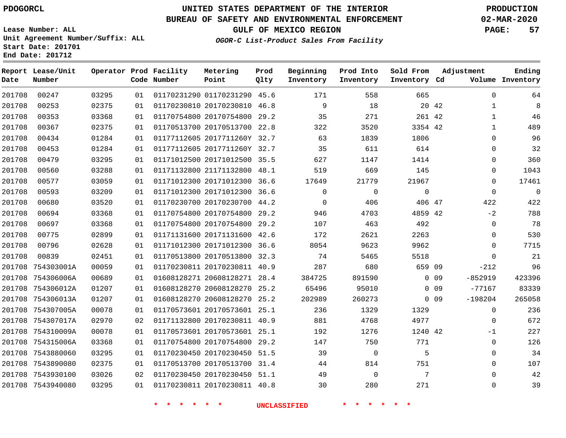#### **BUREAU OF SAFETY AND ENVIRONMENTAL ENFORCEMENT 02-MAR-2020**

**Lease Number: ALL Unit Agreement Number/Suffix: ALL Start Date: 201701**

**End Date: 201712**

**Report Lease/Unit**

**GULF OF MEXICO REGION PAGE: 57**

**Prod**

**Adjustment**

**Ending**

**OGOR-C List-Product Sales From Facility**

**Beginning Prod Into Sold From**

| Date   | Number            |       |    | Code Number | Point                        | Qlty | Inventory | Inventory   | Inventory Cd |        |             | Volume Inventory |
|--------|-------------------|-------|----|-------------|------------------------------|------|-----------|-------------|--------------|--------|-------------|------------------|
| 201708 | 00247             | 03295 | 01 |             | 01170231290 01170231290 45.6 |      | 171       | 558         | 665          |        | $\mathbf 0$ | 64               |
| 201708 | 00253             | 02375 | 01 |             | 01170230810 20170230810 46.8 |      | 9         | 18          |              | 20 42  | 1           | 8                |
| 201708 | 00353             | 03368 | 01 |             | 01170754800 20170754800      | 29.2 | 35        | 271         | 261 42       |        | 1           | 46               |
| 201708 | 00367             | 02375 | 01 |             | 01170513700 20170513700 22.8 |      | 322       | 3520        | 3354 42      |        | 1           | 489              |
| 201708 | 00434             | 01284 | 01 |             | 01177112605 2017711260Y 32.7 |      | 63        | 1839        | 1806         |        | 0           | 96               |
| 201708 | 00453             | 01284 | 01 |             | 01177112605 2017711260Y 32.7 |      | 35        | 611         | 614          |        | $\mathbf 0$ | 32               |
| 201708 | 00479             | 03295 | 01 |             | 01171012500 20171012500 35.5 |      | 627       | 1147        | 1414         |        | 0           | 360              |
| 201708 | 00560             | 03288 | 01 |             | 01171132800 21171132800 48.1 |      | 519       | 669         | 145          |        | 0           | 1043             |
| 201708 | 00577             | 03059 | 01 |             | 01171012300 20171012300 36.6 |      | 17649     | 21779       | 21967        |        | $\mathbf 0$ | 17461            |
| 201708 | 00593             | 03209 | 01 |             | 01171012300 20171012300 36.6 |      | 0         | $\mathbf 0$ | $\mathbf{0}$ |        | $\mathbf 0$ | $\mathbf{0}$     |
| 201708 | 00680             | 03520 | 01 |             | 01170230700 20170230700 44.2 |      | 0         | 406         | 406 47       |        | 422         | 422              |
| 201708 | 00694             | 03368 | 01 |             | 01170754800 20170754800      | 29.2 | 946       | 4703        | 4859 42      |        | $-2$        | 788              |
| 201708 | 00697             | 03368 | 01 |             | 01170754800 20170754800 29.2 |      | 107       | 463         | 492          |        | 0           | 78               |
| 201708 | 00775             | 02899 | 01 |             | 01171131600 20171131600 42.6 |      | 172       | 2621        | 2263         |        | 0           | 530              |
| 201708 | 00796             | 02628 | 01 |             | 01171012300 20171012300 36.6 |      | 8054      | 9623        | 9962         |        | 0           | 7715             |
| 201708 | 00839             | 02451 | 01 |             | 01170513800 20170513800 32.3 |      | 74        | 5465        | 5518         |        | $\mathbf 0$ | 21               |
|        | 201708 754303001A | 00059 | 01 |             | 01170230811 20170230811 40.9 |      | 287       | 680         | 659 09       |        | $-212$      | 96               |
| 201708 | 754306006A        | 00689 | 01 |             | 01608128271 20608128271      | 28.4 | 384725    | 891590      |              | $0$ 09 | $-852919$   | 423396           |
| 201708 | 754306012A        | 01207 | 01 |             | 01608128270 20608128270      | 25.2 | 65496     | 95010       |              | $0$ 09 | $-77167$    | 83339            |
|        | 201708 754306013A | 01207 | 01 |             | 01608128270 20608128270 25.2 |      | 202989    | 260273      |              | $0$ 09 | $-198204$   | 265058           |
|        | 201708 754307005A | 00078 | 01 |             | 01170573601 20170573601 25.1 |      | 236       | 1329        | 1329         |        | 0           | 236              |
|        | 201708 754307017A | 02970 | 02 |             | 01171132800 20170230811 40.9 |      | 881       | 4768        | 4977         |        | 0           | 672              |
|        | 201708 754310009A | 00078 | 01 |             | 01170573601 20170573601 25.1 |      | 192       | 1276        | 1240 42      |        | $-1$        | 227              |
|        | 201708 754315006A | 03368 | 01 |             | 01170754800 20170754800 29.2 |      | 147       | 750         | 771          |        | 0           | 126              |
|        | 201708 7543880060 | 03295 | 01 |             | 01170230450 20170230450      | 51.5 | 39        | 0           | 5            |        | $\mathbf 0$ | 34               |
|        | 201708 7543890080 | 02375 | 01 |             | 01170513700 20170513700 31.4 |      | 44        | 814         | 751          |        | 0           | 107              |
| 201708 | 7543930100        | 03026 | 02 |             | 01170230450 20170230450 51.1 |      | 49        | 0           | 7            |        | $\mathbf 0$ | 42               |
|        | 201708 7543940080 | 03295 | 01 |             | 01170230811 20170230811 40.8 |      | 30        | 280         | 271          |        | $\mathbf 0$ | 39               |

**\* \* \* \* \* \* UNCLASSIFIED \* \* \* \* \* \***

**Operator Prod Facility Metering**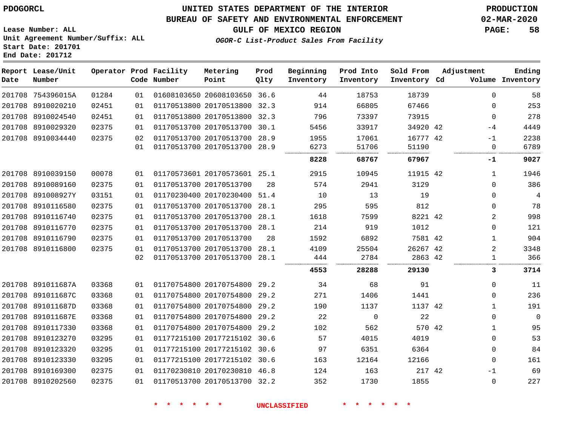**Date**

### **UNITED STATES DEPARTMENT OF THE INTERIOR PDOGORCL PRODUCTION**

#### **BUREAU OF SAFETY AND ENVIRONMENTAL ENFORCEMENT 02-MAR-2020**

**Lease Number: ALL Unit Agreement Number/Suffix: ALL Start Date: 201701 End Date: 201712**

### **OGOR-C List-Product Sales From Facility**

| Date | Report Lease/Unit<br>Number |       |    | Operator Prod Facility<br>Code Number | Metering<br>Point       | Prod<br>Qlty | Beginning<br>Inventory | Prod Into<br>Inventory | Sold From<br>Inventory Cd | Adjustment | Ending<br>Volume Inventory |
|------|-----------------------------|-------|----|---------------------------------------|-------------------------|--------------|------------------------|------------------------|---------------------------|------------|----------------------------|
|      | 201708 754396015A           | 01284 | 01 |                                       | 01608103650 20608103650 | 36.6         | 44                     | 18753                  | 18739                     | $\Omega$   | 58                         |
|      | 201708 8910020210           | 02451 | 01 |                                       | 01170513800 20170513800 | 32.3         | 914                    | 66805                  | 67466                     | $\Omega$   | 253                        |
|      | 201708 8910024540           | 02451 | 01 |                                       | 01170513800 20170513800 | 32.3         | 796                    | 73397                  | 73915                     | $\Omega$   | 278                        |
|      | 201708 8910029320           | 02375 | 01 |                                       | 01170513700 20170513700 | 30.1         | 5456                   | 33917                  | 34920 42                  | $-4$       | 4449                       |
|      | 201708 8910034440           | 02375 | 02 |                                       | 01170513700 20170513700 | 28.9         | 1955                   | 17061                  | 16777 42                  | $-1$       | 2238                       |
|      |                             |       | 01 |                                       | 01170513700 20170513700 | 28.9         | 6273                   | 51706                  | 51190                     | 0          | 6789                       |
|      |                             |       |    |                                       |                         |              | 8228                   | 68767                  | 67967                     | $-1$       | 9027                       |
|      | 201708 8910039150           | 00078 | 01 |                                       | 01170573601 20170573601 | 25.1         | 2915                   | 10945                  | 11915 42                  |            | 1946                       |
|      | 201708 8910089160           | 02375 | 01 |                                       | 01170513700 20170513700 | 28           | 574                    | 2941                   | 3129                      | $\Omega$   | 386                        |
|      | 201708 891008927Y           | 03151 | 01 |                                       | 01170230400 20170230400 | 51.4         | 10                     | 13                     | 19                        | $\Omega$   | 4                          |
|      | 201708 8910116580           | 02375 | 01 |                                       | 01170513700 20170513700 | 28.1         | 295                    | 595                    | 812                       | $\Omega$   | 78                         |
|      | 201708 8910116740           | 02375 | 01 |                                       | 01170513700 20170513700 | 28.1         | 1618                   | 7599                   | 8221 42                   | 2          | 998                        |
|      | 201708 8910116770           | 02375 | 01 |                                       | 01170513700 20170513700 | 28.1         | 214                    | 919                    | 1012                      | $\Omega$   | 121                        |
|      | 201708 8910116790           | 02375 | 01 |                                       | 01170513700 20170513700 | 28           | 1592                   | 6892                   | 7581 42                   |            | 904                        |
|      | 201708 8910116800           | 02375 | 01 |                                       | 01170513700 20170513700 | 28.1         | 4109                   | 25504                  | 26267 42                  | 2          | 3348                       |
|      |                             |       | 02 |                                       | 01170513700 20170513700 | 28.1         | 444                    | 2784                   | 2863 42                   |            | 366                        |
|      |                             |       |    |                                       |                         |              | <br>4553               | 28288                  | 29130                     | 3          | 3714                       |
|      |                             |       |    |                                       |                         |              |                        |                        |                           |            |                            |

|            | 03368                                                                                                                                                                                     | 01 |  | 34                                                                                                                                                                                                                                                                                                                           | 68       | 91    |      | 11                          |
|------------|-------------------------------------------------------------------------------------------------------------------------------------------------------------------------------------------|----|--|------------------------------------------------------------------------------------------------------------------------------------------------------------------------------------------------------------------------------------------------------------------------------------------------------------------------------|----------|-------|------|-----------------------------|
|            | 03368                                                                                                                                                                                     | 01 |  | 271                                                                                                                                                                                                                                                                                                                          | 1406     | 1441  |      | 236                         |
|            | 03368                                                                                                                                                                                     | 01 |  | 190                                                                                                                                                                                                                                                                                                                          | 1137     |       |      | 191                         |
|            | 03368                                                                                                                                                                                     | 01 |  | 22                                                                                                                                                                                                                                                                                                                           | $\Omega$ | 22    |      | $\Omega$                    |
|            | 03368                                                                                                                                                                                     | 01 |  | 102                                                                                                                                                                                                                                                                                                                          | 562      |       |      | 95                          |
|            | 03295                                                                                                                                                                                     | 01 |  | 57                                                                                                                                                                                                                                                                                                                           | 4015     | 4019  |      | 53                          |
|            | 03295                                                                                                                                                                                     | 01 |  | 97                                                                                                                                                                                                                                                                                                                           | 6351     | 6364  |      | 84                          |
|            | 03295                                                                                                                                                                                     | 01 |  | 163                                                                                                                                                                                                                                                                                                                          | 12164    | 12166 |      | 161                         |
|            | 02375                                                                                                                                                                                     | 01 |  | 124                                                                                                                                                                                                                                                                                                                          | 163      |       | $-1$ | 69                          |
| 8910202560 | 02375                                                                                                                                                                                     | 01 |  | 352                                                                                                                                                                                                                                                                                                                          | 1730     | 1855  |      | 227                         |
|            | 201708 891011687A<br>201708 891011687C<br>201708 891011687D<br>201708 891011687E<br>201708 8910117330<br>201708 8910123270<br>201708 8910123320<br>201708 8910123330<br>201708 8910169300 |    |  | 01170754800 20170754800 29.2<br>01170754800 20170754800 29.2<br>01170754800 20170754800 29.2<br>01170754800 20170754800 29.2<br>01170754800 20170754800 29.2<br>01177215100 20177215102 30.6<br>01177215100 20177215102 30.6<br>01177215100 20177215102 30.6<br>01170230810 20170230810 46.8<br>01170513700 20170513700 32.2 |          |       |      | 1137 42<br>570 42<br>217 42 |

**\* \* \* \* \* \* UNCLASSIFIED \* \* \* \* \* \***

**GULF OF MEXICO REGION PAGE: 58**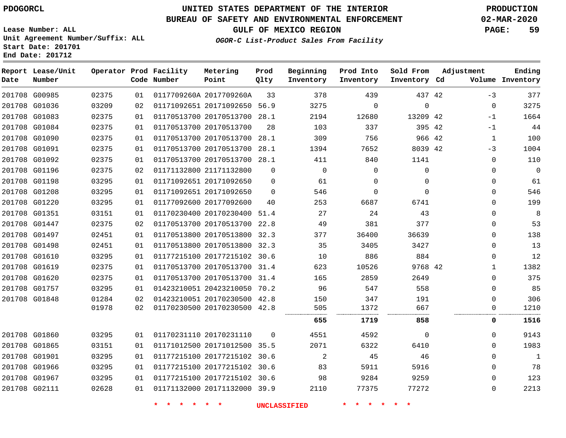**Start Date: 201701 End Date: 201712**

# **UNITED STATES DEPARTMENT OF THE INTERIOR PDOGORCL PRODUCTION**

### **BUREAU OF SAFETY AND ENVIRONMENTAL ENFORCEMENT 02-MAR-2020**

**Lease Number: ALL Unit Agreement Number/Suffix: ALL**

**GULF OF MEXICO REGION PAGE: 59**

**OGOR-C List-Product Sales From Facility**

| Date          | Report Lease/Unit<br>Number |       |    | Operator Prod Facility<br>Code Number | Metering<br>Point            | Prod<br>Qlty | Beginning<br>Inventory | Prod Into<br>Inventory | Sold From<br>Inventory Cd | Adjustment |              | Ending<br>Volume Inventory |
|---------------|-----------------------------|-------|----|---------------------------------------|------------------------------|--------------|------------------------|------------------------|---------------------------|------------|--------------|----------------------------|
|               | 201708 G00985               | 02375 | 01 |                                       | 0117709260A 2017709260A      | 33           | 378                    | 439                    | 437 42                    |            | $-3$         | 377                        |
| 201708 G01036 |                             | 03209 | 02 |                                       | 01171092651 20171092650 56.9 |              | 3275                   | $\Omega$               | $\Omega$                  |            | $\mathbf{0}$ | 3275                       |
|               | 201708 G01083               | 02375 | 01 |                                       | 01170513700 20170513700      | 28.1         | 2194                   | 12680                  | 13209 42                  |            | $-1$         | 1664                       |
| 201708 G01084 |                             | 02375 | 01 |                                       | 01170513700 20170513700      | 28           | 103                    | 337                    | 395 42                    |            | $-1$         | 44                         |
|               | 201708 G01090               | 02375 | 01 |                                       | 01170513700 20170513700 28.1 |              | 309                    | 756                    | 966 42                    |            | $\mathbf 1$  | 100                        |
|               | 201708 G01091               | 02375 | 01 |                                       | 01170513700 20170513700 28.1 |              | 1394                   | 7652                   | 8039 42                   |            | $-3$         | 1004                       |
|               | 201708 G01092               | 02375 | 01 |                                       | 01170513700 20170513700 28.1 |              | 411                    | 840                    | 1141                      |            | $\mathbf{0}$ | 110                        |
| 201708 G01196 |                             | 02375 | 02 |                                       | 01171132800 21171132800      | $\mathbf 0$  | $\mathbf 0$            | $\mathbf 0$            | $\mathbf 0$               |            | $\mathbf{0}$ | $\mathbf 0$                |
|               | 201708 G01198               | 03295 | 01 |                                       | 01171092651 20171092650      | $\Omega$     | 61                     | $\Omega$               | $\Omega$                  |            | 0            | 61                         |
| 201708 G01208 |                             | 03295 | 01 |                                       | 01171092651 20171092650      | $\Omega$     | 546                    | $\Omega$               | $\Omega$                  |            | $\mathbf{0}$ | 546                        |
|               | 201708 G01220               | 03295 | 01 |                                       | 01177092600 20177092600      | 40           | 253                    | 6687                   | 6741                      |            | $\mathbf{0}$ | 199                        |
|               | 201708 G01351               | 03151 | 01 |                                       | 01170230400 20170230400 51.4 |              | 27                     | 24                     | 43                        |            | $\mathbf{0}$ | 8                          |
|               | 201708 G01447               | 02375 | 02 |                                       | 01170513700 20170513700      | 22.8         | 49                     | 381                    | 377                       |            | 0            | 53                         |
| 201708 G01497 |                             | 02451 | 01 |                                       | 01170513800 20170513800 32.3 |              | 377                    | 36400                  | 36639                     |            | 0            | 138                        |
| 201708 G01498 |                             | 02451 | 01 |                                       | 01170513800 20170513800 32.3 |              | 35                     | 3405                   | 3427                      |            | $\mathbf{0}$ | 13                         |
|               | 201708 G01610               | 03295 | 01 |                                       | 01177215100 20177215102 30.6 |              | 10                     | 886                    | 884                       |            | $\mathbf{0}$ | 12                         |
| 201708 G01619 |                             | 02375 | 01 |                                       | 01170513700 20170513700 31.4 |              | 623                    | 10526                  | 9768 42                   |            | 1            | 1382                       |
| 201708 G01620 |                             | 02375 | 01 |                                       | 01170513700 20170513700      | 31.4         | 165                    | 2859                   | 2649                      |            | 0            | 375                        |
|               | 201708 G01757               | 03295 | 01 |                                       | 01423210051 20423210050 70.2 |              | 96                     | 547                    | 558                       |            | $\mathbf{0}$ | 85                         |
| 201708 G01848 |                             | 01284 | 02 |                                       | 01423210051 20170230500 42.8 |              | 150                    | 347                    | 191                       |            | $\mathbf 0$  | 306                        |
|               |                             | 01978 | 02 |                                       | 01170230500 20170230500 42.8 |              | 505                    | 1372                   | 667                       |            | 0            | 1210                       |
|               |                             |       |    |                                       |                              |              | 655                    | 1719                   | 858                       |            | 0            | 1516                       |
|               | 201708 G01860               | 03295 | 01 |                                       | 01170231110 20170231110      | $\Omega$     | 4551                   | 4592                   | $\Omega$                  |            | $\Omega$     | 9143                       |
|               | 201708 G01865               | 03151 | 01 |                                       | 01171012500 20171012500 35.5 |              | 2071                   | 6322                   | 6410                      |            | $\Omega$     | 1983                       |
| 201708 G01901 |                             | 03295 | 01 |                                       | 01177215100 20177215102 30.6 |              | 2                      | 45                     | 46                        |            | 0            | 1                          |
| 201708 G01966 |                             | 03295 | 01 |                                       | 01177215100 20177215102 30.6 |              | 83                     | 5911                   | 5916                      |            | 0            | 78                         |
| 201708 G01967 |                             | 03295 | 01 |                                       | 01177215100 20177215102 30.6 |              | 98                     | 9284                   | 9259                      |            | $\mathbf{0}$ | 123                        |
| 201708 G02111 |                             | 02628 | 01 |                                       | 01171132000 20171132000 39.9 |              | 2110                   | 77375                  | 77272                     |            | $\Omega$     | 2213                       |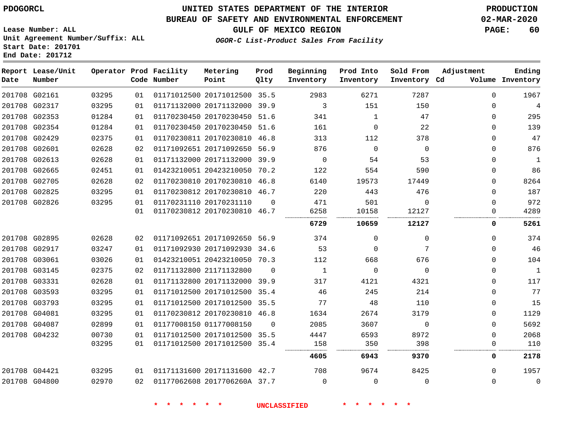#### **BUREAU OF SAFETY AND ENVIRONMENTAL ENFORCEMENT 02-MAR-2020**

**GULF OF MEXICO REGION PAGE: 60**

**OGOR-C List-Product Sales From Facility**

| Lease Number: ALL                 |
|-----------------------------------|
| Unit Agreement Number/Suffix: ALL |
| Start Date: 201701                |
| End Date: 201712                  |

| Date | Report Lease/Unit<br>Number |       |    | Operator Prod Facility<br>Code Number | Metering<br>Point            | Prod<br>Qlty | Beginning<br>Inventory | Prod Into<br>Inventory | Sold From<br>Inventory Cd | Adjustment  | Ending<br>Volume Inventory |
|------|-----------------------------|-------|----|---------------------------------------|------------------------------|--------------|------------------------|------------------------|---------------------------|-------------|----------------------------|
|      | 201708 G02161               | 03295 | 01 |                                       | 01171012500 20171012500 35.5 |              | 2983                   | 6271                   | 7287                      | $\Omega$    | 1967                       |
|      | 201708 G02317               | 03295 | 01 |                                       | 01171132000 20171132000 39.9 |              | 3                      | 151                    | 150                       | $\Omega$    | 4                          |
|      | 201708 G02353               | 01284 | 01 |                                       | 01170230450 20170230450 51.6 |              | 341                    | 1                      | 47                        | $\mathbf 0$ | 295                        |
|      | 201708 G02354               | 01284 | 01 |                                       | 01170230450 20170230450 51.6 |              | 161                    | 0                      | 22                        | 0           | 139                        |
|      | 201708 G02429               | 02375 | 01 |                                       | 01170230811 20170230810 46.8 |              | 313                    | 112                    | 378                       | $\mathbf 0$ | 47                         |
|      | 201708 G02601               | 02628 | 02 |                                       | 01171092651 20171092650 56.9 |              | 876                    | $\mathbf 0$            | $\mathbf 0$               | 0           | 876                        |
|      | 201708 G02613               | 02628 | 01 |                                       | 01171132000 20171132000 39.9 |              | $\mathbf 0$            | 54                     | 53                        | $\mathbf 0$ | $\mathbf{1}$               |
|      | 201708 G02665               | 02451 | 01 |                                       | 01423210051 20423210050 70.2 |              | 122                    | 554                    | 590                       | 0           | 86                         |
|      | 201708 G02705               | 02628 | 02 |                                       | 01170230810 20170230810 46.8 |              | 6140                   | 19573                  | 17449                     | $\mathbf 0$ | 8264                       |
|      | 201708 G02825               | 03295 | 01 |                                       | 01170230812 20170230810 46.7 |              | 220                    | 443                    | 476                       | $\Omega$    | 187                        |
|      | 201708 G02826               | 03295 | 01 |                                       | 01170231110 20170231110      | $\Omega$     | 471                    | 501                    | $\Omega$                  | $\Omega$    | 972                        |
|      |                             |       | 01 |                                       | 01170230812 20170230810 46.7 |              | 6258                   | 10158                  | 12127                     | 0           | 4289                       |
|      |                             |       |    |                                       |                              |              | 6729                   | 10659                  | 12127                     | 0           | 5261                       |
|      | 201708 G02895               | 02628 | 02 |                                       | 01171092651 20171092650 56.9 |              | 374                    | $\Omega$               | 0                         | 0           | 374                        |
|      | 201708 G02917               | 03247 | 01 |                                       | 01171092930 20171092930 34.6 |              | 53                     | 0                      | 7                         | $\mathbf 0$ | 46                         |
|      | 201708 G03061               | 03026 | 01 |                                       | 01423210051 20423210050 70.3 |              | 112                    | 668                    | 676                       | $\Omega$    | 104                        |
|      | 201708 G03145               | 02375 | 02 |                                       | 01171132800 21171132800      | $\Omega$     | 1                      | $\Omega$               | $\mathbf 0$               | 0           | $\overline{1}$             |
|      | 201708 G03331               | 02628 | 01 |                                       | 01171132800 20171132000 39.9 |              | 317                    | 4121                   | 4321                      | 0           | 117                        |
|      | 201708 G03593               | 03295 | 01 |                                       | 01171012500 20171012500 35.4 |              | 46                     | 245                    | 214                       | $\mathbf 0$ | 77                         |
|      | 201708 G03793               | 03295 | 01 |                                       | 01171012500 20171012500 35.5 |              | 77                     | 48                     | 110                       | 0           | 15                         |
|      | 201708 G04081               | 03295 | 01 |                                       | 01170230812 20170230810 46.8 |              | 1634                   | 2674                   | 3179                      | 0           | 1129                       |
|      | 201708 G04087               | 02899 | 01 |                                       | 01177008150 01177008150      | $\Omega$     | 2085                   | 3607                   | $\mathbf 0$               | $\mathbf 0$ | 5692                       |
|      | 201708 G04232               | 00730 | 01 |                                       | 01171012500 20171012500 35.5 |              | 4447                   | 6593                   | 8972                      | $\Omega$    | 2068                       |
|      |                             | 03295 | 01 |                                       | 01171012500 20171012500 35.4 |              | 158                    | 350                    | 398                       | $\Omega$    | 110                        |
|      |                             |       |    |                                       |                              |              | 4605                   | 6943                   | 9370                      | 0           | 2178                       |
|      | 201708 G04421               | 03295 | 01 |                                       | 01171131600 20171131600 42.7 |              | 708                    | 9674                   | 8425                      | $\Omega$    | 1957                       |
|      | 201708 G04800               | 02970 | 02 |                                       | 01177062608 2017706260A 37.7 |              | $\Omega$               | $\Omega$               | $\Omega$                  | $\Omega$    | $\Omega$                   |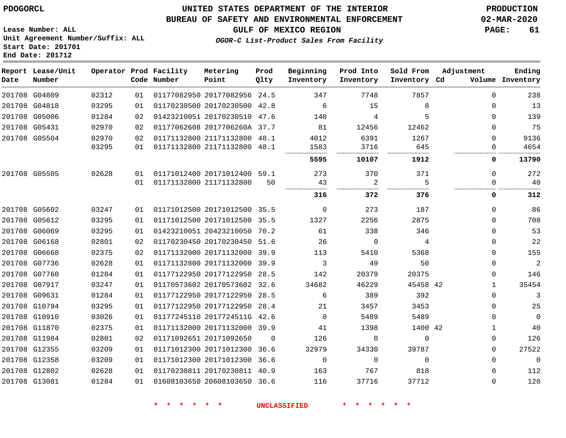#### **BUREAU OF SAFETY AND ENVIRONMENTAL ENFORCEMENT 02-MAR-2020**

**OGOR-C List-Product Sales From Facility**

**GULF OF MEXICO REGION PAGE: 61**

**Lease Number: ALL Unit Agreement Number/Suffix: ALL Start Date: 201701 End Date: 201712**

| Date | Report Lease/Unit<br>Number |       |    | Operator Prod Facility<br>Code Number | Metering<br>Point            | Prod<br>Qlty | Beginning<br>Inventory | Prod Into<br>Inventory | Sold From<br>Inventory Cd | Adjustment   | Ending<br>Volume Inventory |
|------|-----------------------------|-------|----|---------------------------------------|------------------------------|--------------|------------------------|------------------------|---------------------------|--------------|----------------------------|
|      | 201708 G04809               | 02312 | 01 |                                       | 01177082950 20177082956 24.5 |              | 347                    | 7748                   | 7857                      | $\Omega$     | 238                        |
|      | 201708 G04818               | 03295 | 01 |                                       | 01170230500 20170230500 42.8 |              | 6                      | 15                     | 8                         | $\Omega$     | 13                         |
|      | 201708 G05006               | 01284 | 02 |                                       | 01423210051 20170230510 47.6 |              | 140                    | 4                      | 5                         | 0            | 139                        |
|      | 201708 G05431               | 02970 | 02 |                                       | 01177062608 2017706260A 37.7 |              | 81                     | 12456                  | 12462                     | $\Omega$     | 75                         |
|      | 201708 G05504               | 02970 | 02 |                                       | 01171132800 21171132800 48.1 |              | 4012                   | 6391                   | 1267                      | $\Omega$     | 9136                       |
|      |                             | 03295 | 01 |                                       | 01171132800 21171132800 48.1 |              | 1583                   | 3716                   | 645                       | 0            | 4654                       |
|      |                             |       |    |                                       |                              |              | 5595                   | 10107                  | 1912                      | 0            | 13790                      |
|      | 201708 G05505               | 02628 | 01 |                                       | 01171012400 20171012400 59.1 |              | 273                    | 370                    | 371                       | 0            | 272                        |
|      |                             |       | 01 |                                       | 01171132800 21171132800      | 50           | 43                     | 2                      | 5                         | 0            | 40                         |
|      |                             |       |    |                                       |                              |              | 316                    | 372                    | 376                       | 0            | 312                        |
|      | 201708 G05602               | 03247 | 01 |                                       | 01171012500 20171012500 35.5 |              | $\overline{0}$         | 273                    | 187                       | $\Omega$     | 86                         |
|      | 201708 G05612               | 03295 | 01 |                                       | 01171012500 20171012500 35.5 |              | 1327                   | 2256                   | 2875                      | 0            | 708                        |
|      | 201708 G06069               | 03295 | 01 |                                       | 01423210051 20423210050 70.2 |              | 61                     | 338                    | 346                       | $\Omega$     | 53                         |
|      | 201708 G06168               | 02801 | 02 |                                       | 01170230450 20170230450 51.6 |              | 26                     | $\Omega$               | 4                         | 0            | 22                         |
|      | 201708 G06668               | 02375 | 02 |                                       | 01171132000 20171132000 39.9 |              | 113                    | 5410                   | 5368                      | 0            | 155                        |
|      | 201708 G07736               | 02628 | 01 |                                       | 01171132800 20171132000 39.9 |              | 3                      | 49                     | 50                        | 0            | $\overline{c}$             |
|      | 201708 G07760               | 01284 | 01 |                                       | 01177122950 20177122950 28.5 |              | 142                    | 20379                  | 20375                     | $\Omega$     | 146                        |
|      | 201708 G07917               | 03247 | 01 |                                       | 01170573602 20170573602 32.6 |              | 34682                  | 46229                  | 45458 42                  | $\mathbf{1}$ | 35454                      |
|      | 201708 G09631               | 01284 | 01 |                                       | 01177122950 20177122950 28.5 |              | 6                      | 389                    | 392                       | 0            | 3                          |
|      | 201708 G10794               | 03295 | 01 |                                       | 01177122950 20177122950      | 28.4         | 21                     | 3457                   | 3453                      | 0            | 25                         |
|      | 201708 G10910               | 03026 | 01 |                                       | 01177245110 2017724511G 42.6 |              | $\mathbf 0$            | 5489                   | 5489                      | 0            | $\overline{0}$             |
|      | 201708 G11870               | 02375 | 01 |                                       | 01171132000 20171132000 39.9 |              | 41                     | 1398                   | 1400 42                   | $\mathbf{1}$ | 40                         |
|      | 201708 G11984               | 02801 | 02 |                                       | 01171092651 20171092650      | $\Omega$     | 126                    | $\Omega$               | $\Omega$                  | $\Omega$     | 126                        |
|      | 201708 G12355               | 03209 | 01 |                                       | 01171012300 20171012300 36.6 |              | 32979                  | 34330                  | 39787                     | 0            | 27522                      |
|      | 201708 G12358               | 03209 | 01 |                                       | 01171012300 20171012300 36.6 |              | 0                      | 0                      | $\mathbf 0$               | 0            | $\overline{0}$             |
|      | 201708 G12802               | 02628 | 01 |                                       | 01170230811 20170230811 40.9 |              | 163                    | 767                    | 818                       | 0            | 112                        |
|      | 201708 G13081               | 01284 | 01 |                                       | 01608103650 20608103650 36.6 |              | 116                    | 37716                  | 37712                     | 0            | 120                        |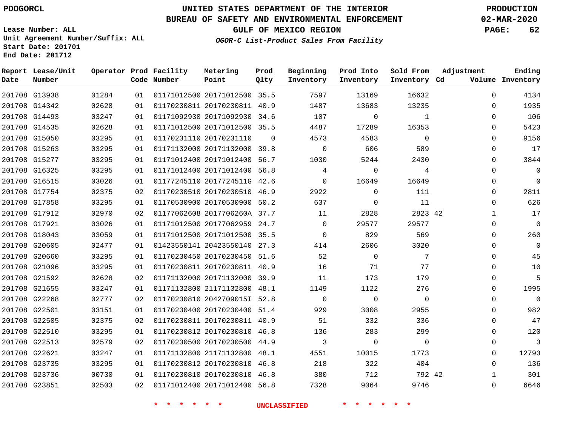### **UNITED STATES DEPARTMENT OF THE INTERIOR PDOGORCL PRODUCTION**

### **BUREAU OF SAFETY AND ENVIRONMENTAL ENFORCEMENT 02-MAR-2020**

**Lease Number: ALL Unit Agreement Number/Suffix: ALL Start Date: 201701**

**GULF OF MEXICO REGION PAGE: 62**

**OGOR-C List-Product Sales From Facility**

| Date | Report Lease/Unit<br>Number |       |    | Operator Prod Facility<br>Code Number | Metering<br>Point            | Prod<br>Qlty | Beginning<br>Inventory | Prod Into<br>Inventory | Sold From<br>Inventory Cd | Adjustment   | Ending<br>Volume Inventory |
|------|-----------------------------|-------|----|---------------------------------------|------------------------------|--------------|------------------------|------------------------|---------------------------|--------------|----------------------------|
|      | 201708 G13938               | 01284 | 01 |                                       | 01171012500 20171012500 35.5 |              | 7597                   | 13169                  | 16632                     | $\mathbf 0$  | 4134                       |
|      | 201708 G14342               | 02628 | 01 |                                       | 01170230811 20170230811 40.9 |              | 1487                   | 13683                  | 13235                     | $\Omega$     | 1935                       |
|      | 201708 G14493               | 03247 | 01 |                                       | 01171092930 20171092930 34.6 |              | 107                    | 0                      | 1                         | $\Omega$     | 106                        |
|      | 201708 G14535               | 02628 | 01 |                                       | 01171012500 20171012500 35.5 |              | 4487                   | 17289                  | 16353                     | $\mathbf 0$  | 5423                       |
|      | 201708 G15050               | 03295 | 01 |                                       | 01170231110 20170231110      | $\Omega$     | 4573                   | 4583                   | $\overline{0}$            | $\Omega$     | 9156                       |
|      | 201708 G15263               | 03295 | 01 |                                       | 01171132000 20171132000 39.8 |              | $\Omega$               | 606                    | 589                       | $\mathbf 0$  | 17                         |
|      | 201708 G15277               | 03295 | 01 |                                       | 01171012400 20171012400      | 56.7         | 1030                   | 5244                   | 2430                      | $\mathbf 0$  | 3844                       |
|      | 201708 G16325               | 03295 | 01 |                                       | 01171012400 20171012400 56.8 |              | 4                      | $\mathbf 0$            | 4                         | $\Omega$     | $\mathbf 0$                |
|      | 201708 G16515               | 03026 | 01 |                                       | 01177245110 2017724511G 42.6 |              | $\Omega$               | 16649                  | 16649                     | $\Omega$     | $\Omega$                   |
|      | 201708 G17754               | 02375 | 02 |                                       | 01170230510 20170230510 46.9 |              | 2922                   | $\Omega$               | 111                       | $\mathbf 0$  | 2811                       |
|      | 201708 G17858               | 03295 | 01 |                                       | 01170530900 20170530900 50.2 |              | 637                    | $\mathbf 0$            | 11                        | $\Omega$     | 626                        |
|      | 201708 G17912               | 02970 | 02 |                                       | 01177062608 2017706260A 37.7 |              | 11                     | 2828                   | 2823 42                   | $\mathbf{1}$ | 17                         |
|      | 201708 G17921               | 03026 | 01 |                                       | 01171012500 20177062959 24.7 |              | $\Omega$               | 29577                  | 29577                     | $\Omega$     | $\Omega$                   |
|      | 201708 G18043               | 03059 | 01 |                                       | 01171012500 20171012500 35.5 |              | $\mathbf 0$            | 829                    | 569                       | $\mathbf 0$  | 260                        |
|      | 201708 G20605               | 02477 | 01 |                                       | 01423550141 20423550140 27.3 |              | 414                    | 2606                   | 3020                      | $\Omega$     | $\Omega$                   |
|      | 201708 G20660               | 03295 | 01 |                                       | 01170230450 20170230450 51.6 |              | 52                     | $\Omega$               | 7                         | $\Omega$     | 45                         |
|      | 201708 G21096               | 03295 | 01 |                                       | 01170230811 20170230811 40.9 |              | 16                     | 71                     | 77                        | $\Omega$     | 10                         |
|      | 201708 G21592               | 02628 | 02 |                                       | 01171132000 20171132000 39.9 |              | 11                     | 173                    | 179                       | $\mathbf 0$  | 5                          |
|      | 201708 G21655               | 03247 | 01 |                                       | 01171132800 21171132800 48.1 |              | 1149                   | 1122                   | 276                       | $\Omega$     | 1995                       |
|      | 201708 G22268               | 02777 | 02 |                                       | 01170230810 2042709015I 52.8 |              | $\overline{0}$         | $\overline{0}$         | $\mathbf 0$               | $\mathbf 0$  | $\overline{0}$             |
|      | 201708 G22501               | 03151 | 01 |                                       | 01170230400 20170230400 51.4 |              | 929                    | 3008                   | 2955                      | $\Omega$     | 982                        |
|      | 201708 G22505               | 02375 | 02 |                                       | 01170230811 20170230811 40.9 |              | 51                     | 332                    | 336                       | $\mathbf 0$  | 47                         |
|      | 201708 G22510               | 03295 | 01 |                                       | 01170230812 20170230810 46.8 |              | 136                    | 283                    | 299                       | $\mathbf 0$  | 120                        |
|      | 201708 G22513               | 02579 | 02 |                                       | 01170230500 20170230500 44.9 |              | $\overline{3}$         | $\overline{0}$         | $\overline{0}$            | $\mathbf 0$  | 3                          |
|      | 201708 G22621               | 03247 | 01 |                                       | 01171132800 21171132800 48.1 |              | 4551                   | 10015                  | 1773                      | $\Omega$     | 12793                      |
|      | 201708 G23735               | 03295 | 01 |                                       | 01170230812 20170230810 46.8 |              | 218                    | 322                    | 404                       | $\Omega$     | 136                        |
|      | 201708 G23736               | 00730 | 01 |                                       | 01170230810 20170230810 46.8 |              | 380                    | 712                    | 792 42                    | $\mathbf{1}$ | 301                        |
|      | 201708 G23851               | 02503 | 02 |                                       | 01171012400 20171012400 56.8 |              | 7328                   | 9064                   | 9746                      | $\Omega$     | 6646                       |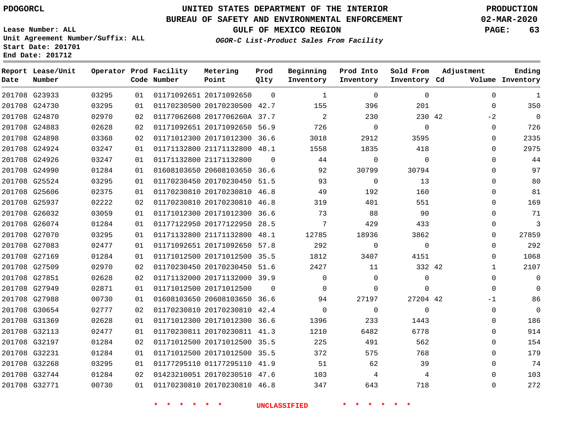**Date**

**End Date: 201712**

 G27988 G30654 G31369 G32113 G32197 G32231 G32268 G32744 G32771

### **UNITED STATES DEPARTMENT OF THE INTERIOR PDOGORCL PRODUCTION**

#### **BUREAU OF SAFETY AND ENVIRONMENTAL ENFORCEMENT 02-MAR-2020**

**Lease Number: ALL Unit Agreement Number/Suffix: ALL Start Date: 201701**

**OGOR-C List-Product Sales From Facility**

**GULF OF MEXICO REGION PAGE: 63**

  $\Omega$  $-2$   $\Omega$  $\Omega$  $\Omega$  $\Omega$  $\Omega$  $\Omega$  $\Omega$  $\Omega$  $\overline{0}$   $\Omega$  $\overline{0}$   $\cap$  $\Omega$ -1  $\Omega$  $\Omega$  $\Omega$   $\Omega$   $\Omega$ 

| Date | Report Lease/Unit<br>Number |       |    | Operator Prod Facility<br>Code Number | Metering<br>Point            | Prod<br>Qlty | Beginning<br>Inventory | Prod Into<br>Inventory | Sold From<br>Inventory Cd | Adjustment       | Ending<br>Volume Inventory |
|------|-----------------------------|-------|----|---------------------------------------|------------------------------|--------------|------------------------|------------------------|---------------------------|------------------|----------------------------|
|      | 201708 G23933               | 03295 | 01 |                                       | 01171092651 20171092650      | $\Omega$     | $\mathbf{1}$           | $\Omega$               | $\Omega$                  | $\Omega$         | 1                          |
|      | 201708 G24730               | 03295 | 01 |                                       | 01170230500 20170230500      | 42.7         | 155                    | 396                    | 201                       | $\Omega$         | 350                        |
|      | 201708 G24870               | 02970 | 02 |                                       | 01177062608 2017706260A      | 37.7         | 2                      | 230                    | 230 42                    | $-2$             | 0                          |
|      | 201708 G24883               | 02628 | 02 |                                       | 01171092651 20171092650 56.9 |              | 726                    | $\Omega$               | $\Omega$                  | 0                | 726                        |
|      | 201708 G24898               | 03368 | 02 |                                       | 01171012300 20171012300      | 36.6         | 3018                   | 2912                   | 3595                      | $\Omega$         | 2335                       |
|      | 201708 G24924               | 03247 | 01 |                                       | 01171132800 21171132800      | 48.1         | 1558                   | 1835                   | 418                       | 0                | 2975                       |
|      | 201708 G24926               | 03247 | 01 |                                       | 01171132800 21171132800      | $\Omega$     | 44                     | 0                      | $\Omega$                  | $\Omega$         | 44                         |
|      | 201708 G24990               | 01284 | 01 |                                       | 01608103650 20608103650 36.6 |              | 92                     | 30799                  | 30794                     | $\Omega$         | 97                         |
|      | 201708 G25524               | 03295 | 01 |                                       | 01170230450 20170230450 51.5 |              | 93                     | $\mathbf 0$            | 13                        | 0                | 80                         |
|      | 201708 G25606               | 02375 | 01 |                                       | 01170230810 20170230810      | 46.8         | 49                     | 192                    | 160                       | $\Omega$         | 81                         |
|      | 201708 G25937               | 02222 | 02 |                                       | 01170230810 20170230810      | 46.8         | 319                    | 401                    | 551                       | $\Omega$         | 169                        |
|      | 201708 G26032               | 03059 | 01 |                                       | 01171012300 20171012300      | 36.6         | 73                     | 88                     | 90                        | $\Omega$         | 71                         |
|      | 201708 G26074               | 01284 | 01 |                                       | 01177122950 20177122950      | 28.5         | 7                      | 429                    | 433                       | $\Omega$         | 3                          |
|      | 201708 G27070               | 03295 | 01 |                                       | 01171132800 21171132800      | 48.1         | 12785                  | 18936                  | 3862                      | $\Omega$         | 27859                      |
|      | 201708 G27083               | 02477 | 01 |                                       | 01171092651 20171092650 57.8 |              | 292                    | $\Omega$               | $\Omega$                  | $\Omega$         | 292                        |
|      | 201708 G27169               | 01284 | 01 |                                       | 01171012500 20171012500 35.5 |              | 1812                   | 3407                   | 4151                      | $\Omega$         | 1068                       |
|      | 201708 G27509               | 02970 | 02 |                                       | 01170230450 20170230450 51.6 |              | 2427                   | 11                     | 332 42                    |                  | 2107                       |
|      | 201708 G27851               | 02628 | 02 |                                       | 01171132000 20171132000      | 39.9         | $\Omega$               | $\Omega$               | $\Omega$                  | $\left( \right)$ |                            |
|      | 201708 G27949               | 02871 | 01 |                                       | 01171012500 20171012500      | $\Omega$     | $\Omega$               | $\Omega$               | 0                         | 0                | 0                          |

**\* \* \* \* \* \* UNCLASSIFIED \* \* \* \* \* \***

 20608103650 36.6 20170230810 42.4 20171012300 36.6 20170230811 41.3 20171012500 35.5 20171012500 35.5 01177295110 41.9 20170230510 47.6 20170230810 46.8

42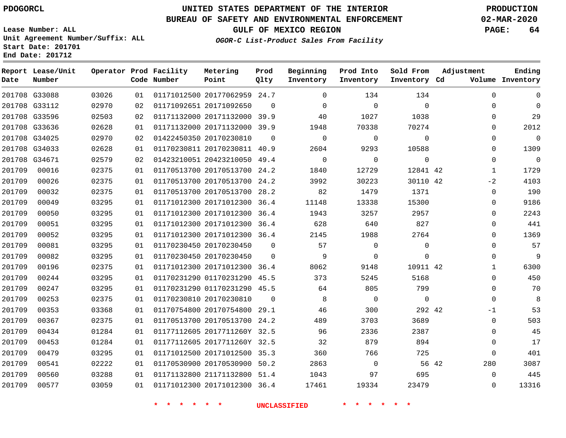**Date**

**End Date: 201712**

**Report Lease/Unit**

**Number**

### **UNITED STATES DEPARTMENT OF THE INTERIOR PDOGORCL PRODUCTION**

#### **BUREAU OF SAFETY AND ENVIRONMENTAL ENFORCEMENT 02-MAR-2020**

**Lease Number: ALL Unit Agreement Number/Suffix: ALL Start Date: 201701**

**Operator Prod Facility**

**Code Number**

**OGOR-C List-Product Sales From Facility**

**Beginning Inventory** **Prod Into Inventory** **Sold From Inventory**

**GULF OF MEXICO REGION PAGE: 64**

**Inventory Cd Volume**

**Adjustment**

   

**Ending**

|          | 201708 G33088 | 03026 | 01       |                         | 01171012500 20177062959       | 24.7     |          | 134      | 134         |  |
|----------|---------------|-------|----------|-------------------------|-------------------------------|----------|----------|----------|-------------|--|
|          | 201708 G33112 | 02970 | 02       | 01171092651 20171092650 |                               | $\Omega$ | $\Omega$ | $\Omega$ | $\Omega$    |  |
|          | 201708 G33596 | 02503 | 02       |                         | 01171132000 20171132000       | 39.9     | 40       | 1027     | 1038        |  |
|          | 201708 G33636 | 02628 | 01       |                         | 01171132000 20171132000 39.9  |          | 1948     | 70338    | 70274       |  |
|          | 201708 G34025 | 02970 | 02       | 01422450350 20170230810 |                               | $\Omega$ | 0        | 0        | $\mathbf 0$ |  |
|          | 201708 G34033 | 02628 | 01       |                         | 01170230811 20170230811       | 40.9     | 2604     | 9293     | 10588       |  |
| 201708   | G34671        | 02579 | 02       |                         | 01423210051 20423210050       | 49.4     | $\Omega$ | $\Omega$ | $\mathbf 0$ |  |
| 201709   | 00016         | 02375 | 01       |                         | 01170513700 20170513700       | 24.2     | 1840     | 12729    | 12841 42    |  |
| 201709   | 00026         | 02375 | 01       |                         | 01170513700 20170513700       | 24.2     | 3992     | 30223    | 30110 42    |  |
| 201709   | 00032         | 02375 | 01       |                         | 01170513700 20170513700       | 28.2     | 82       | 1479     | 1371        |  |
| 201709   | 00049         | 03295 | 01       |                         | 01171012300 20171012300       | 36.4     | 11148    | 13338    | 15300       |  |
| 201709   | 00050         | 03295 | 01       |                         | 01171012300 20171012300       | 36.4     | 1943     | 3257     | 2957        |  |
| 201709   | 00051         | 03295 | 01       |                         | 01171012300 20171012300       | 36.4     | 628      | 640      | 827         |  |
| 201709   | 00052         | 03295 | 01       |                         | 01171012300 20171012300 36.4  |          | 2145     | 1988     | 2764        |  |
| 201709   | 00081         | 03295 | 01       |                         | 01170230450 20170230450       | $\Omega$ | 57       | $\Omega$ | $\Omega$    |  |
| 201709   | 00082         | 03295 | 01       |                         | 01170230450 20170230450       | 0        | 9        | $\Omega$ | $\Omega$    |  |
| 201709   | 00196         | 02375 | 01       |                         | 01171012300 20171012300       | 36.4     | 8062     | 9148     | 10911 42    |  |
| $201709$ | 00244         | 03295 | $\cap$ 1 |                         | 011702312900 01170231290 45 5 |          | $373$    | 5245     | 5168        |  |

**Prod Qlty**

**Metering Point**

|               | 201708 G33596 | 02503 | 02 | 01171132000 20171132000 39.9 |          | 40             | 1027           | 1038           |       | $\Omega$     | 29             |
|---------------|---------------|-------|----|------------------------------|----------|----------------|----------------|----------------|-------|--------------|----------------|
|               | 201708 G33636 | 02628 | 01 | 01171132000 20171132000 39.9 |          | 1948           | 70338          | 70274          |       | $\mathbf{0}$ | 2012           |
|               | 201708 G34025 | 02970 | 02 | 01422450350 20170230810      | $\Omega$ | $\overline{0}$ | $\overline{0}$ | $\overline{0}$ |       | $\mathbf 0$  | $\mathbf 0$    |
| 201708 G34033 |               | 02628 | 01 | 01170230811 20170230811 40.9 |          | 2604           | 9293           | 10588          |       | $\Omega$     | 1309           |
| 201708 G34671 |               | 02579 | 02 | 01423210051 20423210050 49.4 |          | $\mathbf 0$    | $\mathbf 0$    | $\mathbf 0$    |       | $\Omega$     | $\overline{0}$ |
| 201709        | 00016         | 02375 | 01 | 01170513700 20170513700 24.2 |          | 1840           | 12729          | 12841 42       |       | $\mathbf{1}$ | 1729           |
| 201709        | 00026         | 02375 | 01 | 01170513700 20170513700 24.2 |          | 3992           | 30223          | 30110 42       |       | $-2$         | 4103           |
| 201709        | 00032         | 02375 | 01 | 01170513700 20170513700 28.2 |          | 82             | 1479           | 1371           |       | $\Omega$     | 190            |
| 201709        | 00049         | 03295 | 01 | 01171012300 20171012300 36.4 |          | 11148          | 13338          | 15300          |       | $\Omega$     | 9186           |
| 201709        | 00050         | 03295 | 01 | 01171012300 20171012300 36.4 |          | 1943           | 3257           | 2957           |       | $\Omega$     | 2243           |
| 201709        | 00051         | 03295 | 01 | 01171012300 20171012300 36.4 |          | 628            | 640            | 827            |       | $\mathbf 0$  | 441            |
| 201709        | 00052         | 03295 | 01 | 01171012300 20171012300 36.4 |          | 2145           | 1988           | 2764           |       | $\Omega$     | 1369           |
| 201709        | 00081         | 03295 | 01 | 01170230450 20170230450      | $\Omega$ | 57             | $\Omega$       | $\mathbf 0$    |       | $\Omega$     | 57             |
| 201709        | 00082         | 03295 | 01 | 01170230450 20170230450      | $\Omega$ | 9              | $\mathbf 0$    | $\mathbf 0$    |       | $\mathbf 0$  | 9              |
| 201709        | 00196         | 02375 | 01 | 01171012300 20171012300 36.4 |          | 8062           | 9148           | 10911 42       |       | $\mathbf{1}$ | 6300           |
| 201709        | 00244         | 03295 | 01 | 01170231290 01170231290 45.5 |          | 373            | 5245           | 5168           |       | $\Omega$     | 450            |
| 201709        | 00247         | 03295 | 01 | 01170231290 01170231290 45.5 |          | 64             | 805            | 799            |       | $\Omega$     | 70             |
| 201709        | 00253         | 02375 | 01 | 01170230810 20170230810      | $\Omega$ | 8              | $\overline{0}$ | $\overline{0}$ |       | $\Omega$     | - 8            |
| 201709        | 00353         | 03368 | 01 | 01170754800 20170754800 29.1 |          | 46             | 300            | 292 42         |       | $-1$         | 53             |
| 201709        | 00367         | 02375 | 01 | 01170513700 20170513700 24.2 |          | 489            | 3703           | 3689           |       | $\mathbf 0$  | 503            |
| 201709        | 00434         | 01284 | 01 | 01177112605 2017711260Y 32.5 |          | 96             | 2336           | 2387           |       | $\Omega$     | 45             |
| 201709        | 00453         | 01284 | 01 | 01177112605 2017711260Y 32.5 |          | 32             | 879            | 894            |       | $\Omega$     | 17             |
| 201709        | 00479         | 03295 | 01 | 01171012500 20171012500 35.3 |          | 360            | 766            | 725            |       | $\mathbf 0$  | 401            |
| 201709        | 00541         | 02222 | 01 | 01170530900 20170530900 50.2 |          | 2863           | $\overline{0}$ |                | 56 42 | 280          | 3087           |
| 201709        | 00560         | 03288 | 01 | 01171132800 21171132800 51.4 |          | 1043           | 97             | 695            |       | $\Omega$     | 445            |
| 201709        | 00577         | 03059 | 01 | 01171012300 20171012300 36.4 |          | 17461          | 19334          | 23479          |       | $\Omega$     | 13316          |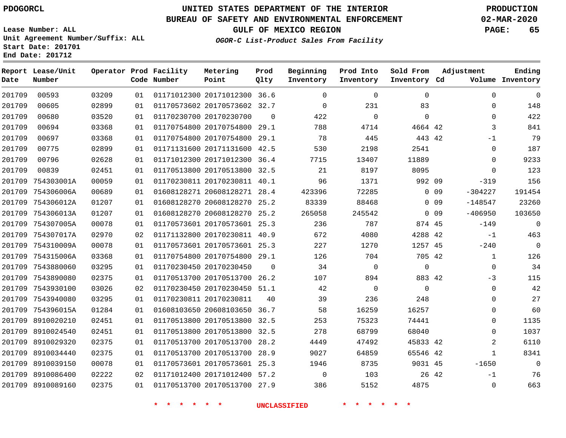**Date**

 8910086400 8910089160

# **UNITED STATES DEPARTMENT OF THE INTERIOR PDOGORCL PRODUCTION**

**Prod Qlty**

#### **BUREAU OF SAFETY AND ENVIRONMENTAL ENFORCEMENT 02-MAR-2020**

**Lease Number: ALL Unit Agreement Number/Suffix: ALL Start Date: 201701**

**Operator Prod Facility**

**Code Number**

20171012300 36.6

**Metering Point**

   

**End Date: 201712**

**Report Lease/Unit**

**Number**

**GULF OF MEXICO REGION PAGE: 65**

**Inventory Cd Volume**

**Adjustment**

**Ending**

 

-1  $\Omega$ 

**OGOR-C List-Product Sales From Facility**

**Beginning Inventory**

 $\Omega$ 

**Sold From Inventory**

**Prod Into Inventory**

| 201709 | 00605             | 02899 | 01 | 01170573602 20170573602 32.7 |          | $\Omega$ | 231      | 83          |                 | $\Omega$  | 148         |
|--------|-------------------|-------|----|------------------------------|----------|----------|----------|-------------|-----------------|-----------|-------------|
| 201709 | 00680             | 03520 | 01 | 01170230700 20170230700      | $\Omega$ | 422      | $\Omega$ | $\mathbf 0$ |                 | $\Omega$  | 422         |
| 201709 | 00694             | 03368 | 01 | 01170754800 20170754800 29.1 |          | 788      | 4714     | 4664 42     |                 | 3         | 841         |
| 201709 | 00697             | 03368 | 01 | 01170754800 20170754800 29.1 |          | 78       | 445      | 443 42      |                 | $-1$      | 79          |
| 201709 | 00775             | 02899 | 01 | 01171131600 20171131600 42.5 |          | 530      | 2198     | 2541        |                 | $\Omega$  | 187         |
| 201709 | 00796             | 02628 | 01 | 01171012300 20171012300      | 36.4     | 7715     | 13407    | 11889       |                 | $\Omega$  | 9233        |
| 201709 | 00839             | 02451 | 01 | 01170513800 20170513800 32.5 |          | 21       | 8197     | 8095        |                 | $\Omega$  | 123         |
| 201709 | 754303001A        | 00059 | 01 | 01170230811 20170230811 40.1 |          | 96       | 1371     | 992 09      |                 | $-319$    | 156         |
| 201709 | 754306006A        | 00689 | 01 | 01608128271 20608128271 28.4 |          | 423396   | 72285    |             | 0 <sub>09</sub> | $-304227$ | 191454      |
| 201709 | 754306012A        | 01207 | 01 | 01608128270 20608128270 25.2 |          | 83339    | 88468    |             | $0\quad09$      | $-148547$ | 23260       |
| 201709 | 754306013A        | 01207 | 01 | 01608128270 20608128270 25.2 |          | 265058   | 245542   |             | 0 <sub>09</sub> | $-406950$ | 103650      |
| 201709 | 754307005A        | 00078 | 01 | 01170573601 20170573601 25.3 |          | 236      | 787      | 874 45      |                 | $-149$    | $\mathbf 0$ |
|        | 201709 754307017A | 02970 | 02 | 01171132800 20170230811 40.9 |          | 672      | 4080     | 4288 42     |                 | $-1$      | 463         |
| 201709 | 754310009A        | 00078 | 01 | 01170573601 20170573601 25.3 |          | 227      | 1270     | 1257 45     |                 | $-240$    | $\mathbf 0$ |
|        | 201709 754315006A | 03368 | 01 | 01170754800 20170754800 29.1 |          | 126      | 704      | 705 42      |                 | 1         | 126         |
|        | 201709 7543880060 | 03295 | 01 | 01170230450 20170230450      | $\Omega$ | 34       | $\Omega$ | $\mathbf 0$ |                 | 0         | 34          |
|        | 201709 7543890080 | 02375 | 01 | 01170513700 20170513700 26.2 |          | 107      | 894      | 883 42      |                 | $-3$      | 115         |
|        | 201709 7543930100 | 03026 | 02 | 01170230450 20170230450 51.1 |          | 42       | 0        | $\mathbf 0$ |                 | 0         | 42          |
|        | 201709 7543940080 | 03295 | 01 | 01170230811 20170230811      | 40       | 39       | 236      | 248         |                 | 0         | 27          |
|        | 201709 754396015A | 01284 | 01 | 01608103650 20608103650 36.7 |          | 58       | 16259    | 16257       |                 | $\Omega$  | 60          |
| 201709 | 8910020210        | 02451 | 01 | 01170513800 20170513800 32.5 |          | 253      | 75323    | 74441       |                 | 0         | 1135        |
| 201709 | 8910024540        | 02451 | 01 | 01170513800 20170513800 32.5 |          | 278      | 68799    | 68040       |                 | $\Omega$  | 1037        |
| 201709 | 8910029320        | 02375 | 01 | 01170513700 20170513700 28.2 |          | 4449     | 47492    | 45833 42    |                 | 2         | 6110        |
| 201709 | 8910034440        | 02375 | 01 | 01170513700 20170513700 28.9 |          | 9027     | 64859    | 65546 42    |                 | 1         | 8341        |
|        | 201709 8910039150 | 00078 | 01 | 01170573601 20170573601 25.3 |          | 1946     | 8735     | 9031 45     |                 | $-1650$   | 0           |

 20171012400 57.2 20170513700 27.9

 

**\* \* \* \* \* \* UNCLASSIFIED \* \* \* \* \* \***

  42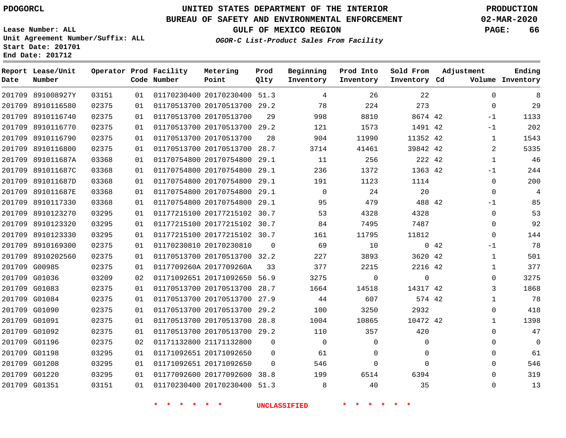# **UNITED STATES DEPARTMENT OF THE INTERIOR PDOGORCL PRODUCTION**

### **BUREAU OF SAFETY AND ENVIRONMENTAL ENFORCEMENT 02-MAR-2020**

**Lease Number: ALL Unit Agreement Number/Suffix: ALL Start Date: 201701**

**OGOR-C List-Product Sales From Facility**

**GULF OF MEXICO REGION PAGE: 66**

| Date | Report Lease/Unit<br>Number |       |    | Operator Prod Facility<br>Code Number | Metering<br>Point            | Prod<br>Qlty | Beginning<br>Inventory | Prod Into<br>Inventory | Sold From<br>Inventory Cd |      | Adjustment   | Ending<br>Volume Inventory |
|------|-----------------------------|-------|----|---------------------------------------|------------------------------|--------------|------------------------|------------------------|---------------------------|------|--------------|----------------------------|
|      | 201709 891008927Y           | 03151 | 01 |                                       | 01170230400 20170230400 51.3 |              | 4                      | 26                     | 22                        |      | $\Omega$     | 8                          |
|      | 201709 8910116580           | 02375 | 01 |                                       | 01170513700 20170513700 29.2 |              | 78                     | 224                    | 273                       |      | $\mathbf 0$  | 29                         |
|      | 201709 8910116740           | 02375 | 01 |                                       | 01170513700 20170513700      | 29           | 998                    | 8810                   | 8674 42                   |      | $-1$         | 1133                       |
|      | 201709 8910116770           | 02375 | 01 |                                       | 01170513700 20170513700 29.2 |              | 121                    | 1573                   | 1491 42                   |      | $-1$         | 202                        |
|      | 201709 8910116790           | 02375 | 01 |                                       | 01170513700 20170513700      | 28           | 904                    | 11990                  | 11352 42                  |      | 1            | 1543                       |
|      | 201709 8910116800           | 02375 | 01 |                                       | 01170513700 20170513700 28.7 |              | 3714                   | 41461                  | 39842 42                  |      | 2            | 5335                       |
|      | 201709 891011687A           | 03368 | 01 |                                       | 01170754800 20170754800 29.1 |              | 11                     | 256                    | 222 42                    |      | $\mathbf{1}$ | 46                         |
|      | 201709 891011687C           | 03368 | 01 |                                       | 01170754800 20170754800      | 29.1         | 236                    | 1372                   | 1363 42                   |      | $-1$         | 244                        |
|      | 201709 891011687D           | 03368 | 01 |                                       | 01170754800 20170754800 29.1 |              | 191                    | 1123                   | 1114                      |      | 0            | 200                        |
|      | 201709 891011687E           | 03368 | 01 |                                       | 01170754800 20170754800 29.1 |              | $\mathbf 0$            | 24                     | 20                        |      | $\mathbf 0$  | 4                          |
|      | 201709 8910117330           | 03368 | 01 |                                       | 01170754800 20170754800 29.1 |              | 95                     | 479                    | 488 42                    |      | $-1$         | 85                         |
|      | 201709 8910123270           | 03295 | 01 |                                       | 01177215100 20177215102 30.7 |              | 53                     | 4328                   | 4328                      |      | $\Omega$     | 53                         |
|      | 201709 8910123320           | 03295 | 01 |                                       | 01177215100 20177215102 30.7 |              | 84                     | 7495                   | 7487                      |      | $\Omega$     | 92                         |
|      | 201709 8910123330           | 03295 | 01 |                                       | 01177215100 20177215102 30.7 |              | 161                    | 11795                  | 11812                     |      | $\mathbf 0$  | 144                        |
|      | 201709 8910169300           | 02375 | 01 |                                       | 01170230810 20170230810      | $\Omega$     | 69                     | 10                     |                           | 0.42 | $-1$         | 78                         |
|      | 201709 8910202560           | 02375 | 01 |                                       | 01170513700 20170513700 32.2 |              | 227                    | 3893                   | 3620 42                   |      | 1            | 501                        |
|      | 201709 G00985               | 02375 | 01 |                                       | 0117709260A 2017709260A      | 33           | 377                    | 2215                   | 2216 42                   |      | $\mathbf{1}$ | 377                        |
|      | 201709 G01036               | 03209 | 02 |                                       | 01171092651 20171092650 56.9 |              | 3275                   | $\Omega$               | $\Omega$                  |      | $\Omega$     | 3275                       |
|      | 201709 G01083               | 02375 | 01 |                                       | 01170513700 20170513700 28.7 |              | 1664                   | 14518                  | 14317 42                  |      | 3            | 1868                       |
|      | 201709 G01084               | 02375 | 01 |                                       | 01170513700 20170513700 27.9 |              | 44                     | 607                    | 574 42                    |      | $\mathbf{1}$ | 78                         |
|      | 201709 G01090               | 02375 | 01 |                                       | 01170513700 20170513700 29.2 |              | 100                    | 3250                   | 2932                      |      | $\Omega$     | 418                        |
|      | 201709 G01091               | 02375 | 01 |                                       | 01170513700 20170513700 28.8 |              | 1004                   | 10865                  | 10472 42                  |      | $\mathbf{1}$ | 1398                       |
|      | 201709 G01092               | 02375 | 01 |                                       | 01170513700 20170513700 29.2 |              | 110                    | 357                    | 420                       |      | $\Omega$     | 47                         |
|      | 201709 G01196               | 02375 | 02 |                                       | 01171132800 21171132800      | $\mathbf 0$  | $\overline{0}$         | 0                      | 0                         |      | 0            | $\mathbf 0$                |
|      | 201709 G01198               | 03295 | 01 |                                       | 01171092651 20171092650      | 0            | 61                     | 0                      | 0                         |      | 0            | 61                         |
|      | 201709 G01208               | 03295 | 01 |                                       | 01171092651 20171092650      | $\Omega$     | 546                    | $\mathbf 0$            | $\Omega$                  |      | $\Omega$     | 546                        |
|      | 201709 G01220               | 03295 | 01 |                                       | 01177092600 20177092600 38.8 |              | 199                    | 6514                   | 6394                      |      | $\Omega$     | 319                        |
|      | 201709 G01351               | 03151 | 01 |                                       | 01170230400 20170230400 51.3 |              | 8                      | 40                     | 35                        |      | $\Omega$     | 13                         |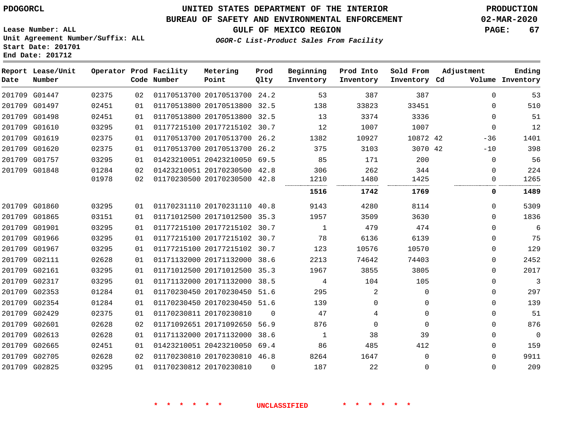### **UNITED STATES DEPARTMENT OF THE INTERIOR PDOGORCL PRODUCTION**

### **BUREAU OF SAFETY AND ENVIRONMENTAL ENFORCEMENT 02-MAR-2020**

**Lease Number: ALL Unit Agreement Number/Suffix: ALL Start Date: 201701**

**GULF OF MEXICO REGION PAGE: 67**

**OGOR-C List-Product Sales From Facility**

| Date   | Report Lease/Unit<br>Number |                |          | Operator Prod Facility<br>Code Number | Metering<br>Point                                            | Prod<br>Qlty | Beginning<br>Inventory | Prod Into<br>Inventory | Sold From<br>Inventory Cd | Adjustment              | Ending<br>Volume Inventory |
|--------|-----------------------------|----------------|----------|---------------------------------------|--------------------------------------------------------------|--------------|------------------------|------------------------|---------------------------|-------------------------|----------------------------|
| 201709 | G01447                      | 02375          | 02       |                                       | 01170513700 20170513700 24.2                                 |              | 53                     | 387                    | 387                       | $\Omega$                | 53                         |
| 201709 | G01497                      | 02451          | 01       |                                       | 01170513800 20170513800                                      | 32.5         | 138                    | 33823                  | 33451                     | $\Omega$                | 510                        |
| 201709 | G01498                      | 02451          | 01       |                                       | 01170513800 20170513800 32.5                                 |              | 13                     | 3374                   | 3336                      | $\Omega$                | 51                         |
|        | 201709 G01610               | 03295          | 01       |                                       | 01177215100 20177215102 30.7                                 |              | 12                     | 1007                   | 1007                      | $\Omega$                | 12                         |
| 201709 | G01619                      | 02375          | 01       |                                       | 01170513700 20170513700                                      | 26.2         | 1382                   | 10927                  | 10872 42                  | $-36$                   | 1401                       |
| 201709 | G01620                      | 02375          | 01       |                                       | 01170513700 20170513700                                      | 26.2         | 375                    | 3103                   | 3070 42                   | $-10$                   | 398                        |
|        | 201709 G01757               | 03295          | 01       |                                       | 01423210051 20423210050 69.5                                 |              | 85                     | 171                    | 200                       | $\mathbf 0$             | 56                         |
|        | 201709 G01848               | 01284<br>01978 | 02<br>02 |                                       | 01423210051 20170230500 42.8<br>01170230500 20170230500 42.8 |              | 306<br>1210            | 262<br>1480            | 344<br>1425               | $\mathbf 0$<br>$\Omega$ | 224<br>1265                |
|        |                             |                |          |                                       |                                                              |              | 1516                   | <br>1742               | <br>1769                  | 0                       | 1489                       |
| 201709 | G01860                      | 03295          | 01       |                                       | 01170231110 20170231110                                      | 40.8         | 9143                   | 4280                   | 8114                      | $\Omega$                | 5309                       |
|        | 201709 G01865               | 03151          | 01       |                                       | 01171012500 20171012500 35.3                                 |              | 1957                   | 3509                   | 3630                      | $\Omega$                | 1836                       |
| 201709 | G01901                      | 03295          | 01       |                                       | 01177215100 20177215102                                      | 30.7         | 1                      | 479                    | 474                       | $\mathbf 0$             | 6                          |
|        | 201709 G01966               | 03295          | 01       |                                       | 01177215100 20177215102 30.7                                 |              | 78                     | 6136                   | 6139                      | $\mathbf{0}$            | 75                         |
| 201709 | G01967                      | 03295          | 01       |                                       | 01177215100 20177215102 30.7                                 |              | 123                    | 10576                  | 10570                     | $\mathbf{0}$            | 129                        |
| 201709 | G02111                      | 02628          | 01       |                                       | 01171132000 20171132000                                      | 38.6         | 2213                   | 74642                  | 74403                     | $\Omega$                | 2452                       |
|        | 201709 G02161               | 03295          | 01       |                                       | 01171012500 20171012500 35.3                                 |              | 1967                   | 3855                   | 3805                      | $\Omega$                | 2017                       |
|        | 201709 G02317               | 03295          | 01       |                                       | 01171132000 20171132000 38.5                                 |              | 4                      | 104                    | 105                       | $\Omega$                | 3                          |
| 201709 | G02353                      | 01284          | 01       |                                       | 01170230450 20170230450 51.6                                 |              | 295                    | 2                      | $\mathbf 0$               | $\mathbf{0}$            | 297                        |
| 201709 | G02354                      | 01284          | 01       |                                       | 01170230450 20170230450 51.6                                 |              | 139                    | $\Omega$               | 0                         | $\Omega$                | 139                        |
| 201709 | G02429                      | 02375          | 01       |                                       | 01170230811 20170230810                                      | $\Omega$     | 47                     | 4                      | $\Omega$                  | $\Omega$                | 51                         |
|        | 201709 G02601               | 02628          | 02       |                                       | 01171092651 20171092650 56.9                                 |              | 876                    | $\Omega$               | $\Omega$                  | $\Omega$                | 876                        |
| 201709 | G02613                      | 02628          | 01       |                                       | 01171132000 20171132000                                      | 38.6         | 1                      | 38                     | 39                        | $\Omega$                | $\Omega$                   |
| 201709 | G02665                      | 02451          | 01       |                                       | 01423210051 20423210050                                      | 69.4         | 86                     | 485                    | 412                       | $\Omega$                | 159                        |
| 201709 | G02705                      | 02628          | 02       |                                       | 01170230810 20170230810 46.8                                 |              | 8264                   | 1647                   | $\Omega$                  | $\Omega$                | 9911                       |
|        | 201709 G02825               | 03295          | 01       |                                       | 01170230812 20170230810                                      | $\Omega$     | 187                    | 22                     | $\Omega$                  | $\Omega$                | 209                        |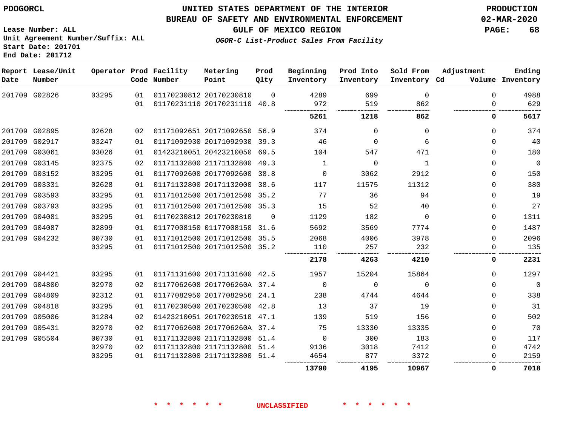#### **BUREAU OF SAFETY AND ENVIRONMENTAL ENFORCEMENT 02-MAR-2020**

**GULF OF MEXICO REGION PAGE: 68**

**Lease Number: ALL Unit Agreement Number/Suffix: ALL Start Date: 201701 End Date: 201712**

**OGOR-C List-Product Sales From Facility**

| Date | Report Lease/Unit<br>Number |       |    | Operator Prod Facility<br>Code Number | Metering<br>Point            | Prod<br>Qlty | Beginning<br>Inventory | Prod Into<br>Inventory | Sold From<br>Inventory Cd | Adjustment  | Ending<br>Volume Inventory |
|------|-----------------------------|-------|----|---------------------------------------|------------------------------|--------------|------------------------|------------------------|---------------------------|-------------|----------------------------|
|      | 201709 G02826               | 03295 | 01 |                                       | 01170230812 20170230810      | $\Omega$     | 4289                   | 699                    | $\mathbf 0$               | $\Omega$    | 4988                       |
|      |                             |       | 01 |                                       | 01170231110 20170231110 40.8 |              | 972                    | 519                    | 862                       | 0           | 629                        |
|      |                             |       |    |                                       |                              |              | 5261                   | 1218                   | 862                       | 0           | 5617                       |
|      | 201709 G02895               | 02628 | 02 |                                       | 01171092651 20171092650 56.9 |              | 374                    | $\Omega$               | $\Omega$                  | $\Omega$    | 374                        |
|      | 201709 G02917               | 03247 | 01 |                                       | 01171092930 20171092930      | 39.3         | 46                     | $\Omega$               | 6                         | 0           | 40                         |
|      | 201709 G03061               | 03026 | 01 |                                       | 01423210051 20423210050 69.5 |              | 104                    | 547                    | 471                       | $\Omega$    | 180                        |
|      | 201709 G03145               | 02375 | 02 |                                       | 01171132800 21171132800      | 49.3         | 1                      | $\mathbf 0$            | 1                         | 0           | $\overline{0}$             |
|      | 201709 G03152               | 03295 | 01 |                                       | 01177092600 20177092600 38.8 |              | 0                      | 3062                   | 2912                      | 0           | 150                        |
|      | 201709 G03331               | 02628 | 01 |                                       | 01171132800 20171132000 38.6 |              | 117                    | 11575                  | 11312                     | $\Omega$    | 380                        |
|      | 201709 G03593               | 03295 | 01 |                                       | 01171012500 20171012500 35.2 |              | 77                     | 36                     | 94                        | $\Omega$    | 19                         |
|      | 201709 G03793               | 03295 | 01 |                                       | 01171012500 20171012500 35.3 |              | 15                     | 52                     | 40                        | $\Omega$    | 27                         |
|      | 201709 G04081               | 03295 | 01 |                                       | 01170230812 20170230810      | $\Omega$     | 1129                   | 182                    | $\Omega$                  | $\Omega$    | 1311                       |
|      | 201709 G04087               | 02899 | 01 |                                       | 01177008150 01177008150 31.6 |              | 5692                   | 3569                   | 7774                      | $\Omega$    | 1487                       |
|      | 201709 G04232               | 00730 | 01 |                                       | 01171012500 20171012500 35.5 |              | 2068                   | 4006                   | 3978                      | $\Omega$    | 2096                       |
|      |                             | 03295 | 01 |                                       | 01171012500 20171012500 35.2 |              | 110                    | 257                    | 232                       | 0           | 135                        |
|      |                             |       |    |                                       |                              |              | 2178                   | 4263                   | 4210                      | 0           | 2231                       |
|      | 201709 G04421               | 03295 | 01 |                                       | 01171131600 20171131600 42.5 |              | 1957                   | 15204                  | 15864                     | $\Omega$    | 1297                       |
|      | 201709 G04800               | 02970 | 02 |                                       | 01177062608 2017706260A 37.4 |              | 0                      | $\Omega$               | $\Omega$                  | $\Omega$    | $\Omega$                   |
|      | 201709 G04809               | 02312 | 01 |                                       | 01177082950 20177082956      | 24.1         | 238                    | 4744                   | 4644                      | $\Omega$    | 338                        |
|      | 201709 G04818               | 03295 | 01 |                                       | 01170230500 20170230500 42.8 |              | 13                     | 37                     | 19                        | $\Omega$    | 31                         |
|      | 201709 G05006               | 01284 | 02 |                                       | 01423210051 20170230510 47.1 |              | 139                    | 519                    | 156                       | $\Omega$    | 502                        |
|      | 201709 G05431               | 02970 | 02 |                                       | 01177062608 2017706260A 37.4 |              | 75                     | 13330                  | 13335                     | $\mathbf 0$ | 70                         |
|      | 201709 G05504               | 00730 | 01 |                                       | 01171132800 21171132800 51.4 |              | $\Omega$               | 300                    | 183                       | $\Omega$    | 117                        |
|      |                             | 02970 | 02 |                                       | 01171132800 21171132800 51.4 |              | 9136                   | 3018                   | 7412                      | $\Omega$    | 4742                       |
|      |                             | 03295 | 01 |                                       | 01171132800 21171132800 51.4 |              | 4654                   | 877<br>                | 3372                      | $\Omega$    | 2159                       |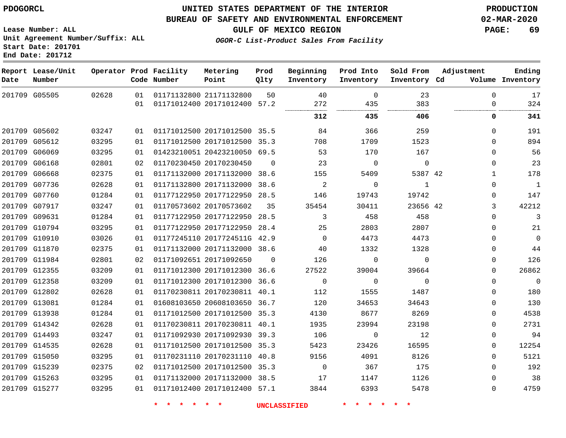### **UNITED STATES DEPARTMENT OF THE INTERIOR PDOGORCL PRODUCTION**

#### **BUREAU OF SAFETY AND ENVIRONMENTAL ENFORCEMENT 02-MAR-2020**

**Lease Number: ALL Unit Agreement Number/Suffix: ALL Start Date: 201701 End Date: 201712**

**GULF OF MEXICO REGION PAGE: 69**

**OGOR-C List-Product Sales From Facility**

| Date | Report Lease/Unit<br>Number |       |    | Operator Prod Facility<br>Code Number | Metering<br>Point            | Prod<br>Qlty | Beginning<br>Inventory | Prod Into<br>Inventory | Sold From<br>Inventory Cd | Adjustment   | Ending<br>Volume Inventory |
|------|-----------------------------|-------|----|---------------------------------------|------------------------------|--------------|------------------------|------------------------|---------------------------|--------------|----------------------------|
|      | 201709 G05505               | 02628 | 01 |                                       | 01171132800 21171132800      | 50           | 40                     | $\Omega$               | 23                        | $\Omega$     | 17                         |
|      |                             |       | 01 |                                       | 01171012400 20171012400      | 57.2         | 272                    | 435                    | 383                       | 0            | 324                        |
|      |                             |       |    |                                       |                              |              | 312                    | 435                    | 406                       | 0            | 341                        |
|      | 201709 G05602               | 03247 | 01 |                                       | 01171012500 20171012500 35.5 |              | 84                     | 366                    | 259                       | $\mathbf{0}$ | 191                        |
|      | 201709 G05612               | 03295 | 01 |                                       | 01171012500 20171012500 35.3 |              | 708                    | 1709                   | 1523                      | 0            | 894                        |
|      | 201709 G06069               | 03295 | 01 |                                       | 01423210051 20423210050 69.5 |              | 53                     | 170                    | 167                       | 0            | 56                         |
|      | 201709 G06168               | 02801 | 02 |                                       | 01170230450 20170230450      | $\mathbf 0$  | 23                     | 0                      | $\mathbf 0$               | 0            | 23                         |
|      | 201709 G06668               | 02375 | 01 |                                       | 01171132000 20171132000      | 38.6         | 155                    | 5409                   | 5387 42                   | $\mathbf{1}$ | 178                        |
|      | 201709 G07736               | 02628 | 01 |                                       | 01171132800 20171132000      | 38.6         | 2                      | 0                      | 1                         | 0            | $\overline{1}$             |
|      | 201709 G07760               | 01284 | 01 |                                       | 01177122950 20177122950 28.5 |              | 146                    | 19743                  | 19742                     | 0            | 147                        |
|      | 201709 G07917               | 03247 | 01 |                                       | 01170573602 20170573602      | 35           | 35454                  | 30411                  | 23656 42                  | 3            | 42212                      |
|      | 201709 G09631               | 01284 | 01 |                                       | 01177122950 20177122950 28.5 |              | 3                      | 458                    | 458                       | $\mathbf{0}$ | 3                          |
|      | 201709 G10794               | 03295 | 01 |                                       | 01177122950 20177122950      | 28.4         | 25                     | 2803                   | 2807                      | $\Omega$     | 21                         |
|      | 201709 G10910               | 03026 | 01 |                                       | 01177245110 2017724511G 42.9 |              | $\Omega$               | 4473                   | 4473                      | $\Omega$     | $\Omega$                   |
|      | 201709 G11870               | 02375 | 01 |                                       | 01171132000 20171132000 38.6 |              | 40                     | 1332                   | 1328                      | 0            | 44                         |
|      | 201709 G11984               | 02801 | 02 |                                       | 01171092651 20171092650      | $\Omega$     | 126                    | 0                      | $\Omega$                  | 0            | 126                        |
|      | 201709 G12355               | 03209 | 01 |                                       | 01171012300 20171012300 36.6 |              | 27522                  | 39004                  | 39664                     | $\Omega$     | 26862                      |
|      | 201709 G12358               | 03209 | 01 |                                       | 01171012300 20171012300      | 36.6         | $\mathbf 0$            | 0                      | $\Omega$                  | 0            | $\Omega$                   |
|      | 201709 G12802               | 02628 | 01 |                                       | 01170230811 20170230811 40.1 |              | 112                    | 1555                   | 1487                      | 0            | 180                        |
|      | 201709 G13081               | 01284 | 01 |                                       | 01608103650 20608103650      | 36.7         | 120                    | 34653                  | 34643                     | $\Omega$     | 130                        |
|      | 201709 G13938               | 01284 | 01 |                                       | 01171012500 20171012500 35.3 |              | 4130                   | 8677                   | 8269                      | 0            | 4538                       |
|      | 201709 G14342               | 02628 | 01 |                                       | 01170230811 20170230811 40.1 |              | 1935                   | 23994                  | 23198                     | 0            | 2731                       |
|      | 201709 G14493               | 03247 | 01 |                                       | 01171092930 20171092930 39.3 |              | 106                    | 0                      | 12                        | 0            | 94                         |
|      | 201709 G14535               | 02628 | 01 |                                       | 01171012500 20171012500      | 35.3         | 5423                   | 23426                  | 16595                     | 0            | 12254                      |
|      | 201709 G15050               | 03295 | 01 |                                       | 01170231110 20170231110      | 40.8         | 9156                   | 4091                   | 8126                      | 0            | 5121                       |
|      | 201709 G15239               | 02375 | 02 |                                       | 01171012500 20171012500 35.3 |              | $\Omega$               | 367                    | 175                       | $\Omega$     | 192                        |
|      | 201709 G15263               | 03295 | 01 |                                       | 01171132000 20171132000 38.5 |              | 17                     | 1147                   | 1126                      | 0            | 38                         |
|      | 201709 G15277               | 03295 | 01 |                                       | 01171012400 20171012400 57.1 |              | 3844                   | 6393                   | 5478                      | $\Omega$     | 4759                       |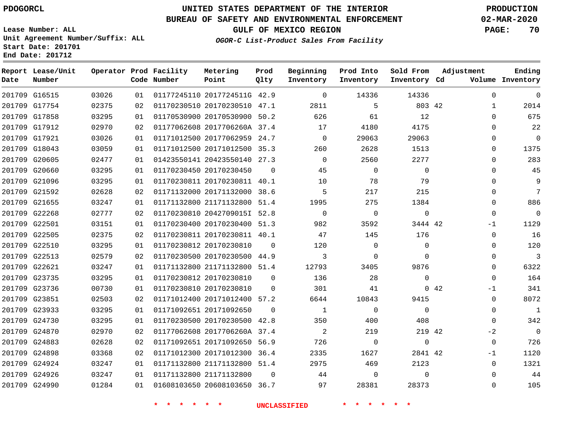**Report Lease/Unit**

 G22621 G23735 G23736 G23851 G23933 G24730 G24870 G24883 G24898 G24924 G24926 G24990

# **UNITED STATES DEPARTMENT OF THE INTERIOR PDOGORCL PRODUCTION**

**Prod**

#### **BUREAU OF SAFETY AND ENVIRONMENTAL ENFORCEMENT 02-MAR-2020**

**Lease Number: ALL Unit Agreement Number/Suffix: ALL Start Date: 201701**

**Operator Prod Facility**

**OGOR-C List-Product Sales From Facility**

**Beginning**

**GULF OF MEXICO REGION PAGE: 70**

  $\Omega$  $\Omega$  $\Omega$  $\Omega$  $\Omega$  $\Omega$  $\Omega$  $\Omega$  $\Omega$  $\Omega$  $-1$  $\Omega$  $\Omega$  $\Omega$  $\Omega$  $\cap$ -1  $\Omega$   $\Omega$  $-2$  -1  $\Omega$  $\Omega$ 

**Adjustment**

**Ending**

| Date   | Number        |       |    | Code Number | Point                        | Qlty     | Inventory | Inventory | Inventory Cd |          | Volume Inventory |
|--------|---------------|-------|----|-------------|------------------------------|----------|-----------|-----------|--------------|----------|------------------|
|        | 201709 G16515 | 03026 | 01 |             | 01177245110 2017724511G 42.9 |          | $\Omega$  | 14336     | 14336        | $\Omega$ |                  |
| 201709 | G17754        | 02375 | 02 |             | 01170230510 20170230510      | 47.1     | 2811      | 5         | 803 42       |          | 2014             |
| 201709 | G17858        | 03295 | 01 |             | 01170530900 20170530900      | 50.2     | 626       | 61        | 12           | $\Omega$ | 675              |
|        | 201709 G17912 | 02970 | 02 |             | 01177062608 2017706260A 37.4 |          | 17        | 4180      | 4175         | $\Omega$ | 22               |
|        | 201709 G17921 | 03026 | 01 |             | 01171012500 20177062959 24.7 |          | $\Omega$  | 29063     | 29063        | $\Omega$ | 0                |
|        | 201709 G18043 | 03059 | 01 |             | 01171012500 20171012500 35.3 |          | 260       | 2628      | 1513         | $\Omega$ | 1375             |
| 201709 | G20605        | 02477 | 01 |             | 01423550141 20423550140      | 27.3     |           | 2560      | 2277         |          | 283              |
| 201709 | G20660        | 03295 | 01 |             | 01170230450 20170230450      | $\Omega$ | 45        | 0         | $\Omega$     |          | 45               |
| 201709 | G21096        | 03295 | 01 |             | 01170230811 20170230811      | 40.1     | 10        | 78        | 79           | $\Omega$ | 9                |
|        | 201709 G21592 | 02628 | 02 |             | 01171132000 20171132000      | 38.6     | 5         | 217       | 215          | $\Omega$ |                  |
|        | 201709 G21655 | 03247 | 01 |             | 01171132800 21171132800 51.4 |          | 1995      | 275       | 1384         | $\Omega$ | 886              |
|        | 201709 G22268 | 02777 | 02 |             | 01170230810 20427090151 52.8 |          | $\Omega$  | $\Omega$  | $\Omega$     | $\Omega$ | 0                |
|        | 201709 G22501 | 03151 | 01 |             | 01170230400 20170230400      | 51.3     | 982       | 3592      | 3444 42      | $-1$     | 1129             |
| 201709 | G22505        | 02375 | 02 |             | 01170230811 20170230811      | 40.1     | 47        | 145       | 176          | $\Omega$ | 16               |
| 201709 | G22510        | 03295 | 01 |             | 01170230812 20170230810      | $\Omega$ | 120       | 0         | $\Omega$     | $\Omega$ | 120              |
|        | 201709 G22513 | 02579 | 02 |             | 01170230500 20170230500 44.9 |          |           | 0         |              |          |                  |

**Metering**

21171132800 51.4

20171012400 57.2

 20170230500 42.8 2017706260A 37.4 20171092650 56.9 20171012300 36.4 21171132800 51.4

20608103650 36.7

 20170230810 20170230810

20171092650

21171132800

**\* \* \* \* \* \* UNCLASSIFIED \* \* \* \* \* \***

 $\Omega$ 

 $\cap$  $\Omega$ 

**Prod Into**

42

  $\Omega$ 

**Sold From**

 

42

42

 

 $\Omega$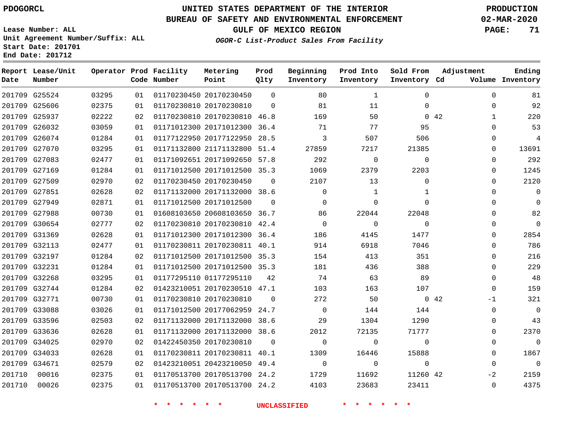**Report Lease/Unit**

**Number**

**Date**

### **UNITED STATES DEPARTMENT OF THE INTERIOR PDOGORCL PRODUCTION**

**Prod Qlty**

#### **BUREAU OF SAFETY AND ENVIRONMENTAL ENFORCEMENT 02-MAR-2020**

**Lease Number: ALL Unit Agreement Number/Suffix: ALL Start Date: 201701 End Date: 201712**

**Operator Prod Facility**

**Code Number**

**OGOR-C List-Product Sales From Facility**

**Beginning Inventory** **Prod Into Inventory** **Sold From Inventory**

**GULF OF MEXICO REGION PAGE: 71**

**Inventory Cd Volume**

**Adjustment**

  $\Omega$  $\Omega$  $\Omega$   $\Omega$   $\Omega$  $\overline{0}$  $\overline{0}$  $\Omega$  $\overline{0}$  $\Omega$  $\Omega$  $\Omega$  $-1$   $-2$  $\Omega$ 

**Ending**

|        | 201709 G25524 | 03295 | 01 | 01170230450 20170230450      | 0              | 80             | 1              | 0            |             |
|--------|---------------|-------|----|------------------------------|----------------|----------------|----------------|--------------|-------------|
|        | 201709 G25606 | 02375 | 01 | 01170230810 20170230810      | $\Omega$       | 81             | 11             | $\Omega$     |             |
|        | 201709 G25937 | 02222 | 02 | 01170230810 20170230810 46.8 |                | 169            | 50             |              | $0\quad 42$ |
|        | 201709 G26032 | 03059 | 01 | 01171012300 20171012300 36.4 |                | 71             | 77             | 95           |             |
|        | 201709 G26074 | 01284 | 01 | 01177122950 20177122950 28.5 |                | 3              | 507            | 506          |             |
|        | 201709 G27070 | 03295 | 01 | 01171132800 21171132800      | 51.4           | 27859          | 7217           | 21385        |             |
|        | 201709 G27083 | 02477 | 01 | 01171092651 20171092650 57.8 |                | 292            | $\overline{0}$ | $\mathbf 0$  |             |
|        | 201709 G27169 | 01284 | 01 | 01171012500 20171012500 35.3 |                | 1069           | 2379           | 2203         |             |
|        | 201709 G27509 | 02970 | 02 | 01170230450 20170230450      | $\overline{0}$ | 2107           | 13             | 0            |             |
|        | 201709 G27851 | 02628 | 02 | 01171132000 20171132000 38.6 |                | 0              | $\mathbf{1}$   | $\mathbf{1}$ |             |
|        | 201709 G27949 | 02871 | 01 | 01171012500 20171012500      | $\Omega$       | $\mathbf{0}$   | $\Omega$       | $\Omega$     |             |
|        | 201709 G27988 | 00730 | 01 | 01608103650 20608103650 36.7 |                | 86             | 22044          | 22048        |             |
|        | 201709 G30654 | 02777 | 02 | 01170230810 20170230810 42.4 |                | $\mathbf 0$    | $\circ$        | $\mathbf 0$  |             |
|        | 201709 G31369 | 02628 | 01 | 01171012300 20171012300 36.4 |                | 186            | 4145           | 1477         |             |
|        | 201709 G32113 | 02477 | 01 | 01170230811 20170230811 40.1 |                | 914            | 6918           | 7046         |             |
|        | 201709 G32197 | 01284 | 02 | 01171012500 20171012500 35.3 |                | 154            | 413            | 351          |             |
|        | 201709 G32231 | 01284 | 01 | 01171012500 20171012500 35.3 |                | 181            | 436            | 388          |             |
|        | 201709 G32268 | 03295 | 01 | 01177295110 01177295110      | 42             | 74             | 63             | 89           |             |
|        | 201709 G32744 | 01284 | 02 | 01423210051 20170230510 47.1 |                | 103            | 163            | 107          |             |
|        | 201709 G32771 | 00730 | 01 | 01170230810 20170230810      | $\overline{0}$ | 272            | 50             |              | $0\quad 42$ |
|        | 201709 G33088 | 03026 | 01 | 01171012500 20177062959 24.7 |                | $\overline{0}$ | 144            | 144          |             |
|        | 201709 G33596 | 02503 | 02 | 01171132000 20171132000 38.6 |                | 29             | 1304           | 1290         |             |
|        | 201709 G33636 | 02628 | 01 | 01171132000 20171132000 38.6 |                | 2012           | 72135          | 71777        |             |
|        | 201709 G34025 | 02970 | 02 | 01422450350 20170230810      | $\Omega$       | $\mathbf 0$    | $\Omega$       | $\mathbf 0$  |             |
|        | 201709 G34033 | 02628 | 01 | 01170230811 20170230811 40.1 |                | 1309           | 16446          | 15888        |             |
|        | 201709 G34671 | 02579 | 02 | 01423210051 20423210050 49.4 |                | $\overline{0}$ | $\overline{0}$ | $\mathbf 0$  |             |
| 201710 | 00016         | 02375 | 01 | 01170513700 20170513700 24.2 |                | 1729           | 11692          | 11260 42     |             |
| 201710 | 00026         | 02375 | 01 | 01170513700 20170513700 24.2 |                | 4103           | 23683          | 23411        |             |
|        |               |       |    |                              |                |                |                |              |             |

**Metering Point**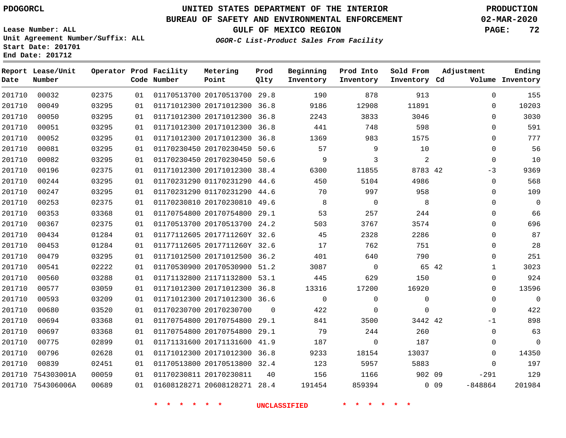### **BUREAU OF SAFETY AND ENVIRONMENTAL ENFORCEMENT 02-MAR-2020**

**GULF OF MEXICO REGION PAGE: 72**

**OGOR-C List-Product Sales From Facility**

**Lease Number: ALL Unit Agreement Number/Suffix: ALL Start Date: 201701 End Date: 201712**

| Date   | Report Lease/Unit<br>Number |       |    | Operator Prod Facility<br>Code Number | Metering<br>Point            | Prod<br>Qlty | Beginning<br>Inventory | Prod Into<br>Inventory | Sold From<br>Inventory Cd | Adjustment            | Ending<br>Volume Inventory |
|--------|-----------------------------|-------|----|---------------------------------------|------------------------------|--------------|------------------------|------------------------|---------------------------|-----------------------|----------------------------|
| 201710 | 00032                       | 02375 | 01 |                                       | 01170513700 20170513700 29.8 |              | 190                    | 878                    | 913                       | $\Omega$              | 155                        |
| 201710 | 00049                       | 03295 | 01 |                                       | 01171012300 20171012300 36.8 |              | 9186                   | 12908                  | 11891                     | $\mathbf{0}$          | 10203                      |
| 201710 | 00050                       | 03295 | 01 |                                       | 01171012300 20171012300 36.8 |              | 2243                   | 3833                   | 3046                      | $\Omega$              | 3030                       |
| 201710 | 00051                       | 03295 | 01 |                                       | 01171012300 20171012300      | 36.8         | 441                    | 748                    | 598                       | $\mathbf{0}$          | 591                        |
| 201710 | 00052                       | 03295 | 01 |                                       | 01171012300 20171012300 36.8 |              | 1369                   | 983                    | 1575                      | $\Omega$              | 777                        |
| 201710 | 00081                       | 03295 | 01 |                                       | 01170230450 20170230450      | 50.6         | 57                     | 9                      | 10                        | $\mathbf 0$           | 56                         |
| 201710 | 00082                       | 03295 | 01 |                                       | 01170230450 20170230450 50.6 |              | 9                      | 3                      | $\overline{2}$            | $\mathbf 0$           | 10                         |
| 201710 | 00196                       | 02375 | 01 |                                       | 01171012300 20171012300 38.4 |              | 6300                   | 11855                  | 8783 42                   | $-3$                  | 9369                       |
| 201710 | 00244                       | 03295 | 01 |                                       | 01170231290 01170231290 44.6 |              | 450                    | 5104                   | 4986                      | $\mathbf 0$           | 568                        |
| 201710 | 00247                       | 03295 | 01 |                                       | 01170231290 01170231290 44.6 |              | 70                     | 997                    | 958                       | $\Omega$              | 109                        |
| 201710 | 00253                       | 02375 | 01 |                                       | 01170230810 20170230810 49.6 |              | 8                      | $\overline{0}$         | 8                         | 0                     | $\overline{0}$             |
| 201710 | 00353                       | 03368 | 01 |                                       | 01170754800 20170754800 29.1 |              | 53                     | 257                    | 244                       | $\mathbf 0$           | 66                         |
| 201710 | 00367                       | 02375 | 01 |                                       | 01170513700 20170513700 24.2 |              | 503                    | 3767                   | 3574                      | $\mathbf 0$           | 696                        |
| 201710 | 00434                       | 01284 | 01 |                                       | 01177112605 2017711260Y 32.6 |              | 45                     | 2328                   | 2286                      | $\Omega$              | 87                         |
| 201710 | 00453                       | 01284 | 01 |                                       | 01177112605 2017711260Y 32.6 |              | 17                     | 762                    | 751                       | 0                     | 28                         |
| 201710 | 00479                       | 03295 | 01 |                                       | 01171012500 20171012500 36.2 |              | 401                    | 640                    | 790                       | $\Omega$              | 251                        |
| 201710 | 00541                       | 02222 | 01 |                                       | 01170530900 20170530900 51.2 |              | 3087                   | $\overline{0}$         |                           | 65 42<br>$\mathbf{1}$ | 3023                       |
| 201710 | 00560                       | 03288 | 01 |                                       | 01171132800 21171132800 53.1 |              | 445                    | 629                    | 150                       | $\mathbf{0}$          | 924                        |
| 201710 | 00577                       | 03059 | 01 |                                       | 01171012300 20171012300 36.8 |              | 13316                  | 17200                  | 16920                     | 0                     | 13596                      |
| 201710 | 00593                       | 03209 | 01 |                                       | 01171012300 20171012300 36.6 |              | $\mathbf 0$            | $\mathbf 0$            | $\mathbf 0$               | $\mathbf 0$           | $\Omega$                   |
| 201710 | 00680                       | 03520 | 01 |                                       | 01170230700 20170230700      | $\Omega$     | 422                    | $\mathbf 0$            | $\Omega$                  | $\Omega$              | 422                        |
| 201710 | 00694                       | 03368 | 01 |                                       | 01170754800 20170754800      | 29.1         | 841                    | 3500                   | 3442 42                   | -1                    | 898                        |
| 201710 | 00697                       | 03368 | 01 |                                       | 01170754800 20170754800 29.1 |              | 79                     | 244                    | 260                       | $\Omega$              | 63                         |
| 201710 | 00775                       | 02899 | 01 |                                       | 01171131600 20171131600 41.9 |              | 187                    | $\mathbf 0$            | 187                       | 0                     | $\Omega$                   |
| 201710 | 00796                       | 02628 | 01 |                                       | 01171012300 20171012300 36.8 |              | 9233                   | 18154                  | 13037                     | $\mathbf 0$           | 14350                      |
| 201710 | 00839                       | 02451 | 01 |                                       | 01170513800 20170513800 32.4 |              | 123                    | 5957                   | 5883                      | $\Omega$              | 197                        |
| 201710 | 754303001A                  | 00059 | 01 |                                       | 01170230811 20170230811      | 40           | 156                    | 1166                   | 902 09                    | $-291$                | 129                        |
|        | 201710 754306006A           | 00689 | 01 |                                       | 01608128271 20608128271 28.4 |              | 191454                 | 859394                 |                           | $0$ 09<br>$-848864$   | 201984                     |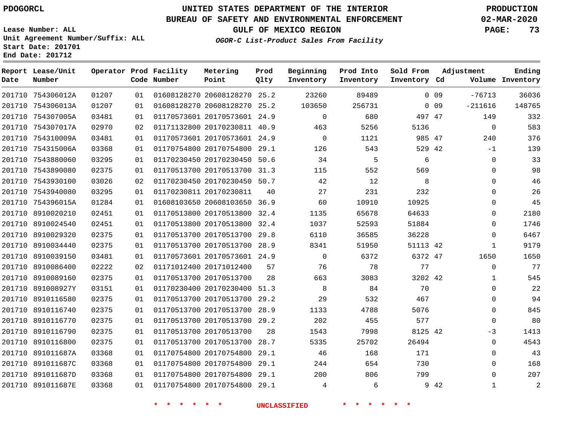# **UNITED STATES DEPARTMENT OF THE INTERIOR PDOGORCL PRODUCTION**

## **BUREAU OF SAFETY AND ENVIRONMENTAL ENFORCEMENT 02-MAR-2020**

**Lease Number: ALL Unit Agreement Number/Suffix: ALL Start Date: 201701**

#### **OGOR-C List-Product Sales From Facility**

**GULF OF MEXICO REGION PAGE: 73**

| Date   | Report Lease/Unit<br>Number |       |    | Operator Prod Facility<br>Code Number | Metering<br>Point            | Prod<br>Qlty | Beginning<br>Inventory | Prod Into<br>Inventory | Sold From<br>Inventory Cd | Adjustment |              | Ending<br>Volume Inventory |
|--------|-----------------------------|-------|----|---------------------------------------|------------------------------|--------------|------------------------|------------------------|---------------------------|------------|--------------|----------------------------|
|        | 201710 754306012A           | 01207 | 01 |                                       | 01608128270 20608128270 25.2 |              | 23260                  | 89489                  |                           | $0\quad09$ | $-76713$     | 36036                      |
|        | 201710 754306013A           | 01207 | 01 |                                       | 01608128270 20608128270 25.2 |              | 103650                 | 256731                 |                           | $0$ 09     | $-211616$    | 148765                     |
| 201710 | 754307005A                  | 03481 | 01 |                                       | 01170573601 20170573601 24.9 |              | $\overline{0}$         | 680                    | 497 47                    |            | 149          | 332                        |
|        | 201710 754307017A           | 02970 | 02 |                                       | 01171132800 20170230811 40.9 |              | 463                    | 5256                   | 5136                      |            | $\mathbf 0$  | 583                        |
|        | 201710 754310009A           | 03481 | 01 |                                       | 01170573601 20170573601 24.9 |              | $\mathbf 0$            | 1121                   | 985 47                    |            | 240          | 376                        |
|        | 201710 754315006A           | 03368 | 01 |                                       | 01170754800 20170754800 29.1 |              | 126                    | 543                    | 529 42                    |            | $-1$         | 139                        |
|        | 201710 7543880060           | 03295 | 01 |                                       | 01170230450 20170230450 50.6 |              | 34                     | 5                      | 6                         |            | $\mathbf 0$  | 33                         |
|        | 201710 7543890080           | 02375 | 01 |                                       | 01170513700 20170513700      | 31.3         | 115                    | 552                    | 569                       |            | $\Omega$     | 98                         |
|        | 201710 7543930100           | 03026 | 02 |                                       | 01170230450 20170230450 50.7 |              | 42                     | 12                     | 8                         |            | $\Omega$     | 46                         |
|        | 201710 7543940080           | 03295 | 01 |                                       | 01170230811 20170230811      | 40           | 27                     | 231                    | 232                       |            | $\Omega$     | 26                         |
|        | 201710 754396015A           | 01284 | 01 |                                       | 01608103650 20608103650 36.9 |              | 60                     | 10910                  | 10925                     |            | $\Omega$     | 45                         |
|        | 201710 8910020210           | 02451 | 01 |                                       | 01170513800 20170513800      | 32.4         | 1135                   | 65678                  | 64633                     |            | $\Omega$     | 2180                       |
|        | 201710 8910024540           | 02451 | 01 |                                       | 01170513800 20170513800 32.4 |              | 1037                   | 52593                  | 51884                     |            | $\Omega$     | 1746                       |
|        | 201710 8910029320           | 02375 | 01 |                                       | 01170513700 20170513700 29.8 |              | 6110                   | 36585                  | 36228                     |            | $\Omega$     | 6467                       |
|        | 201710 8910034440           | 02375 | 01 |                                       | 01170513700 20170513700 28.9 |              | 8341                   | 51950                  | 51113 42                  |            | $\mathbf 1$  | 9179                       |
|        | 201710 8910039150           | 03481 | 01 |                                       | 01170573601 20170573601 24.9 |              | $\Omega$               | 6372                   | 6372 47                   |            | 1650         | 1650                       |
|        | 201710 8910086400           | 02222 | 02 |                                       | 01171012400 20171012400      | 57           | 76                     | 78                     | 77                        |            | $\mathbf 0$  | 77                         |
|        | 201710 8910089160           | 02375 | 01 |                                       | 01170513700 20170513700      | 28           | 663                    | 3083                   | 3202 42                   |            | $\mathbf{1}$ | 545                        |
|        | 201710 891008927Y           | 03151 | 01 |                                       | 01170230400 20170230400 51.3 |              | 8                      | 84                     | 70                        |            | $\Omega$     | 22                         |
|        | 201710 8910116580           | 02375 | 01 |                                       | 01170513700 20170513700      | 29.2         | 29                     | 532                    | 467                       |            | $\Omega$     | 94                         |
|        | 201710 8910116740           | 02375 | 01 |                                       | 01170513700 20170513700 28.9 |              | 1133                   | 4788                   | 5076                      |            | 0            | 845                        |
|        | 201710 8910116770           | 02375 | 01 |                                       | 01170513700 20170513700 29.2 |              | 202                    | 455                    | 577                       |            | 0            | 80                         |
|        | 201710 8910116790           | 02375 | 01 |                                       | 01170513700 20170513700      | 28           | 1543                   | 7998                   | 8125 42                   |            | $-3$         | 1413                       |
|        | 201710 8910116800           | 02375 | 01 |                                       | 01170513700 20170513700 28.7 |              | 5335                   | 25702                  | 26494                     |            | $\Omega$     | 4543                       |
|        | 201710 891011687A           | 03368 | 01 |                                       | 01170754800 20170754800      | 29.1         | 46                     | 168                    | 171                       |            | 0            | 43                         |
|        | 201710 891011687C           | 03368 | 01 |                                       | 01170754800 20170754800 29.1 |              | 244                    | 654                    | 730                       |            | $\Omega$     | 168                        |
|        | 201710 891011687D           | 03368 | 01 |                                       | 01170754800 20170754800 29.1 |              | 200                    | 806                    | 799                       |            | 0            | 207                        |
|        | 201710 891011687E           | 03368 | 01 |                                       | 01170754800 20170754800 29.1 |              | 4                      | 6                      |                           | 9 42       | 1            | 2                          |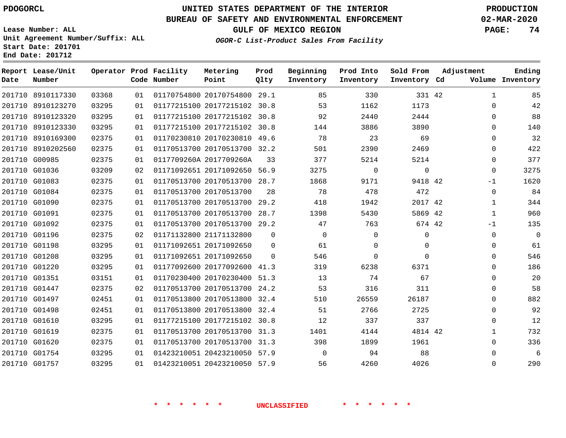**Prod**

#### **BUREAU OF SAFETY AND ENVIRONMENTAL ENFORCEMENT 02-MAR-2020**

**Lease Number: ALL Unit Agreement Number/Suffix: ALL Start Date: 201701 End Date: 201712**

**OGOR-C List-Product Sales From Facility**

**GULF OF MEXICO REGION PAGE: 74**

**Ending**

| Date | Report Lease/Unit<br>Number |       |    | Operator Prod Facility<br>Code Number | Metering<br>Point            | Prod<br>Qlty | Beginning<br>Inventory | Prod Into<br>Inventory | Sold From<br>Inventory Cd | Adjustment |              | Ending<br>Volume Inventory |
|------|-----------------------------|-------|----|---------------------------------------|------------------------------|--------------|------------------------|------------------------|---------------------------|------------|--------------|----------------------------|
|      | 201710 8910117330           | 03368 | 01 |                                       | 01170754800 20170754800 29.1 |              | 85                     | 330                    | 331 42                    |            | $\mathbf{1}$ | 85                         |
|      | 201710 8910123270           | 03295 | 01 |                                       | 01177215100 20177215102 30.8 |              | 53                     | 1162                   | 1173                      |            | $\Omega$     | 42                         |
|      | 201710 8910123320           | 03295 | 01 |                                       | 01177215100 20177215102 30.8 |              | 92                     | 2440                   | 2444                      |            | $\Omega$     | 88                         |
|      | 201710 8910123330           | 03295 | 01 |                                       | 01177215100 20177215102 30.8 |              | 144                    | 3886                   | 3890                      |            | $\Omega$     | 140                        |
|      | 201710 8910169300           | 02375 | 01 |                                       | 01170230810 20170230810 49.6 |              | 78                     | 23                     | 69                        |            | $\Omega$     | 32                         |
|      | 201710 8910202560           | 02375 | 01 |                                       | 01170513700 20170513700 32.2 |              | 501                    | 2390                   | 2469                      |            | $\Omega$     | 422                        |
|      | 201710 G00985               | 02375 | 01 |                                       | 0117709260A 2017709260A      | 33           | 377                    | 5214                   | 5214                      |            | $\Omega$     | 377                        |
|      | 201710 G01036               | 03209 | 02 |                                       | 01171092651 20171092650 56.9 |              | 3275                   | 0                      | $\mathbf 0$               |            | $\mathbf 0$  | 3275                       |
|      | 201710 G01083               | 02375 | 01 |                                       | 01170513700 20170513700 28.7 |              | 1868                   | 9171                   | 9418 42                   |            | $-1$         | 1620                       |
|      | 201710 G01084               | 02375 | 01 |                                       | 01170513700 20170513700      | 28           | 78                     | 478                    | 472                       |            | $\Omega$     | 84                         |
|      | 201710 G01090               | 02375 | 01 |                                       | 01170513700 20170513700 29.2 |              | 418                    | 1942                   | 2017 42                   |            | 1            | 344                        |
|      | 201710 G01091               | 02375 | 01 |                                       | 01170513700 20170513700      | 28.7         | 1398                   | 5430                   | 5869 42                   |            | 1            | 960                        |
|      | 201710 G01092               | 02375 | 01 |                                       | 01170513700 20170513700 29.2 |              | 47                     | 763                    | 674 42                    |            | -1           | 135                        |
|      | 201710 G01196               | 02375 | 02 |                                       | 01171132800 21171132800      | $\Omega$     | $\Omega$               | $\Omega$               | 0                         |            | $\Omega$     | 0                          |
|      | 201710 G01198               | 03295 | 01 |                                       | 01171092651 20171092650      | 0            | 61                     | 0                      | 0                         |            | $\Omega$     | 61                         |
|      | 201710 G01208               | 03295 | 01 |                                       | 01171092651 20171092650      | $\Omega$     | 546                    | 0                      | $\Omega$                  |            | $\Omega$     | 546                        |
|      | 201710 G01220               | 03295 | 01 |                                       | 01177092600 20177092600 41.3 |              | 319                    | 6238                   | 6371                      |            | $\Omega$     | 186                        |
|      | 201710 G01351               | 03151 | 01 |                                       | 01170230400 20170230400      | 51.3         | 13                     | 74                     | 67                        |            | $\Omega$     | 20                         |
|      | 201710 G01447               | 02375 | 02 |                                       | 01170513700 20170513700 24.2 |              | 53                     | 316                    | 311                       |            | $\Omega$     | 58                         |
|      | 201710 G01497               | 02451 | 01 |                                       | 01170513800 20170513800 32.4 |              | 510                    | 26559                  | 26187                     |            | $\Omega$     | 882                        |
|      | 201710 G01498               | 02451 | 01 |                                       | 01170513800 20170513800      | 32.4         | 51                     | 2766                   | 2725                      |            | $\Omega$     | 92                         |
|      | 201710 G01610               | 03295 | 01 |                                       | 01177215100 20177215102 30.8 |              | 12                     | 337                    | 337                       |            | $\Omega$     | 12                         |
|      | 201710 G01619               | 02375 | 01 |                                       | 01170513700 20170513700 31.3 |              | 1401                   | 4144                   | 4814 42                   |            | $\mathbf{1}$ | 732                        |
|      | 201710 G01620               | 02375 | 01 |                                       | 01170513700 20170513700      | 31.3         | 398                    | 1899                   | 1961                      |            | $\Omega$     | 336                        |
|      | 201710 G01754               | 03295 | 01 |                                       | 01423210051 20423210050 57.9 |              | $\Omega$               | 94                     | 88                        |            | $\Omega$     | 6                          |
|      | 201710 G01757               | 03295 | 01 |                                       | 01423210051 20423210050 57.9 |              | 56                     | 4260                   | 4026                      |            | $\Omega$     | 290                        |
|      |                             |       |    |                                       |                              |              |                        |                        |                           |            |              |                            |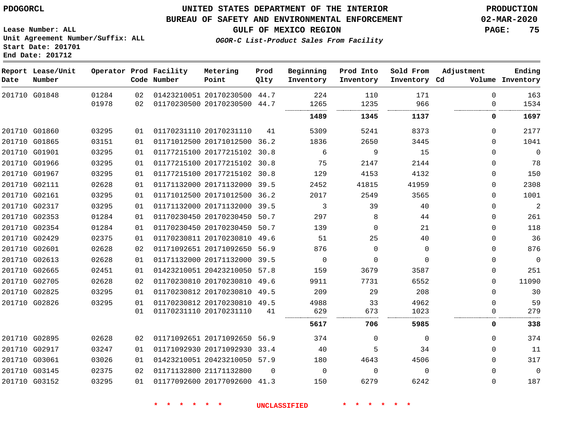#### **BUREAU OF SAFETY AND ENVIRONMENTAL ENFORCEMENT 02-MAR-2020**

**OGOR-C List-Product Sales From Facility**

**GULF OF MEXICO REGION PAGE: 75**

**Lease Number: ALL Unit Agreement Number/Suffix: ALL Start Date: 201701 End Date: 201712**

| Date | Report Lease/Unit<br>Number |       |    | Operator Prod Facility<br>Code Number | Metering<br>Point            | Prod<br>Qlty | Beginning<br>Inventory | Prod Into<br>Inventory | Sold From<br>Inventory Cd | Adjustment  | Ending<br>Volume Inventory |
|------|-----------------------------|-------|----|---------------------------------------|------------------------------|--------------|------------------------|------------------------|---------------------------|-------------|----------------------------|
|      | 201710 G01848               | 01284 | 02 |                                       | 01423210051 20170230500 44.7 |              | 224                    | 110                    | 171                       | $\Omega$    | 163                        |
|      |                             | 01978 | 02 |                                       | 01170230500 20170230500 44.7 |              | 1265                   | 1235                   | 966                       | 0           | 1534                       |
|      |                             |       |    |                                       |                              |              | 1489                   | 1345                   | 1137                      | 0           | 1697                       |
|      | 201710 G01860               | 03295 | 01 |                                       | 01170231110 20170231110      | 41           | 5309                   | 5241                   | 8373                      | $\Omega$    | 2177                       |
|      | 201710 G01865               | 03151 | 01 |                                       | 01171012500 20171012500 36.2 |              | 1836                   | 2650                   | 3445                      | $\Omega$    | 1041                       |
|      | 201710 G01901               | 03295 | 01 |                                       | 01177215100 20177215102 30.8 |              | 6                      | 9                      | 15                        | $\Omega$    | $\mathbf 0$                |
|      | 201710 G01966               | 03295 | 01 |                                       | 01177215100 20177215102 30.8 |              | 75                     | 2147                   | 2144                      | $\Omega$    | 78                         |
|      | 201710 G01967               | 03295 | 01 |                                       | 01177215100 20177215102 30.8 |              | 129                    | 4153                   | 4132                      | $\mathbf 0$ | 150                        |
|      | 201710 G02111               | 02628 | 01 |                                       | 01171132000 20171132000 39.5 |              | 2452                   | 41815                  | 41959                     | $\Omega$    | 2308                       |
|      | 201710 G02161               | 03295 | 01 |                                       | 01171012500 20171012500 36.2 |              | 2017                   | 2549                   | 3565                      | $\Omega$    | 1001                       |
|      | 201710 G02317               | 03295 | 01 |                                       | 01171132000 20171132000 39.5 |              | 3                      | 39                     | 40                        | $\Omega$    | $\overline{2}$             |
|      | 201710 G02353               | 01284 | 01 |                                       | 01170230450 20170230450 50.7 |              | 297                    | 8                      | 44                        | $\mathbf 0$ | 261                        |
|      | 201710 G02354               | 01284 | 01 |                                       | 01170230450 20170230450 50.7 |              | 139                    | $\Omega$               | 21                        | $\Omega$    | 118                        |
|      | 201710 G02429               | 02375 | 01 |                                       | 01170230811 20170230810 49.6 |              | 51                     | 25                     | 40                        | $\mathbf 0$ | 36                         |
|      | 201710 G02601               | 02628 | 02 |                                       | 01171092651 20171092650 56.9 |              | 876                    | $\Omega$               | $\Omega$                  | $\Omega$    | 876                        |
|      | 201710 G02613               | 02628 | 01 |                                       | 01171132000 20171132000 39.5 |              | $\mathbf 0$            | $\Omega$               | $\Omega$                  | $\Omega$    | $\mathbf 0$                |
|      | 201710 G02665               | 02451 | 01 |                                       | 01423210051 20423210050 57.8 |              | 159                    | 3679                   | 3587                      | $\mathbf 0$ | 251                        |
|      | 201710 G02705               | 02628 | 02 |                                       | 01170230810 20170230810 49.6 |              | 9911                   | 7731                   | 6552                      | $\Omega$    | 11090                      |
|      | 201710 G02825               | 03295 | 01 |                                       | 01170230812 20170230810 49.5 |              | 209                    | 29                     | 208                       | $\Omega$    | 30                         |
|      | 201710 G02826               | 03295 | 01 |                                       | 01170230812 20170230810 49.5 |              | 4988                   | 33                     | 4962                      | $\mathbf 0$ | 59                         |
|      |                             |       | 01 |                                       | 01170231110 20170231110      | 41           | 629                    | 673                    | 1023                      | 0           | 279                        |
|      |                             |       |    |                                       |                              |              | 5617                   | 706                    | 5985                      | 0           | 338                        |
|      | 201710 G02895               | 02628 | 02 |                                       | 01171092651 20171092650 56.9 |              | 374                    | $\Omega$               | $\Omega$                  | $\Omega$    | 374                        |
|      | 201710 G02917               | 03247 | 01 |                                       | 01171092930 20171092930 33.4 |              | 40                     | 5                      | 34                        | $\mathbf 0$ | 11                         |
|      | 201710 G03061               | 03026 | 01 |                                       | 01423210051 20423210050 57.9 |              | 180                    | 4643                   | 4506                      | $\Omega$    | 317                        |
|      | 201710 G03145               | 02375 | 02 |                                       | 01171132800 21171132800      | $\Omega$     | $\mathbf 0$            | $\mathbf 0$            | $\Omega$                  | $\Omega$    | $\mathbf 0$                |
|      | 201710 G03152               | 03295 | 01 |                                       | 01177092600 20177092600 41.3 |              | 150                    | 6279                   | 6242                      | $\mathbf 0$ | 187                        |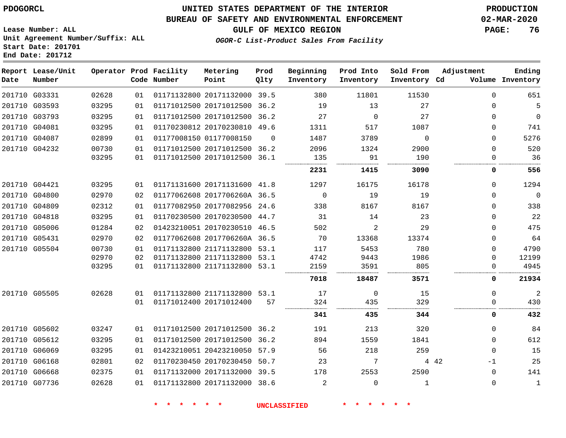#### **BUREAU OF SAFETY AND ENVIRONMENTAL ENFORCEMENT 02-MAR-2020**

**GULF OF MEXICO REGION PAGE: 76**

**Lease Number: ALL Unit Agreement Number/Suffix: ALL Start Date: 201701 End Date: 201712**

**OGOR-C List-Product Sales From Facility**

| Date | Report Lease/Unit<br>Number |       |    | Operator Prod Facility<br>Code Number | Metering<br>Point            | Prod<br>Qlty | Beginning<br>Inventory | Prod Into<br>Inventory | Sold From<br>Inventory Cd | Adjustment  | Ending<br>Volume Inventory |
|------|-----------------------------|-------|----|---------------------------------------|------------------------------|--------------|------------------------|------------------------|---------------------------|-------------|----------------------------|
|      | 201710 G03331               | 02628 | 01 |                                       | 01171132800 20171132000 39.5 |              | 380                    | 11801                  | 11530                     | $\Omega$    | 651                        |
|      | 201710 G03593               | 03295 | 01 |                                       | 01171012500 20171012500 36.2 |              | 19                     | 13                     | 27                        | $\Omega$    | 5                          |
|      | 201710 G03793               | 03295 | 01 |                                       | 01171012500 20171012500 36.2 |              | 27                     | $\Omega$               | 27                        | $\Omega$    | $\mathbf 0$                |
|      | 201710 G04081               | 03295 | 01 |                                       | 01170230812 20170230810 49.6 |              | 1311                   | 517                    | 1087                      | $\Omega$    | 741                        |
|      | 201710 G04087               | 02899 | 01 |                                       | 01177008150 01177008150      | $\Omega$     | 1487                   | 3789                   | $\Omega$                  | $\Omega$    | 5276                       |
|      | 201710 G04232               | 00730 | 01 |                                       | 01171012500 20171012500 36.2 |              | 2096                   | 1324                   | 2900                      | $\Omega$    | 520                        |
|      |                             | 03295 | 01 |                                       | 01171012500 20171012500 36.1 |              | 135                    | 91                     | 190                       | $\Omega$    | 36                         |
|      |                             |       |    |                                       |                              |              | 2231                   | 1415                   | 3090                      | 0           | 556                        |
|      | 201710 G04421               | 03295 | 01 |                                       | 01171131600 20171131600 41.8 |              | 1297                   | 16175                  | 16178                     | $\Omega$    | 1294                       |
|      | 201710 G04800               | 02970 | 02 |                                       | 01177062608 2017706260A 36.5 |              | $\overline{0}$         | 19                     | 19                        | $\mathbf 0$ | $\overline{0}$             |
|      | 201710 G04809               | 02312 | 01 |                                       | 01177082950 20177082956 24.6 |              | 338                    | 8167                   | 8167                      | $\Omega$    | 338                        |
|      | 201710 G04818               | 03295 | 01 |                                       | 01170230500 20170230500 44.7 |              | 31                     | 14                     | 23                        | $\Omega$    | 22                         |
|      | 201710 G05006               | 01284 | 02 |                                       | 01423210051 20170230510 46.5 |              | 502                    | $\overline{2}$         | 29                        | $\Omega$    | 475                        |
|      | 201710 G05431               | 02970 | 02 |                                       | 01177062608 2017706260A 36.5 |              | 70                     | 13368                  | 13374                     | $\Omega$    | 64                         |
|      | 201710 G05504               | 00730 | 01 |                                       | 01171132800 21171132800 53.1 |              | 117                    | 5453                   | 780                       | $\Omega$    | 4790                       |
|      |                             | 02970 | 02 |                                       | 01171132800 21171132800 53.1 |              | 4742                   | 9443                   | 1986                      | $\mathbf 0$ | 12199                      |
|      |                             | 03295 | 01 |                                       | 01171132800 21171132800 53.1 |              | 2159                   | 3591                   | 805                       | 0           | 4945                       |
|      |                             |       |    |                                       |                              |              | 7018                   | 18487                  | 3571                      | 0           | 21934                      |
|      | 201710 G05505               | 02628 | 01 |                                       | 01171132800 21171132800 53.1 |              | 17                     | 0                      | 15                        | $\Omega$    | $\overline{2}$             |
|      |                             |       | 01 |                                       | 01171012400 20171012400      | 57           | 324                    | 435                    | 329                       | $\mathbf 0$ | 430                        |
|      |                             |       |    |                                       |                              |              | 341                    | 435                    | 344                       | $\mathbf 0$ | 432                        |
|      | 201710 G05602               | 03247 | 01 |                                       | 01171012500 20171012500 36.2 |              | 191                    | 213                    | 320                       | $\mathbf 0$ | 84                         |
|      | 201710 G05612               | 03295 | 01 |                                       | 01171012500 20171012500 36.2 |              | 894                    | 1559                   | 1841                      | $\mathbf 0$ | 612                        |
|      | 201710 G06069               | 03295 | 01 |                                       | 01423210051 20423210050 57.9 |              | 56                     | 218                    | 259                       | $\mathbf 0$ | 15                         |
|      | 201710 G06168               | 02801 | 02 |                                       | 01170230450 20170230450 50.7 |              | 23                     | 7                      |                           | 4 4 2<br>-1 | 25                         |
|      | 201710 G06668               | 02375 | 01 |                                       | 01171132000 20171132000 39.5 |              | 178                    | 2553                   | 2590                      | $\mathbf 0$ | 141                        |
|      | 201710 G07736               | 02628 | 01 |                                       | 01171132800 20171132000 38.6 |              | $\overline{a}$         | $\Omega$               | $\mathbf{1}$              | $\mathbf 0$ | $\mathbf{1}$               |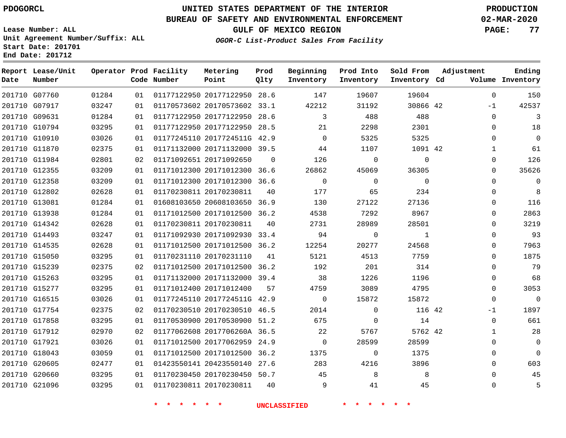# **UNITED STATES DEPARTMENT OF THE INTERIOR PDOGORCL PRODUCTION**

**Prod**

## **BUREAU OF SAFETY AND ENVIRONMENTAL ENFORCEMENT 02-MAR-2020**

**Lease Number: ALL Unit Agreement Number/Suffix: ALL Start Date: 201701**

**End Date: 201712**

**Report Lease/Unit**

**GULF OF MEXICO REGION PAGE: 77**

**Adjustment**

**Ending**

**OGOR-C List-Product Sales From Facility**

**Beginning Prod Into Sold From**

| Date | Number        |       |    | Code Number | <b>Point</b>                 | Qlty     | Inventory   | Inventory   | Inventory Cd |             | Volume Inventory |
|------|---------------|-------|----|-------------|------------------------------|----------|-------------|-------------|--------------|-------------|------------------|
|      | 201710 G07760 | 01284 | 01 |             | 01177122950 20177122950 28.6 |          | 147         | 19607       | 19604        | $\Omega$    | 150              |
|      | 201710 G07917 | 03247 | 01 |             | 01170573602 20170573602 33.1 |          | 42212       | 31192       | 30866 42     | $-1$        | 42537            |
|      | 201710 G09631 | 01284 | 01 |             | 01177122950 20177122950 28.6 |          | 3           | 488         | 488          | $\mathbf 0$ | 3                |
|      | 201710 G10794 | 03295 | 01 |             | 01177122950 20177122950 28.5 |          | 21          | 2298        | 2301         | $\mathbf 0$ | 18               |
|      | 201710 G10910 | 03026 | 01 |             | 01177245110 2017724511G 42.9 |          | $\Omega$    | 5325        | 5325         | $\Omega$    | $\mathbf 0$      |
|      | 201710 G11870 | 02375 | 01 |             | 01171132000 20171132000 39.5 |          | 44          | 1107        | 1091 42      | 1           | 61               |
|      | 201710 G11984 | 02801 | 02 |             | 01171092651 20171092650      | $\Omega$ | 126         | $\Omega$    | $\Omega$     | 0           | 126              |
|      | 201710 G12355 | 03209 | 01 |             | 01171012300 20171012300 36.6 |          | 26862       | 45069       | 36305        | 0           | 35626            |
|      | 201710 G12358 | 03209 | 01 |             | 01171012300 20171012300 36.6 |          | 0           | $\mathbf 0$ | $\mathbf 0$  | $\mathbf 0$ | 0                |
|      | 201710 G12802 | 02628 | 01 |             | 01170230811 20170230811      | 40       | 177         | 65          | 234          | $\mathbf 0$ | 8                |
|      | 201710 G13081 | 01284 | 01 |             | 01608103650 20608103650 36.9 |          | 130         | 27122       | 27136        | 0           | 116              |
|      | 201710 G13938 | 01284 | 01 |             | 01171012500 20171012500 36.2 |          | 4538        | 7292        | 8967         | 0           | 2863             |
|      | 201710 G14342 | 02628 | 01 |             | 01170230811 20170230811      | 40       | 2731        | 28989       | 28501        | 0           | 3219             |
|      | 201710 G14493 | 03247 | 01 |             | 01171092930 20171092930 33.4 |          | 94          | 0           | 1            | 0           | 93               |
|      | 201710 G14535 | 02628 | 01 |             | 01171012500 20171012500 36.2 |          | 12254       | 20277       | 24568        | 0           | 7963             |
|      | 201710 G15050 | 03295 | 01 |             | 01170231110 20170231110      | 41       | 5121        | 4513        | 7759         | $\Omega$    | 1875             |
|      | 201710 G15239 | 02375 | 02 |             | 01171012500 20171012500 36.2 |          | 192         | 201         | 314          | $\mathbf 0$ | 79               |
|      | 201710 G15263 | 03295 | 01 |             | 01171132000 20171132000 39.4 |          | 38          | 1226        | 1196         | 0           | 68               |
|      | 201710 G15277 | 03295 | 01 |             | 01171012400 20171012400      | 57       | 4759        | 3089        | 4795         | 0           | 3053             |
|      | 201710 G16515 | 03026 | 01 |             | 01177245110 2017724511G 42.9 |          | $\mathbf 0$ | 15872       | 15872        | $\mathbf 0$ | $\overline{0}$   |
|      | 201710 G17754 | 02375 | 02 |             | 01170230510 20170230510 46.5 |          | 2014        | $\Omega$    | 116 42       | $-1$        | 1897             |
|      | 201710 G17858 | 03295 | 01 |             | 01170530900 20170530900 51.2 |          | 675         | 0           | 14           | $\mathbf 0$ | 661              |
|      | 201710 G17912 | 02970 | 02 |             | 01177062608 2017706260A 36.5 |          | 22          | 5767        | 5762 42      | 1           | 28               |
|      | 201710 G17921 | 03026 | 01 |             | 01171012500 20177062959 24.9 |          | $\Omega$    | 28599       | 28599        | 0           | $\mathbf 0$      |
|      | 201710 G18043 | 03059 | 01 |             | 01171012500 20171012500 36.2 |          | 1375        | $\mathbf 0$ | 1375         | $\Omega$    | $\Omega$         |
|      | 201710 G20605 | 02477 | 01 |             | 01423550141 20423550140 27.6 |          | 283         | 4216        | 3896         | $\mathbf 0$ | 603              |
|      | 201710 G20660 | 03295 | 01 |             | 01170230450 20170230450 50.7 |          | 45          | 8           | 8            | 0           | 45               |
|      | 201710 G21096 | 03295 | 01 |             | 01170230811 20170230811      | 40       | 9           | 41          | 45           | $\mathbf 0$ | 5                |

**\* \* \* \* \* \* UNCLASSIFIED \* \* \* \* \* \***

**Operator Prod Facility Metering**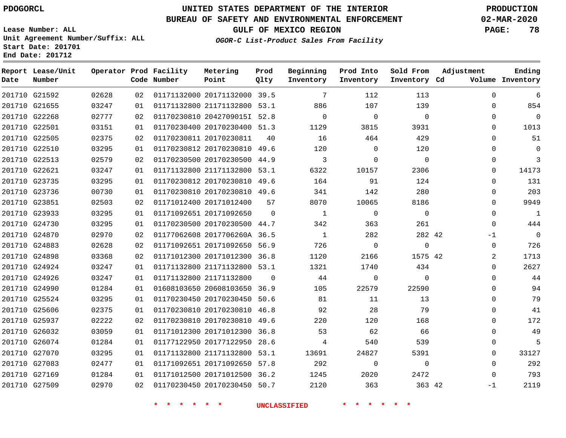**Report Lease/Unit**

**Number**

**Date**

# **UNITED STATES DEPARTMENT OF THE INTERIOR PDOGORCL PRODUCTION**

**Prod Qlty**

#### **BUREAU OF SAFETY AND ENVIRONMENTAL ENFORCEMENT 02-MAR-2020**

**Lease Number: ALL Unit Agreement Number/Suffix: ALL Start Date: 201701 End Date: 201712**

**Operator Prod Facility**

**Code Number**

**OGOR-C List-Product Sales From Facility**

**Beginning Inventory** **Prod Into Inventory** **Sold From Inventory**

**GULF OF MEXICO REGION PAGE: 78**

**Inventory Cd Volume**

**Adjustment**

  $\Omega$   $\Omega$  $\Omega$   $\Omega$   $\Omega$  $\Omega$ -1  $\overline{0}$   $\Omega$  $\Omega$  $\Omega$  $\Omega$  -1

**Ending**

|                                |                |          |                                                              | * * * * * * UNCLASSIFIED * * * * * * |                         |                          |  |
|--------------------------------|----------------|----------|--------------------------------------------------------------|--------------------------------------|-------------------------|--------------------------|--|
| 201710 G27509                  | 02970          |          |                                                              | 02 01170230450 20170230450 50.7 2120 | 363                     | 363 42                   |  |
| 201710 G27169                  | 01284          | 01       |                                                              | 01171012500 20171012500 36.2 1245    | 2020                    | 2472                     |  |
| 201710 G27083                  | 02477          | 01       | 01171092651 20171092650 57.8                                 | 292                                  | $\overline{0}$          | $\overline{0}$           |  |
| 201710 G27070                  | 03295          | 01       |                                                              | 01171132800 21171132800 53.1 13691   | 24827                   | 5391                     |  |
| 201710 G26074                  | 01284          | 01       | 01177122950 20177122950 28.6                                 | $4\overline{4}$                      | 540                     | 539                      |  |
| 201710 G26032                  | 03059          | 01       | 01171012300 20171012300 36.8 53                              |                                      | 62                      | 66                       |  |
| 201710 G25937                  | 02222          | 02       | 01170230810 20170230810 49.6                                 | 220                                  | 120                     | 168                      |  |
| 201710 G25606                  | 02375          | 01       | 01170230810 20170230810 46.8                                 | 92                                   | 28                      | 79                       |  |
| 201710 G25524                  | 03295          | 01       | 01170230450 20170230450 50.6                                 | 81                                   | 11                      | 13                       |  |
| 201710 G24990                  | 01284          | 01       | 01608103650 20608103650 36.9                                 | 105 10                               | 22579                   | 22590                    |  |
| 201710 G24926                  | 03247          | 01       | 01171132800 21171132800 0                                    | 44                                   | $\overline{0}$          | $\overline{0}$           |  |
| 201710 G24924                  | 03247          | 01       | 01171132800 21171132800 53.1                                 | 1321 \                               | 1740                    | 434                      |  |
| 201710 G24898                  | 03368          | 02       | 01171012300 20171012300 36.8                                 | 1120                                 | 2166                    | 1575 42                  |  |
| 201710 G24883                  | 02628          | 02       | 01171092651 20171092650 56.9                                 | 726                                  | $\overline{0}$          | $\overline{0}$           |  |
| 201710 G24870                  | 02970          | 02       | 01177062608 2017706260A 36.5                                 | $\overline{1}$                       | 282                     | 282 42                   |  |
| 201710 G24730                  | 03295          | 01       | 01170230500 20170230500 44.7                                 | 342                                  | 363                     | 261                      |  |
| 201710 G23933                  | 03295          | 01       | 01171092651 20171092650 0                                    | $\overline{1}$                       | $\overline{0}$          | $\overline{0}$           |  |
| 201710 G23851                  | 02503          | 02       | 01171012400 20171012400 57                                   | 8070                                 | 10065                   | 8186                     |  |
| 201710 G23736                  | 00730          | 01       | 01170230810 20170230810 49.6                                 | 341                                  | 142                     | 280                      |  |
| 201710 G23735                  | 03295          | 01       | 01170230812 20170230810 49.6                                 | 164                                  | 91                      | 124                      |  |
| 201710 G22513<br>201710 G22621 | 02579<br>03247 | 02<br>01 | 01170230500 20170230500 44.9<br>01171132800 21171132800 53.1 | $\overline{\mathbf{3}}$<br>6322      | $\overline{0}$<br>10157 | $\overline{0}$<br>2306   |  |
| 201710 G22510                  | 03295          | 01       | 01170230812 20170230810 49.6                                 | 120                                  | $\overline{0}$          | 120                      |  |
| 201710 G22505                  | 02375          | 02       | 01170230811 20170230811 40                                   | 16                                   | 464                     | 429                      |  |
| 201710 G22501                  | 03151          | 01       | 01170230400 20170230400 51.3                                 | 1129                                 | 3815                    | 3931                     |  |
| 201710 G22268                  | 02777          | 02       | 01170230810 2042709015I 52.8                                 | $\overline{0}$                       | $\overline{\mathbf{0}}$ | $\overline{\phantom{0}}$ |  |
| 201710 G21655                  | 03247          | 01       | 01171132800 21171132800 53.1 886                             |                                      | 107                     | 139                      |  |
| 201710 G21592                  | 02628          |          | 02 01171132000 20171132000 39.5                              | $\overline{7}$                       | 112                     | 113                      |  |
|                                |                |          |                                                              |                                      |                         |                          |  |

**Metering Point**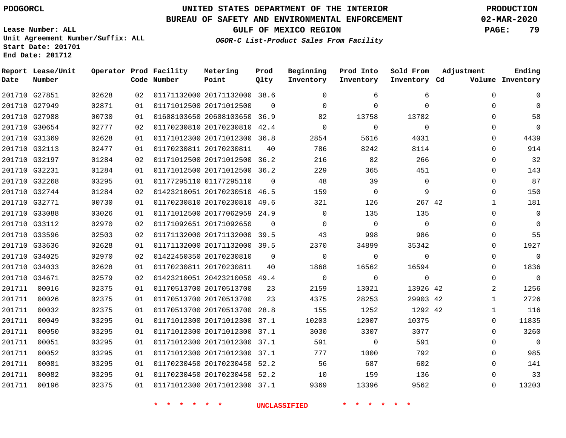G27851

**Date**

**Report Lease/Unit**

**Number**

# **UNITED STATES DEPARTMENT OF THE INTERIOR PDOGORCL PRODUCTION**

**Prod Qlty**

#### **BUREAU OF SAFETY AND ENVIRONMENTAL ENFORCEMENT 02-MAR-2020**

**Lease Number: ALL Unit Agreement Number/Suffix: ALL Start Date: 201701 End Date: 201712**

**Operator Prod Facility**

**Code Number**

20171132000 38.6

**Metering Point**

**OGOR-C List-Product Sales From Facility**

**Sold From Inventory**

**Prod Into Inventory**

**Beginning Inventory**

**GULF OF MEXICO REGION PAGE: 79**

**Inventory Cd Volume**

**Adjustment**

  $\Omega$  $\Omega$   $\Omega$  $\Omega$  $\Omega$  $\Omega$  $\Omega$  $\Omega$   $\Omega$  $\Omega$   $\Omega$  $\overline{0}$  $\Omega$  $\Omega$  $\overline{2}$   $\Omega$   $\Omega$ 

**Ending**

|        | 201710 G27949 | 02871 | 01 | 01171012500 20171012500 0                |                              |                | $\overline{0}$           | $\overline{0}$ | 0              |  |
|--------|---------------|-------|----|------------------------------------------|------------------------------|----------------|--------------------------|----------------|----------------|--|
|        | 201710 G27988 | 00730 | 01 | 01608103650 20608103650 36.9             |                              |                | 82                       | 13758          | 13782          |  |
|        | 201710 G30654 | 02777 | 02 |                                          | 01170230810 20170230810 42.4 |                | $\overline{0}$           | $\overline{0}$ | $\overline{0}$ |  |
|        | 201710 G31369 | 02628 | 01 | 01171012300 20171012300 36.8             |                              |                | 2854                     | 5616           | 4031           |  |
|        | 201710 G32113 | 02477 | 01 | 01170230811 20170230811 40               |                              |                | 786                      | 8242           | 8114           |  |
|        | 201710 G32197 | 01284 | 02 | 01171012500 20171012500 36.2             |                              |                | 216                      | 82             | 266            |  |
|        | 201710 G32231 | 01284 | 01 | 01171012500 20171012500 36.2             |                              |                | 229                      | 365            | 451            |  |
|        | 201710 G32268 | 03295 | 01 |                                          |                              |                | 48                       | 39             | $\overline{0}$ |  |
|        | 201710 G32744 | 01284 | 02 | 01423210051 20170230510 46.5             |                              |                | 159                      | $\overline{0}$ | 9              |  |
|        | 201710 G32771 | 00730 | 01 | 01170230810 20170230810 49.6             |                              |                | 321                      | 126            | 267 42         |  |
|        | 201710 G33088 | 03026 | 01 | 01171012500 20177062959 24.9             |                              |                | $\overline{0}$           | 135            | 135            |  |
|        | 201710 G33112 | 02970 | 02 | 01171092651 20171092650 0                |                              |                | $\overline{\phantom{0}}$ | $\overline{0}$ | $\overline{0}$ |  |
|        | 201710 G33596 | 02503 | 02 | 01171132000 20171132000 39.5             |                              |                | 43                       | 998            | 986            |  |
|        | 201710 G33636 | 02628 | 01 | 01171132000 20171132000 39.5             |                              |                | 2370                     | 34899          | 35342          |  |
|        | 201710 G34025 | 02970 | 02 | 01422450350 20170230810                  |                              | $\overline{0}$ | $\overline{0}$           | $\overline{0}$ | $\overline{0}$ |  |
|        | 201710 G34033 | 02628 | 01 | 01170230811 20170230811                  |                              | 40             | 1868                     | 16562          | 16594          |  |
|        | 201710 G34671 | 02579 | 02 | 01423210051 20423210050 49.4             |                              |                | $\overline{0}$           | $\overline{0}$ | $\overline{0}$ |  |
|        | 201711 00016  | 02375 | 01 | 01170513700 20170513700                  |                              | 23             | 2159                     | 13021          | 13926 42       |  |
| 201711 | 00026         | 02375 | 01 | 01170513700 20170513700                  |                              |                | 4375<br>23               | 28253          | 29903 42       |  |
| 201711 | 00032         | 02375 | 01 | 01170513700 20170513700 28.8             |                              |                | 155                      | 1252           | 1292 42        |  |
| 201711 | 00049         | 03295 | 01 |                                          | 01171012300 20171012300 37.1 |                | 10203                    | 12007          | 10375          |  |
| 201711 | 00050         | 03295 | 01 | 01171012300 20171012300 37.1             |                              |                | 3030                     | 3307           | 3077           |  |
| 201711 | 00051         | 03295 | 01 | 01171012300 20171012300 37.1             |                              |                | 591                      | $\overline{0}$ | 591            |  |
| 201711 | 00052         | 03295 | 01 |                                          | 01171012300 20171012300 37.1 |                | 777                      | 1000           | 792            |  |
| 201711 | 00081         | 03295 | 01 | 01170230450 20170230450 52.2 56          |                              |                |                          | 687            | 602            |  |
| 201711 | 00082         | 03295 | 01 | 01170230450 20170230450 52.2 10          |                              |                |                          | 159            | 136            |  |
| 201711 | 00196         | 02375 |    | 01  01171012300  20171012300  37.1  9369 |                              |                |                          | 13396          | 9562           |  |
|        |               |       |    |                                          |                              |                |                          |                |                |  |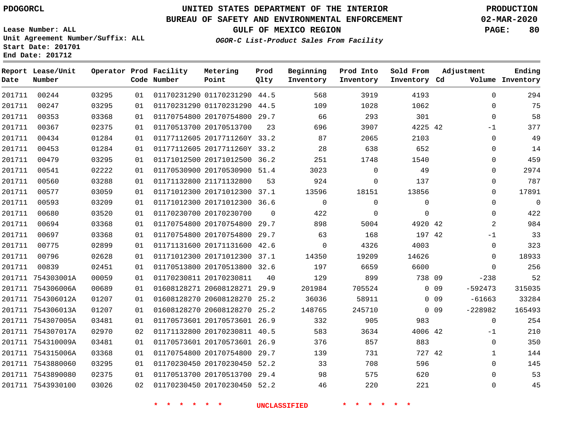## **UNITED STATES DEPARTMENT OF THE INTERIOR PDOGORCL PRODUCTION**

#### **BUREAU OF SAFETY AND ENVIRONMENTAL ENFORCEMENT 02-MAR-2020**

**Lease Number: ALL Unit Agreement Number/Suffix: ALL Start Date: 201701**

**GULF OF MEXICO REGION PAGE: 80**

**OGOR-C List-Product Sales From Facility**

| Date   | Report Lease/Unit<br>Number |       |    | Operator Prod Facility<br>Code Number | Metering<br>Point            | Prod<br>Qlty | Beginning<br>Inventory | Prod Into<br>Inventory | Sold From<br>Inventory Cd | Adjustment                   | Ending<br>Volume Inventory |
|--------|-----------------------------|-------|----|---------------------------------------|------------------------------|--------------|------------------------|------------------------|---------------------------|------------------------------|----------------------------|
| 201711 | 00244                       | 03295 | 01 |                                       | 01170231290 01170231290 44.5 |              | 568                    | 3919                   | 4193                      |                              | 294<br>$\Omega$            |
| 201711 | 00247                       | 03295 | 01 |                                       | 01170231290 01170231290 44.5 |              | 109                    | 1028                   | 1062                      |                              | 75<br>$\mathbf 0$          |
| 201711 | 00353                       | 03368 | 01 |                                       | 01170754800 20170754800 29.7 |              | 66                     | 293                    | 301                       |                              | 58<br>$\mathbf 0$          |
| 201711 | 00367                       | 02375 | 01 |                                       | 01170513700 20170513700      | 23           | 696                    | 3907                   | 4225 42                   |                              | 377<br>$-1$                |
| 201711 | 00434                       | 01284 | 01 |                                       | 01177112605 2017711260Y 33.2 |              | 87                     | 2065                   | 2103                      |                              | 49<br>$\mathbf 0$          |
| 201711 | 00453                       | 01284 | 01 |                                       | 01177112605 2017711260Y 33.2 |              | 28                     | 638                    | 652                       |                              | 14<br>0                    |
| 201711 | 00479                       | 03295 | 01 |                                       | 01171012500 20171012500 36.2 |              | 251                    | 1748                   | 1540                      |                              | 459<br>$\mathbf 0$         |
| 201711 | 00541                       | 02222 | 01 |                                       | 01170530900 20170530900 51.4 |              | 3023                   | $\Omega$               | 49                        |                              | $\mathbf 0$<br>2974        |
| 201711 | 00560                       | 03288 | 01 |                                       | 01171132800 21171132800      | 53           | 924                    | $\Omega$               | 137                       |                              | 787<br>$\Omega$            |
| 201711 | 00577                       | 03059 | 01 |                                       | 01171012300 20171012300 37.1 |              | 13596                  | 18151                  | 13856                     |                              | 17891<br>$\Omega$          |
| 201711 | 00593                       | 03209 | 01 |                                       | 01171012300 20171012300 36.6 |              | $\mathbf 0$            | $\Omega$               | $\mathbf 0$               |                              | $\Omega$<br>$\mathbf 0$    |
| 201711 | 00680                       | 03520 | 01 |                                       | 01170230700 20170230700      | $\Omega$     | 422                    | $\Omega$               | $\Omega$                  |                              | $\mathbf 0$<br>422         |
| 201711 | 00694                       | 03368 | 01 |                                       | 01170754800 20170754800 29.7 |              | 898                    | 5004                   | 4920 42                   |                              | $\overline{a}$<br>984      |
| 201711 | 00697                       | 03368 | 01 |                                       | 01170754800 20170754800 29.7 |              | 63                     | 168                    | 197 42                    |                              | 33<br>$-1$                 |
| 201711 | 00775                       | 02899 | 01 |                                       | 01171131600 20171131600 42.6 |              | $\mathbf 0$            | 4326                   | 4003                      |                              | $\mathbf 0$<br>323         |
| 201711 | 00796                       | 02628 | 01 |                                       | 01171012300 20171012300 37.1 |              | 14350                  | 19209                  | 14626                     |                              | 18933<br>$\Omega$          |
| 201711 | 00839                       | 02451 | 01 |                                       | 01170513800 20170513800 32.6 |              | 197                    | 6659                   | 6600                      |                              | 256<br>$\Omega$            |
|        | 201711 754303001A           | 00059 | 01 |                                       | 01170230811 20170230811      | 40           | 129                    | 899                    | 738 09                    | $-238$                       | 52                         |
|        | 201711 754306006A           | 00689 | 01 |                                       | 01608128271 20608128271 29.9 |              | 201984                 | 705524                 |                           | $-592473$<br>0 <sub>09</sub> | 315035                     |
|        | 201711 754306012A           | 01207 | 01 |                                       | 01608128270 20608128270      | 25.2         | 36036                  | 58911                  |                           | 0 <sub>09</sub><br>$-61663$  | 33284                      |
|        | 201711 754306013A           | 01207 | 01 |                                       | 01608128270 20608128270 25.2 |              | 148765                 | 245710                 |                           | $-228982$<br>0 <sub>09</sub> | 165493                     |
|        | 201711 754307005A           | 03481 | 01 |                                       | 01170573601 20170573601 26.9 |              | 332                    | 905                    | 983                       |                              | $\mathbf 0$<br>254         |
|        | 201711 754307017A           | 02970 | 02 |                                       | 01171132800 20170230811 40.5 |              | 583                    | 3634                   | 4006 42                   |                              | 210<br>$-1$                |
|        | 201711 754310009A           | 03481 | 01 |                                       | 01170573601 20170573601 26.9 |              | 376                    | 857                    | 883                       |                              | $\mathbf 0$<br>350         |
|        | 201711 754315006A           | 03368 | 01 |                                       | 01170754800 20170754800 29.7 |              | 139                    | 731                    | 727 42                    |                              | 144<br>$\mathbf{1}$        |
|        | 201711 7543880060           | 03295 | 01 |                                       | 01170230450 20170230450 52.2 |              | 33                     | 708                    | 596                       |                              | $\mathbf 0$<br>145         |
|        | 201711 7543890080           | 02375 | 01 |                                       | 01170513700 20170513700 29.4 |              | 98                     | 575                    | 620                       |                              | 53<br>$\mathbf 0$          |
|        | 201711 7543930100           | 03026 | 02 |                                       | 01170230450 20170230450 52.2 |              | 46                     | 220                    | 221                       |                              | 45<br>$\Omega$             |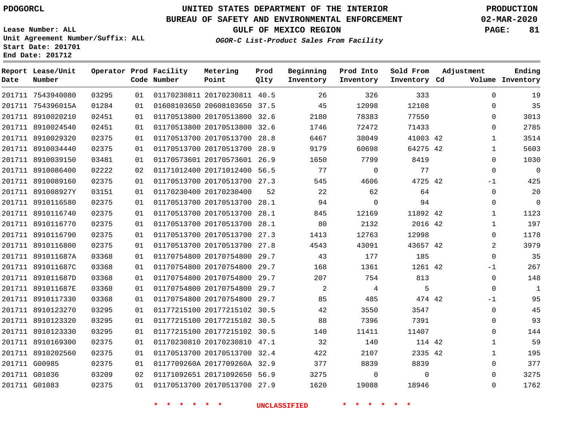#### **BUREAU OF SAFETY AND ENVIRONMENTAL ENFORCEMENT 02-MAR-2020**

**Lease Number: ALL Unit Agreement Number/Suffix: ALL Start Date: 201701**

**End Date: 201712**

**GULF OF MEXICO REGION PAGE: 81**

**OGOR-C List-Product Sales From Facility**

| Date | Report Lease/Unit<br>Number |       |    | Operator Prod Facility<br>Code Number | Metering<br>Point            | Prod<br>Qlty | Beginning<br>Inventory | Prod Into<br>Inventory | Sold From<br>Inventory Cd | Adjustment   | Ending<br>Volume Inventory |
|------|-----------------------------|-------|----|---------------------------------------|------------------------------|--------------|------------------------|------------------------|---------------------------|--------------|----------------------------|
|      | 201711 7543940080           | 03295 | 01 |                                       | 01170230811 20170230811 40.5 |              | 26                     | 326                    | 333                       | $\mathbf 0$  | 19                         |
|      | 201711 754396015A           | 01284 | 01 |                                       | 01608103650 20608103650 37.5 |              | 45                     | 12098                  | 12108                     | 0            | 35                         |
|      | 201711 8910020210           | 02451 | 01 |                                       | 01170513800 20170513800 32.6 |              | 2180                   | 78383                  | 77550                     | 0            | 3013                       |
|      | 201711 8910024540           | 02451 | 01 |                                       | 01170513800 20170513800 32.6 |              | 1746                   | 72472                  | 71433                     | 0            | 2785                       |
|      | 201711 8910029320           | 02375 | 01 |                                       | 01170513700 20170513700 28.8 |              | 6467                   | 38049                  | 41003 42                  | 1            | 3514                       |
|      | 201711 8910034440           | 02375 | 01 |                                       | 01170513700 20170513700 28.9 |              | 9179                   | 60698                  | 64275 42                  | $\mathbf{1}$ | 5603                       |
|      | 201711 8910039150           | 03481 | 01 |                                       | 01170573601 20170573601 26.9 |              | 1650                   | 7799                   | 8419                      | 0            | 1030                       |
|      | 201711 8910086400           | 02222 | 02 |                                       | 01171012400 20171012400 56.5 |              | 77                     | $\mathbf 0$            | 77                        | 0            | $\mathbf 0$                |
|      | 201711 8910089160           | 02375 | 01 |                                       | 01170513700 20170513700 27.3 |              | 545                    | 4606                   | 4725 42                   | -1           | 425                        |
|      | 201711 891008927Y           | 03151 | 01 |                                       | 01170230400 20170230400      | 52           | 22                     | 62                     | 64                        | 0            | 20                         |
|      | 201711 8910116580           | 02375 | 01 |                                       | 01170513700 20170513700 28.1 |              | 94                     | $\Omega$               | 94                        | 0            | $\mathbf 0$                |
|      | 201711 8910116740           | 02375 | 01 |                                       | 01170513700 20170513700      | 28.1         | 845                    | 12169                  | 11892 42                  | $\mathbf{1}$ | 1123                       |
|      | 201711 8910116770           | 02375 | 01 |                                       | 01170513700 20170513700 28.1 |              | 80                     | 2132                   | 2016 42                   | 1            | 197                        |
|      | 201711 8910116790           | 02375 | 01 |                                       | 01170513700 20170513700 27.3 |              | 1413                   | 12763                  | 12998                     | 0            | 1178                       |
|      | 201711 8910116800           | 02375 | 01 |                                       | 01170513700 20170513700 27.8 |              | 4543                   | 43091                  | 43657 42                  | 2            | 3979                       |
|      | 201711 891011687A           | 03368 | 01 |                                       | 01170754800 20170754800      | 29.7         | 43                     | 177                    | 185                       | $\mathbf{0}$ | 35                         |
|      | 201711 891011687C           | 03368 | 01 |                                       | 01170754800 20170754800 29.7 |              | 168                    | 1361                   | 1261 42                   | -1           | 267                        |
|      | 201711 891011687D           | 03368 | 01 |                                       | 01170754800 20170754800      | 29.7         | 207                    | 754                    | 813                       | 0            | 148                        |
|      | 201711 891011687E           | 03368 | 01 |                                       | 01170754800 20170754800 29.7 |              | 2                      | 4                      | 5                         | 0            | $\mathbf{1}$               |
|      | 201711 8910117330           | 03368 | 01 |                                       | 01170754800 20170754800      | 29.7         | 85                     | 485                    | 474 42                    | $-1$         | 95                         |
|      | 201711 8910123270           | 03295 | 01 |                                       | 01177215100 20177215102 30.5 |              | 42                     | 3550                   | 3547                      | 0            | 45                         |
|      | 201711 8910123320           | 03295 | 01 |                                       | 01177215100 20177215102 30.5 |              | 88                     | 7396                   | 7391                      | 0            | 93                         |
|      | 201711 8910123330           | 03295 | 01 |                                       | 01177215100 20177215102 30.5 |              | 140                    | 11411                  | 11407                     | 0            | 144                        |
|      | 201711 8910169300           | 02375 | 01 |                                       | 01170230810 20170230810 47.1 |              | 32                     | 140                    | 114 42                    | $\mathbf{1}$ | 59                         |
|      | 201711 8910202560           | 02375 | 01 |                                       | 01170513700 20170513700 32.4 |              | 422                    | 2107                   | 2335 42                   | $\mathbf{1}$ | 195                        |
|      | 201711 G00985               | 02375 | 01 |                                       | 0117709260A 2017709260A 32.9 |              | 377                    | 8839                   | 8839                      | 0            | 377                        |
|      | 201711 G01036               | 03209 | 02 |                                       | 01171092651 20171092650 56.9 |              | 3275                   | 0                      | 0                         | $\Omega$     | 3275                       |
|      | 201711 G01083               | 02375 | 01 |                                       | 01170513700 20170513700 27.9 |              | 1620                   | 19088                  | 18946                     | $\Omega$     | 1762                       |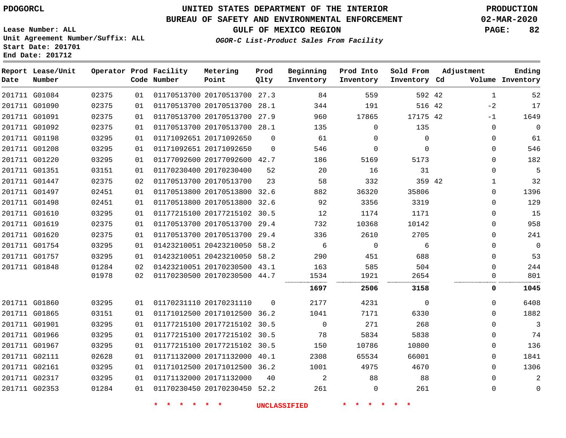# **UNITED STATES DEPARTMENT OF THE INTERIOR PDOGORCL PRODUCTION**

## **BUREAU OF SAFETY AND ENVIRONMENTAL ENFORCEMENT 02-MAR-2020**

**Lease Number: ALL Unit Agreement Number/Suffix: ALL Start Date: 201701**

**GULF OF MEXICO REGION PAGE: 82**

**OGOR-C List-Product Sales From Facility**

| Date          | Report Lease/Unit<br>Number |       |    | Operator Prod Facility<br>Code Number | Metering<br>Point            | Prod<br>Qlty | Beginning<br>Inventory | Prod Into<br>Inventory | Sold From<br>Inventory Cd | Adjustment   | Ending<br>Volume Inventory |
|---------------|-----------------------------|-------|----|---------------------------------------|------------------------------|--------------|------------------------|------------------------|---------------------------|--------------|----------------------------|
|               | 201711 G01084               | 02375 | 01 |                                       | 01170513700 20170513700 27.3 |              | 84                     | 559                    | 592 42                    | $\mathbf{1}$ | 52                         |
|               | 201711 G01090               | 02375 | 01 |                                       | 01170513700 20170513700      | 28.1         | 344                    | 191                    | 516 42                    | $-2$         | 17                         |
|               | 201711 G01091               | 02375 | 01 |                                       | 01170513700 20170513700 27.9 |              | 960                    | 17865                  | 17175 42                  | $-1$         | 1649                       |
|               | 201711 G01092               | 02375 | 01 |                                       | 01170513700 20170513700 28.1 |              | 135                    | 0                      | 135                       | $\mathbf{0}$ | $\mathbf 0$                |
|               | 201711 G01198               | 03295 | 01 |                                       | 01171092651 20171092650      | $\Omega$     | 61                     | $\Omega$               | $\Omega$                  | $\mathbf{0}$ | 61                         |
|               | 201711 G01208               | 03295 | 01 |                                       | 01171092651 20171092650      | $\Omega$     | 546                    | $\mathbf 0$            | $\mathbf 0$               | $\mathbf{0}$ | 546                        |
|               | 201711 G01220               | 03295 | 01 |                                       | 01177092600 20177092600 42.7 |              | 186                    | 5169                   | 5173                      | $\mathbf{0}$ | 182                        |
|               | 201711 G01351               | 03151 | 01 |                                       | 01170230400 20170230400      | 52           | 20                     | 16                     | 31                        | $\mathbf{0}$ | 5                          |
|               | 201711 G01447               | 02375 | 02 |                                       | 01170513700 20170513700      | 23           | 58                     | 332                    | 359 42                    | $\mathbf 1$  | 32                         |
|               | 201711 G01497               | 02451 | 01 |                                       | 01170513800 20170513800 32.6 |              | 882                    | 36320                  | 35806                     | $\Omega$     | 1396                       |
|               | 201711 G01498               | 02451 | 01 |                                       | 01170513800 20170513800 32.6 |              | 92                     | 3356                   | 3319                      | $\Omega$     | 129                        |
|               | 201711 G01610               | 03295 | 01 |                                       | 01177215100 20177215102 30.5 |              | 12                     | 1174                   | 1171                      | 0            | 15                         |
|               | 201711 G01619               | 02375 | 01 |                                       | 01170513700 20170513700      | 29.4         | 732                    | 10368                  | 10142                     | $\Omega$     | 958                        |
|               | 201711 G01620               | 02375 | 01 |                                       | 01170513700 20170513700 29.4 |              | 336                    | 2610                   | 2705                      | $\mathbf{0}$ | 241                        |
|               | 201711 G01754               | 03295 | 01 |                                       | 01423210051 20423210050 58.2 |              | 6                      | $\mathbf 0$            | 6                         | 0            | $\mathbf 0$                |
|               | 201711 G01757               | 03295 | 01 |                                       | 01423210051 20423210050 58.2 |              | 290                    | 451                    | 688                       | $\Omega$     | 53                         |
|               | 201711 G01848               | 01284 | 02 |                                       | 01423210051 20170230500 43.1 |              | 163                    | 585                    | 504                       | $\Omega$     | 244                        |
|               |                             | 01978 | 02 |                                       | 01170230500 20170230500 44.7 |              | 1534                   | 1921                   | 2654                      | $\mathbf{0}$ | 801                        |
|               |                             |       |    |                                       |                              |              | 1697                   | 2506                   | 3158                      | 0            | 1045                       |
|               | 201711 G01860               | 03295 | 01 |                                       | 01170231110 20170231110      | $\Omega$     | 2177                   | 4231                   | $\mathbf 0$               | 0            | 6408                       |
|               | 201711 G01865               | 03151 | 01 |                                       | 01171012500 20171012500 36.2 |              | 1041                   | 7171                   | 6330                      | $\Omega$     | 1882                       |
|               | 201711 G01901               | 03295 | 01 |                                       | 01177215100 20177215102 30.5 |              | $\mathbf 0$            | 271                    | 268                       | $\mathbf{0}$ | $\mathbf{3}$               |
|               | 201711 G01966               | 03295 | 01 |                                       | 01177215100 20177215102 30.5 |              | 78                     | 5834                   | 5838                      | $\mathbf{0}$ | 74                         |
|               | 201711 G01967               | 03295 | 01 |                                       | 01177215100 20177215102      | 30.5         | 150                    | 10786                  | 10800                     | $\mathbf{0}$ | 136                        |
|               | 201711 G02111               | 02628 | 01 |                                       | 01171132000 20171132000      | 40.1         | 2308                   | 65534                  | 66001                     | $\Omega$     | 1841                       |
| 201711 G02161 |                             | 03295 | 01 |                                       | 01171012500 20171012500 36.2 |              | 1001                   | 4975                   | 4670                      | $\Omega$     | 1306                       |
|               | 201711 G02317               | 03295 | 01 |                                       | 01171132000 20171132000      | 40           | 2                      | 88                     | 88                        | $\Omega$     | $\mathbf{2}$               |
|               | 201711 G02353               | 01284 | 01 |                                       | 01170230450 20170230450 52.2 |              | 261                    | $\mathbf 0$            | 261                       | $\mathbf{0}$ | $\mathbf 0$                |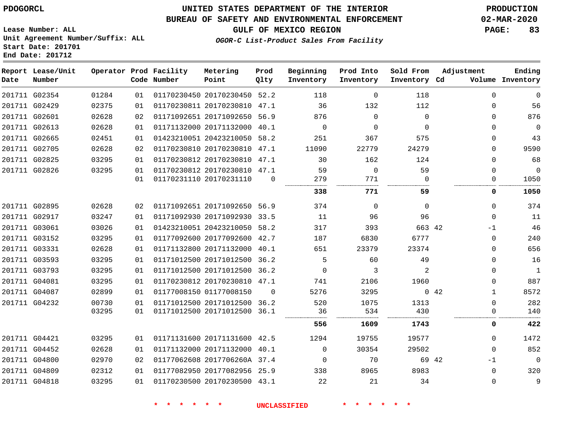## **BUREAU OF SAFETY AND ENVIRONMENTAL ENFORCEMENT 02-MAR-2020**

**OGOR-C List-Product Sales From Facility**

**GULF OF MEXICO REGION PAGE: 83**

**Lease Number: ALL Unit Agreement Number/Suffix: ALL Start Date: 201701 End Date: 201712**

| Date | Report Lease/Unit<br>Number |       |    | Operator Prod Facility<br>Code Number | Metering<br>Point            | Prod<br>Qlty | Beginning<br>Inventory | Prod Into<br>Inventory | Sold From<br>Inventory Cd | Adjustment           | Ending<br>Volume Inventory |
|------|-----------------------------|-------|----|---------------------------------------|------------------------------|--------------|------------------------|------------------------|---------------------------|----------------------|----------------------------|
|      | 201711 G02354               | 01284 | 01 |                                       | 01170230450 20170230450 52.2 |              | 118                    | $\mathbf 0$            | 118                       | $\Omega$             | $\overline{0}$             |
|      | 201711 G02429               | 02375 | 01 |                                       | 01170230811 20170230810 47.1 |              | 36                     | 132                    | 112                       | $\Omega$             | 56                         |
|      | 201711 G02601               | 02628 | 02 |                                       | 01171092651 20171092650 56.9 |              | 876                    | $\Omega$               | $\Omega$                  | $\Omega$             | 876                        |
|      | 201711 G02613               | 02628 | 01 |                                       | 01171132000 20171132000 40.1 |              | 0                      | $\mathbf 0$            | $\Omega$                  | $\Omega$             | $\overline{0}$             |
|      | 201711 G02665               | 02451 | 01 |                                       | 01423210051 20423210050      | 58.2         | 251                    | 367                    | 575                       | $\Omega$             | 43                         |
|      | 201711 G02705               | 02628 | 02 |                                       | 01170230810 20170230810 47.1 |              | 11090                  | 22779                  | 24279                     | $\Omega$             | 9590                       |
|      | 201711 G02825               | 03295 | 01 |                                       | 01170230812 20170230810      | 47.1         | 30                     | 162                    | 124                       | 0                    | 68                         |
|      | 201711 G02826               | 03295 | 01 |                                       | 01170230812 20170230810 47.1 |              | 59                     | $\mathbf 0$            | 59                        | $\mathbf 0$          | $\mathbf 0$                |
|      |                             |       | 01 |                                       | 01170231110 20170231110      | $\mathbf 0$  | 279                    | 771                    | $\Omega$                  | $\Omega$             | 1050                       |
|      |                             |       |    |                                       |                              |              | 338                    | 771                    | 59                        | 0                    | 1050                       |
|      | 201711 G02895               | 02628 | 02 |                                       | 01171092651 20171092650 56.9 |              | 374                    | $\Omega$               | $\Omega$                  | $\Omega$             | 374                        |
|      | 201711 G02917               | 03247 | 01 |                                       | 01171092930 20171092930 33.5 |              | 11                     | 96                     | 96                        | $\mathbf 0$          | 11                         |
|      | 201711 G03061               | 03026 | 01 |                                       | 01423210051 20423210050 58.2 |              | 317                    | 393                    | 663 42                    | $-1$                 | 46                         |
|      | 201711 G03152               | 03295 | 01 |                                       | 01177092600 20177092600      | 42.7         | 187                    | 6830                   | 6777                      | $\mathbf 0$          | 240                        |
|      | 201711 G03331               | 02628 | 01 |                                       | 01171132800 20171132000 40.1 |              | 651                    | 23379                  | 23374                     | $\Omega$             | 656                        |
|      | 201711 G03593               | 03295 | 01 |                                       | 01171012500 20171012500 36.2 |              | 5                      | 60                     | 49                        | $\Omega$             | 16                         |
|      | 201711 G03793               | 03295 | 01 |                                       | 01171012500 20171012500 36.2 |              | $\Omega$               | 3                      | 2                         | $\mathbf 0$          | $\mathbf{1}$               |
|      | 201711 G04081               | 03295 | 01 |                                       | 01170230812 20170230810 47.1 |              | 741                    | 2106                   | 1960                      | $\Omega$             | 887                        |
|      | 201711 G04087               | 02899 | 01 |                                       | 01177008150 01177008150      | $\Omega$     | 5276                   | 3295                   |                           | 0.42<br>$\mathbf{1}$ | 8572                       |
|      | 201711 G04232               | 00730 | 01 |                                       | 01171012500 20171012500 36.2 |              | 520                    | 1075                   | 1313                      | $\mathbf 0$          | 282                        |
|      |                             | 03295 | 01 |                                       | 01171012500 20171012500 36.1 |              | 36                     | 534                    | 430                       | $\Omega$             | 140                        |
|      |                             |       |    |                                       |                              |              | 556                    | 1609                   | 1743                      | 0                    | 422                        |
|      | 201711 G04421               | 03295 | 01 |                                       | 01171131600 20171131600 42.5 |              | 1294                   | 19755                  | 19577                     | $\Omega$             | 1472                       |
|      | 201711 G04452               | 02628 | 01 |                                       | 01171132000 20171132000 40.1 |              | $\Omega$               | 30354                  | 29502                     | $\Omega$             | 852                        |
|      | 201711 G04800               | 02970 | 02 |                                       | 01177062608 2017706260A 37.4 |              | $\mathbf 0$            | 70                     | 69 42                     | $-1$                 | $\overline{0}$             |
|      | 201711 G04809               | 02312 | 01 |                                       | 01177082950 20177082956 25.9 |              | 338                    | 8965                   | 8983                      | $\mathbf 0$          | 320                        |
|      | 201711 G04818               | 03295 | 01 |                                       | 01170230500 20170230500 43.1 |              | 22                     | 21                     | 34                        | 0                    | 9                          |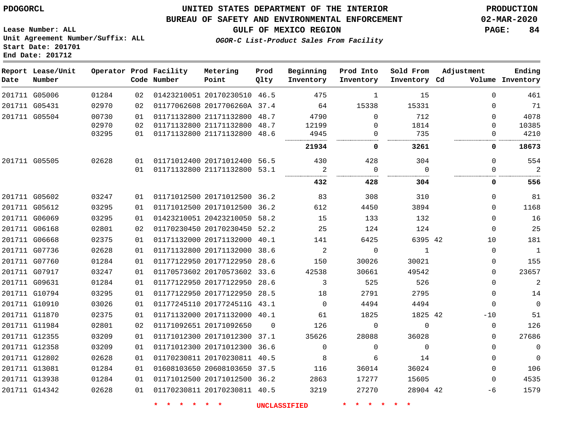**Date**

## **UNITED STATES DEPARTMENT OF THE INTERIOR PDOGORCL PRODUCTION**

**Prod**

**Metering**

#### **BUREAU OF SAFETY AND ENVIRONMENTAL ENFORCEMENT 02-MAR-2020**

**Lease Number: ALL Unit Agreement Number/Suffix: ALL Start Date: 201701 End Date: 201712**

**OGOR-C List-Product Sales From Facility**

**Beginning**

**Prod Into**

**Sold From**

**GULF OF MEXICO REGION PAGE: 84**

**Adjustment**

**Ending**

| Date | Report Lease/Unit<br>Number |       |    | Operator Prod Facility<br>Code Number | Metering<br>Point            | Prod<br>Qlty | Beginning<br>Inventory | Prod Into<br>Inventory | Sold From<br>Inventory Cd | Adjustment  | Ending<br>Volume Inventory |
|------|-----------------------------|-------|----|---------------------------------------|------------------------------|--------------|------------------------|------------------------|---------------------------|-------------|----------------------------|
|      | 201711 G05006               | 01284 | 02 |                                       | 01423210051 20170230510 46.5 |              | 475                    | 1                      | 15                        | $\Omega$    | 461                        |
|      | 201711 G05431               | 02970 | 02 |                                       | 01177062608 2017706260A 37.4 |              | 64                     | 15338                  | 15331                     | $\Omega$    | 71                         |
|      | 201711 G05504               | 00730 | 01 |                                       | 01171132800 21171132800 48.7 |              | 4790                   | $\Omega$               | 712                       | $\Omega$    | 4078                       |
|      |                             | 02970 | 02 |                                       | 01171132800 21171132800 48.7 |              | 12199                  | $\Omega$               | 1814                      | $\Omega$    | 10385                      |
|      |                             | 03295 | 01 |                                       | 01171132800 21171132800 48.6 |              | 4945                   | 0                      | 735                       | 0           | 4210                       |
|      |                             |       |    |                                       |                              |              | 21934                  | 0                      | 3261                      | 0           | 18673                      |
|      | 201711 G05505               | 02628 | 01 |                                       | 01171012400 20171012400 56.5 |              | 430                    | 428                    | 304                       | $\Omega$    | 554                        |
|      |                             |       | 01 |                                       | 01171132800 21171132800 53.1 |              | 2                      | $\overline{0}$         | $\Omega$                  | $\Omega$    | $\overline{2}$             |
|      |                             |       |    |                                       |                              |              | <br>432                | <br>428                | <br>304                   | 0           | 556                        |
|      | 201711 G05602               | 03247 | 01 |                                       | 01171012500 20171012500 36.2 |              | 83                     | 308                    | 310                       | $\Omega$    | 81                         |
|      | 201711 G05612               | 03295 | 01 |                                       | 01171012500 20171012500 36.2 |              | 612                    | 4450                   | 3894                      | $\Omega$    | 1168                       |
|      | 201711 G06069               | 03295 | 01 |                                       | 01423210051 20423210050 58.2 |              | 15                     | 133                    | 132                       | $\Omega$    | 16                         |
|      | 201711 G06168               | 02801 | 02 |                                       | 01170230450 20170230450 52.2 |              | 25                     | 124                    | 124                       | $\mathbf 0$ | 25                         |
|      | 201711 G06668               | 02375 | 01 |                                       | 01171132000 20171132000 40.1 |              | 141                    | 6425                   | 6395 42                   | 10          | 181                        |
|      | 201711 G07736               | 02628 | 01 |                                       | 01171132800 20171132000 38.6 |              | 2                      | $\mathbf 0$            | $\mathbf{1}$              | $\mathbf 0$ | $\mathbf{1}$               |
|      | 201711 G07760               | 01284 | 01 |                                       | 01177122950 20177122950 28.6 |              | 150                    | 30026                  | 30021                     | $\Omega$    | 155                        |
|      | 201711 G07917               | 03247 | 01 |                                       | 01170573602 20170573602 33.6 |              | 42538                  | 30661                  | 49542                     | $\mathbf 0$ | 23657                      |
|      | 201711 G09631               | 01284 | 01 |                                       | 01177122950 20177122950 28.6 |              | 3                      | 525                    | 526                       | $\Omega$    | $\overline{a}$             |
|      | 201711 G10794               | 03295 | 01 |                                       | 01177122950 20177122950 28.5 |              | 18                     | 2791                   | 2795                      | $\Omega$    | 14                         |
|      | 201711 G10910               | 03026 | 01 |                                       | 01177245110 2017724511G 43.1 |              | $\Omega$               | 4494                   | 4494                      | $\Omega$    | $\overline{0}$             |
|      | 201711 G11870               | 02375 | 01 |                                       | 01171132000 20171132000 40.1 |              | 61                     | 1825                   | 1825 42                   | $-10$       | 51                         |
|      | 201711 G11984               | 02801 | 02 |                                       | 01171092651 20171092650      | $\Omega$     | 126                    | $\Omega$               | $\Omega$                  | 0           | 126                        |
|      | 201711 G12355               | 03209 | 01 |                                       | 01171012300 20171012300 37.1 |              | 35626                  | 28088                  | 36028                     | $\Omega$    | 27686                      |
|      | 201711 G12358               | 03209 | 01 |                                       | 01171012300 20171012300 36.6 |              | $\Omega$               | $\Omega$               | $\mathbf 0$               | $\Omega$    | $\mathbf 0$                |
|      | 201711 G12802               | 02628 | 01 |                                       | 01170230811 20170230811 40.5 |              | 8                      | 6                      | 14                        | $\Omega$    | $\mathbf 0$                |
|      | 201711 G13081               | 01284 | 01 |                                       | 01608103650 20608103650 37.5 |              | 116                    | 36014                  | 36024                     | $\Omega$    | 106                        |
|      | 201711 G13938               | 01284 | 01 |                                       | 01171012500 20171012500 36.2 |              | 2863                   | 17277                  | 15605                     | $\Omega$    | 4535                       |
|      | 201711 G14342               | 02628 | 01 |                                       | 01170230811 20170230811 40.5 |              | 3219                   | 27270                  | 28904 42                  | $-6$        | 1579                       |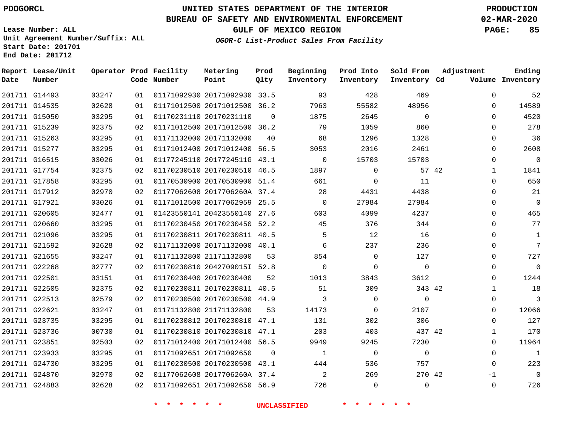**Date**

**Report Lease/Unit**

**Number**

## **UNITED STATES DEPARTMENT OF THE INTERIOR PDOGORCL PRODUCTION**

**Prod Qlty**

#### **BUREAU OF SAFETY AND ENVIRONMENTAL ENFORCEMENT 02-MAR-2020**

**Lease Number: ALL Unit Agreement Number/Suffix: ALL Start Date: 201701 End Date: 201712**

**Operator Prod Facility**

**Code Number**

**OGOR-C List-Product Sales From Facility**

**Sold From Inventory**

**Prod Into Inventory**

**Beginning Inventory**

**GULF OF MEXICO REGION PAGE: 85**

**Inventory Cd Volume**

**Adjustment**

  $\Omega$  $\Omega$   $\Omega$  $\Omega$  $\Omega$   $\Omega$  $\Omega$  $\Omega$  $\Omega$  $\overline{0}$   $\Omega$  $\overline{0}$  $\Omega$  $\Omega$   $\Omega$  $\Omega$  $\Omega$   $\Omega$  $\Omega$  -1  $\Omega$ 

**Ending**

| 469            | 428            | 93                         |                | 01171092930 20171092930 33.5 | 01 | 03247 | 201711 G14493 |  |
|----------------|----------------|----------------------------|----------------|------------------------------|----|-------|---------------|--|
| 48956          | 55582          | 7963                       |                | 01171012500 20171012500 36.2 | 01 | 02628 | 201711 G14535 |  |
| $\overline{0}$ | 2645           | 1875                       | $\overline{0}$ | 01170231110 20170231110      | 01 | 03295 | 201711 G15050 |  |
| 860            | 1059           | 79                         |                | 01171012500 20171012500 36.2 | 02 | 02375 | 201711 G15239 |  |
| 1328           | 1296           | 68                         | 40             | 01171132000 20171132000      | 01 | 03295 | 201711 G15263 |  |
| 2461           | 2016           | 3053                       |                | 01171012400 20171012400 56.5 | 01 | 03295 | 201711 G15277 |  |
| 15703          | 15703          | $\Omega$                   |                | 01177245110 2017724511G 43.1 | 01 | 03026 | 201711 G16515 |  |
| 57 42          | $\overline{0}$ | 1897                       |                | 01170230510 20170230510 46.5 | 02 | 02375 | 201711 G17754 |  |
| 11             | $\Omega$       | 661                        |                | 01170530900 20170530900 51.4 | 01 | 03295 | 201711 G17858 |  |
| 4438           | 4431           | 28                         |                | 01177062608 2017706260A 37.4 | 02 | 02970 | 201711 G17912 |  |
| 27984          | 27984          | $\overline{0}$             |                | 01171012500 20177062959 25.5 | 01 | 03026 | 201711 G17921 |  |
| 4237           | 4099           | 603                        |                | 01423550141 20423550140 27.6 | 01 | 02477 | 201711 G20605 |  |
| 344            | 376            | 45                         |                | 01170230450 20170230450 52.2 | 01 | 03295 | 201711 G20660 |  |
| 16             | 12             | 5 <sup>5</sup>             |                | 01170230811 20170230811 40.5 | 01 | 03295 | 201711 G21096 |  |
| 236            | 237            | 6                          |                | 01171132000 20171132000 40.1 | 02 | 02628 | 201711 G21592 |  |
| 127            | $\Omega$       | 854                        | 53             | 01171132800 21171132800      | 01 | 03247 | 201711 G21655 |  |
| $\overline{0}$ | $\overline{0}$ | $\Omega$                   |                | 01170230810 2042709015I 52.8 | 02 | 02777 | 201711 G22268 |  |
| 3612           | 3843           | 1013                       | 52             | 01170230400 20170230400      | 01 | 03151 | 201711 G22501 |  |
| 343 42         | 309            | 51                         |                | 01170230811 20170230811 40.5 | 02 | 02375 | 201711 G22505 |  |
| $\Omega$       | $\Omega$       | 3                          |                | 01170230500 20170230500 44.9 | 02 | 02579 | 201711 G22513 |  |
| 2107           | $\Omega$       | 14173                      | 53             | 01171132800 21171132800      | 01 | 03247 | 201711 G22621 |  |
| 306            | 302            | 131                        |                | 01170230812 20170230810 47.1 | 01 | 03295 | 201711 G23735 |  |
| 437 42         | 403            | 203                        |                | 01170230810 20170230810 47.1 | 01 | 00730 | 201711 G23736 |  |
| 7230           | 9245           | 9949                       |                | 01171012400 20171012400 56.5 | 02 | 02503 | 201711 G23851 |  |
| $\overline{0}$ | $\mathbf 0$    | $\mathbf{1}$               | $\overline{0}$ | 01171092651 20171092650      | 01 | 03295 | 201711 G23933 |  |
| 757            | 536            | 444                        |                | 01170230500 20170230500 43.1 | 01 | 03295 | 201711 G24730 |  |
| 270 42         | 269            | $\overline{\phantom{a}}^2$ |                | 01177062608 2017706260A 37.4 | 02 | 02970 | 201711 G24870 |  |
| $\mathbf 0$    | $\mathbf 0$    | 726                        |                | 01171092651 20171092650 56.9 | 02 | 02628 | 201711 G24883 |  |
|                |                |                            |                |                              |    |       |               |  |

**Metering Point**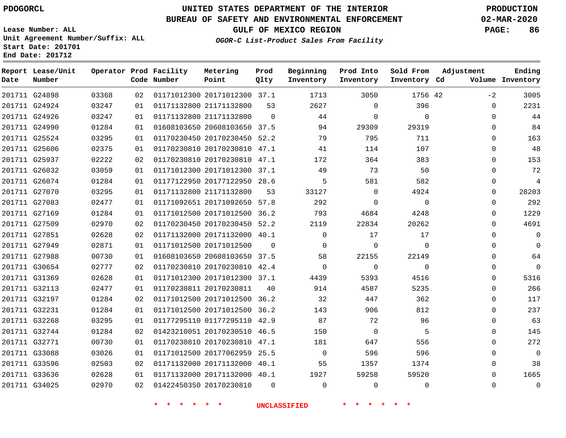## **BUREAU OF SAFETY AND ENVIRONMENTAL ENFORCEMENT 02-MAR-2020**

**Lease Number: ALL Unit Agreement Number/Suffix: ALL Start Date: 201701**

**End Date: 201712**

**GULF OF MEXICO REGION PAGE: 86**

**OGOR-C List-Product Sales From Facility**

| Date | Report Lease/Unit<br>Number |       |    | Operator Prod Facility<br>Code Number | Metering<br>Point            | Prod<br>Olty | Beginning<br>Inventory | Prod Into<br>Inventory | Sold From<br>Inventory Cd | Adjustment | Ending<br>Volume Inventory |
|------|-----------------------------|-------|----|---------------------------------------|------------------------------|--------------|------------------------|------------------------|---------------------------|------------|----------------------------|
|      | 201711 G24898               | 03368 | 02 |                                       | 01171012300 20171012300 37.1 |              | 1713                   | 3050                   | 1756 42                   | $-2$       | 3005                       |
|      | 201711 G24924               | 03247 | 01 |                                       | 01171132800 21171132800      | 53           | 2627                   | $\mathbf 0$            | 396                       | 0          | 2231                       |
|      | 201711 G24926               | 03247 | 01 |                                       | 01171132800 21171132800      | $\Omega$     | 44                     | $\mathbf 0$            | $\mathbf 0$               | $\Omega$   | 44                         |
|      | 201711 G24990               | 01284 | 01 |                                       | 01608103650 20608103650 37.5 |              | 94                     | 29309                  | 29319                     | $\Omega$   | 84                         |
|      | 201711 G25524               | 03295 | 01 |                                       | 01170230450 20170230450 52.2 |              | 79                     | 795                    | 711                       | $\Omega$   | 163                        |
|      | 201711 G25606               | 02375 | 01 |                                       | 01170230810 20170230810 47.1 |              | 41                     | 114                    | 107                       | $\Omega$   | 48                         |
|      | 201711 G25937               | 02222 | 02 |                                       | 01170230810 20170230810 47.1 |              | 172                    | 364                    | 383                       | 0          | 153                        |
|      | 201711 G26032               | 03059 | 01 |                                       | 01171012300 20171012300 37.1 |              | 49                     | 73                     | 50                        | $\Omega$   | 72                         |
|      | 201711 G26074               | 01284 | 01 |                                       | 01177122950 20177122950 28.6 |              | 5                      | 581                    | 582                       | $\Omega$   | 4                          |
|      | 201711 G27070               | 03295 | 01 |                                       | 01171132800 21171132800      | 53           | 33127                  | $\Omega$               | 4924                      | $\Omega$   | 28203                      |
|      | 201711 G27083               | 02477 | 01 |                                       | 01171092651 20171092650      | 57.8         | 292                    | 0                      | $\mathbf 0$               | 0          | 292                        |
|      | 201711 G27169               | 01284 | 01 |                                       | 01171012500 20171012500      | 36.2         | 793                    | 4684                   | 4248                      | 0          | 1229                       |
|      | 201711 G27509               | 02970 | 02 |                                       | 01170230450 20170230450 52.2 |              | 2119                   | 22834                  | 20262                     | $\Omega$   | 4691                       |
|      | 201711 G27851               | 02628 | 02 |                                       | 01171132000 20171132000 40.1 |              | $\mathbf 0$            | 17                     | 17                        | 0          | 0                          |
|      | 201711 G27949               | 02871 | 01 |                                       | 01171012500 20171012500      | $\Omega$     | $\Omega$               | $\mathbf 0$            | $\Omega$                  | $\Omega$   | 0                          |
|      | 201711 G27988               | 00730 | 01 |                                       | 01608103650 20608103650 37.5 |              | 58                     | 22155                  | 22149                     | 0          | 64                         |
|      | 201711 G30654               | 02777 | 02 |                                       | 01170230810 20170230810 42.4 |              | $\Omega$               | $\mathbf 0$            | $\Omega$                  | $\Omega$   | $\mathbf 0$                |
|      | 201711 G31369               | 02628 | 01 |                                       | 01171012300 20171012300 37.1 |              | 4439                   | 5393                   | 4516                      | 0          | 5316                       |
|      | 201711 G32113               | 02477 | 01 |                                       | 01170230811 20170230811      | 40           | 914                    | 4587                   | 5235                      | $\Omega$   | 266                        |
|      | 201711 G32197               | 01284 | 02 |                                       | 01171012500 20171012500      | 36.2         | 32                     | 447                    | 362                       | 0          | 117                        |
|      | 201711 G32231               | 01284 | 01 |                                       | 01171012500 20171012500 36.2 |              | 143                    | 906                    | 812                       | $\Omega$   | 237                        |
|      | 201711 G32268               | 03295 | 01 |                                       | 01177295110 01177295110 42.9 |              | 87                     | 72                     | 96                        | $\Omega$   | 63                         |
|      | 201711 G32744               | 01284 | 02 |                                       | 01423210051 20170230510 46.5 |              | 150                    | $\mathbf 0$            | 5                         | 0          | 145                        |
|      | 201711 G32771               | 00730 | 01 |                                       | 01170230810 20170230810 47.1 |              | 181                    | 647                    | 556                       | $\Omega$   | 272                        |
|      | 201711 G33088               | 03026 | 01 |                                       | 01171012500 20177062959 25.5 |              | $\mathbf 0$            | 596                    | 596                       | 0          | $\mathbf 0$                |
|      | 201711 G33596               | 02503 | 02 |                                       | 01171132000 20171132000 40.1 |              | 55                     | 1357                   | 1374                      | $\Omega$   | 38                         |
|      | 201711 G33636               | 02628 | 01 |                                       | 01171132000 20171132000 40.1 |              | 1927                   | 59258                  | 59520                     | $\Omega$   | 1665                       |
|      | 201711 G34025               | 02970 | 02 |                                       | 01422450350 20170230810      | $\Omega$     | $\Omega$               | $\mathbf 0$            | $\Omega$                  | $\Omega$   | $\mathbf 0$                |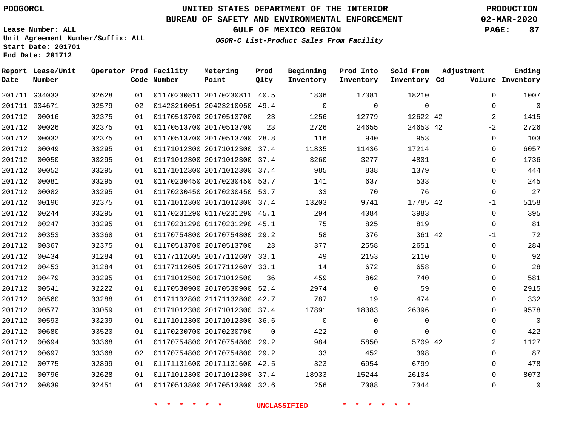# **UNITED STATES DEPARTMENT OF THE INTERIOR PDOGORCL PRODUCTION**

## **BUREAU OF SAFETY AND ENVIRONMENTAL ENFORCEMENT 02-MAR-2020**

**Lease Number: ALL Unit Agreement Number/Suffix: ALL Start Date: 201701**

**GULF OF MEXICO REGION PAGE: 87**

**OGOR-C List-Product Sales From Facility**

| Date   | Report Lease/Unit<br>Number |       |    | Operator Prod Facility<br>Code Number | Metering<br>Point            | Prod<br>Qlty | Beginning<br>Inventory | Prod Into<br>Inventory | Sold From<br>Inventory Cd | Adjustment     | Ending<br>Volume Inventory |
|--------|-----------------------------|-------|----|---------------------------------------|------------------------------|--------------|------------------------|------------------------|---------------------------|----------------|----------------------------|
|        | 201711 G34033               | 02628 | 01 |                                       | 01170230811 20170230811 40.5 |              | 1836                   | 17381                  | 18210                     | $\Omega$       | 1007                       |
|        | 201711 G34671               | 02579 | 02 |                                       | 01423210051 20423210050 49.4 |              | $\Omega$               | $\mathbf 0$            | $\mathbf{0}$              | 0              | $\mathbf 0$                |
| 201712 | 00016                       | 02375 | 01 |                                       | 01170513700 20170513700      | 23           | 1256                   | 12779                  | 12622 42                  | $\overline{2}$ | 1415                       |
| 201712 | 00026                       | 02375 | 01 |                                       | 01170513700 20170513700      | 23           | 2726                   | 24655                  | 24653 42                  | $-2$           | 2726                       |
| 201712 | 00032                       | 02375 | 01 |                                       | 01170513700 20170513700      | 28.8         | 116                    | 940                    | 953                       | $\mathbf 0$    | 103                        |
| 201712 | 00049                       | 03295 | 01 |                                       | 01171012300 20171012300 37.4 |              | 11835                  | 11436                  | 17214                     | 0              | 6057                       |
| 201712 | 00050                       | 03295 | 01 |                                       | 01171012300 20171012300      | 37.4         | 3260                   | 3277                   | 4801                      | $\Omega$       | 1736                       |
| 201712 | 00052                       | 03295 | 01 |                                       | 01171012300 20171012300 37.4 |              | 985                    | 838                    | 1379                      | 0              | 444                        |
| 201712 | 00081                       | 03295 | 01 |                                       | 01170230450 20170230450 53.7 |              | 141                    | 637                    | 533                       | 0              | 245                        |
| 201712 | 00082                       | 03295 | 01 |                                       | 01170230450 20170230450 53.7 |              | 33                     | 70                     | 76                        | $\mathbf 0$    | 27                         |
| 201712 | 00196                       | 02375 | 01 |                                       | 01171012300 20171012300      | 37.4         | 13203                  | 9741                   | 17785 42                  | $-1$           | 5158                       |
| 201712 | 00244                       | 03295 | 01 |                                       | 01170231290 01170231290 45.1 |              | 294                    | 4084                   | 3983                      | $\mathbf 0$    | 395                        |
| 201712 | 00247                       | 03295 | 01 |                                       | 01170231290 01170231290 45.1 |              | 75                     | 825                    | 819                       | $\Omega$       | 81                         |
| 201712 | 00353                       | 03368 | 01 |                                       | 01170754800 20170754800 29.2 |              | 58                     | 376                    | 361 42                    | $-1$           | 72                         |
| 201712 | 00367                       | 02375 | 01 |                                       | 01170513700 20170513700      | 23           | 377                    | 2558                   | 2651                      | 0              | 284                        |
| 201712 | 00434                       | 01284 | 01 |                                       | 01177112605 2017711260Y 33.1 |              | 49                     | 2153                   | 2110                      | $\Omega$       | 92                         |
| 201712 | 00453                       | 01284 | 01 |                                       | 01177112605 2017711260Y 33.1 |              | 14                     | 672                    | 658                       | 0              | 28                         |
| 201712 | 00479                       | 03295 | 01 |                                       | 01171012500 20171012500      | 36           | 459                    | 862                    | 740                       | 0              | 581                        |
| 201712 | 00541                       | 02222 | 01 |                                       | 01170530900 20170530900 52.4 |              | 2974                   | $\Omega$               | 59                        | $\Omega$       | 2915                       |
| 201712 | 00560                       | 03288 | 01 |                                       | 01171132800 21171132800 42.7 |              | 787                    | 19                     | 474                       | 0              | 332                        |
| 201712 | 00577                       | 03059 | 01 |                                       | 01171012300 20171012300 37.4 |              | 17891                  | 18083                  | 26396                     | 0              | 9578                       |
| 201712 | 00593                       | 03209 | 01 |                                       | 01171012300 20171012300 36.6 |              | $\Omega$               | $\mathbf 0$            | $\mathbf 0$               | 0              | $\Omega$                   |
| 201712 | 00680                       | 03520 | 01 |                                       | 01170230700 20170230700      | 0            | 422                    | 0                      | $\mathbf 0$               | 0              | 422                        |
| 201712 | 00694                       | 03368 | 01 |                                       | 01170754800 20170754800      | 29.2         | 984                    | 5850                   | 5709 42                   | $\overline{a}$ | 1127                       |
| 201712 | 00697                       | 03368 | 02 |                                       | 01170754800 20170754800 29.2 |              | 33                     | 452                    | 398                       | $\Omega$       | 87                         |
| 201712 | 00775                       | 02899 | 01 |                                       | 01171131600 20171131600 42.5 |              | 323                    | 6954                   | 6799                      | 0              | 478                        |
| 201712 | 00796                       | 02628 | 01 |                                       | 01171012300 20171012300 37.4 |              | 18933                  | 15244                  | 26104                     | 0              | 8073                       |
| 201712 | 00839                       | 02451 | 01 |                                       | 01170513800 20170513800 32.6 |              | 256                    | 7088                   | 7344                      | $\Omega$       | $\mathbf{0}$               |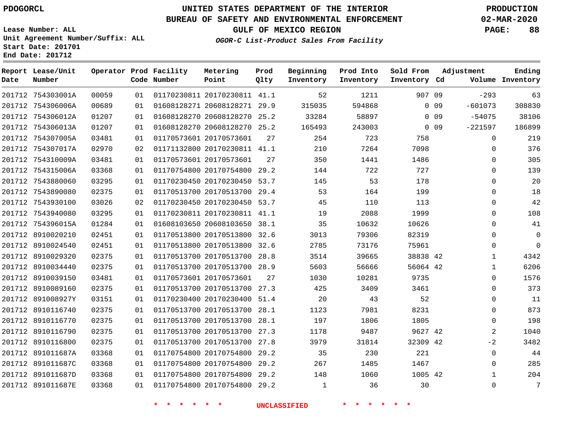**Date**

**End Date: 201712**

**Report Lease/Unit**

**Number**

 754303001A 754306006A 754306012A

# **UNITED STATES DEPARTMENT OF THE INTERIOR PDOGORCL PRODUCTION**

**Prod**

#### **BUREAU OF SAFETY AND ENVIRONMENTAL ENFORCEMENT 02-MAR-2020**

**Lease Number: ALL Unit Agreement Number/Suffix: ALL Start Date: 201701**

> 

**Operator Prod Facility**

**Code Number**

**Metering**

**OGOR-C List-Product Sales From Facility**

**GULF OF MEXICO REGION PAGE: 88**

**Ending**

**Beginning**

 20170230811 41.1 20608128271 29.9 20608128270 25.2 **Point** 907 09 0 0 9 0 0 9 0 0 9 41.1 29.2 53.7 29.4 53.7 41.1 **Qlty Inventory Inventory Cd Volume Inventory Inventory** -293 -601073 -54075 

**Sold From**

**Adjustment**

**Prod Into**

| 201712 754306013A | 01207 | 01 | 01608128270 20608128270      | 25.2 | 165493 | 243003 |          | $0$ 09 | $-221597$    | 186899      |  |
|-------------------|-------|----|------------------------------|------|--------|--------|----------|--------|--------------|-------------|--|
| 201712 754307005A | 03481 | 01 | 01170573601 20170573601      | 27   | 254    | 723    | 758      |        | $\Omega$     | 219         |  |
| 201712 754307017A | 02970 | 02 | 01171132800 20170230811 41.1 |      | 210    | 7264   | 7098     |        | $\Omega$     | 376         |  |
| 201712 754310009A | 03481 | 01 | 01170573601 20170573601      | 27   | 350    | 1441   | 1486     |        | $\Omega$     | 305         |  |
| 201712 754315006A | 03368 | 01 | 01170754800 20170754800 29.2 |      | 144    | 722    | 727      |        | $\Omega$     | 139         |  |
| 201712 7543880060 | 03295 | 01 | 01170230450 20170230450 53.7 |      | 145    | 53     | 178      |        | $\Omega$     | 20          |  |
| 201712 7543890080 | 02375 | 01 | 01170513700 20170513700 29.4 |      | 53     | 164    | 199      |        | $\mathbf 0$  | 18          |  |
| 201712 7543930100 | 03026 | 02 | 01170230450 20170230450 53.7 |      | 45     | 110    | 113      |        | $\Omega$     | 42          |  |
| 201712 7543940080 | 03295 | 01 | 01170230811 20170230811 41.1 |      | 19     | 2088   | 1999     |        | $\Omega$     | 108         |  |
| 201712 754396015A | 01284 | 01 | 01608103650 20608103650 38.1 |      | 35     | 10632  | 10626    |        | $\mathbf 0$  | 41          |  |
| 201712 8910020210 | 02451 | 01 | 01170513800 20170513800 32.6 |      | 3013   | 79306  | 82319    |        | $\Omega$     | $\mathbf 0$ |  |
| 201712 8910024540 | 02451 | 01 | 01170513800 20170513800 32.6 |      | 2785   | 73176  | 75961    |        | $\mathbf 0$  | $\mathbf 0$ |  |
| 201712 8910029320 | 02375 | 01 | 01170513700 20170513700 28.8 |      | 3514   | 39665  | 38838 42 |        | $\mathbf{1}$ | 4342        |  |
| 201712 8910034440 | 02375 | 01 | 01170513700 20170513700 28.9 |      | 5603   | 56666  | 56064 42 |        | $\mathbf{1}$ | 6206        |  |
| 201712 8910039150 | 03481 | 01 | 01170573601 20170573601      | 27   | 1030   | 10281  | 9735     |        | $\Omega$     | 1576        |  |
| 201712 8910089160 | 02375 | 01 | 01170513700 20170513700 27.3 |      | 425    | 3409   | 3461     |        | $\Omega$     | 373         |  |
| 201712 891008927Y | 03151 | 01 | 01170230400 20170230400 51.4 |      | 20     | 43     | 52       |        | $\Omega$     | 11          |  |
| 201712 8910116740 | 02375 | 01 | 01170513700 20170513700 28.1 |      | 1123   | 7981   | 8231     |        | $\Omega$     | 873         |  |
| 201712 8910116770 | 02375 | 01 | 01170513700 20170513700 28.1 |      | 197    | 1806   | 1805     |        | $\Omega$     | 198         |  |
| 201712 8910116790 | 02375 | 01 | 01170513700 20170513700 27.3 |      | 1178   | 9487   | 9627 42  |        | 2            | 1040        |  |
| 201712 8910116800 | 02375 | 01 | 01170513700 20170513700 27.8 |      | 3979   | 31814  | 32309 42 |        | $-2$         | 3482        |  |
| 201712 891011687A | 03368 | 01 | 01170754800 20170754800 29.2 |      | 35     | 230    | 221      |        | $\Omega$     | 44          |  |
| 201712 891011687C | 03368 | 01 | 01170754800 20170754800 29.2 |      | 267    | 1485   | 1467     |        | $\Omega$     | 285         |  |
| 201712 891011687D | 03368 | 01 | 01170754800 20170754800 29.2 |      | 148    | 1060   | 1005 42  |        | $\mathbf{1}$ | 204         |  |
| 201712 891011687E | 03368 | 01 | 01170754800 20170754800 29.2 |      | 1      | 36     | 30       |        | $\Omega$     | 7           |  |
|                   |       |    |                              |      |        |        |          |        |              |             |  |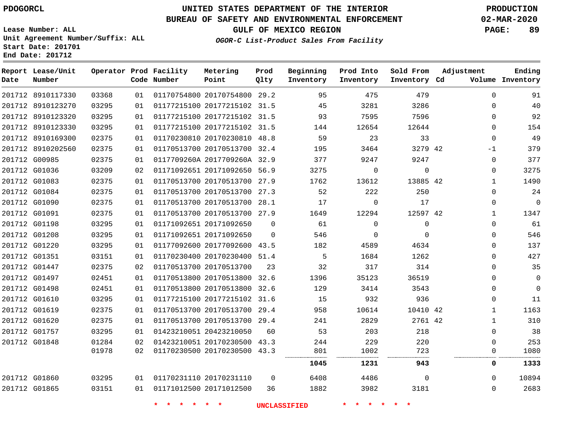**Prod Qlty**

#### **BUREAU OF SAFETY AND ENVIRONMENTAL ENFORCEMENT 02-MAR-2020**

**Lease Number: ALL Unit Agreement Number/Suffix: ALL Start Date: 201701**

**Operator Prod Facility**

**Code Number**

20170754800 29.2

**Metering Point**

**End Date: 201712**

8910117330

**Report Lease/Unit**

**Number**

**Date**

**GULF OF MEXICO REGION PAGE: 89**

**Inventory Cd Volume**

**Adjustment**

 

**Ending**

**OGOR-C List-Product Sales From Facility**

**Beginning Inventory**

**Sold From Inventory**

**Prod Into Inventory**

| 201712 8910123270 | 03295 | 01  | 01177215100 20177215102 31.5 |          | 45      | 3281                   | 3286        | U            | 40          |
|-------------------|-------|-----|------------------------------|----------|---------|------------------------|-------------|--------------|-------------|
| 201712 8910123320 | 03295 | 01  | 01177215100 20177215102 31.5 |          | 93      | 7595                   | 7596        | 0            | 92          |
| 201712 8910123330 | 03295 | 01  | 01177215100 20177215102 31.5 |          | 144     | 12654                  | 12644       | 0            | 154         |
| 201712 8910169300 | 02375 | O 1 | 01170230810 20170230810 48.8 |          | 59      | 23                     | 33          | $\Omega$     | 49          |
| 201712 8910202560 | 02375 | 01  | 01170513700 20170513700 32.4 |          | 195     | 3464                   | 3279 42     | $-1$         | 379         |
| 201712 G00985     | 02375 | 01  | 0117709260A 2017709260A 32.9 |          | 377     | 9247                   | 9247        | $\Omega$     | 377         |
| 201712 G01036     | 03209 | 02  | 01171092651 20171092650 56.9 |          | 3275    | $\Omega$               | $\Omega$    | $\Omega$     | 3275        |
| 201712 G01083     | 02375 | 01  | 01170513700 20170513700 27.9 |          | 1762    | 13612                  | 13885 42    | 1            | 1490        |
| 201712 G01084     | 02375 | 01  | 01170513700 20170513700 27.3 |          | 52      | 222                    | 250         | 0            | 24          |
| 201712 G01090     | 02375 | 01  | 01170513700 20170513700 28.1 |          | 17      | $\Omega$               | 17          | $\Omega$     | $\mathbf 0$ |
| 201712 G01091     | 02375 | 01  | 01170513700 20170513700 27.9 |          | 1649    | 12294                  | 12597 42    | $\mathbf{1}$ | 1347        |
| 201712 G01198     | 03295 | 01  | 01171092651 20171092650      | $\Omega$ | 61      | $\Omega$               | $\Omega$    | $\Omega$     | 61          |
| 201712 G01208     | 03295 | 01  | 01171092651 20171092650      | $\Omega$ | 546     | $\Omega$               | $\Omega$    | $\Omega$     | 546         |
| 201712 G01220     | 03295 | 01  | 01177092600 20177092600 43.5 |          | 182     | 4589                   | 4634        | 0            | 137         |
| 201712 G01351     | 03151 | 01  | 01170230400 20170230400 51.4 |          | .5      | 1684                   | 1262        | 0            | 427         |
| 201712 G01447     | 02375 | 02  | 01170513700 20170513700      | 23       | 32      | 317                    | 314         | 0            | 35          |
| 201712 G01497     | 02451 | 01  | 01170513800 20170513800 32.6 |          | 1396    | 35123                  | 36519       | 0            | $\mathbf 0$ |
| 201712 G01498     | 02451 | O 1 | 01170513800 20170513800 32.6 |          | 129     | 3414                   | 3543        | 0            | $\Omega$    |
| 201712 G01610     | 03295 | 01  | 01177215100 20177215102 31.6 |          | 15      | 932                    | 936         | $\Omega$     | 11          |
| 201712 G01619     | 02375 | 01  | 01170513700 20170513700      | 29.4     | 958     | 10614                  | 10410 42    | $\mathbf{1}$ | 1163        |
| 201712 G01620     | 02375 | 01  | 01170513700 20170513700 29.4 |          | 241     | 2829                   | 2761 42     | Т.           | 310         |
| 201712 G01757     | 03295 | 01  | 01423210051 20423210050      | 60       | 53      | 203                    | 218         | 0            | 38          |
| 201712 G01848     | 01284 | 02  | 01423210051 20170230500      | 43.3     | 244     | 229                    | 220         | $\Omega$     | 253         |
|                   | 01978 | 02  | 01170230500 20170230500 43.3 |          | 801<br> | 1002<br>-------------- | 723<br><br> | 0            | 1080        |
|                   |       |     |                              |          | 1045    | 1231                   | 943         | 0            | 1333        |
| 201712 G01860     | 03295 |     | 01  01170231110  20170231110 | $\Omega$ | 6408    | 4486                   | $\Omega$    | $\Omega$     | 10894       |

G01865

**\* \* \* \* \* \* UNCLASSIFIED \* \* \* \* \* \***

20171012500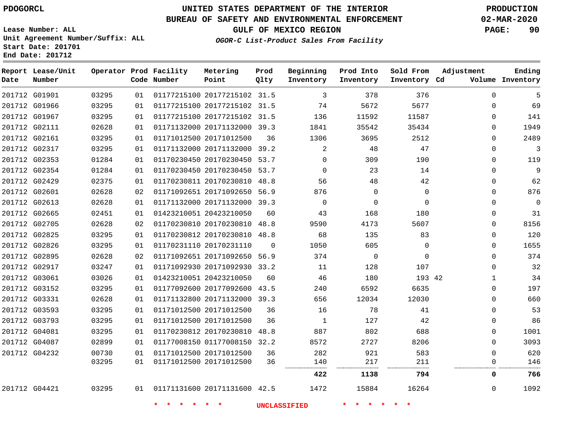**Date**

**End Date: 201712**

**Report Lease/Unit**

**Number**

# **UNITED STATES DEPARTMENT OF THE INTERIOR PDOGORCL PRODUCTION**

**Prod Qlty**

#### **BUREAU OF SAFETY AND ENVIRONMENTAL ENFORCEMENT 02-MAR-2020**

**Lease Number: ALL Unit Agreement Number/Suffix: ALL Start Date: 201701**

**Operator Prod Facility**

**Code Number**

**OGOR-C List-Product Sales From Facility**

**Beginning Inventory** **Prod Into Inventory** **Sold From Inventory**

**GULF OF MEXICO REGION PAGE: 90**

**Inventory Cd Volume**

**Adjustment**

**Ending**

| 5    | $\Omega$ | 376      | 378         | 3              |          | 01177215100 20177215102 31.5 | 01 | 03295 | G01901 |
|------|----------|----------|-------------|----------------|----------|------------------------------|----|-------|--------|
| 69   | 0        | 5677     | 5672        | 74             |          | 01177215100 20177215102 31.5 | 01 | 03295 | G01966 |
| 141  | 0        | 11587    | 11592       | 136            |          | 01177215100 20177215102 31.5 | 01 | 03295 | G01967 |
| 1949 | 0        | 35434    | 35542       | 1841           |          | 01171132000 20171132000 39.3 | 01 | 02628 | G02111 |
| 2489 | 0        | 2512     | 3695        | 1306           | 36       | 01171012500 20171012500      | 01 | 03295 | G02161 |
| 3    | $\Omega$ | 47       | 48          | $\overline{2}$ |          | 01171132000 20171132000 39.2 | 01 | 03295 | G02317 |
| 119  | 0        | 190      | 309         | 0              | 53.7     | 01170230450 20170230450      | 01 | 01284 | G02353 |
| 9    | 0        | 14       | 23          | $\Omega$       | 53.7     | 01170230450 20170230450      | 01 | 01284 | G02354 |
| 62   | 0        | 42       | 48          | 56             | 48.8     | 01170230811 20170230810      | 01 | 02375 | G02429 |
| 876  | 0        | 0        | $\Omega$    | 876            | 56.9     | 01171092651 20171092650      | 02 | 02628 | G02601 |
| 0    | $\Omega$ | $\Omega$ | $\Omega$    | $\Omega$       |          | 01171132000 20171132000 39.3 | 01 | 02628 | G02613 |
| 31   | 0        | 180      | 168         | 43             | 60       | 01423210051 20423210050      | 01 | 02451 | G02665 |
| 8156 | 0        | 5607     | 4173        | 9590           | 48.8     | 01170230810 20170230810      | 02 | 02628 | G02705 |
| 120  | 0        | 83       | 135         | 68             | 48.8     | 01170230812 20170230810      | 01 | 03295 | G02825 |
| 1655 | 0        | 0        | 605         | 1050           | $\Omega$ | 01170231110 20170231110      | 01 | 03295 | G02826 |
| 374  | 0        | 0        | $\mathbf 0$ | 374            |          | 01171092651 20171092650 56.9 | 02 | 02628 | G02895 |
| 32   | 0        | 107      | 128         | 11             | 33.2     | 01171092930 20171092930      | 01 | 03247 | G02917 |
| 34   | 1        | 193 42   | 180         | 46             | 60       | 01423210051 20423210050      | 01 | 03026 | G03061 |
| 197  | 0        | 6635     | 6592        | 240            | 43.5     | 01177092600 20177092600      | 01 | 03295 | G03152 |
| 660  | 0        | 12030    | 12034       | 656            | 39.3     | 01171132800 20171132000      | 01 | 02628 | G03331 |
| 53   | 0        | 41       | 78          | 16             | 36       | 01171012500 20171012500      | 01 | 03295 | G03593 |
| 86   | 0        | 42       | 127         | $\mathbf 1$    | 36       | 01171012500 20171012500      | 01 | 03295 | G03793 |
| 1001 | 0        | 688      | 802         | 887            | 48.8     | 01170230812 20170230810      | 01 | 03295 | G04081 |
| 3093 | $\Omega$ | 8206     | 2727        | 8572           | 32.2     | 01177008150 01177008150      | 01 | 02899 | G04087 |
| 620  | 0        | 583      | 921         | 282            | 36       | 01171012500 20171012500      | 01 | 00730 | G04232 |
| 146  | 0        | 211      | 217         | 140            | 36       | 01171012500 20171012500      | 01 | 03295 |        |
| 766  | 0        | 794      | 1138        | 422            |          |                              |    |       |        |
| 1092 | 0        | 16264    | 15884       | 1472           |          | 01171131600 20171131600 42.5 | 01 | 03295 | G04421 |

**Metering Point**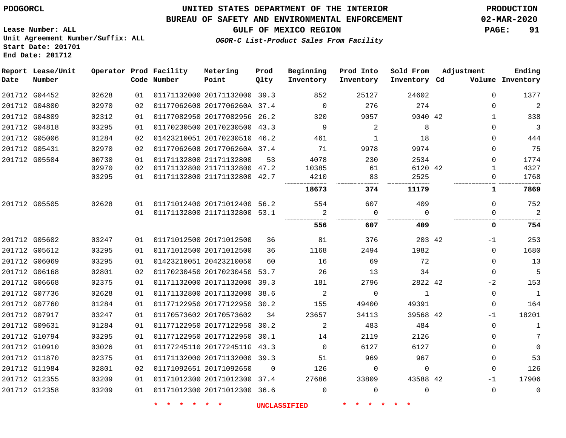**Lease Number: ALL**

**Start Date: 201701 End Date: 201712**

G12358

## **UNITED STATES DEPARTMENT OF THE INTERIOR PDOGORCL PRODUCTION**

#### **BUREAU OF SAFETY AND ENVIRONMENTAL ENFORCEMENT 02-MAR-2020**

**Unit Agreement Number/Suffix: ALL**

**GULF OF MEXICO REGION PAGE: 91**

**OGOR-C List-Product Sales From Facility**

| Date | Report Lease/Unit<br>Number |                |          | Operator Prod Facility<br>Code Number | Metering<br>Point                                       | Prod<br>Qlty | Beginning<br>Inventory | Prod Into<br>Inventory | Sold From<br>Inventory Cd | Adjustment    | Ending<br>Volume Inventory |
|------|-----------------------------|----------------|----------|---------------------------------------|---------------------------------------------------------|--------------|------------------------|------------------------|---------------------------|---------------|----------------------------|
|      | 201712 G04452               | 02628          | 01       |                                       | 01171132000 20171132000 39.3                            |              | 852                    | 25127                  | 24602                     | $\Omega$      | 1377                       |
|      | 201712 G04800               | 02970          | 02       |                                       | 01177062608 2017706260A 37.4                            |              | $\Omega$               | 276                    | 274                       | 0             | $\overline{a}$             |
|      | 201712 G04809               | 02312          | 01       |                                       | 01177082950 20177082956 26.2                            |              | 320                    | 9057                   | 9040 42                   | 1             | 338                        |
|      | 201712 G04818               | 03295          | 01       |                                       | 01170230500 20170230500 43.3                            |              | 9                      | 2                      | 8                         | $\Omega$      | $\mathbf{3}$               |
|      | 201712 G05006               | 01284          | 02       |                                       | 01423210051 20170230510 46.2                            |              | 461                    | 1                      | 18                        | $\Omega$      | 444                        |
|      | 201712 G05431               | 02970          | 02       |                                       | 01177062608 2017706260A 37.4                            |              | 71                     | 9978                   | 9974                      | $\Omega$      | 75                         |
|      | 201712 G05504               | 00730<br>02970 | 01<br>02 |                                       | 01171132800 21171132800<br>01171132800 21171132800 47.2 | 53           | 4078<br>10385          | 230<br>61              | 2534<br>6120 42           | $\Omega$<br>1 | 1774<br>4327               |
|      |                             | 03295          | 01       |                                       | 01171132800 21171132800 42.7                            |              | 4210                   | 83                     | 2525                      | $\Omega$      | 1768                       |
|      |                             |                |          |                                       |                                                         |              | 18673                  | 374                    | 11179                     | 1             | 7869                       |
|      | 201712 G05505               | 02628          | 01       |                                       | 01171012400 20171012400                                 | 56.2         | 554                    | 607                    | 409                       | $\Omega$      | 752                        |
|      |                             |                | 01       |                                       | 01171132800 21171132800                                 | 53.1         | 2                      | $\Omega$               | $\Omega$                  | 0             | 2                          |
|      |                             |                |          |                                       |                                                         |              | 556                    | 607                    | 409                       | 0             | 754                        |
|      |                             |                |          |                                       |                                                         |              |                        |                        |                           |               |                            |
|      | 201712 G05602               | 03247          | 01       |                                       | 01171012500 20171012500                                 | 36           | 81                     | 376                    | 203 42                    | $-1$          | 253                        |
|      | 201712 G05612               | 03295          | 01       |                                       | 01171012500 20171012500                                 | 36           | 1168                   | 2494                   | 1982                      | $\Omega$      | 1680                       |
|      | 201712 G06069               | 03295          | 01       |                                       | 01423210051 20423210050                                 | 60           | 16                     | 69                     | 72                        | $\Omega$      | 13                         |
|      | 201712 G06168               | 02801          | 02       |                                       | 01170230450 20170230450                                 | 53.7         | 26                     | 13                     | 34                        | $\Omega$      | 5                          |
|      | 201712 G06668               | 02375          | 01       |                                       | 01171132000 20171132000                                 | 39.3         | 181                    | 2796                   | 2822 42                   | $-2$          | 153                        |
|      | 201712 G07736               | 02628          | 01       |                                       | 01171132800 20171132000                                 | 38.6         | 2                      | $\mathbf 0$            | $\mathbf{1}$              | $\mathbf 0$   | $\mathbf{1}$               |
|      | 201712 G07760               | 01284          | 01       |                                       | 01177122950 20177122950                                 | 30.2         | 155                    | 49400                  | 49391                     | $\Omega$      | 164                        |
|      | 201712 G07917               | 03247          | 01       |                                       | 01170573602 20170573602                                 | 34           | 23657                  | 34113                  | 39568 42                  | $-1$          | 18201                      |
|      | 201712 G09631               | 01284          | 01       |                                       | 01177122950 20177122950                                 | 30.2         | 2                      | 483                    | 484                       | $\Omega$      | $\mathbf{1}$               |
|      | 201712 G10794               | 03295          | 01       |                                       | 01177122950 20177122950                                 | 30.1         | 14                     | 2119                   | 2126                      | $\Omega$      | 7                          |
|      | 201712 G10910               | 03026          | 01       |                                       | 01177245110 2017724511G 43.3                            |              | $\Omega$               | 6127                   | 6127                      | $\Omega$      | $\Omega$                   |
|      | 201712 G11870               | 02375          | 01       |                                       | 01171132000 20171132000 39.3                            |              | 51                     | 969                    | 967                       | $\Omega$      | 53                         |
|      | 201712 G11984               | 02801          | 02       |                                       | 01171092651 20171092650                                 | $\Omega$     | 126                    | $\Omega$               | $\Omega$                  | $\Omega$      | 126                        |
|      | 201712 G12355               | 03209          | 01       |                                       | 01171012300 20171012300 37.4                            |              | 27686                  | 33809                  | 43588 42                  | $-1$          | 17906                      |

**\* \* \* \* \* \* UNCLASSIFIED \* \* \* \* \* \***

01171012300 20171012300 36.6

 $\overline{0}$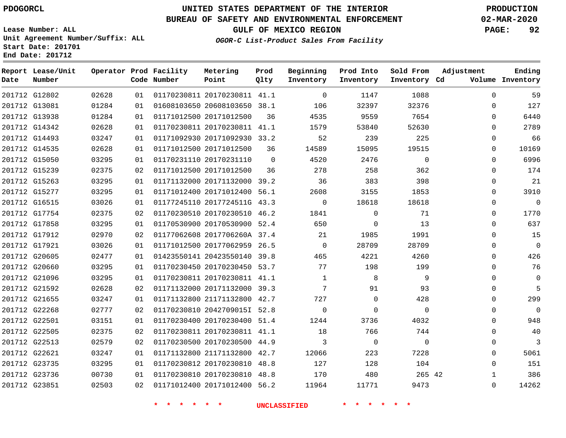# **UNITED STATES DEPARTMENT OF THE INTERIOR PDOGORCL PRODUCTION**

## **BUREAU OF SAFETY AND ENVIRONMENTAL ENFORCEMENT 02-MAR-2020**

**Lease Number: ALL Unit Agreement Number/Suffix: ALL Start Date: 201701**

**GULF OF MEXICO REGION PAGE: 92**

**OGOR-C List-Product Sales From Facility**

| Date | Report Lease/Unit<br>Number |       |    | Operator Prod Facility<br>Code Number | Metering<br>Point            | Prod<br>Qlty | Beginning<br>Inventory | Prod Into<br>Inventory | Sold From<br>Inventory Cd | Adjustment   | Ending<br>Volume Inventory |
|------|-----------------------------|-------|----|---------------------------------------|------------------------------|--------------|------------------------|------------------------|---------------------------|--------------|----------------------------|
|      | 201712 G12802               | 02628 | 01 |                                       | 01170230811 20170230811 41.1 |              | $\overline{0}$         | 1147                   | 1088                      | $\mathbf 0$  | 59                         |
|      | 201712 G13081               | 01284 | 01 |                                       | 01608103650 20608103650 38.1 |              | 106                    | 32397                  | 32376                     | 0            | 127                        |
|      | 201712 G13938               | 01284 | 01 |                                       | 01171012500 20171012500      | 36           | 4535                   | 9559                   | 7654                      | $\Omega$     | 6440                       |
|      | 201712 G14342               | 02628 | 01 |                                       | 01170230811 20170230811 41.1 |              | 1579                   | 53840                  | 52630                     | $\Omega$     | 2789                       |
|      | 201712 G14493               | 03247 | 01 |                                       | 01171092930 20171092930 33.2 |              | 52                     | 239                    | 225                       | 0            | 66                         |
|      | 201712 G14535               | 02628 | 01 |                                       | 01171012500 20171012500      | 36           | 14589                  | 15095                  | 19515                     | $\Omega$     | 10169                      |
|      | 201712 G15050               | 03295 | 01 |                                       | 01170231110 20170231110      | $\Omega$     | 4520                   | 2476                   | $\Omega$                  | $\Omega$     | 6996                       |
|      | 201712 G15239               | 02375 | 02 |                                       | 01171012500 20171012500      | 36           | 278                    | 258                    | 362                       | $\Omega$     | 174                        |
|      | 201712 G15263               | 03295 | 01 |                                       | 01171132000 20171132000 39.2 |              | 36                     | 383                    | 398                       | $\Omega$     | 21                         |
|      | 201712 G15277               | 03295 | 01 |                                       | 01171012400 20171012400 56.1 |              | 2608                   | 3155                   | 1853                      | $\Omega$     | 3910                       |
|      | 201712 G16515               | 03026 | 01 |                                       | 01177245110 2017724511G 43.3 |              | $\mathbf 0$            | 18618                  | 18618                     | 0            | $\mathbf{0}$               |
|      | 201712 G17754               | 02375 | 02 |                                       | 01170230510 20170230510 46.2 |              | 1841                   | $\mathbf 0$            | 71                        | $\Omega$     | 1770                       |
|      | 201712 G17858               | 03295 | 01 |                                       | 01170530900 20170530900 52.4 |              | 650                    | $\Omega$               | 13                        | $\Omega$     | 637                        |
|      | 201712 G17912               | 02970 | 02 |                                       | 01177062608 2017706260A 37.4 |              | 21                     | 1985                   | 1991                      | 0            | 15                         |
|      | 201712 G17921               | 03026 | 01 |                                       | 01171012500 20177062959 26.5 |              | $\Omega$               | 28709                  | 28709                     | $\Omega$     | $\overline{0}$             |
|      | 201712 G20605               | 02477 | 01 |                                       | 01423550141 20423550140 39.8 |              | 465                    | 4221                   | 4260                      | $\Omega$     | 426                        |
|      | 201712 G20660               | 03295 | 01 |                                       | 01170230450 20170230450 53.7 |              | 77                     | 198                    | 199                       | 0            | 76                         |
|      | 201712 G21096               | 03295 | 01 |                                       | 01170230811 20170230811 41.1 |              | 1                      | 8                      | 9                         | 0            | $\mathbf 0$                |
|      | 201712 G21592               | 02628 | 02 |                                       | 01171132000 20171132000 39.3 |              | $7\overline{ }$        | 91                     | 93                        | $\Omega$     | 5                          |
|      | 201712 G21655               | 03247 | 01 |                                       | 01171132800 21171132800 42.7 |              | 727                    | $\mathbf{0}$           | 428                       | 0            | 299                        |
|      | 201712 G22268               | 02777 | 02 |                                       | 01170230810 2042709015I 52.8 |              | $\Omega$               | $\Omega$               | $\Omega$                  | 0            | $\mathbf 0$                |
|      | 201712 G22501               | 03151 | 01 |                                       | 01170230400 20170230400 51.4 |              | 1244                   | 3736                   | 4032                      | $\Omega$     | 948                        |
|      | 201712 G22505               | 02375 | 02 |                                       | 01170230811 20170230811 41.1 |              | 18                     | 766                    | 744                       | 0            | 40                         |
|      | 201712 G22513               | 02579 | 02 |                                       | 01170230500 20170230500 44.9 |              | 3                      | $\overline{0}$         | $\mathbf 0$               | $\Omega$     | 3                          |
|      | 201712 G22621               | 03247 | 01 |                                       | 01171132800 21171132800 42.7 |              | 12066                  | 223                    | 7228                      | $\Omega$     | 5061                       |
|      | 201712 G23735               | 03295 | 01 |                                       | 01170230812 20170230810      | 48.8         | 127                    | 128                    | 104                       | 0            | 151                        |
|      | 201712 G23736               | 00730 | 01 |                                       | 01170230810 20170230810 48.8 |              | 170                    | 480                    | 265 42                    | $\mathbf{1}$ | 386                        |
|      | 201712 G23851               | 02503 | 02 |                                       | 01171012400 20171012400 56.2 |              | 11964                  | 11771                  | 9473                      | $\Omega$     | 14262                      |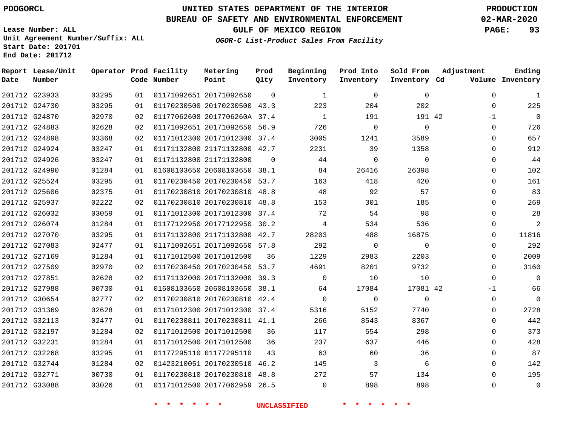## **BUREAU OF SAFETY AND ENVIRONMENTAL ENFORCEMENT 02-MAR-2020**

**Lease Number: ALL Unit Agreement Number/Suffix: ALL Start Date: 201701**

**GULF OF MEXICO REGION PAGE: 93**

**OGOR-C List-Product Sales From Facility**

|  |  | $5$ calc $20$ and $10$ $-$ |  |  |
|--|--|----------------------------|--|--|
|  |  | End Date: 201712           |  |  |

| Date          | Report Lease/Unit<br>Number |       |    | Operator Prod Facility<br>Code Number | Metering<br>Point            | Prod<br>Qlty | Beginning<br>Inventory | Prod Into<br>Inventory | Sold From<br>Inventory Cd | Adjustment   | Ending<br>Volume Inventory |
|---------------|-----------------------------|-------|----|---------------------------------------|------------------------------|--------------|------------------------|------------------------|---------------------------|--------------|----------------------------|
| 201712 G23933 |                             | 03295 | 01 |                                       | 01171092651 20171092650      | $\Omega$     | $\mathbf{1}$           | $\Omega$               | $\Omega$                  | $\Omega$     | 1                          |
| 201712 G24730 |                             | 03295 | 01 |                                       | 01170230500 20170230500 43.3 |              | 223                    | 204                    | 202                       | $\mathbf 0$  | 225                        |
| 201712 G24870 |                             | 02970 | 02 |                                       | 01177062608 2017706260A 37.4 |              | 1                      | 191                    | 191 42                    | $-1$         | $\mathbf 0$                |
| 201712 G24883 |                             | 02628 | 02 |                                       | 01171092651 20171092650 56.9 |              | 726                    | $\overline{0}$         | $\mathbf 0$               | $\mathbf 0$  | 726                        |
| 201712 G24898 |                             | 03368 | 02 |                                       | 01171012300 20171012300 37.4 |              | 3005                   | 1241                   | 3589                      | $\mathbf 0$  | 657                        |
|               | 201712 G24924               | 03247 | 01 |                                       | 01171132800 21171132800 42.7 |              | 2231                   | 39                     | 1358                      | $\mathbf 0$  | 912                        |
|               | 201712 G24926               | 03247 | 01 |                                       | 01171132800 21171132800      | $\Omega$     | 44                     | $\Omega$               | $\Omega$                  | $\mathbf 0$  | 44                         |
|               | 201712 G24990               | 01284 | 01 |                                       | 01608103650 20608103650 38.1 |              | 84                     | 26416                  | 26398                     | $\mathbf{0}$ | 102                        |
|               | 201712 G25524               | 03295 | 01 |                                       | 01170230450 20170230450 53.7 |              | 163                    | 418                    | 420                       | $\Omega$     | 161                        |
|               | 201712 G25606               | 02375 | 01 |                                       | 01170230810 20170230810 48.8 |              | 48                     | 92                     | 57                        | 0            | 83                         |
| 201712 G25937 |                             | 02222 | 02 |                                       | 01170230810 20170230810 48.8 |              | 153                    | 301                    | 185                       | $\Omega$     | 269                        |
|               | 201712 G26032               | 03059 | 01 |                                       | 01171012300 20171012300 37.4 |              | 72                     | 54                     | 98                        | 0            | 28                         |
|               | 201712 G26074               | 01284 | 01 |                                       | 01177122950 20177122950 30.2 |              | 4                      | 534                    | 536                       | $\Omega$     | $\overline{a}$             |
| 201712 G27070 |                             | 03295 | 01 |                                       | 01171132800 21171132800 42.7 |              | 28203                  | 488                    | 16875                     | 0            | 11816                      |
| 201712 G27083 |                             | 02477 | 01 |                                       | 01171092651 20171092650 57.8 |              | 292                    | $\Omega$               | $\Omega$                  | $\Omega$     | 292                        |
| 201712 G27169 |                             | 01284 | 01 |                                       | 01171012500 20171012500      | 36           | 1229                   | 2983                   | 2203                      | 0            | 2009                       |
| 201712 G27509 |                             | 02970 | 02 |                                       | 01170230450 20170230450 53.7 |              | 4691                   | 8201                   | 9732                      | $\Omega$     | 3160                       |
| 201712 G27851 |                             | 02628 | 02 |                                       | 01171132000 20171132000 39.3 |              | $\Omega$               | 10                     | 10                        | $\Omega$     | $\mathbf 0$                |
| 201712 G27988 |                             | 00730 | 01 |                                       | 01608103650 20608103650 38.1 |              | 64                     | 17084                  | 17081 42                  | -1           | 66                         |
| 201712 G30654 |                             | 02777 | 02 |                                       | 01170230810 20170230810 42.4 |              | $\Omega$               | $\mathbf 0$            | $\Omega$                  | 0            | $\mathbf 0$                |
| 201712 G31369 |                             | 02628 | 01 |                                       | 01171012300 20171012300 37.4 |              | 5316                   | 5152                   | 7740                      | $\mathbf 0$  | 2728                       |
| 201712 G32113 |                             | 02477 | 01 |                                       | 01170230811 20170230811 41.1 |              | 266                    | 8543                   | 8367                      | 0            | 442                        |
| 201712 G32197 |                             | 01284 | 02 |                                       | 01171012500 20171012500      | 36           | 117                    | 554                    | 298                       | 0            | 373                        |
| 201712 G32231 |                             | 01284 | 01 |                                       | 01171012500 20171012500      | 36           | 237                    | 637                    | 446                       | $\mathbf 0$  | 428                        |
| 201712 G32268 |                             | 03295 | 01 |                                       | 01177295110 01177295110      | 43           | 63                     | 60                     | 36                        | $\mathbf 0$  | 87                         |
|               | 201712 G32744               | 01284 | 02 |                                       | 01423210051 20170230510 46.2 |              | 145                    | 3                      | 6                         | $\Omega$     | 142                        |
| 201712 G32771 |                             | 00730 | 01 |                                       | 01170230810 20170230810 48.8 |              | 272                    | 57                     | 134                       | 0            | 195                        |
| 201712 G33088 |                             | 03026 | 01 |                                       | 01171012500 20177062959 26.5 |              | $\Omega$               | 898                    | 898                       | $\Omega$     | $\mathbf 0$                |